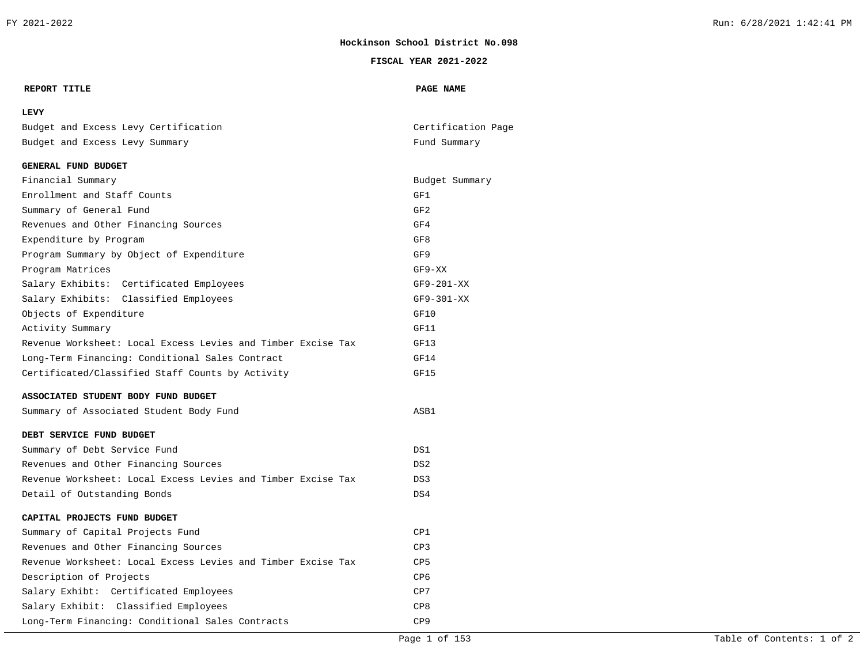#### **FISCAL YEAR 2021-2022**

#### **REPORT TITLE PAGE NAME**

## **LEVY**

|  |  | Budget and Excess Levy Certification | Certification Page |  |
|--|--|--------------------------------------|--------------------|--|
|  |  | Budget and Excess Levy Summary       | Fund Summary       |  |

#### **GENERAL FUND BUDGET**

| Financial Summary                                            | Budget Summary  |
|--------------------------------------------------------------|-----------------|
| Enrollment and Staff Counts                                  | GF1             |
| Summary of General Fund                                      | GF2             |
| Revenues and Other Financing Sources                         | GF4             |
| Expenditure by Program                                       | GF8             |
| Program Summary by Object of Expenditure                     | GF9             |
| Program Matrices                                             | $GF9-XX$        |
| Salary Exhibits: Certificated Employees                      | $GF9-201-XX$    |
| Salary Exhibits: Classified Employees                        | $GF9-301-XX$    |
| Objects of Expenditure                                       | GF10            |
| Activity Summary                                             | GF11            |
| Revenue Worksheet: Local Excess Levies and Timber Excise Tax | GF13            |
| Long-Term Financing: Conditional Sales Contract              | GF14            |
| Certificated/Classified Staff Counts by Activity             | GF15            |
| ASSOCIATED STUDENT BODY FUND BUDGET                          |                 |
| Summary of Associated Student Body Fund                      | ASB1            |
| DEBT SERVICE FUND BUDGET                                     |                 |
| Summary of Debt Service Fund                                 | DS1             |
| Revenues and Other Financing Sources                         | DS2             |
| Revenue Worksheet: Local Excess Levies and Timber Excise Tax | DS3             |
| Detail of Outstanding Bonds                                  | DS4             |
| CAPITAL PROJECTS FUND BUDGET                                 |                 |
| Summary of Capital Projects Fund                             | CP1             |
| Revenues and Other Financing Sources                         | CP3             |
| Revenue Worksheet: Local Excess Levies and Timber Excise Tax | C <sub>P5</sub> |
| Description of Projects                                      | CP <sub>6</sub> |
| Salary Exhibt: Certificated Employees                        | CP7             |
| Salary Exhibit: Classified Employees                         | CP8             |
| Long-Term Financing: Conditional Sales Contracts             | CP <sub>9</sub> |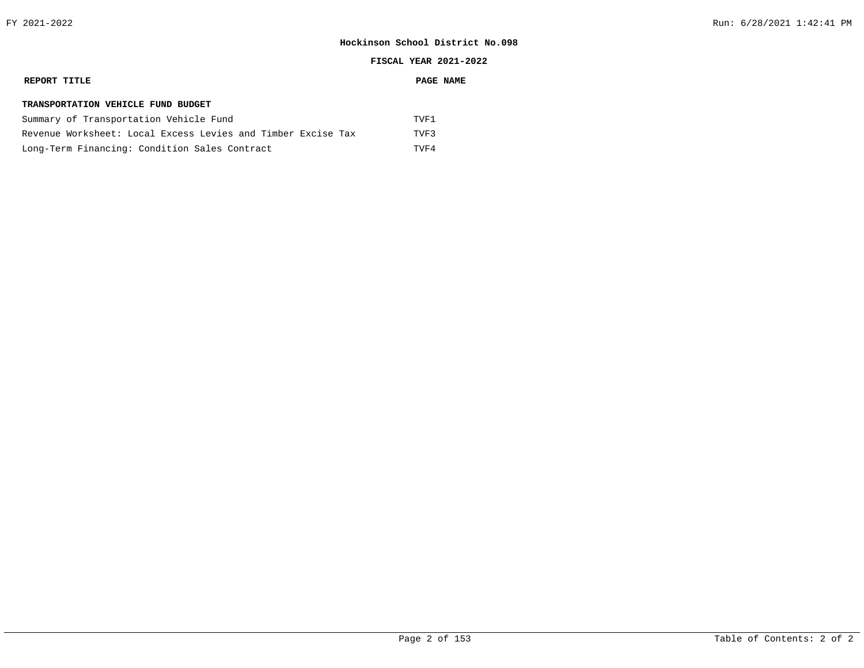#### **REPORT TITLE PAGE NAME**

#### **TRANSPORTATION VEHICLE FUND BUDGET**

| Summary of Transportation Vehicle Fund                       | TVF1  |
|--------------------------------------------------------------|-------|
| Revenue Worksheet: Local Excess Levies and Timber Excise Tax | TVF 3 |
| Long-Term Financing: Condition Sales Contract                | TVF4  |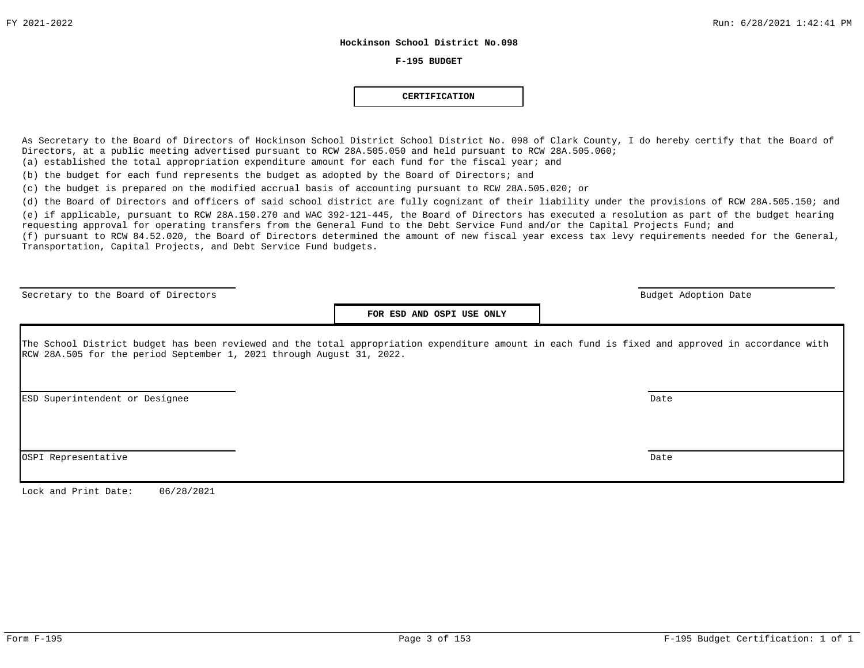#### **F-195 BUDGET**

#### **CERTIFICATION**

As Secretary to the Board of Directors of Hockinson School District School District No. 098 of Clark County, I do hereby certify that the Board of Directors, at a public meeting advertised pursuant to RCW 28A.505.050 and held pursuant to RCW 28A.505.060; (a) established the total appropriation expenditure amount for each fund for the fiscal year; and

(b) the budget for each fund represents the budget as adopted by the Board of Directors; and

(c) the budget is prepared on the modified accrual basis of accounting pursuant to RCW 28A.505.020; or

(d) the Board of Directors and officers of said school district are fully cognizant of their liability under the provisions of RCW 28A.505.150; and

(e) if applicable, pursuant to RCW 28A.150.270 and WAC 392-121-445, the Board of Directors has executed a resolution as part of the budget hearing requesting approval for operating transfers from the General Fund to the Debt Service Fund and/or the Capital Projects Fund; and (f) pursuant to RCW 84.52.020, the Board of Directors determined the amount of new fiscal year excess tax levy requirements needed for the General, Transportation, Capital Projects, and Debt Service Fund budgets.

Secretary to the Board of Directors and the Board of Directors and the Budget Adoption Date budget Adoption Date

**FOR ESD AND OSPI USE ONLY**

The School District budget has been reviewed and the total appropriation expenditure amount in each fund is fixed and approved in accordance with RCW 28A.505 for the period September 1, 2021 through August 31, 2022.

ESD Superintendent or Designee Date

OSPI Representative Date

Lock and Print Date: 06/28/2021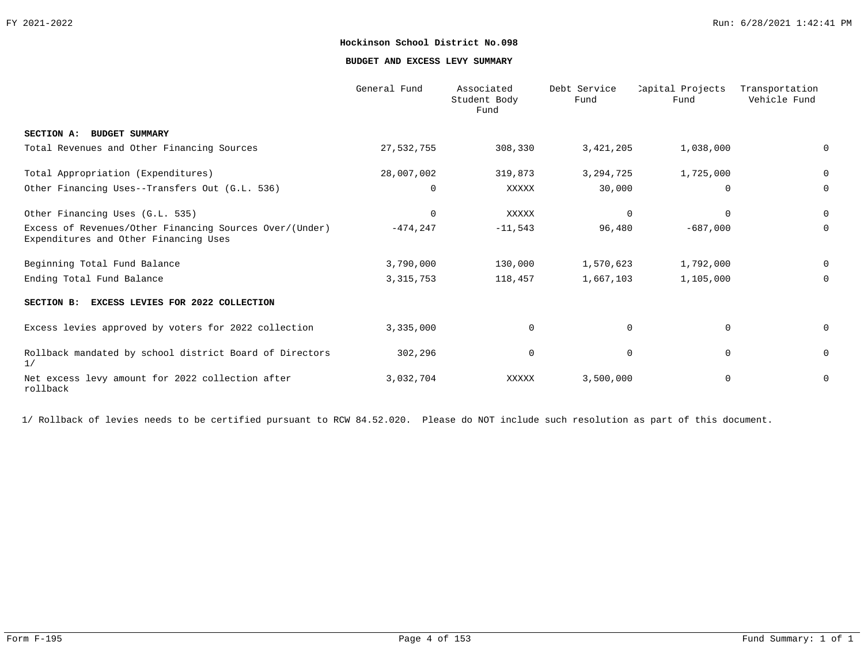**BUDGET AND EXCESS LEVY SUMMARY**

|                                                                                                  | General Fund | Associated<br>Student Body<br>Fund | Debt Service<br>Fund | Capital Projects<br>Fund | Transportation<br>Vehicle Fund |
|--------------------------------------------------------------------------------------------------|--------------|------------------------------------|----------------------|--------------------------|--------------------------------|
| SECTION A: BUDGET SUMMARY                                                                        |              |                                    |                      |                          |                                |
| Total Revenues and Other Financing Sources                                                       | 27,532,755   | 308,330                            | 3,421,205            | 1,038,000                | 0                              |
| Total Appropriation (Expenditures)                                                               | 28,007,002   | 319,873                            | 3, 294, 725          | 1,725,000                | 0                              |
| Other Financing Uses--Transfers Out (G.L. 536)                                                   | 0            | XXXXX                              | 30,000               | $\mathbf 0$              | 0                              |
| Other Financing Uses (G.L. 535)                                                                  | $\mathbf 0$  | <b>XXXXX</b>                       | $\mathbf 0$          | $\Omega$                 | 0                              |
| Excess of Revenues/Other Financing Sources Over/(Under)<br>Expenditures and Other Financing Uses | $-474, 247$  | $-11,543$                          | 96,480               | $-687,000$               | 0                              |
| Beginning Total Fund Balance                                                                     | 3,790,000    | 130,000                            | 1,570,623            | 1,792,000                | 0                              |
| Ending Total Fund Balance                                                                        | 3, 315, 753  | 118,457                            | 1,667,103            | 1,105,000                | 0                              |
| <b>EXCESS LEVIES FOR 2022 COLLECTION</b><br>SECTION B:                                           |              |                                    |                      |                          |                                |
| Excess levies approved by voters for 2022 collection                                             | 3,335,000    | $\mathbf 0$                        | $\mathbf 0$          | $\Omega$                 | 0                              |
| Rollback mandated by school district Board of Directors<br>1/                                    | 302,296      | 0                                  | 0                    | $\mathbf 0$              | 0                              |
| Net excess levy amount for 2022 collection after<br>rollback                                     | 3,032,704    | XXXXX                              | 3,500,000            | $\mathbf 0$              | 0                              |

1/ Rollback of levies needs to be certified pursuant to RCW 84.52.020. Please do NOT include such resolution as part of this document.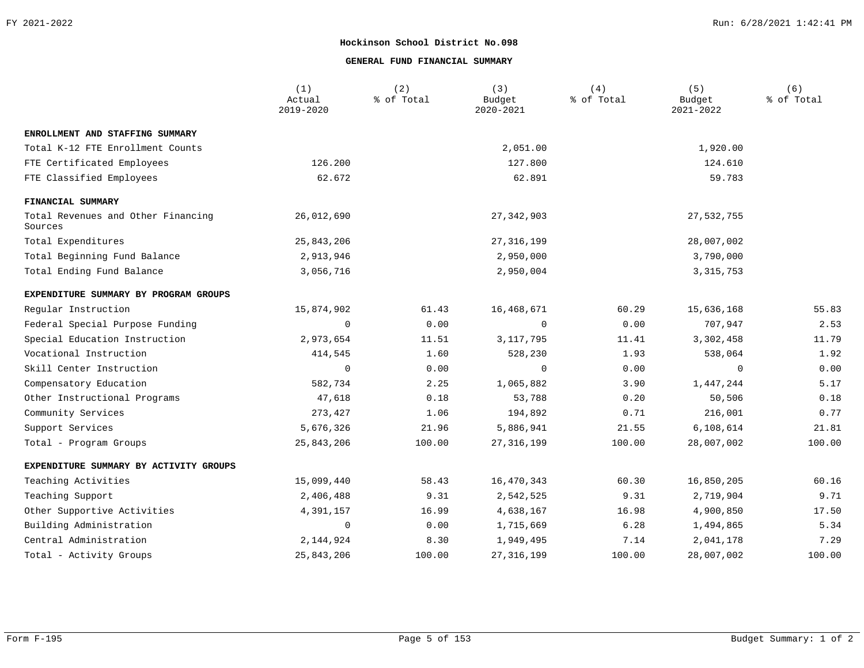### **GENERAL FUND FINANCIAL SUMMARY**

|                                               | (1)<br>Actual<br>2019-2020 | (2)<br>% of Total | (3)<br>Budget<br>2020-2021 | (4)<br>% of Total | (5)<br>Budget<br>2021-2022 | (6)<br>% of Total |
|-----------------------------------------------|----------------------------|-------------------|----------------------------|-------------------|----------------------------|-------------------|
| ENROLLMENT AND STAFFING SUMMARY               |                            |                   |                            |                   |                            |                   |
| Total K-12 FTE Enrollment Counts              |                            |                   | 2,051.00                   |                   | 1,920.00                   |                   |
| FTE Certificated Employees                    | 126.200                    |                   | 127.800                    |                   | 124.610                    |                   |
| FTE Classified Employees                      | 62.672                     |                   | 62.891                     |                   | 59.783                     |                   |
| FINANCIAL SUMMARY                             |                            |                   |                            |                   |                            |                   |
| Total Revenues and Other Financing<br>Sources | 26,012,690                 |                   | 27, 342, 903               |                   | 27,532,755                 |                   |
| Total Expenditures                            | 25,843,206                 |                   | 27, 316, 199               |                   | 28,007,002                 |                   |
| Total Beginning Fund Balance                  | 2,913,946                  |                   | 2,950,000                  |                   | 3,790,000                  |                   |
| Total Ending Fund Balance                     | 3,056,716                  |                   | 2,950,004                  |                   | 3, 315, 753                |                   |
| EXPENDITURE SUMMARY BY PROGRAM GROUPS         |                            |                   |                            |                   |                            |                   |
| Regular Instruction                           | 15,874,902                 | 61.43             | 16,468,671                 | 60.29             | 15,636,168                 | 55.83             |
| Federal Special Purpose Funding               | 0                          | 0.00              | 0                          | 0.00              | 707,947                    | 2.53              |
| Special Education Instruction                 | 2,973,654                  | 11.51             | 3, 117, 795                | 11.41             | 3,302,458                  | 11.79             |
| Vocational Instruction                        | 414,545                    | 1.60              | 528,230                    | 1.93              | 538,064                    | 1.92              |
| Skill Center Instruction                      | $\overline{0}$             | 0.00              | 0                          | 0.00              | 0                          | 0.00              |
| Compensatory Education                        | 582,734                    | 2.25              | 1,065,882                  | 3.90              | 1,447,244                  | 5.17              |
| Other Instructional Programs                  | 47,618                     | 0.18              | 53,788                     | 0.20              | 50,506                     | 0.18              |
| Community Services                            | 273,427                    | 1.06              | 194,892                    | 0.71              | 216,001                    | 0.77              |
| Support Services                              | 5,676,326                  | 21.96             | 5,886,941                  | 21.55             | 6,108,614                  | 21.81             |
| Total - Program Groups                        | 25,843,206                 | 100.00            | 27, 316, 199               | 100.00            | 28,007,002                 | 100.00            |
| EXPENDITURE SUMMARY BY ACTIVITY GROUPS        |                            |                   |                            |                   |                            |                   |
| Teaching Activities                           | 15,099,440                 | 58.43             | 16,470,343                 | 60.30             | 16,850,205                 | 60.16             |
| Teaching Support                              | 2,406,488                  | 9.31              | 2,542,525                  | 9.31              | 2,719,904                  | 9.71              |
| Other Supportive Activities                   | 4,391,157                  | 16.99             | 4,638,167                  | 16.98             | 4,900,850                  | 17.50             |
| Building Administration                       | $\overline{0}$             | 0.00              | 1,715,669                  | 6.28              | 1,494,865                  | 5.34              |
| Central Administration                        | 2, 144, 924                | 8.30              | 1,949,495                  | 7.14              | 2,041,178                  | 7.29              |
| Total - Activity Groups                       | 25,843,206                 | 100.00            | 27, 316, 199               | 100.00            | 28,007,002                 | 100.00            |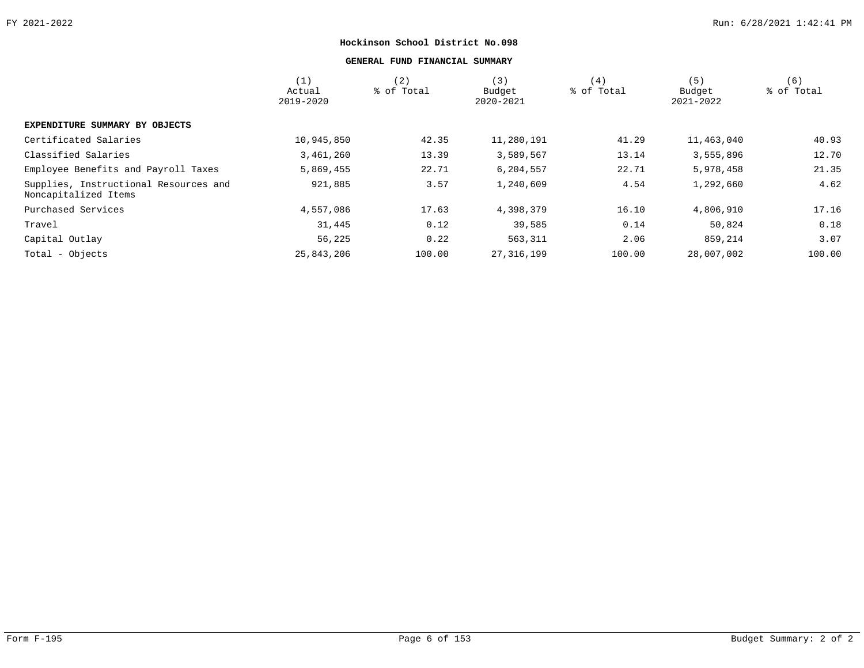### **GENERAL FUND FINANCIAL SUMMARY**

|                                                               | (1)<br>Actual<br>2019-2020 | (2)<br>% of Total | (3)<br>Budget<br>2020-2021 | (4)<br>% of Total | (5)<br>Budget<br>2021-2022 | (6)<br>% of Total |
|---------------------------------------------------------------|----------------------------|-------------------|----------------------------|-------------------|----------------------------|-------------------|
| EXPENDITURE SUMMARY BY OBJECTS                                |                            |                   |                            |                   |                            |                   |
| Certificated Salaries                                         | 10,945,850                 | 42.35             | 11,280,191                 | 41.29             | 11,463,040                 | 40.93             |
| Classified Salaries                                           | 3,461,260                  | 13.39             | 3,589,567                  | 13.14             | 3,555,896                  | 12.70             |
| Employee Benefits and Payroll Taxes                           | 5,869,455                  | 22.71             | 6,204,557                  | 22.71             | 5,978,458                  | 21.35             |
| Supplies, Instructional Resources and<br>Noncapitalized Items | 921,885                    | 3.57              | 1,240,609                  | 4.54              | 1,292,660                  | 4.62              |
| Purchased Services                                            | 4,557,086                  | 17.63             | 4,398,379                  | 16.10             | 4,806,910                  | 17.16             |
| Travel                                                        | 31,445                     | 0.12              | 39,585                     | 0.14              | 50,824                     | 0.18              |
| Capital Outlay                                                | 56,225                     | 0.22              | 563,311                    | 2.06              | 859,214                    | 3.07              |
| Total - Objects                                               | 25,843,206                 | 100.00            | 27, 316, 199               | 100.00            | 28,007,002                 | 100.00            |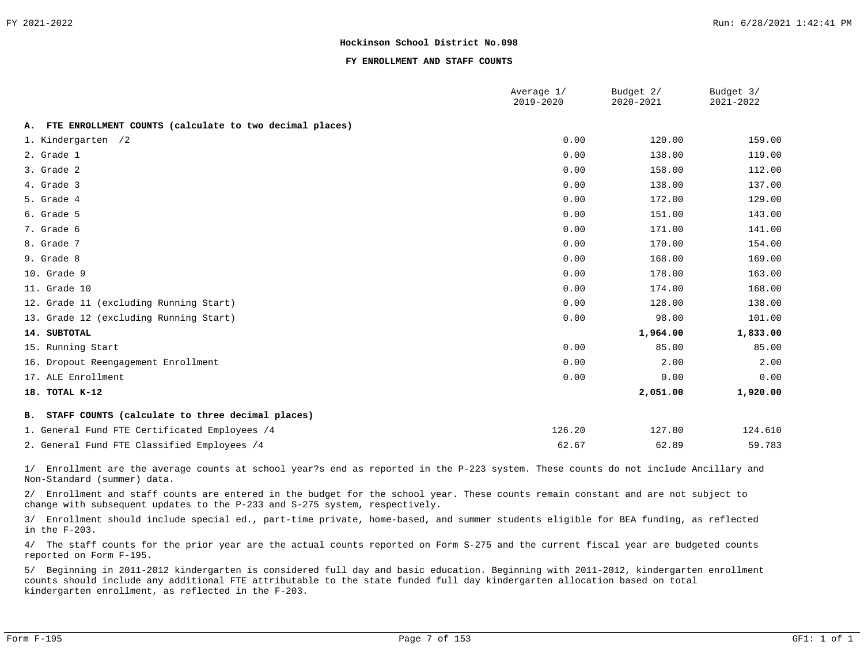#### **FY ENROLLMENT AND STAFF COUNTS**

|                                                            | Average 1/<br>2019-2020 | Budget 2/<br>2020-2021 | Budget 3/<br>2021-2022 |
|------------------------------------------------------------|-------------------------|------------------------|------------------------|
| A. FTE ENROLLMENT COUNTS (calculate to two decimal places) |                         |                        |                        |
| 1. Kindergarten /2                                         | 0.00                    | 120.00                 | 159.00                 |
| 2. Grade 1                                                 | 0.00                    | 138.00                 | 119.00                 |
| 3. Grade 2                                                 | 0.00                    | 158.00                 | 112.00                 |
| 4. Grade 3                                                 | 0.00                    | 138.00                 | 137.00                 |
| 5. Grade 4                                                 | 0.00                    | 172.00                 | 129.00                 |
| 6. Grade 5                                                 | 0.00                    | 151.00                 | 143.00                 |
| 7. Grade 6                                                 | 0.00                    | 171.00                 | 141.00                 |
| 8. Grade 7                                                 | 0.00                    | 170.00                 | 154.00                 |
| 9. Grade 8                                                 | 0.00                    | 168.00                 | 169.00                 |
| 10. Grade 9                                                | 0.00                    | 178.00                 | 163.00                 |
| 11. Grade 10                                               | 0.00                    | 174.00                 | 168.00                 |
| 12. Grade 11 (excluding Running Start)                     | 0.00                    | 128.00                 | 138.00                 |
| 13. Grade 12 (excluding Running Start)                     | 0.00                    | 98.00                  | 101.00                 |
| 14. SUBTOTAL                                               |                         | 1,964.00               | 1,833.00               |
| 15. Running Start                                          | 0.00                    | 85.00                  | 85.00                  |
| 16. Dropout Reengagement Enrollment                        | 0.00                    | 2.00                   | 2.00                   |
| 17. ALE Enrollment                                         | 0.00                    | 0.00                   | 0.00                   |
| 18. TOTAL K-12                                             |                         | 2,051.00               | 1,920.00               |
| B. STAFF COUNTS (calculate to three decimal places)        |                         |                        |                        |
| 1. General Fund FTE Certificated Employees /4              | 126.20                  | 127.80                 | 124.610                |
| 2. General Fund FTE Classified Employees /4                | 62.67                   | 62.89                  | 59.783                 |

1/ Enrollment are the average counts at school year?s end as reported in the P-223 system. These counts do not include Ancillary and Non-Standard (summer) data.

2/ Enrollment and staff counts are entered in the budget for the school year. These counts remain constant and are not subject to change with subsequent updates to the P-233 and S-275 system, respectively.

3/ Enrollment should include special ed., part-time private, home-based, and summer students eligible for BEA funding, as reflected in the F-203.

4/ The staff counts for the prior year are the actual counts reported on Form S-275 and the current fiscal year are budgeted counts reported on Form F-195.

5/ Beginning in 2011-2012 kindergarten is considered full day and basic education. Beginning with 2011-2012, kindergarten enrollment counts should include any additional FTE attributable to the state funded full day kindergarten allocation based on total kindergarten enrollment, as reflected in the F-203.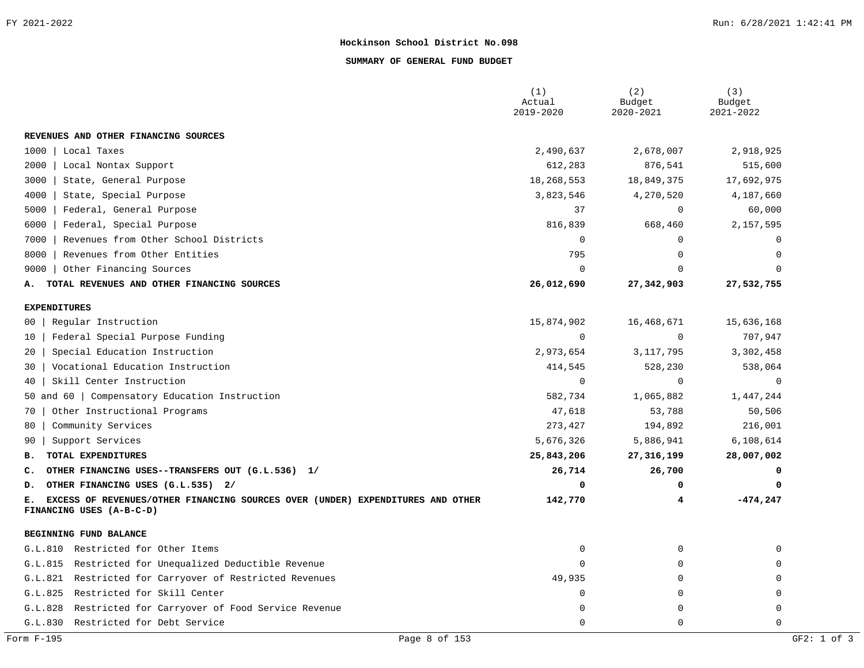#### **SUMMARY OF GENERAL FUND BUDGET**

|                                                                                                                  | (1)<br>Actual<br>2019-2020 | (2)<br>Budget<br>2020-2021 | (3)<br>Budget<br>2021-2022 |
|------------------------------------------------------------------------------------------------------------------|----------------------------|----------------------------|----------------------------|
| REVENUES AND OTHER FINANCING SOURCES                                                                             |                            |                            |                            |
| 1000<br>Local Taxes                                                                                              | 2,490,637                  | 2,678,007                  | 2,918,925                  |
| 2000<br>Local Nontax Support                                                                                     | 612,283                    | 876,541                    | 515,600                    |
| State, General Purpose<br>3000                                                                                   | 18,268,553                 | 18,849,375                 | 17,692,975                 |
| 4000<br>State, Special Purpose                                                                                   | 3,823,546                  | 4,270,520                  | 4,187,660                  |
| 5000<br>Federal, General Purpose                                                                                 | 37                         | $\mathbf 0$                | 60,000                     |
| Federal, Special Purpose<br>6000                                                                                 | 816,839                    | 668,460                    | 2,157,595                  |
| Revenues from Other School Districts<br>7000                                                                     | 0                          | $\mathbf 0$                | $\Omega$                   |
| 8000<br>Revenues from Other Entities                                                                             | 795                        | $\mathbf 0$                | $\Omega$                   |
| Other Financing Sources<br>9000                                                                                  | $\Omega$                   | $\Omega$                   | $\Omega$                   |
| TOTAL REVENUES AND OTHER FINANCING SOURCES<br>А.                                                                 | 26,012,690                 | 27, 342, 903               | 27,532,755                 |
| <b>EXPENDITURES</b>                                                                                              |                            |                            |                            |
| Regular Instruction<br>00 <sup>1</sup>                                                                           | 15,874,902                 | 16,468,671                 | 15,636,168                 |
| Federal Special Purpose Funding<br>10 <sub>1</sub>                                                               | $\mathbf 0$                | $\mathbf 0$                | 707,947                    |
| Special Education Instruction<br>20 <sub>1</sub>                                                                 | 2,973,654                  | 3, 117, 795                | 3,302,458                  |
| Vocational Education Instruction<br>30                                                                           | 414,545                    | 528,230                    | 538,064                    |
| Skill Center Instruction<br>40                                                                                   | $\Omega$                   | $\mathbf 0$                | $\Omega$                   |
| 50 and 60   Compensatory Education Instruction                                                                   | 582,734                    | 1,065,882                  | 1,447,244                  |
| Other Instructional Programs<br>70                                                                               | 47,618                     | 53,788                     | 50,506                     |
| Community Services<br>80                                                                                         | 273,427                    | 194,892                    | 216,001                    |
| Support Services<br>90                                                                                           | 5,676,326                  | 5,886,941                  | 6,108,614                  |
| TOTAL EXPENDITURES<br>в.                                                                                         | 25,843,206                 | 27,316,199                 | 28,007,002                 |
| OTHER FINANCING USES--TRANSFERS OUT (G.L.536) 1/<br>c.                                                           | 26,714                     | 26,700                     | 0                          |
| OTHER FINANCING USES (G.L.535) 2/<br>D.                                                                          | 0                          | 0                          | 0                          |
| EXCESS OF REVENUES/OTHER FINANCING SOURCES OVER (UNDER) EXPENDITURES AND OTHER<br>Е.<br>FINANCING USES (A-B-C-D) | 142,770                    | 4                          | $-474,247$                 |
| BEGINNING FUND BALANCE                                                                                           |                            |                            |                            |
| Restricted for Other Items<br>G.L.810                                                                            | 0                          | $\mathbf 0$                | $\Omega$                   |
| Restricted for Unequalized Deductible Revenue<br>G.L.815                                                         | 0                          | $\mathbf 0$                | 0                          |
| G.L.821 Restricted for Carryover of Restricted Revenues                                                          | 49,935                     | 0                          | $\Omega$                   |
| Restricted for Skill Center<br>G.L.825                                                                           | 0                          | 0                          | 0                          |
| Restricted for Carryover of Food Service Revenue<br>G.L.828                                                      | O                          | 0                          | $\Omega$                   |
| Restricted for Debt Service<br>G.L.830                                                                           | $\Omega$                   | $\mathbf 0$                | $\mathbf 0$                |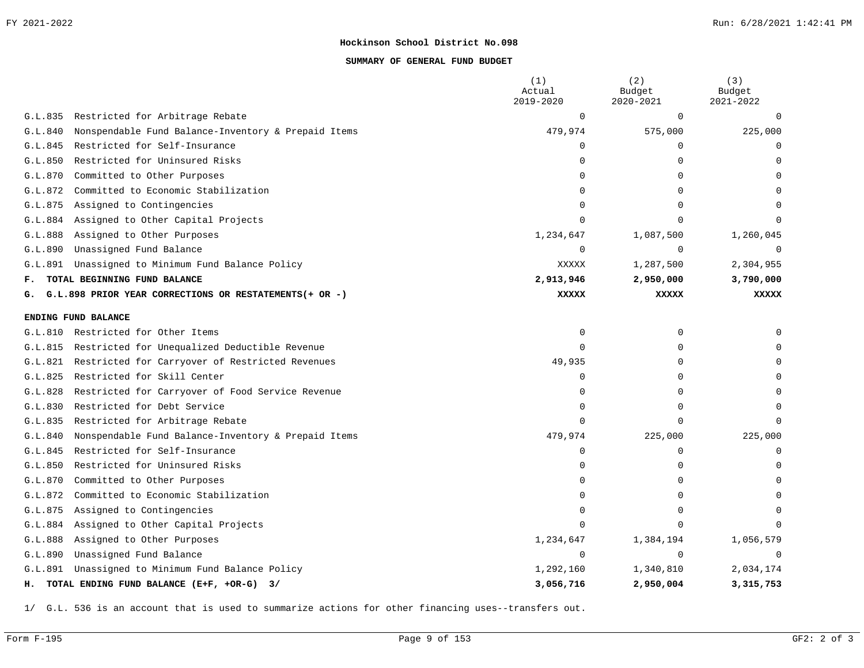#### **SUMMARY OF GENERAL FUND BUDGET**

|         |                                                          | (1)<br>Actual<br>2019-2020 | (2)<br>Budget<br>2020-2021 | (3)<br>Budget<br>2021-2022 |
|---------|----------------------------------------------------------|----------------------------|----------------------------|----------------------------|
|         | G.L.835 Restricted for Arbitrage Rebate                  | $\mathbf 0$                | 0                          | $\Omega$                   |
| G.L.840 | Nonspendable Fund Balance-Inventory & Prepaid Items      | 479,974                    | 575,000                    | 225,000                    |
| G.L.845 | Restricted for Self-Insurance                            | $\Omega$                   | 0                          | $\mathbf 0$                |
| G.L.850 | Restricted for Uninsured Risks                           | $\Omega$                   | $\Omega$                   | $\Omega$                   |
| G.L.870 | Committed to Other Purposes                              | $\Omega$                   | 0                          |                            |
| G.L.872 | Committed to Economic Stabilization                      | $\Omega$                   | 0                          |                            |
| G.L.875 | Assigned to Contingencies                                | 0                          | $\Omega$                   |                            |
|         | G.L.884 Assigned to Other Capital Projects               | $\Omega$                   | $\Omega$                   | ∩                          |
| G.L.888 | Assigned to Other Purposes                               | 1,234,647                  | 1,087,500                  | 1,260,045                  |
| G.L.890 | Unassigned Fund Balance                                  | $\Omega$                   | $\Omega$                   | $\Omega$                   |
| G.L.891 | Unassigned to Minimum Fund Balance Policy                | <b>XXXXX</b>               | 1,287,500                  | 2,304,955                  |
| F.,     | TOTAL BEGINNING FUND BALANCE                             | 2,913,946                  | 2,950,000                  | 3,790,000                  |
| G.      | G.L.898 PRIOR YEAR CORRECTIONS OR RESTATEMENTS (+ OR -)  | <b>XXXXX</b>               | <b>XXXXX</b>               | <b>XXXXX</b>               |
|         | ENDING FUND BALANCE                                      |                            |                            |                            |
| G.L.810 | Restricted for Other Items                               | 0                          | 0                          | ∩                          |
| G.L.815 | Restricted for Unequalized Deductible Revenue            | $\Omega$                   | 0                          |                            |
| G.L.821 | Restricted for Carryover of Restricted Revenues          | 49,935                     | $\Omega$                   | <sup>0</sup>               |
| G.L.825 | Restricted for Skill Center                              | $\Omega$                   | 0                          | ∩                          |
|         | G.L.828 Restricted for Carryover of Food Service Revenue | $\Omega$                   | $\Omega$                   |                            |
| G.L.830 | Restricted for Debt Service                              | $\Omega$                   | $\Omega$                   | ∩                          |
|         | G.L.835 Restricted for Arbitrage Rebate                  | $\Omega$                   | 0                          | $\Omega$                   |
| G.L.840 | Nonspendable Fund Balance-Inventory & Prepaid Items      | 479,974                    | 225,000                    | 225,000                    |
|         | G.L.845 Restricted for Self-Insurance                    | $\Omega$                   | 0                          | 0                          |
| G.L.850 | Restricted for Uninsured Risks                           | $\Omega$                   | $\Omega$                   | $\Omega$                   |
| G.L.870 | Committed to Other Purposes                              | 0                          | 0                          | $\Omega$                   |
| G.L.872 | Committed to Economic Stabilization                      | $\Omega$                   | 0                          |                            |
| G.L.875 | Assigned to Contingencies                                | $\Omega$                   | 0                          | $\Omega$                   |
| G.L.884 | Assigned to Other Capital Projects                       | $\Omega$                   | $\Omega$                   |                            |
| G.L.888 | Assigned to Other Purposes                               | 1,234,647                  | 1,384,194                  | 1,056,579                  |
| G.L.890 | Unassigned Fund Balance                                  | $\Omega$                   | $\Omega$                   | $\Omega$                   |
| G.L.891 | Unassigned to Minimum Fund Balance Policy                | 1,292,160                  | 1,340,810                  | 2,034,174                  |
|         | H. TOTAL ENDING FUND BALANCE (E+F, +OR-G) 3/             | 3,056,716                  | 2,950,004                  | 3,315,753                  |

1/ G.L. 536 is an account that is used to summarize actions for other financing uses--transfers out.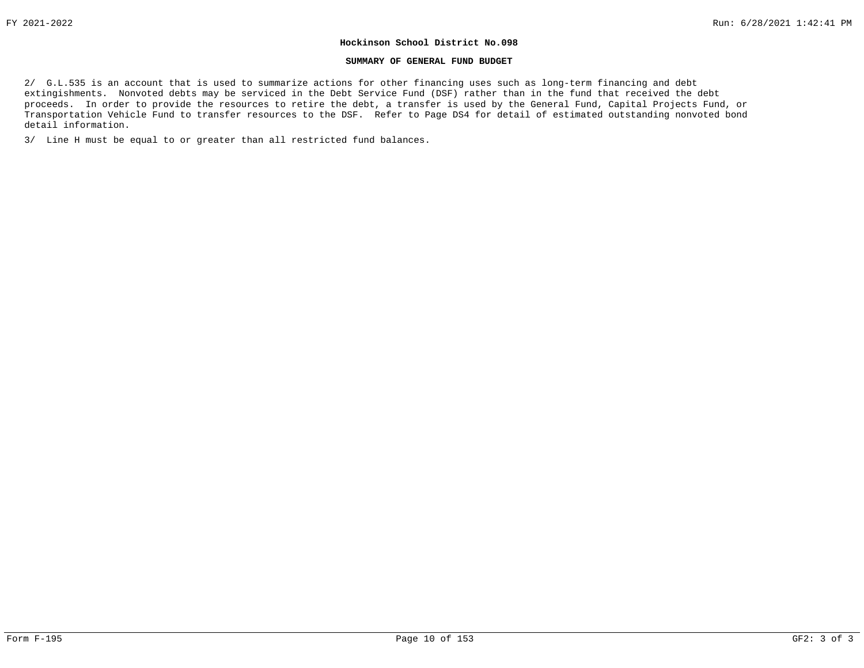#### **SUMMARY OF GENERAL FUND BUDGET**

2/ G.L.535 is an account that is used to summarize actions for other financing uses such as long-term financing and debt extingishments. Nonvoted debts may be serviced in the Debt Service Fund (DSF) rather than in the fund that received the debt proceeds. In order to provide the resources to retire the debt, a transfer is used by the General Fund, Capital Projects Fund, or Transportation Vehicle Fund to transfer resources to the DSF. Refer to Page DS4 for detail of estimated outstanding nonvoted bond detail information.

3/ Line H must be equal to or greater than all restricted fund balances.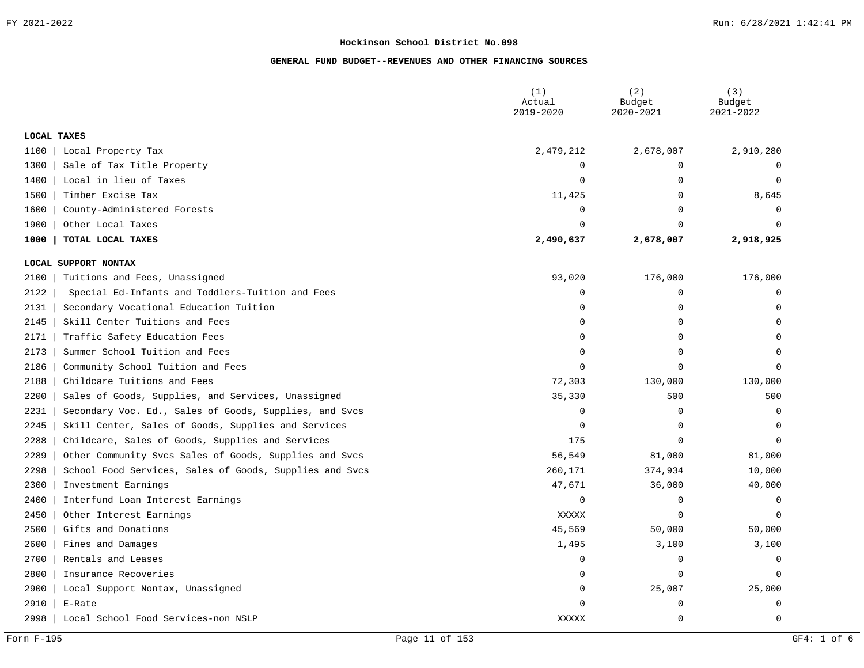|      |                                                         | (1)<br>Actual<br>2019-2020 | (2)<br>Budget<br>2020-2021 | (3)<br>Budget<br>2021-2022 |
|------|---------------------------------------------------------|----------------------------|----------------------------|----------------------------|
|      | LOCAL TAXES                                             |                            |                            |                            |
| 1100 | Local Property Tax                                      | 2,479,212                  | 2,678,007                  | 2,910,280                  |
| 1300 | Sale of Tax Title Property                              | $\Omega$                   | $\mathbf 0$                | $\Omega$                   |
| 1400 | Local in lieu of Taxes                                  | $\overline{0}$             | $\mathbf 0$                | $\mathbf 0$                |
| 1500 | Timber Excise Tax                                       | 11,425                     | $\mathbf 0$                | 8,645                      |
| 1600 | County-Administered Forests                             | 0                          | $\mathbf 0$                | $\Omega$                   |
| 1900 | Other Local Taxes                                       | $\Omega$                   | $\mathbf 0$                | $\Omega$                   |
| 1000 | TOTAL LOCAL TAXES                                       | 2,490,637                  | 2,678,007                  | 2,918,925                  |
|      | LOCAL SUPPORT NONTAX                                    |                            |                            |                            |
| 2100 | Tuitions and Fees, Unassigned                           | 93,020                     | 176,000                    | 176,000                    |
| 2122 | Special Ed-Infants and Toddlers-Tuition and Fees        | 0                          | $\mathbf 0$                | 0                          |
| 2131 | Secondary Vocational Education Tuition                  | $\Omega$                   | $\mathbf 0$                | $\mathbf 0$                |
| 2145 | Skill Center Tuitions and Fees                          | $\Omega$                   | $\mathbf 0$                | $\Omega$                   |
| 2171 | Traffic Safety Education Fees                           | $\Omega$                   | $\mathbf 0$                | $\mathbf 0$                |
| 2173 | Summer School Tuition and Fees                          | $\Omega$                   | $\mathbf 0$                | $\Omega$                   |
| 2186 | Community School Tuition and Fees                       | $\Omega$                   | $\mathbf 0$                | $\Omega$                   |
| 2188 | Childcare Tuitions and Fees                             | 72,303                     | 130,000                    | 130,000                    |
| 2200 | Sales of Goods, Supplies, and Services, Unassigned      | 35,330                     | 500                        | 500                        |
| 2231 | Secondary Voc. Ed., Sales of Goods, Supplies, and Svcs  | 0                          | $\mathbf 0$                | $\overline{0}$             |
| 2245 | Skill Center, Sales of Goods, Supplies and Services     | 0                          | $\mathbf 0$                | $\Omega$                   |
| 2288 | Childcare, Sales of Goods, Supplies and Services        | 175                        | $\Omega$                   | $\Omega$                   |
| 2289 | Other Community Svcs Sales of Goods, Supplies and Svcs  | 56,549                     | 81,000                     | 81,000                     |
| 2298 | School Food Services, Sales of Goods, Supplies and Svcs | 260,171                    | 374,934                    | 10,000                     |
| 2300 | Investment Earnings                                     | 47,671                     | 36,000                     | 40,000                     |
| 2400 | Interfund Loan Interest Earnings                        | 0                          | $\mathbf 0$                | $\mathbf 0$                |
| 2450 | Other Interest Earnings                                 | <b>XXXXX</b>               | $\mathbf 0$                | $\Omega$                   |
| 2500 | Gifts and Donations                                     | 45,569                     | 50,000                     | 50,000                     |
| 2600 | Fines and Damages                                       | 1,495                      | 3,100                      | 3,100                      |
| 2700 | Rentals and Leases                                      | 0                          | $\mathbf 0$                | $\mathbf 0$                |
| 2800 | Insurance Recoveries                                    | 0                          | $\mathbf 0$                | $\Omega$                   |
| 2900 | Local Support Nontax, Unassigned                        | 0                          | 25,007                     | 25,000                     |
| 2910 | E-Rate                                                  | $\Omega$                   | $\mathbf 0$                | $\mathbf 0$                |
| 2998 | Local School Food Services-non NSLP                     | XXXXX                      | $\mathbf 0$                | $\mathbf 0$                |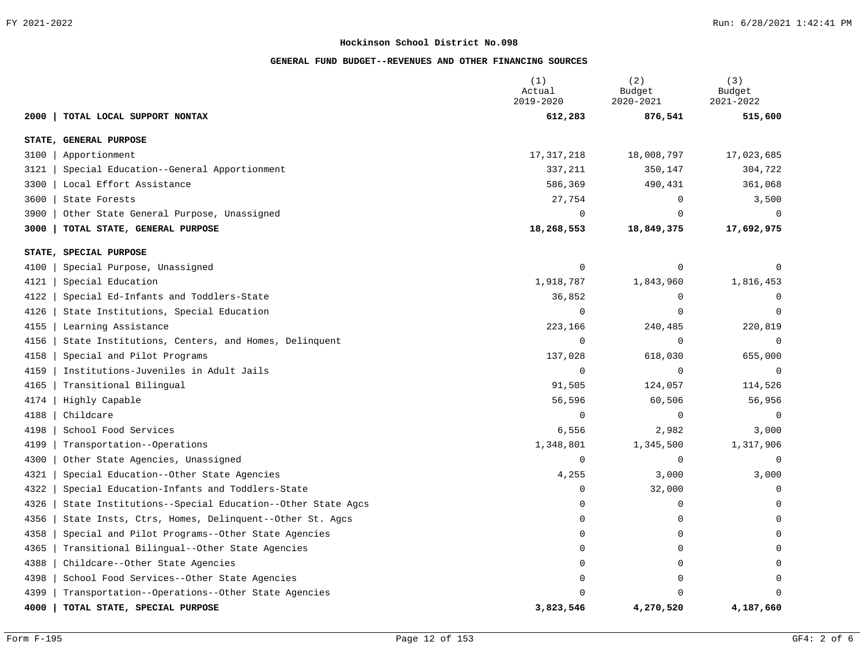|                                                                 | (1)<br>Actual<br>2019-2020 | (2)<br>Budget<br>2020-2021 | (3)<br>Budget<br>2021-2022 |
|-----------------------------------------------------------------|----------------------------|----------------------------|----------------------------|
| TOTAL LOCAL SUPPORT NONTAX<br>2000                              | 612,283                    | 876,541                    | 515,600                    |
| STATE, GENERAL PURPOSE                                          |                            |                            |                            |
| 3100<br>Apportionment                                           | 17, 317, 218               | 18,008,797                 | 17,023,685                 |
| 3121<br>Special Education--General Apportionment                | 337,211                    | 350,147                    | 304,722                    |
| 3300<br>Local Effort Assistance                                 | 586,369                    | 490,431                    | 361,068                    |
| 3600<br>State Forests                                           | 27,754                     | 0                          | 3,500                      |
| 3900<br>Other State General Purpose, Unassigned                 | $\Omega$                   | $\Omega$                   | $\Omega$                   |
| 3000<br>TOTAL STATE, GENERAL PURPOSE                            | 18,268,553                 | 18,849,375                 | 17,692,975                 |
| STATE, SPECIAL PURPOSE                                          |                            |                            |                            |
| 4100<br>Special Purpose, Unassigned                             | $\mathbf 0$                | $\mathbf 0$                | 0                          |
| 4121<br>Special Education                                       | 1,918,787                  | 1,843,960                  | 1,816,453                  |
| 4122<br>Special Ed-Infants and Toddlers-State                   | 36,852                     | 0                          | 0                          |
| 4126<br>State Institutions, Special Education                   | $\mathbf 0$                | $\Omega$                   | $\Omega$                   |
| 4155<br>Learning Assistance                                     | 223,166                    | 240,485                    | 220,819                    |
| 4156<br>State Institutions, Centers, and Homes, Delinquent      | $\Omega$                   | $\mathbf{0}$               | 0                          |
| 4158<br>Special and Pilot Programs                              | 137,028                    | 618,030                    | 655,000                    |
| 4159<br>Institutions-Juveniles in Adult Jails                   | $\Omega$                   | 0                          | $\Omega$                   |
| 4165<br>Transitional Bilingual                                  | 91,505                     | 124,057                    | 114,526                    |
| 4174<br>Highly Capable                                          | 56,596                     | 60,506                     | 56,956                     |
| 4188<br>Childcare                                               | $\Omega$                   | 0                          | $\Omega$                   |
| 4198<br>School Food Services                                    | 6,556                      | 2,982                      | 3,000                      |
| Transportation--Operations<br>4199                              | 1,348,801                  | 1,345,500                  | 1,317,906                  |
| 4300<br>Other State Agencies, Unassigned                        | 0                          | 0                          | 0                          |
| 4321<br>Special Education--Other State Agencies                 | 4,255                      | 3,000                      | 3,000                      |
| 4322<br>Special Education-Infants and Toddlers-State            | 0                          | 32,000                     | 0                          |
| 4326<br>State Institutions--Special Education--Other State Agcs | $\Omega$                   | 0                          | 0                          |
| 4356<br>State Insts, Ctrs, Homes, Delinquent--Other St. Agcs    | 0                          | $\mathbf 0$                | 0                          |
| 4358<br>Special and Pilot Programs--Other State Agencies        | $\Omega$                   | $\mathbf 0$                | $\Omega$                   |
| 4365<br>Transitional Bilingual--Other State Agencies            | $\Omega$                   | 0                          | $\Omega$                   |
| 4388<br>Childcare--Other State Agencies                         | $\Omega$                   | 0                          | $\Omega$                   |
| 4398<br>School Food Services--Other State Agencies              | $\Omega$                   | 0                          | 0                          |
| 4399<br>Transportation--Operations--Other State Agencies        | $\Omega$                   | $\Omega$                   | 0                          |
| 4000<br>TOTAL STATE, SPECIAL PURPOSE                            | 3,823,546                  | 4,270,520                  | 4,187,660                  |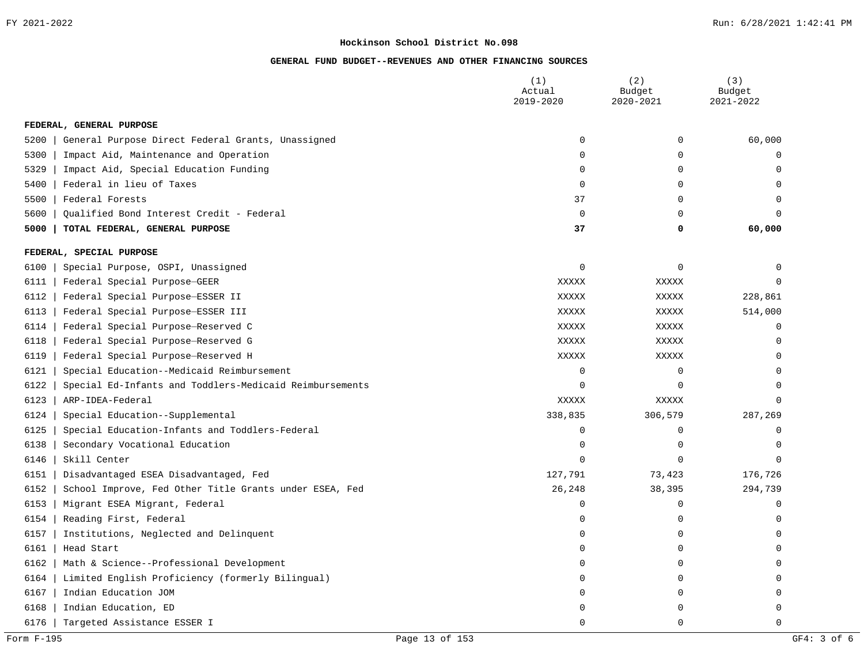|      |                                                         | (1)<br>Actual<br>2019-2020 | (2)<br>Budget<br>2020-2021 | (3)<br>Budget<br>2021-2022 |
|------|---------------------------------------------------------|----------------------------|----------------------------|----------------------------|
|      | FEDERAL, GENERAL PURPOSE                                |                            |                            |                            |
| 5200 | General Purpose Direct Federal Grants, Unassigned       | $\mathbf 0$                | $\mathbf 0$                | 60,000                     |
| 5300 | Impact Aid, Maintenance and Operation                   | 0                          | $\mathbf 0$                | 0                          |
| 5329 | Impact Aid, Special Education Funding                   | $\mathbf 0$                | $\mathbf 0$                | $\mathbf 0$                |
| 5400 | Federal in lieu of Taxes                                | $\mathbf 0$                | $\mathbf 0$                | $\mathbf 0$                |
| 5500 | Federal Forests                                         | 37                         | $\mathbf 0$                | $\Omega$                   |
| 5600 | Qualified Bond Interest Credit - Federal                | $\mathbf 0$                | $\mathbf 0$                | $\Omega$                   |
| 5000 | TOTAL FEDERAL, GENERAL PURPOSE                          | 37                         | 0                          | 60,000                     |
|      | FEDERAL, SPECIAL PURPOSE                                |                            |                            |                            |
| 6100 | Special Purpose, OSPI, Unassigned                       | $\mathbf 0$                | $\mathbf 0$                | $\Omega$                   |
| 6111 | Federal Special Purpose-GEER                            | XXXXX                      | XXXXX                      | $\Omega$                   |
| 6112 | Federal Special Purpose-ESSER II                        | XXXXX                      | XXXXX                      | 228,861                    |
| 6113 | Federal Special Purpose-ESSER III                       | XXXXX                      | XXXXX                      | 514,000                    |
| 6114 | Federal Special Purpose-Reserved C                      | XXXXX                      | XXXXX                      | $\mathbf 0$                |
| 6118 | Federal Special Purpose-Reserved G                      | XXXXX                      | XXXXX                      | $\Omega$                   |
| 6119 | Federal Special Purpose-Reserved H                      | XXXXX                      | XXXXX                      | $\Omega$                   |
| 6121 | Special Education--Medicaid Reimbursement               | $\mathbf 0$                | $\mathbf 0$                | $\Omega$                   |
| 6122 | Special Ed-Infants and Toddlers-Medicaid Reimbursements | $\Omega$                   | $\Omega$                   | $\Omega$                   |
| 6123 | ARP-IDEA-Federal                                        | XXXXX                      | XXXXX                      | $\mathbf 0$                |
| 6124 | Special Education--Supplemental                         | 338,835                    | 306,579                    | 287,269                    |
| 6125 | Special Education-Infants and Toddlers-Federal          | $\overline{0}$             | $\mathbf 0$                | $\mathbf 0$                |
| 6138 | Secondary Vocational Education                          | $\mathbf 0$                | $\mathbf 0$                | $\Omega$                   |
| 6146 | Skill Center                                            | $\Omega$                   | $\Omega$                   | $\Omega$                   |
| 6151 | Disadvantaged ESEA Disadvantaged, Fed                   | 127,791                    | 73,423                     | 176,726                    |
| 6152 | School Improve, Fed Other Title Grants under ESEA, Fed  | 26,248                     | 38,395                     | 294,739                    |
| 6153 | Migrant ESEA Migrant, Federal                           | $\mathbf 0$                | $\mathbf 0$                | $\mathbf 0$                |
| 6154 | Reading First, Federal                                  | $\mathbf 0$                | $\mathbf 0$                | $\Omega$                   |
| 6157 | Institutions, Neglected and Delinquent                  | $\mathbf 0$                | 0                          | $\mathbf 0$                |
| 6161 | Head Start                                              | $\mathbf 0$                | 0                          | $\mathbf 0$                |
| 6162 | Math & Science--Professional Development                | $\mathbf 0$                | $\mathbf 0$                | $\mathbf 0$                |
| 6164 | Limited English Proficiency (formerly Bilingual)        | $\Omega$                   | $\mathbf 0$                | $\Omega$                   |
| 6167 | Indian Education JOM                                    | $\Omega$                   | 0                          | $\Omega$                   |
| 6168 | Indian Education, ED                                    | n                          | $\mathbf 0$                | $\mathbf 0$                |
| 6176 | Targeted Assistance ESSER I                             | $\Omega$                   | $\Omega$                   | $\Omega$                   |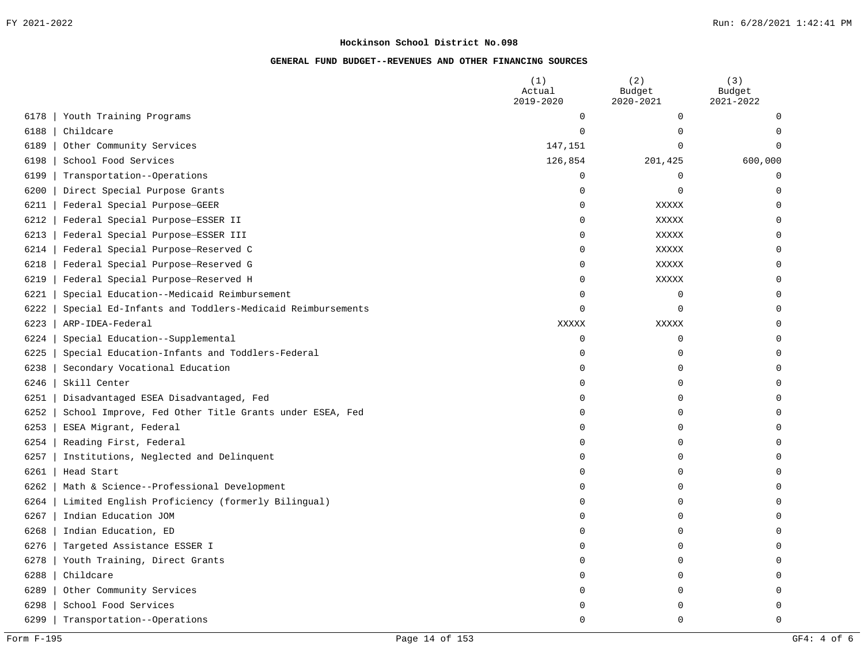|      |                                                         | (1)<br>Actual<br>2019-2020 | (2)<br>Budget<br>2020-2021 | (3)<br>Budget<br>2021-2022 |
|------|---------------------------------------------------------|----------------------------|----------------------------|----------------------------|
| 6178 | Youth Training Programs                                 | $\mathbf 0$                | 0                          | 0                          |
| 6188 | Childcare                                               | $\mathbf 0$                | $\mathbf 0$                | 0                          |
| 6189 | Other Community Services                                | 147,151                    | 0                          | $\Omega$                   |
| 6198 | School Food Services                                    | 126,854                    | 201,425                    | 600,000                    |
| 6199 | Transportation--Operations                              | $\mathbf 0$                | 0                          | 0                          |
| 6200 | Direct Special Purpose Grants                           | $\mathbf 0$                | $\mathbf 0$                | $\mathbf 0$                |
| 6211 | Federal Special Purpose-GEER                            | $\mathbf 0$                | XXXXX                      | 0                          |
| 6212 | Federal Special Purpose-ESSER II                        | $\mathbf 0$                | XXXXX                      | $\mathbf 0$                |
| 6213 | Federal Special Purpose-ESSER III                       | $\mathbf 0$                | XXXXX                      | $\mathbf 0$                |
| 6214 | Federal Special Purpose-Reserved C                      | $\mathbf 0$                | XXXXX                      | 0                          |
| 6218 | Federal Special Purpose-Reserved G                      | $\mathbf 0$                | XXXXX                      | 0                          |
| 6219 | Federal Special Purpose-Reserved H                      | $\mathbf 0$                | XXXXX                      | 0                          |
| 6221 | Special Education--Medicaid Reimbursement               | $\mathbf 0$                | 0                          | 0                          |
| 6222 | Special Ed-Infants and Toddlers-Medicaid Reimbursements | $\mathbf 0$                | $\mathbf 0$                | 0                          |
| 6223 | ARP-IDEA-Federal                                        | XXXXX                      | XXXXX                      | 0                          |
| 6224 | Special Education--Supplemental                         | $\mathbf 0$                | 0                          | 0                          |
| 6225 | Special Education-Infants and Toddlers-Federal          | $\mathbf 0$                | $\mathbf 0$                | 0                          |
| 6238 | Secondary Vocational Education                          | $\mathbf 0$                | 0                          | 0                          |
| 6246 | Skill Center                                            | 0                          | 0                          | 0                          |
| 6251 | Disadvantaged ESEA Disadvantaged, Fed                   | 0                          | $\mathbf 0$                | 0                          |
| 6252 | School Improve, Fed Other Title Grants under ESEA, Fed  | $\mathbf 0$                | $\mathbf 0$                | 0                          |
| 6253 | ESEA Migrant, Federal                                   | $\mathbf 0$                | $\mathbf 0$                | 0                          |
| 6254 | Reading First, Federal                                  | $\mathbf 0$                | $\mathbf 0$                | 0                          |
| 6257 | Institutions, Neglected and Delinquent                  | $\mathbf 0$                | $\mathbf 0$                | 0                          |
| 6261 | Head Start                                              | $\mathbf 0$                | $\mathbf 0$                | 0                          |
| 6262 | Math & Science--Professional Development                | $\mathbf 0$                | 0                          | 0                          |
| 6264 | Limited English Proficiency (formerly Bilingual)        | $\mathbf 0$                | 0                          | 0                          |
| 6267 | Indian Education JOM                                    | $\mathbf 0$                | $\mathbf 0$                | 0                          |
| 6268 | Indian Education, ED                                    | $\mathbf 0$                | 0                          | $\Omega$                   |
| 6276 | Targeted Assistance ESSER I                             | $\mathbf 0$                | 0                          | $\Omega$                   |
| 6278 | Youth Training, Direct Grants                           | 0                          | 0                          | $\Omega$                   |
| 6288 | Childcare                                               | 0                          | 0                          | 0                          |
| 6289 | Other Community Services                                | $\Omega$                   | 0                          | 0                          |
| 6298 | School Food Services                                    | n                          | $\Omega$                   | 0                          |
| 6299 | Transportation--Operations                              | $\Omega$                   | $\Omega$                   | $\Omega$                   |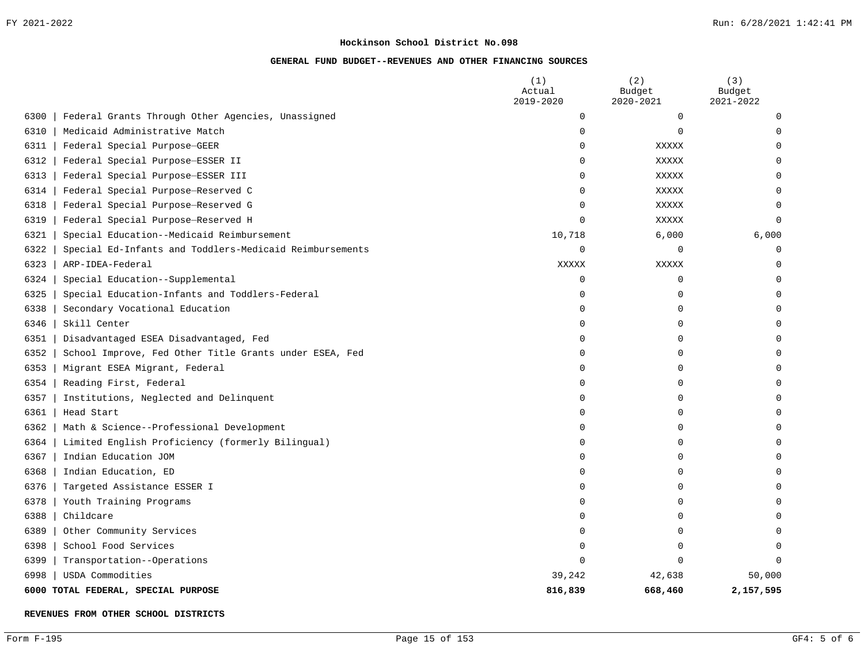#### **GENERAL FUND BUDGET--REVENUES AND OTHER FINANCING SOURCES**

|      |                                                         | (1)<br>Actual<br>2019-2020 | (2)<br>Budget<br>2020-2021 | (3)<br>Budget<br>2021-2022 |
|------|---------------------------------------------------------|----------------------------|----------------------------|----------------------------|
| 6300 | Federal Grants Through Other Agencies, Unassigned       | 0                          | $\mathbf 0$                | $\Omega$                   |
| 6310 | Medicaid Administrative Match                           | $\Omega$                   | $\mathbf 0$                | $\Omega$                   |
| 6311 | Federal Special Purpose-GEER                            | $\Omega$                   | XXXXX                      | ∩                          |
| 6312 | Federal Special Purpose-ESSER II                        | 0                          | XXXXX                      |                            |
| 6313 | Federal Special Purpose-ESSER III                       | 0                          | XXXXX                      |                            |
| 6314 | Federal Special Purpose-Reserved C                      | 0                          | XXXXX                      |                            |
| 6318 | Federal Special Purpose-Reserved G                      | 0                          | XXXXX                      | $\Omega$                   |
| 6319 | Federal Special Purpose-Reserved H                      | 0                          | <b>XXXXX</b>               | $\Omega$                   |
| 6321 | Special Education--Medicaid Reimbursement               | 10,718                     | 6,000                      | 6,000                      |
| 6322 | Special Ed-Infants and Toddlers-Medicaid Reimbursements | 0                          | 0                          | $\cap$                     |
| 6323 | ARP-IDEA-Federal                                        | XXXXX                      | <b>XXXXX</b>               | $\Omega$                   |
| 6324 | Special Education--Supplemental                         | 0                          | $\mathbf 0$                |                            |
| 6325 | Special Education-Infants and Toddlers-Federal          | 0                          | 0                          |                            |
| 6338 | Secondary Vocational Education                          | 0                          | $\mathbf 0$                |                            |
| 6346 | Skill Center                                            | 0                          | $\mathbf 0$                |                            |
| 6351 | Disadvantaged ESEA Disadvantaged, Fed                   | O                          | $\Omega$                   |                            |
| 6352 | School Improve, Fed Other Title Grants under ESEA, Fed  | 0                          | $\mathbf 0$                | ∩                          |
| 6353 | Migrant ESEA Migrant, Federal                           | 0                          | $\Omega$                   |                            |
| 6354 | Reading First, Federal                                  | 0                          | O                          |                            |
| 6357 | Institutions, Neglected and Delinquent                  | $\Omega$                   | $\Omega$                   |                            |
| 6361 | Head Start                                              | 0                          | $\Omega$                   |                            |
| 6362 | Math & Science--Professional Development                | 0                          | O                          |                            |
| 6364 | Limited English Proficiency (formerly Bilingual)        | 0                          | $\Omega$                   |                            |
| 6367 | Indian Education JOM                                    | 0                          | $\Omega$                   |                            |
| 6368 | Indian Education, ED                                    | 0                          | $\mathbf 0$                |                            |
| 6376 | Targeted Assistance ESSER I                             | 0                          | $\mathbf 0$                |                            |
| 6378 | Youth Training Programs                                 | $\Omega$                   | $\Omega$                   |                            |
| 6388 | Childcare                                               | $\Omega$                   | O                          |                            |
| 6389 | Other Community Services                                | 0                          | $\mathbf 0$                |                            |
| 6398 | School Food Services                                    | 0                          | 0                          | ∩                          |
| 6399 | Transportation--Operations                              | 0                          | $\Omega$                   | $\Omega$                   |
| 6998 | USDA Commodities                                        | 39,242                     | 42,638                     | 50,000                     |
|      | 6000 TOTAL FEDERAL, SPECIAL PURPOSE                     | 816,839                    | 668,460                    | 2,157,595                  |

**REVENUES FROM OTHER SCHOOL DISTRICTS**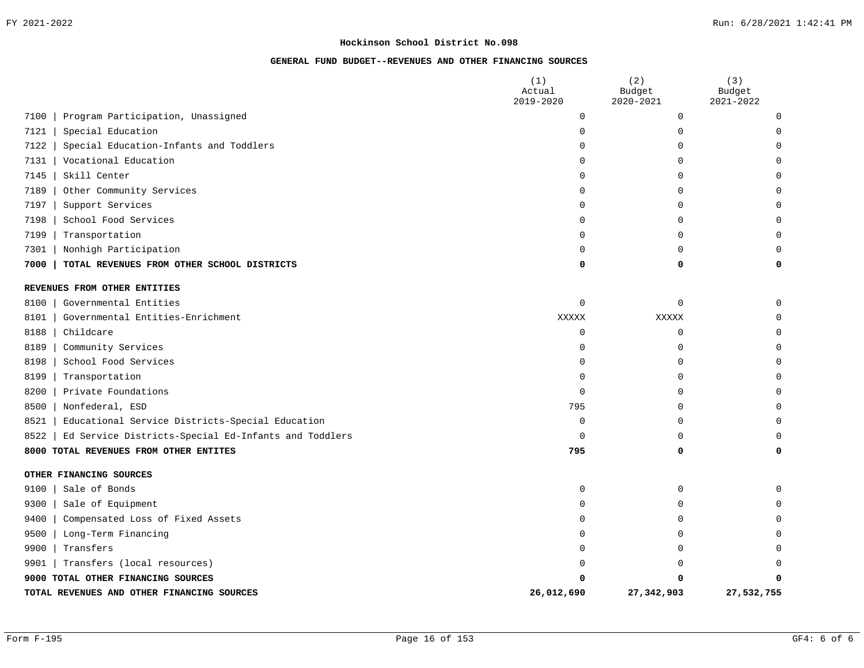|                                                              | (1)<br>Actual | (2)<br>Budget | (3)<br>Budget |
|--------------------------------------------------------------|---------------|---------------|---------------|
|                                                              | 2019-2020     | 2020-2021     | 2021-2022     |
| Program Participation, Unassigned<br>7100                    | 0             | 0             | O             |
| 7121<br>Special Education                                    | 0             | 0             | O             |
| Special Education-Infants and Toddlers<br>7122               | $\Omega$      | 0             |               |
| Vocational Education<br>7131                                 | <sup>0</sup>  | O             | ∩             |
| Skill Center<br>7145                                         | $\Omega$      | U             |               |
| Other Community Services<br>7189                             | 0             | 0             |               |
| Support Services<br>7197                                     | $\Omega$      | $\Omega$      |               |
| School Food Services<br>7198                                 | 0             | O             | U             |
| 7199<br>Transportation                                       | $\Omega$      | O             | $\Omega$      |
| Nonhigh Participation<br>7301                                | $\Omega$      | O             | $\Omega$      |
| TOTAL REVENUES FROM OTHER SCHOOL DISTRICTS<br>7000           | 0             | 0             | O             |
| REVENUES FROM OTHER ENTITIES                                 |               |               |               |
| Governmental Entities<br>8100                                | $\Omega$      | $\Omega$      | $\Omega$      |
| 8101<br>Governmental Entities-Enrichment                     | XXXXX         | XXXXX         |               |
| Childcare<br>8188                                            | $\mathbf 0$   | $\mathbf 0$   | O             |
| Community Services<br>8189                                   | $\Omega$      | 0             | $\Omega$      |
| 8198<br>School Food Services                                 | $\Omega$      | $\Omega$      | U             |
| 8199<br>Transportation                                       | 0             | 0             |               |
| 8200<br>Private Foundations                                  | 0             | O             | U             |
| Nonfederal, ESD<br>8500                                      | 795           | U             |               |
| 8521<br>Educational Service Districts-Special Education      | 0             | 0             | U             |
| Ed Service Districts-Special Ed-Infants and Toddlers<br>8522 | 0             | $\Omega$      | O             |
| TOTAL REVENUES FROM OTHER ENTITES<br>8000                    | 795           | 0             | $\Omega$      |
| OTHER FINANCING SOURCES                                      |               |               |               |
| Sale of Bonds<br>9100                                        | 0             | 0             | O             |
| Sale of Equipment<br>9300                                    | $\Omega$      | U             |               |
| Compensated Loss of Fixed Assets<br>9400                     | 0             | 0             |               |
| Long-Term Financing<br>9500                                  | $\Omega$      | O             |               |
| Transfers<br>9900                                            | $\Omega$      | U             |               |
| Transfers (local resources)<br>9901                          | ∩             | Ω             |               |
| 9000 TOTAL OTHER FINANCING SOURCES                           | O             | O             | O             |
| TOTAL REVENUES AND OTHER FINANCING SOURCES                   | 26,012,690    | 27,342,903    | 27,532,755    |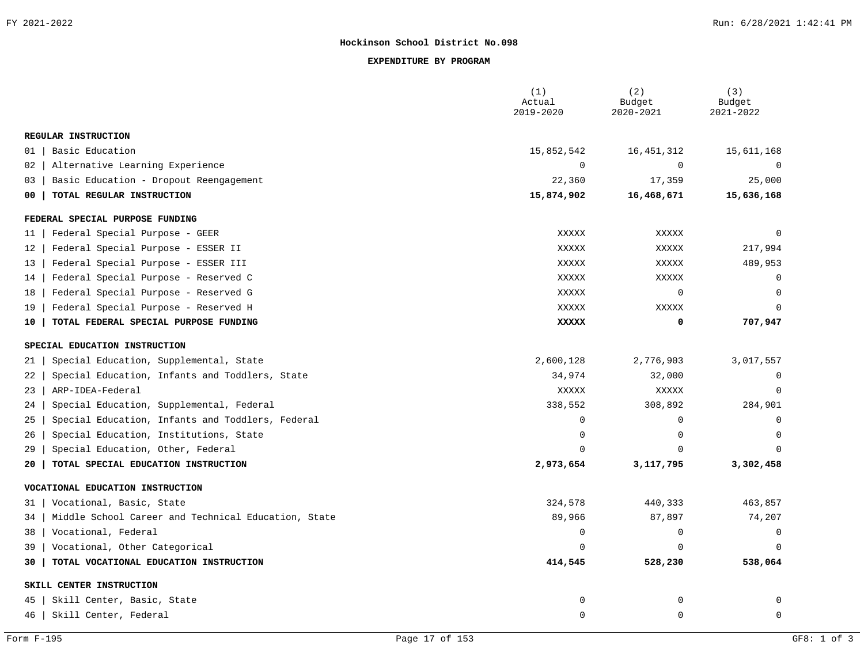#### **EXPENDITURE BY PROGRAM**

|                                                           | (1)<br>Actual<br>2019-2020 | (2)<br>Budget<br>2020-2021 | (3)<br>Budget<br>2021-2022 |
|-----------------------------------------------------------|----------------------------|----------------------------|----------------------------|
| REGULAR INSTRUCTION                                       |                            |                            |                            |
| Basic Education<br>01                                     | 15,852,542                 | 16, 451, 312               | 15,611,168                 |
| Alternative Learning Experience<br>02                     | $\mathbf 0$                | $\mathbf 0$                | $\mathbf 0$                |
| Basic Education - Dropout Reengagement<br>03              | 22,360                     | 17,359                     | 25,000                     |
| TOTAL REGULAR INSTRUCTION<br>00                           | 15,874,902                 | 16,468,671                 | 15,636,168                 |
| FEDERAL SPECIAL PURPOSE FUNDING                           |                            |                            |                            |
| Federal Special Purpose - GEER<br>11                      | XXXXX                      | XXXXX                      | $\Omega$                   |
| Federal Special Purpose - ESSER II<br>12                  | <b>XXXXX</b>               | XXXXX                      | 217,994                    |
| Federal Special Purpose - ESSER III<br>13                 | <b>XXXXX</b>               | XXXXX                      | 489,953                    |
| Federal Special Purpose - Reserved C<br>14                | <b>XXXXX</b>               | <b>XXXXX</b>               | 0                          |
| Federal Special Purpose - Reserved G<br>18                | <b>XXXXX</b>               | 0                          | $\Omega$                   |
| Federal Special Purpose - Reserved H<br>19                | <b>XXXXX</b>               | XXXXX                      | $\Omega$                   |
| TOTAL FEDERAL SPECIAL PURPOSE FUNDING<br>10               | <b>XXXXX</b>               | 0                          | 707,947                    |
| SPECIAL EDUCATION INSTRUCTION                             |                            |                            |                            |
| Special Education, Supplemental, State<br>21              | 2,600,128                  | 2,776,903                  | 3,017,557                  |
| Special Education, Infants and Toddlers, State<br>22      | 34,974                     | 32,000                     | $\mathbf 0$                |
| ARP-IDEA-Federal<br>23                                    | <b>XXXXX</b>               | XXXXX                      | $\Omega$                   |
| Special Education, Supplemental, Federal<br>24            | 338,552                    | 308,892                    | 284,901                    |
| Special Education, Infants and Toddlers, Federal<br>25    | $\mathbf 0$                | $\mathbf 0$                | $\mathbf 0$                |
| Special Education, Institutions, State<br>26              | $\Omega$                   | $\Omega$                   | $\Omega$                   |
| Special Education, Other, Federal<br>29                   | $\Omega$                   | $\Omega$                   | $\Omega$                   |
| TOTAL SPECIAL EDUCATION INSTRUCTION<br>20                 | 2,973,654                  | 3,117,795                  | 3,302,458                  |
| VOCATIONAL EDUCATION INSTRUCTION                          |                            |                            |                            |
| Vocational, Basic, State<br>31                            | 324,578                    | 440,333                    | 463,857                    |
| Middle School Career and Technical Education, State<br>34 | 89,966                     | 87,897                     | 74,207                     |
| Vocational, Federal<br>38                                 | $\Omega$                   | $\Omega$                   | $\Omega$                   |
| Vocational, Other Categorical<br>39                       | $\Omega$                   | $\Omega$                   | $\Omega$                   |
| TOTAL VOCATIONAL EDUCATION INSTRUCTION<br>30              | 414,545                    | 528,230                    | 538,064                    |
| SKILL CENTER INSTRUCTION                                  |                            |                            |                            |
| Skill Center, Basic, State<br>45                          | 0                          | 0                          | 0                          |
| 46<br>Skill Center, Federal                               | 0                          | 0                          | $\mathbf 0$                |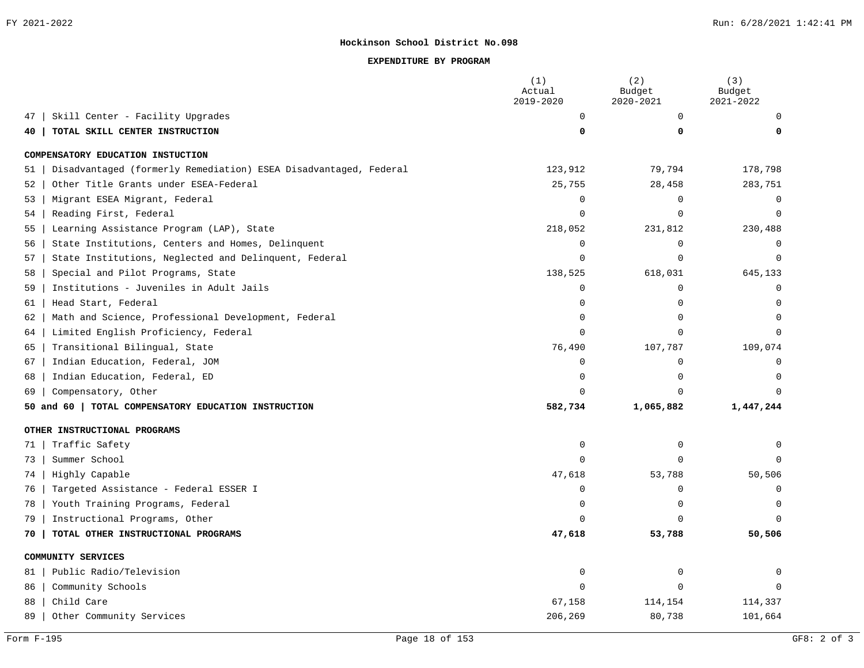#### **EXPENDITURE BY PROGRAM**

|                                                                        | (1)<br>Actual<br>2019-2020 | (2)<br>Budget<br>2020-2021 | (3)<br>Budget<br>2021-2022 |
|------------------------------------------------------------------------|----------------------------|----------------------------|----------------------------|
| Skill Center - Facility Upgrades<br>47                                 | $\Omega$                   | $\Omega$                   | U                          |
| TOTAL SKILL CENTER INSTRUCTION<br>40                                   | $\Omega$                   | 0                          |                            |
| COMPENSATORY EDUCATION INSTUCTION                                      |                            |                            |                            |
| Disadvantaged (formerly Remediation) ESEA Disadvantaged, Federal<br>51 | 123,912                    | 79,794                     | 178,798                    |
| Other Title Grants under ESEA-Federal<br>52                            | 25,755                     | 28,458                     | 283,751                    |
| Migrant ESEA Migrant, Federal<br>53                                    | $\mathbf 0$                | 0                          | 0                          |
| Reading First, Federal<br>54                                           | $\mathbf 0$                | $\Omega$                   | $\mathbf 0$                |
| Learning Assistance Program (LAP), State<br>55                         | 218,052                    | 231,812                    | 230,488                    |
| State Institutions, Centers and Homes, Delinquent<br>56                | $\Omega$                   | $\mathbf 0$                | $\Omega$                   |
| State Institutions, Neglected and Delinquent, Federal<br>57            | $\Omega$                   | $\Omega$                   | $\Omega$                   |
| Special and Pilot Programs, State<br>58                                | 138,525                    | 618,031                    | 645,133                    |
| Institutions - Juveniles in Adult Jails<br>59                          | $\Omega$                   | $\mathbf 0$                | U                          |
| Head Start, Federal<br>61                                              | $\Omega$                   | $\mathbf 0$                | $\Omega$                   |
| Math and Science, Professional Development, Federal<br>62              | $\Omega$                   | $\Omega$                   | $\Omega$                   |
| Limited English Proficiency, Federal<br>64                             | $\Omega$                   | $\Omega$                   | U                          |
| Transitional Bilingual, State<br>65                                    | 76,490                     | 107,787                    | 109,074                    |
| Indian Education, Federal, JOM<br>67                                   | $\Omega$                   | $\Omega$                   |                            |
| Indian Education, Federal, ED<br>68                                    | $\Omega$                   | $\Omega$                   | $\Omega$                   |
| Compensatory, Other<br>69                                              | $\Omega$                   | $\Omega$                   | $\Omega$                   |
| 50 and 60   TOTAL COMPENSATORY EDUCATION INSTRUCTION                   | 582,734                    | 1,065,882                  | 1,447,244                  |
| OTHER INSTRUCTIONAL PROGRAMS                                           |                            |                            |                            |
| Traffic Safety<br>71                                                   | 0                          | 0                          | $\Omega$                   |
| Summer School<br>73                                                    | $\cap$                     | $\Omega$                   | $\Omega$                   |
| Highly Capable<br>74                                                   | 47,618                     | 53,788                     | 50,506                     |
| Targeted Assistance - Federal ESSER I<br>76                            | $\Omega$                   | $\mathbf 0$                | $\Omega$                   |
| Youth Training Programs, Federal<br>78                                 | $\Omega$                   | $\Omega$                   | $\Omega$                   |
| Instructional Programs, Other<br>79                                    |                            | $\Omega$                   | $\Omega$                   |
| TOTAL OTHER INSTRUCTIONAL PROGRAMS<br>70                               | 47,618                     | 53,788                     | 50,506                     |
| COMMUNITY SERVICES                                                     |                            |                            |                            |
| Public Radio/Television<br>81                                          | $\mathbf 0$                | $\mathbf 0$                |                            |
| Community Schools<br>86                                                | 0                          | $\Omega$                   |                            |
| Child Care<br>88                                                       | 67,158                     | 114,154                    | 114,337                    |
| 89<br>Other Community Services                                         | 206,269                    | 80,738                     | 101,664                    |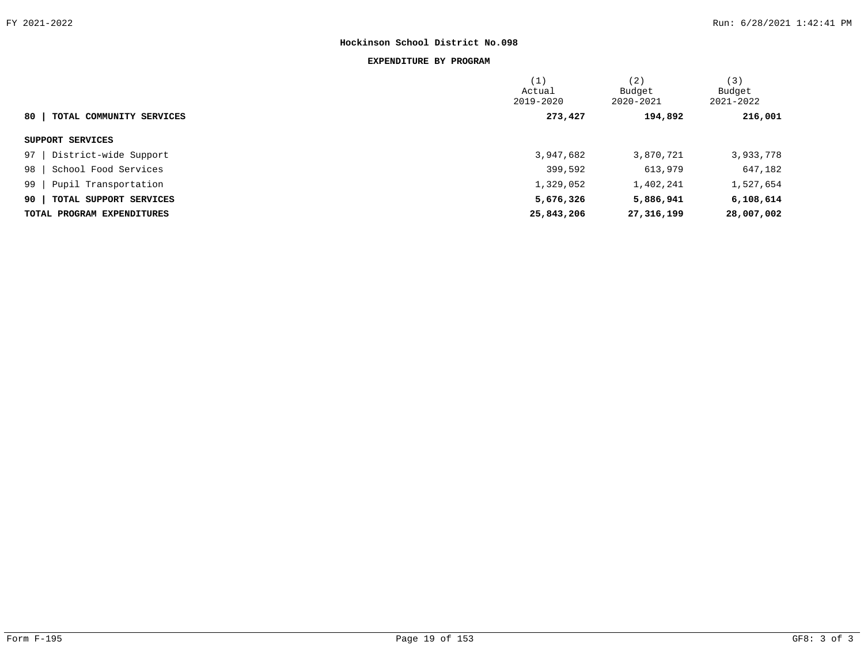#### **EXPENDITURE BY PROGRAM**

|                                | (1)<br>Actual<br>2019-2020 | (2)<br>Budget<br>2020-2021 | (3)<br>Budget<br>2021-2022 |  |
|--------------------------------|----------------------------|----------------------------|----------------------------|--|
| 80<br>TOTAL COMMUNITY SERVICES | 273,427                    | 194,892                    | 216,001                    |  |
| SUPPORT SERVICES               |                            |                            |                            |  |
| 97  <br>District-wide Support  | 3,947,682                  | 3,870,721                  | 3,933,778                  |  |
| 98<br>School Food Services     | 399,592                    | 613,979                    | 647,182                    |  |
| 99<br>Pupil Transportation     | 1,329,052                  | 1,402,241                  | 1,527,654                  |  |
| 90<br>TOTAL SUPPORT SERVICES   | 5,676,326                  | 5,886,941                  | 6,108,614                  |  |
| TOTAL PROGRAM EXPENDITURES     | 25,843,206                 | 27,316,199                 | 28,007,002                 |  |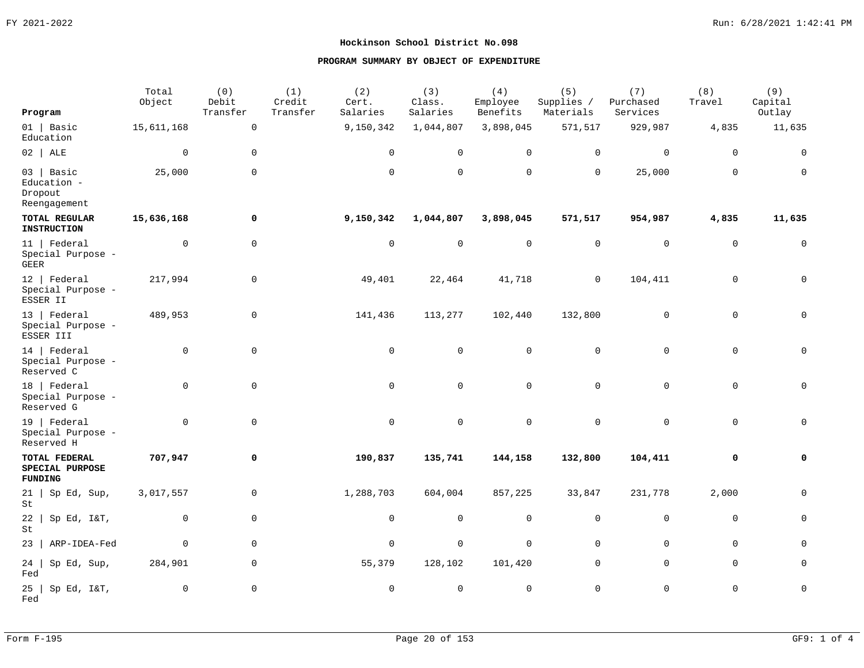|                                                        | Total<br>Object | (0)<br>Debit        | (1)<br>Credit | (2)<br>Cert.   | (3)<br>Class.  | (4)<br>Employee | (5)<br>Supplies / | (7)<br>Purchased | (8)<br>Travel | (9)<br>Capital      |
|--------------------------------------------------------|-----------------|---------------------|---------------|----------------|----------------|-----------------|-------------------|------------------|---------------|---------------------|
| Program                                                |                 | Transfer            | Transfer      | Salaries       | Salaries       | Benefits        | Materials         | Services         |               | Outlay              |
| $01$   Basic<br>Education                              | 15,611,168      | $\mathsf 0$         |               | 9,150,342      | 1,044,807      | 3,898,045       | 571,517           | 929,987          | 4,835         | 11,635              |
| $02$   ALE                                             | $\mathbf 0$     | $\mathbf 0$         |               | $\mathbf 0$    | $\mathbf 0$    | $\mathbf 0$     | 0                 | 0                | $\mathbf 0$   | $\mathbf 0$         |
| $03$   Basic<br>Education -<br>Dropout<br>Reengagement | 25,000          | $\mathsf 0$         |               | $\mathbf 0$    | $\Omega$       | $\mathbf 0$     | $\mathbf 0$       | 25,000           | $\Omega$      | $\mathbf{0}$        |
| <b>TOTAL REGULAR</b><br><b>INSTRUCTION</b>             | 15,636,168      | 0                   |               | 9,150,342      | 1,044,807      | 3,898,045       | 571,517           | 954,987          | 4,835         | 11,635              |
| $11$   Federal<br>Special Purpose -<br>GEER            | 0               | $\mathbf 0$         |               | $\overline{0}$ | $\mathbf 0$    | $\mathbf 0$     | $\mathbf 0$       | $\mathbf 0$      | $\mathbf 0$   | $\mathbf 0$         |
| $12$   Federal<br>Special Purpose -<br>ESSER II        | 217,994         | $\mathbf 0$         |               | 49,401         | 22,464         | 41,718          | $\mathbf 0$       | 104,411          | 0             | 0                   |
| 13   Federal<br>Special Purpose -<br>ESSER III         | 489,953         | $\mathbf 0$         |               | 141,436        | 113,277        | 102,440         | 132,800           | 0                | $\mathbf 0$   | $\mathbf{0}$        |
| 14   Federal<br>Special Purpose -<br>Reserved C        | $\mathbf 0$     | 0                   |               | $\mathbf 0$    | $\mathbf 0$    | $\mathbf 0$     | $\mathbf 0$       | 0                | $\mathbf 0$   | $\mathbf{0}$        |
| 18   Federal<br>Special Purpose -<br>Reserved G        | $\mathbf 0$     | $\mathsf 0$         |               | $\mathsf 0$    | $\overline{0}$ | $\mathbf 0$     | $\mathbf 0$       | $\overline{0}$   | $\mathbf 0$   | 0                   |
| $19$   Federal<br>Special Purpose -<br>Reserved H      | $\mathbf 0$     | $\mathbf 0$         |               | $\overline{0}$ | $\mathbf 0$    | $\mathbf 0$     | 0                 | 0                | 0             | 0                   |
| TOTAL FEDERAL<br>SPECIAL PURPOSE<br><b>FUNDING</b>     | 707,947         | 0                   |               | 190,837        | 135,741        | 144,158         | 132,800           | 104,411          | 0             | 0                   |
| $21 \mid$<br>Sp Ed, Sup,<br>St                         | 3,017,557       | $\mathbf 0$         |               | 1,288,703      | 604,004        | 857,225         | 33,847            | 231,778          | 2,000         | $\mathbf{0}$        |
| 22<br>Sp Ed, I&T,<br>St                                | 0               | $\mathbf 0$         |               | $\mathsf 0$    | 0              | 0               | 0                 | 0                | $\mathbf 0$   | 0                   |
| ARP-IDEA-Fed<br>23                                     | $\mathbf 0$     | $\mathbf 0$         |               | $\mathbf 0$    | $\mathbf 0$    | $\mathsf 0$     | $\mathsf 0$       | 0                | $\mathbf 0$   | 0                   |
| 24<br>Sp Ed, Sup,<br>Fed                               | 284,901         | $\mathbf 0$         |               | 55,379         | 128,102        | 101,420         | $\mathbf 0$       | $\mathbf{0}$     | $\mathbf 0$   | $\mathbf{0}$        |
| 25<br>Sp Ed, I&T,<br>Fed                               | $\mathbf 0$     | $\mathsf{O}\xspace$ |               | $\mathsf 0$    | $\mathbb O$    | $\mathsf 0$     | $\mathsf 0$       | 0                | $\mathsf 0$   | $\mathsf{O}\xspace$ |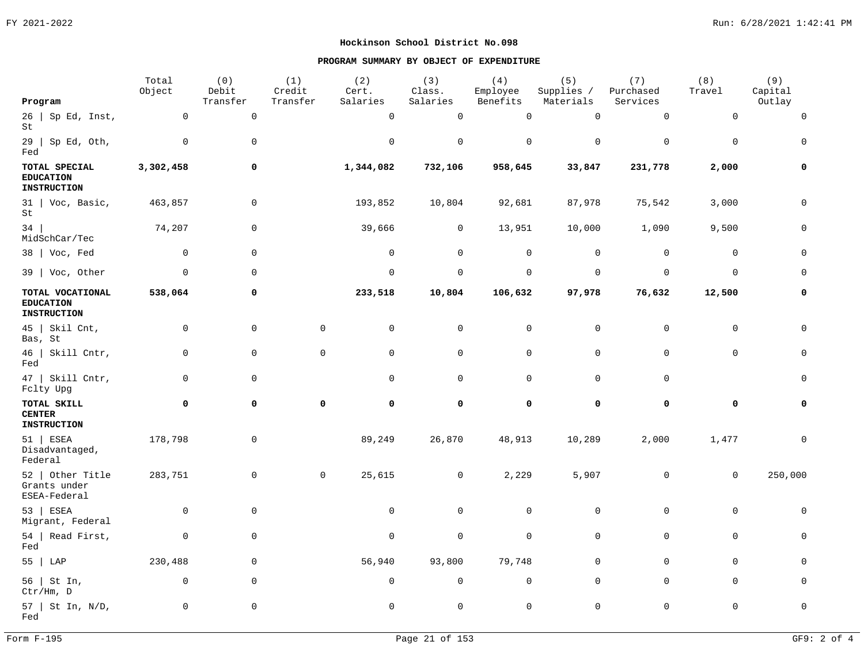|                                                         | Total<br>Object | (0)<br>Debit     | (1)<br>Credit | (2)<br>Cert. | (3)<br>Class. | (4)<br>Employee | (5)<br>Supplies / | (7)<br>Purchased | (8)<br>Travel  | (9)<br>Capital |
|---------------------------------------------------------|-----------------|------------------|---------------|--------------|---------------|-----------------|-------------------|------------------|----------------|----------------|
| Program                                                 |                 | ${\tt Transfer}$ | Transfer      | Salaries     | Salaries      | Benefits        | Materials         | Services         |                | Outlay         |
| $26$   Sp Ed, Inst,<br>St                               | 0               | $\mathsf 0$      |               | $\mathbf 0$  | $\mathbf 0$   | $\mathbf 0$     | $\mathbb O$       | $\mathbf 0$      | $\mathbf 0$    | $\Omega$       |
| $29$   Sp Ed, Oth,<br>Fed                               | $\mathbf 0$     | 0                |               | $\mathbf 0$  | $\mathbf 0$   | $\mathbf 0$     | $\mathbf 0$       | $\mathbf 0$      | $\mathbf 0$    | $\Omega$       |
| TOTAL SPECIAL<br><b>EDUCATION</b><br><b>INSTRUCTION</b> | 3,302,458       | 0                |               | 1,344,082    | 732,106       | 958,645         | 33,847            | 231,778          | 2,000          | $\Omega$       |
| $31$   Voc, Basic,<br>St                                | 463,857         | $\mathsf 0$      |               | 193,852      | 10,804        | 92,681          | 87,978            | 75,542           | 3,000          | $\mathbf 0$    |
| 34<br>MidSchCar/Tec                                     | 74,207          | 0                |               | 39,666       | $\mathsf{O}$  | 13,951          | 10,000            | 1,090            | 9,500          | $\Omega$       |
| $38$   Voc, Fed                                         | $\mathbf 0$     | $\mathsf 0$      |               | $\mathbf 0$  | $\mathbf 0$   | 0               | $\mathbf 0$       | $\mathbf 0$      | $\mathbf 0$    | $\Omega$       |
| $39$   Voc, Other                                       | $\mathbf 0$     | $\mathbf 0$      |               | $\mathbf 0$  | $\mathbf 0$   | $\mathsf{O}$    | $\mathbf 0$       | $\mathbf 0$      | $\mathbf 0$    | $\Omega$       |
| TOTAL VOCATIONAL<br><b>EDUCATION</b><br>INSTRUCTION     | 538,064         | 0                |               | 233,518      | 10,804        | 106,632         | 97,978            | 76,632           | 12,500         | 0              |
| $45$   Skil Cnt,<br>Bas, St                             | 0               | 0                | 0             | $\mathbf 0$  | 0             | 0               | 0                 | $\mathbf 0$      | $\mathbf 0$    | $\cap$         |
| $46$   Skill Cntr,<br>Fed                               | 0               | $\mathsf 0$      | 0             | $\mathbf 0$  | $\mathbf 0$   | $\mathbf 0$     | $\mathbf 0$       | $\mathbf 0$      | $\mathbf 0$    | $\Omega$       |
| $47$   Skill Cntr,<br>Fclty Upg                         | $\mathbf 0$     | $\mathsf 0$      |               | $\mathbf 0$  | $\mathbf 0$   | 0               | $\mathbf 0$       | $\mathbf 0$      |                | $\Omega$       |
| TOTAL SKILL<br><b>CENTER</b><br><b>INSTRUCTION</b>      | 0               | 0                | 0             | 0            | 0             | 0               | 0                 | 0                | 0              | $\Omega$       |
| $51$ ESEA<br>Disadvantaged,<br>Federal                  | 178,798         | 0                |               | 89,249       | 26,870        | 48,913          | 10,289            | 2,000            | 1,477          |                |
| $52$   Other Title<br>Grants under<br>ESEA-Federal      | 283,751         | 0                | $\mathbf 0$   | 25,615       | $\mathbf 0$   | 2,229           | 5,907             | $\mathbf 0$      | $\overline{0}$ | 250,000        |
| 53   ESEA<br>Migrant, Federal                           | $\mathbf 0$     | 0                |               | $\mathbf 0$  | $\mathbf{0}$  | $\mathbf 0$     | $\mathbf 0$       | $\mathbf 0$      | $\mathbf 0$    | $\mathbf 0$    |
| 54   Read First,<br>Fed                                 | $\mathbf 0$     | 0                |               | $\mathbf 0$  | $\mathbf{0}$  | $\mathbf 0$     | $\mathbf 0$       | $\mathbf{0}$     | $\mathbf 0$    | $\Omega$       |
| 55   LAP                                                | 230,488         | $\mathsf 0$      |               | 56,940       | 93,800        | 79,748          | $\mathbf 0$       | $\mathbf{0}$     | $\mathbf 0$    | $\Omega$       |
| 56   St In,<br>Ctr/Hm, D                                | $\mathbf 0$     | 0                |               | $\mathbf 0$  | $\mathbf 0$   | 0               | $\mathbf 0$       | $\mathbf 0$      | $\mathbf 0$    | $\Omega$       |
| $57$   St In, N/D,<br>Fed                               | $\mathbf 0$     | 0                |               | $\mathbf 0$  | $\mathbf 0$   | $\mathbf 0$     | $\mathbf 0$       | $\mathbf 0$      | $\mathbf 0$    | $\mathbf 0$    |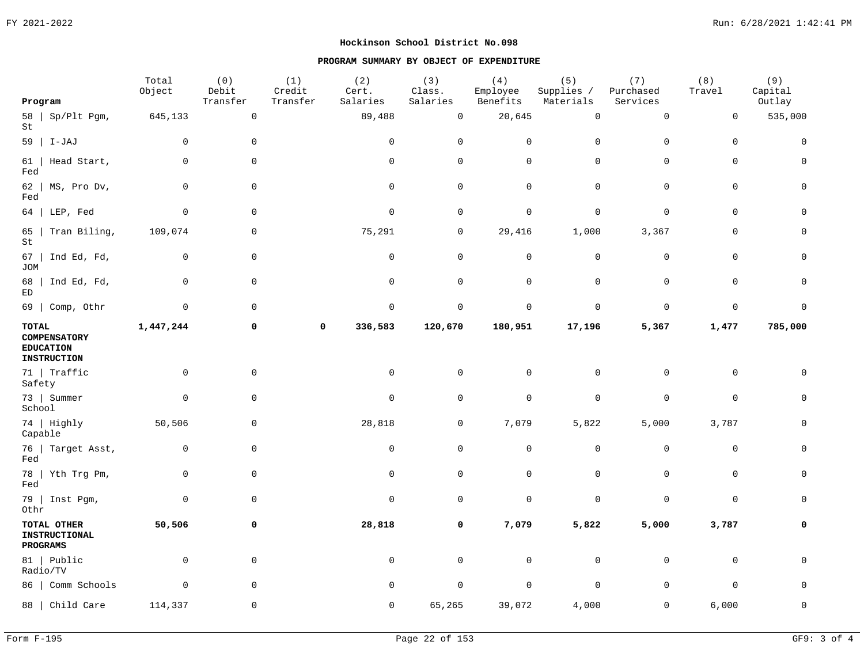|                    |                                                               | Total<br>Object | (0)<br>Debit        | (1)<br>Credit | (2)<br>Cert. | (3)<br>Class.  | (4)<br>Employee     | (5)<br>Supplies / | (7)<br>Purchased    | (8)<br>Travel | (9)<br>Capital |
|--------------------|---------------------------------------------------------------|-----------------|---------------------|---------------|--------------|----------------|---------------------|-------------------|---------------------|---------------|----------------|
| Program            |                                                               |                 | Transfer            | Transfer      | Salaries     | Salaries       | Benefits            | Materials         | Services            |               | Outlay         |
| St                 | $58$   Sp/Plt Pgm,                                            | 645,133         | $\mathsf{O}\xspace$ |               | 89,488       | $\mathsf 0$    | 20,645              | $\mathbb O$       | $\mathsf{O}\xspace$ | $\mathsf 0$   | 535,000        |
|                    | $59$   I-JAJ                                                  | $\Omega$        | $\mathsf 0$         |               | $\mathsf 0$  | $\overline{0}$ | $\mathsf 0$         | $\mathbf 0$       | $\mathbf 0$         | $\mathsf 0$   | $\mathbf 0$    |
| 61<br>Fed          | Head Start,                                                   | $\mathbf 0$     | $\mathsf 0$         |               | $\mathsf{O}$ | $\mathsf 0$    | $\mathsf{O}\xspace$ | $\mathbf 0$       | $\mathsf 0$         | $\mathsf 0$   | 0              |
| 62<br>Fed          | MS, Pro Dv,                                                   | $\mathbf 0$     | $\mathsf 0$         |               | $\mathsf{O}$ | $\mathsf 0$    | $\mathsf{O}$        | $\mathbf 0$       | $\mathsf 0$         | $\mathsf 0$   | 0              |
|                    | $64$   LEP, Fed                                               | $\mathbf 0$     | $\mathbf 0$         |               | $\mathbf 0$  | $\mathbf 0$    | $\mathbf 0$         | $\overline{0}$    | $\mathbf 0$         | $\mathbf 0$   | $\mathbf 0$    |
| 65<br>St           | Tran Biling,                                                  | 109,074         | $\mathsf 0$         |               | 75,291       | $\mathbf 0$    | 29,416              | 1,000             | 3,367               | $\mathbf 0$   | 0              |
| 67  <br><b>JOM</b> | Ind Ed, Fd,                                                   | $\mathbf 0$     | $\mathbf 0$         |               | $\mathsf{O}$ | $\overline{0}$ | $\mathsf{O}\xspace$ | $\overline{0}$    | $\mathbf 0$         | $\mathbf 0$   | $\mathbf 0$    |
| 68  <br>ED         | Ind Ed, Fd,                                                   | $\mathsf 0$     | $\mathsf 0$         |               | $\mathsf{O}$ | $\overline{0}$ | $\mathsf{O}\xspace$ | $\mathbf 0$       | $\mathsf 0$         | $\mathsf 0$   | 0              |
|                    | 69   Comp, Othr                                               | $\mathbf 0$     | $\mathsf 0$         |               | $\mathsf 0$  | $\mathbf 0$    | $\mathsf 0$         | $\mathbf 0$       | $\mathbf 0$         | $\mathsf 0$   | $\mathbf 0$    |
| TOTAL              | <b>COMPENSATORY</b><br><b>EDUCATION</b><br><b>INSTRUCTION</b> | 1,447,244       | 0                   | 0             | 336,583      | 120,670        | 180,951             | 17,196            | 5,367               | 1,477         | 785,000        |
| Safety             | $71$ Traffic                                                  | $\mathbf 0$     | $\mathbf 0$         |               | $\mathbf 0$  | $\mathbf 0$    | $\mathbf 0$         | $\mathbf 0$       | $\mathbf 0$         | $\mathbf 0$   | $\Omega$       |
| School             | 73   Summer                                                   | $\mathbf 0$     | 0                   |               | $\mathsf{O}$ | $\mathbf 0$    | $\mathsf{O}\xspace$ | $\mathsf 0$       | $\mathsf{O}$        | $\mathsf 0$   | $\mathbf 0$    |
| Capable            | 74   Highly                                                   | 50,506          | 0                   |               | 28,818       | $\mathsf{O}$   | 7,079               | 5,822             | 5,000               | 3,787         | 0              |
| Fed                | 76   Target Asst,                                             | $\mathbf 0$     | $\mathbf 0$         |               | $\mathsf{O}$ | $\mathbf 0$    | $\mathsf{O}\xspace$ | $\mathsf 0$       | $\mathbf 0$         | $\mathbf 0$   | $\mathbf 0$    |
| Fed                | 78   Yth Trg Pm,                                              | $\mathsf 0$     | $\mathsf 0$         |               | $\mathsf{O}$ | $\mathsf 0$    | $\mathsf{O}$        | $\mathbf 0$       | $\mathsf 0$         | $\mathsf 0$   | $\mathbf 0$    |
| Othr               | $79$   Inst Pgm,                                              | $\mathbf 0$     | 0                   |               | $\mathsf{O}$ | $\mathbf 0$    | $\mathsf{O}$        | $\mathsf 0$       | $\mathsf 0$         | $\mathbf 0$   | 0              |
|                    | TOTAL OTHER<br>INSTRUCTIONAL<br>PROGRAMS                      | 50,506          | 0                   |               | 28,818       | 0              | 7,079               | 5,822             | 5,000               | 3,787         | 0              |
|                    | 81   Public<br>Radio/TV                                       | $\mathbf 0$     | $\mathbf 0$         |               | $\mathbf 0$  | $\mathbf 0$    | $\mathsf{O}$        | $\overline{0}$    | $\mathbf 0$         | $\mathbf 0$   | $\Omega$       |
|                    | 86   Comm Schools                                             | $\mathbf 0$     | $\mathbf 0$         |               | $\mathsf{O}$ | $\mathbf 0$    | $\mathsf{O}$        | $\mathbf 0$       | $\mathsf 0$         | $\mathbf 0$   | $\mathbf 0$    |
|                    | 88   Child Care                                               | 114,337         | $\mathbf 0$         |               | 0            | 65,265         | 39,072              | 4,000             | $\mathbf 0$         | 6,000         | 0              |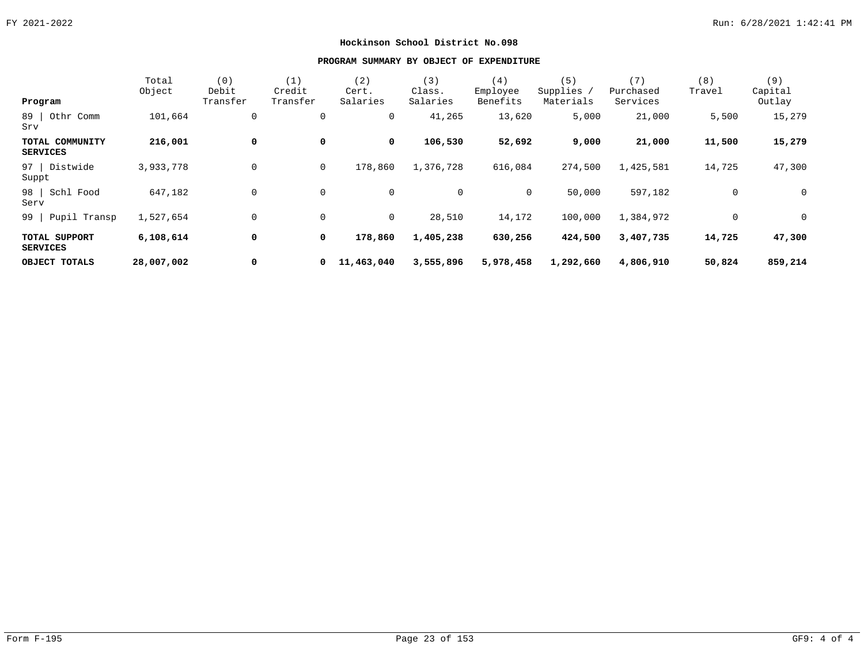| Program                            | Total<br>Object | (0)<br>Debit<br>Transfer | (1)<br>Credit<br>Transfer | (2)<br>Cert.<br>Salaries | (3)<br>Class.<br>Salaries | (4)<br>Employee<br>Benefits | (5)<br>Supplies<br>Materials | (7)<br>Purchased<br>Services | (8)<br>Travel | (9)<br>Capital<br>Outlay |
|------------------------------------|-----------------|--------------------------|---------------------------|--------------------------|---------------------------|-----------------------------|------------------------------|------------------------------|---------------|--------------------------|
| 89  <br>Othr Comm<br>Srv           | 101,664         | 0                        | 0                         | 0                        | 41,265                    | 13,620                      | 5,000                        | 21,000                       | 5,500         | 15,279                   |
| TOTAL COMMUNITY<br><b>SERVICES</b> | 216,001         | 0                        | 0                         | $\mathbf 0$              | 106,530                   | 52,692                      | 9,000                        | 21,000                       | 11,500        | 15,279                   |
| 97   Distwide<br>Suppt             | 3,933,778       | $\mathbf 0$              | $\overline{0}$            | 178,860                  | 1,376,728                 | 616,084                     | 274,500                      | 1,425,581                    | 14,725        | 47,300                   |
| 98 Schl Food<br>Serv               | 647,182         | $\mathbf 0$              | $\mathbf 0$               | 0                        | 0                         | $\mathbf 0$                 | 50,000                       | 597,182                      | $\mathbf 0$   | $\overline{0}$           |
| 99   Pupil Transp                  | 1,527,654       | $\mathbf 0$              | $\mathbf 0$               | $\overline{0}$           | 28,510                    | 14,172                      | 100,000                      | 1,384,972                    | 0             | $\overline{0}$           |
| TOTAL SUPPORT<br><b>SERVICES</b>   | 6,108,614       | 0                        | $\mathbf 0$               | 178,860                  | 1,405,238                 | 630,256                     | 424,500                      | 3,407,735                    | 14,725        | 47,300                   |
| OBJECT TOTALS                      | 28,007,002      | 0                        | $\mathbf{0}$              | 11,463,040               | 3,555,896                 | 5,978,458                   | 1,292,660                    | 4,806,910                    | 50,824        | 859,214                  |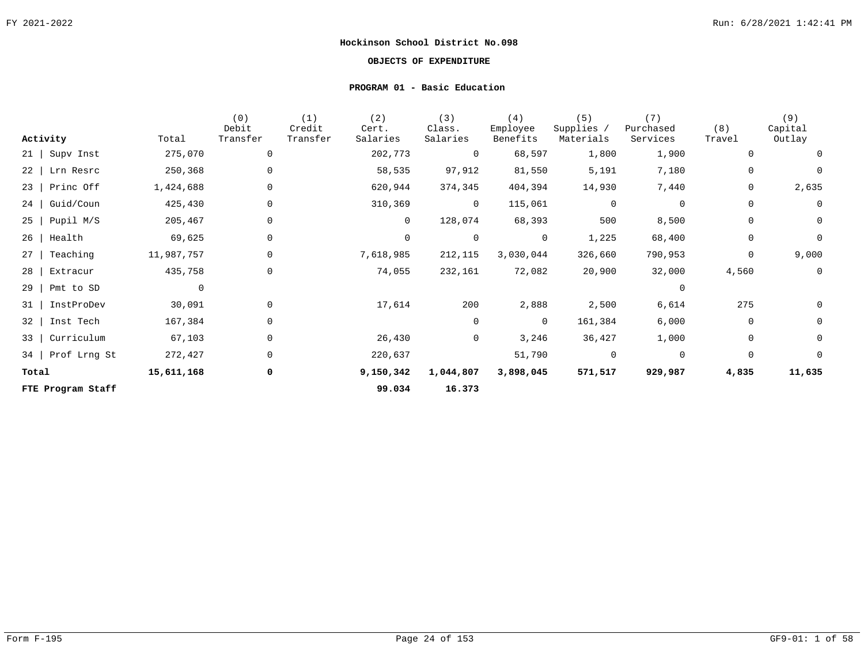## **OBJECTS OF EXPENDITURE**

#### **PROGRAM 01 - Basic Education**

| Activity                | Total          | (0)<br>Debit<br>Transfer | (1)<br>Credit<br>Transfer | (2)<br>Cert.<br>Salaries | (3)<br>Class.<br>Salaries | (4)<br>Employee<br>Benefits | (5)<br>Supplies /<br>Materials | (7)<br>Purchased<br>Services | (8)<br>Travel | (9)<br>Capital<br>Outlay |
|-------------------------|----------------|--------------------------|---------------------------|--------------------------|---------------------------|-----------------------------|--------------------------------|------------------------------|---------------|--------------------------|
| $21$   Supv Inst        | 275,070        | 0                        |                           | 202,773                  | 0                         | 68,597                      | 1,800                          | 1,900                        | 0             | 0                        |
| 22<br>Lrn Resrc         | 250,368        | 0                        |                           | 58,535                   | 97,912                    | 81,550                      | 5,191                          | 7,180                        | 0             | $\mathbf 0$              |
| $23$   Princ Off        | 1,424,688      | 0                        |                           | 620,944                  | 374,345                   | 404,394                     | 14,930                         | 7,440                        | 0             | 2,635                    |
| Guid/Coun<br>$24$       | 425,430        | 0                        |                           | 310,369                  | $\overline{0}$            | 115,061                     | $\overline{0}$                 | 0                            | 0             | $\mathbf 0$              |
| Pupil M/S<br>$25 \mid$  | 205,467        | 0                        |                           | $\overline{0}$           | 128,074                   | 68,393                      | 500                            | 8,500                        | 0             | $\mathbf 0$              |
| Health<br>26            | 69,625         | 0                        |                           | 0                        | $\mathbf 0$               | $\overline{0}$              | 1,225                          | 68,400                       | 0             | $\mathsf{O}$             |
| Teaching<br>27          | 11,987,757     | 0                        |                           | 7,618,985                | 212,115                   | 3,030,044                   | 326,660                        | 790,953                      | $\mathbf{0}$  | 9,000                    |
| 28<br>Extracur          | 435,758        | 0                        |                           | 74,055                   | 232,161                   | 72,082                      | 20,900                         | 32,000                       | 4,560         | $\overline{0}$           |
| 29<br>Pmt to SD         | $\overline{0}$ |                          |                           |                          |                           |                             |                                | $\Omega$                     |               |                          |
| 31<br>InstProDev        | 30,091         | 0                        |                           | 17,614                   | 200                       | 2,888                       | 2,500                          | 6,614                        | 275           | 0                        |
| 32<br>Inst Tech         | 167,384        | 0                        |                           |                          | 0                         | $\Omega$                    | 161,384                        | 6,000                        | 0             | $\mathsf{O}$             |
| Curriculum<br>$33 \mid$ | 67,103         | 0                        |                           | 26,430                   | 0                         | 3,246                       | 36,427                         | 1,000                        | 0             | $\mathsf{O}$             |
| Prof Lrng St<br>34      | 272,427        | $\mathbf 0$              |                           | 220,637                  |                           | 51,790                      | $\mathbf 0$                    | $\overline{0}$               | $\mathbf 0$   | $\mathbf 0$              |
| Total                   | 15,611,168     | 0                        |                           | 9,150,342                | 1,044,807                 | 3,898,045                   | 571,517                        | 929,987                      | 4,835         | 11,635                   |
| FTE Program Staff       |                |                          |                           | 99.034                   | 16.373                    |                             |                                |                              |               |                          |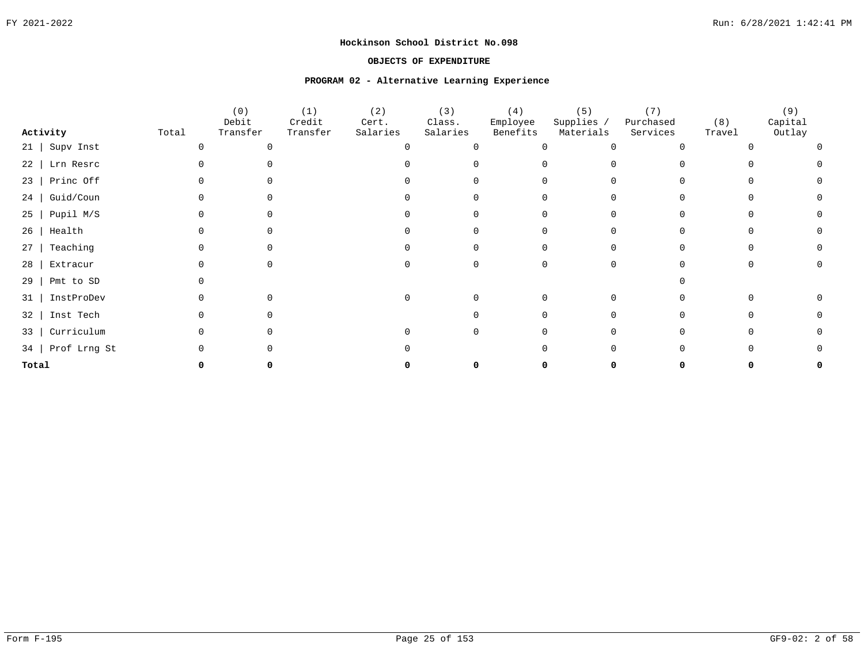#### **OBJECTS OF EXPENDITURE**

#### **PROGRAM 02 - Alternative Learning Experience**

|           |                   |       | (0)<br>Debit | (1)<br>Credit | (2)<br>Cert. | (3)<br>Class. | (4)<br>Employee | (5)<br>Supplies / | (7)<br>Purchased | (8)    | (9)<br>Capital |
|-----------|-------------------|-------|--------------|---------------|--------------|---------------|-----------------|-------------------|------------------|--------|----------------|
|           | Activity          | Total | Transfer     | Transfer      | Salaries     | Salaries      | Benefits        | Materials         | Services         | Travel | Outlay         |
|           | 21   Supv Inst    |       | ∩            |               |              |               |                 |                   |                  |        |                |
|           | 22   Lrn Resrc    |       |              |               |              |               |                 |                   |                  |        |                |
| 23        | Princ Off         |       |              |               |              |               |                 |                   |                  |        |                |
| 24        | Guid/Coun         |       |              |               |              |               |                 |                   |                  |        |                |
| $25 \mid$ | Pupil M/S         |       |              |               |              |               |                 |                   |                  |        |                |
|           | $26$   Health     |       |              |               |              |               |                 |                   |                  |        |                |
| 27        | Teaching          |       |              |               |              |               |                 |                   |                  |        |                |
| 28        | Extracur          |       |              |               |              |               |                 |                   |                  |        |                |
| 29        | Pmt to SD         |       |              |               |              |               |                 |                   |                  |        |                |
| 31        | InstProDev        |       |              |               |              |               |                 |                   |                  |        |                |
| 32        | Inst Tech         |       |              |               |              |               |                 |                   |                  |        |                |
| $33 \mid$ | Curriculum        |       |              |               |              |               |                 |                   |                  |        |                |
|           | 34   Prof Lrng St |       |              |               |              |               |                 |                   |                  |        |                |
| Total     |                   |       |              |               |              |               |                 |                   |                  |        |                |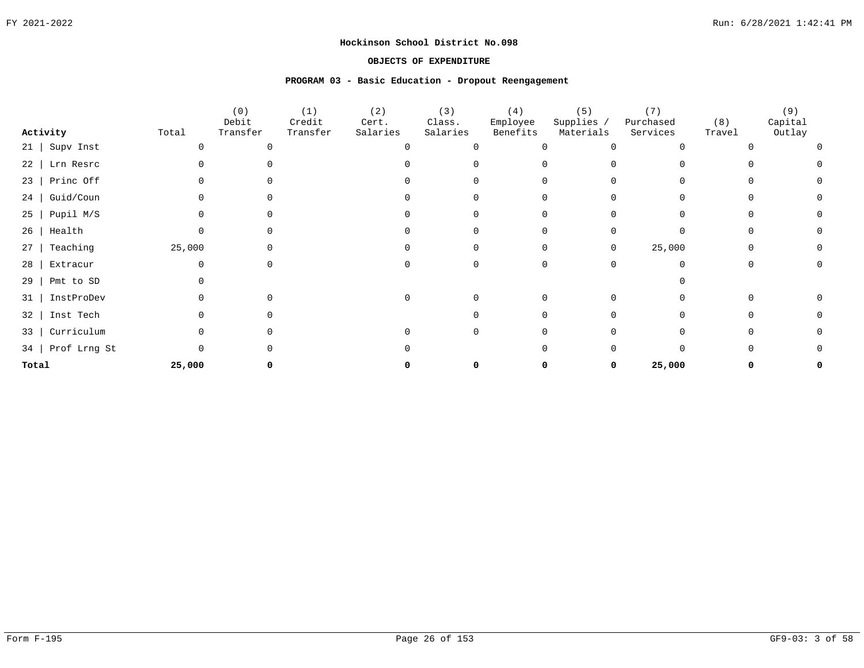#### **OBJECTS OF EXPENDITURE**

#### **PROGRAM 03 - Basic Education - Dropout Reengagement**

|           |                   |        | (0)<br>Debit | (1)<br>Credit | (2)<br>Cert. | (3)<br>Class. | (4)<br>Employee | (5)<br>Supplies / | (7)<br>Purchased | (8)    | (9)<br>Capital |
|-----------|-------------------|--------|--------------|---------------|--------------|---------------|-----------------|-------------------|------------------|--------|----------------|
|           | Activity          | Total  | Transfer     | Transfer      | Salaries     | Salaries      | Benefits        | Materials         | Services         | Travel | Outlay         |
|           | $21$   Supv Inst  |        |              |               |              | $\Omega$      |                 |                   |                  |        |                |
|           | 22   Lrn Resrc    |        |              |               |              |               |                 |                   |                  |        |                |
| 23        | Princ Off         |        |              |               |              |               |                 |                   |                  |        |                |
| 24        | Guid/Coun         |        |              |               |              |               |                 |                   |                  |        |                |
| $25 \mid$ | Pupil M/S         |        |              |               |              |               |                 |                   |                  |        |                |
| 26        | Health            |        |              |               |              |               |                 |                   |                  |        |                |
| 27        | Teaching          | 25,000 |              |               |              |               |                 | 0                 | 25,000           |        |                |
| 28        | Extracur          |        |              |               |              |               |                 |                   |                  |        |                |
| 29        | Pmt to SD         |        |              |               |              |               |                 |                   |                  |        |                |
| 31        | InstProDev        |        |              |               |              |               |                 |                   |                  |        |                |
| 32        | Inst Tech         |        |              |               |              |               |                 |                   |                  |        |                |
| $33 \mid$ | Curriculum        |        |              |               |              |               |                 |                   |                  |        |                |
|           | 34   Prof Lrng St |        |              |               |              |               |                 |                   |                  |        |                |
| Total     |                   | 25,000 |              |               |              |               |                 | 0                 | 25,000           |        |                |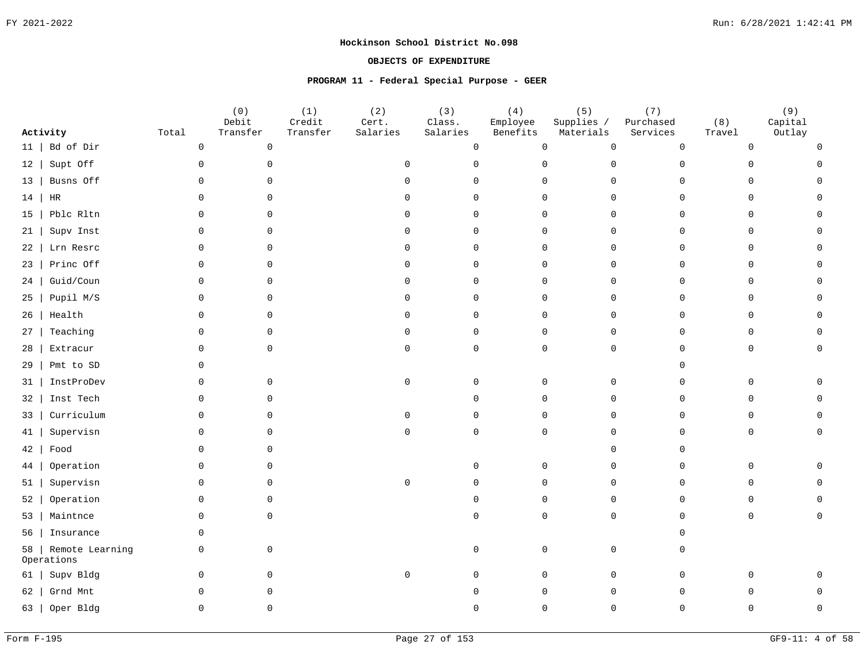## **OBJECTS OF EXPENDITURE**

#### **PROGRAM 11 - Federal Special Purpose - GEER**

| Activity                            | Total       | (0)<br>Debit<br>Transfer | (1)<br>Credit<br>Transfer | (2)<br>Cert.<br>Salaries | (3)<br>Class.<br>Salaries | (4)<br>Employee<br>Benefits | (5)<br>Supplies /<br>Materials | (7)<br>Purchased<br>Services | (8)<br>Travel  | (9)<br>Capital<br>Outlay |
|-------------------------------------|-------------|--------------------------|---------------------------|--------------------------|---------------------------|-----------------------------|--------------------------------|------------------------------|----------------|--------------------------|
| Bd of Dir<br>11                     | $\mathsf 0$ | $\mathsf{O}\xspace$      |                           |                          | $\mathsf{O}\xspace$       | $\mathsf{O}\xspace$         | $\mathsf{O}\xspace$            | $\mathbf 0$                  | $\overline{0}$ | $\cap$                   |
| Supt Off                            | $\mathbf 0$ | $\mathbf 0$              |                           | $\mathbf 0$              | $\mathbf 0$               | $\mathbf{0}$                | $\mathbf 0$                    | $\Omega$                     | $\Omega$       |                          |
| 12<br>Busns Off                     | $\Omega$    | $\mathsf{O}$             |                           | $\Omega$                 | $\Omega$                  | $\mathbf 0$                 | $\mathbf 0$                    | $\Omega$                     | $\Omega$       |                          |
| 13                                  |             |                          |                           |                          |                           |                             |                                |                              |                |                          |
| HR<br>14                            | $\Omega$    | $\Omega$                 |                           | $\Omega$                 | $\Omega$                  | $\mathbf 0$                 | $\mathbf 0$                    | $\Omega$                     | 0              |                          |
| Pblc Rltn<br>15                     | $\Omega$    | $\Omega$                 |                           | $\cap$                   | $\Omega$                  | $\mathbf 0$                 | $\mathsf{O}$                   | $\cap$                       | 0              |                          |
| Supv Inst<br>21                     | $\mathbf 0$ | $\Omega$                 |                           | $\Omega$                 | $\Omega$                  | $\mathbf 0$                 | $\mathsf{O}$                   | $\Omega$                     | $\mathbf 0$    |                          |
| Lrn Resrc<br>22                     | $\Omega$    | $\Omega$                 |                           | $\Omega$                 | $\Omega$                  | $\Omega$                    | $\Omega$                       | $\Omega$                     | $\mathbf 0$    |                          |
| Princ Off<br>23                     | $\mathbf 0$ | $\mathbf 0$              |                           | $\mathbf 0$              | $\mathbf 0$               | $\mathbf 0$                 | $\mathbf 0$                    | $\Omega$                     | 0              |                          |
| Guid/Coun<br>24                     | $\Omega$    | $\Omega$                 |                           | $\Omega$                 | $\Omega$                  | $\mathbf 0$                 | $\mathbf 0$                    | $\Omega$                     | $\mathbf 0$    |                          |
| Pupil M/S<br>25                     | $\mathbf 0$ | $\mathbf 0$              |                           | $\mathbf 0$              | $\mathbf 0$               | $\mathsf{O}$                | 0                              | $\Omega$                     | 0              |                          |
| Health<br>26                        | $\Omega$    | $\Omega$                 |                           | $\Omega$                 | $\Omega$                  | $\Omega$                    | $\mathbf 0$                    | $\Omega$                     | $\mathbf 0$    |                          |
| Teaching<br>27                      | $\mathbf 0$ | $\Omega$                 |                           | $\Omega$                 | $\Omega$                  | $\mathbf 0$                 | $\mathsf{O}$                   | $\Omega$                     | $\mathbf 0$    |                          |
| Extracur<br>28                      | $\Omega$    | $\Omega$                 |                           | $\mathbf 0$              | $\Omega$                  | $\Omega$                    | $\mathsf{O}$                   | $\Omega$                     | $\mathbf 0$    |                          |
| Pmt to SD<br>29                     | $\Omega$    |                          |                           |                          |                           |                             |                                | ∩                            |                |                          |
| InstProDev<br>31                    | $\Omega$    | $\Omega$                 |                           | $\mathbf 0$              | $\Omega$                  | $\Omega$                    | $\mathsf{O}$                   | $\cap$                       | $\Omega$       |                          |
| Inst Tech<br>32                     | $\mathbf 0$ | $\Omega$                 |                           |                          | $\Omega$                  | $\mathbf 0$                 | $\mathbf{0}$                   | $\Omega$                     | $\Omega$       |                          |
| Curriculum<br>33                    | $\Omega$    | $\Omega$                 |                           | $\Omega$                 | $\Omega$                  | $\Omega$                    | $\Omega$                       | $\Omega$                     | $\Omega$       |                          |
| Supervisn<br>41                     | $\mathbf 0$ | $\Omega$                 |                           | $\Omega$                 | $\Omega$                  | $\Omega$                    | $\mathsf{O}$                   | $\Omega$                     | $\Omega$       |                          |
| Food<br>42                          | $\Omega$    | $\Omega$                 |                           |                          |                           |                             | $\Omega$                       |                              |                |                          |
| Operation<br>44                     | $\Omega$    | $\Omega$                 |                           |                          | $\Omega$                  | $\mathbf 0$                 | $\Omega$                       | $\Omega$                     | $\mathsf{O}$   |                          |
| Supervisn<br>51                     | $\mathbf 0$ | $\mathsf{O}$             |                           | $\mathbf 0$              | $\Omega$                  | $\mathbf 0$                 | $\mathbf 0$                    | $\Omega$                     | $\mathsf{O}$   |                          |
| Operation<br>52                     | $\Omega$    | $\Omega$                 |                           |                          | $\Omega$                  | $\mathbf 0$                 | $\mathbf 0$                    | $\Omega$                     | $\mathbf 0$    |                          |
| Maintnce<br>53                      | $\mathsf 0$ | 0                        |                           |                          | $\cap$                    | $\mathbf 0$                 | 0                              | $\Omega$                     | 0              |                          |
| Insurance<br>56                     | $\Omega$    |                          |                           |                          |                           |                             |                                |                              |                |                          |
| Remote Learning<br>58<br>Operations | $\mathbf 0$ | $\mathbf 0$              |                           |                          | $\Omega$                  | $\mathbf 0$                 | $\mathbf 0$                    |                              |                |                          |
| Supv Bldg<br>61                     | $\mathbf 0$ | $\Omega$                 |                           | $\mathbf 0$              | $\cap$                    | $\Omega$                    | $\mathsf{O}$                   | $\Omega$                     | <sup>n</sup>   |                          |
| Grnd Mnt<br>62                      | $\Omega$    | $\Omega$                 |                           |                          |                           | $\Omega$                    | $\mathsf{O}$                   | $\Omega$                     |                |                          |
| Oper Bldg<br>63                     | $\Omega$    | $\Omega$                 |                           |                          |                           | $\cap$                      | $\Omega$                       | $\Omega$                     |                |                          |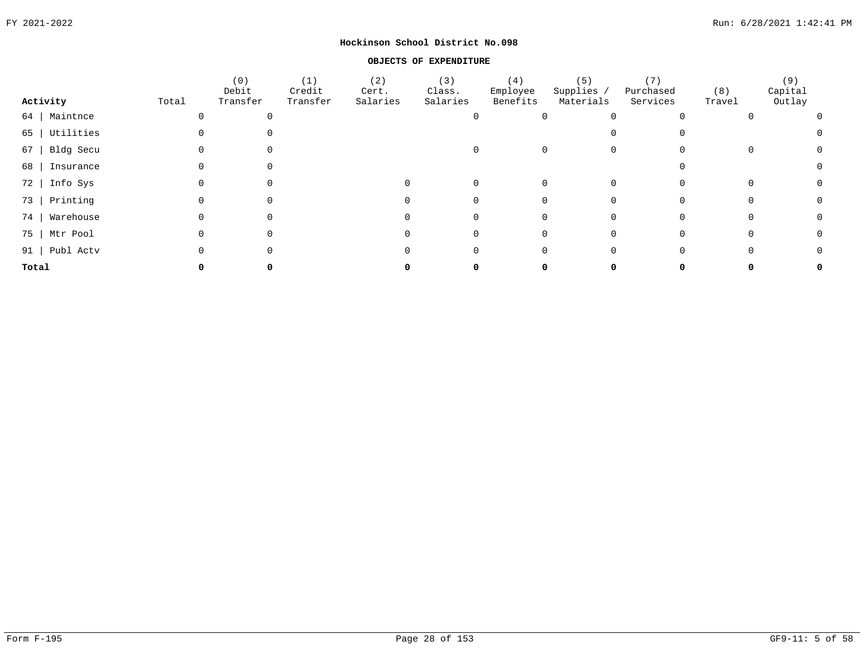#### **OBJECTS OF EXPENDITURE**

|                  |       | (0)<br>Debit | (1)<br>Credit | (2)<br>Cert. | (3)<br>Class. | (4)<br>Employee | (5)<br>Supplies / | (7)<br>Purchased | (8)    | (9)<br>Capital |                |
|------------------|-------|--------------|---------------|--------------|---------------|-----------------|-------------------|------------------|--------|----------------|----------------|
| Activity         | Total | Transfer     | Transfer      | Salaries     | Salaries      | Benefits        | Materials         | Services         | Travel | Outlay         |                |
| 64   Maintnce    |       |              |               |              |               |                 |                   |                  |        |                | $\overline{0}$ |
| 65   Utilities   |       |              |               |              |               |                 |                   | $\Omega$         |        |                | $\Omega$       |
| $67$   Bldg Secu |       |              |               |              |               |                 |                   | $\mathbf 0$      |        |                | $\Omega$       |
| 68   Insurance   |       |              |               |              |               |                 |                   |                  |        |                |                |
| 72   Info Sys    |       |              |               |              |               |                 |                   |                  |        |                |                |
| 73   Printing    |       |              |               |              |               |                 |                   |                  |        |                | $\Omega$       |
| 74   Warehouse   |       |              |               |              |               |                 |                   |                  |        |                | $\Omega$       |
| 75   Mtr Pool    |       |              |               |              |               |                 |                   | 0                |        |                | 0              |
| 91   Publ Actv   |       |              |               |              |               |                 |                   | 0                |        |                | 0              |
| Total            |       |              |               |              |               |                 |                   |                  |        |                | 0              |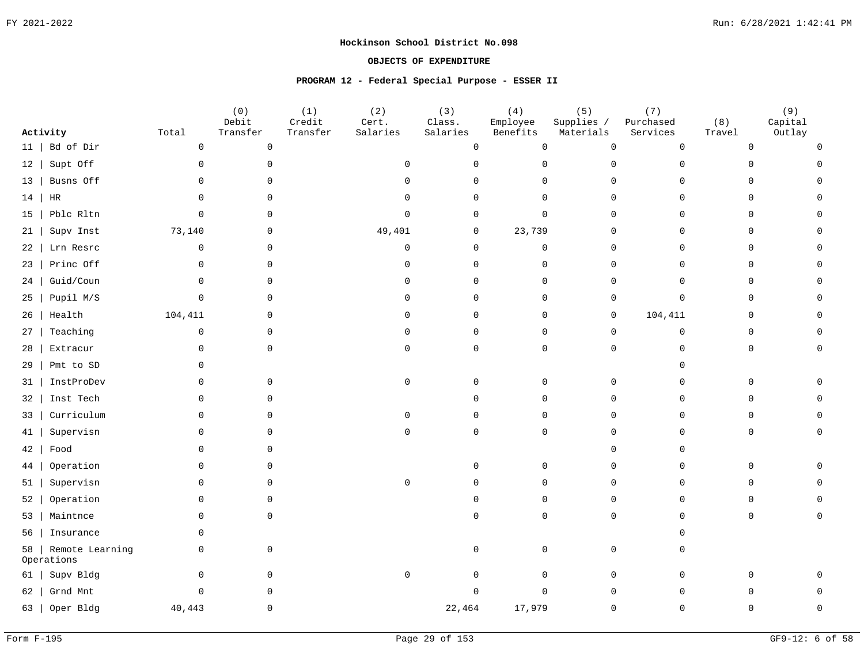## **OBJECTS OF EXPENDITURE**

## **PROGRAM 12 - Federal Special Purpose - ESSER II**

|    | Activity                      | Total        | (0)<br>Debit<br>Transfer | (1)<br>Credit<br>Transfer | (2)<br>Cert.<br>Salaries | (3)<br>Class.<br>Salaries | (4)<br>Employee<br>Benefits | (5)<br>Supplies /<br>Materials | (7)<br>Purchased<br>Services | (8)<br>Travel | (9)<br>Capital<br>Outlay |
|----|-------------------------------|--------------|--------------------------|---------------------------|--------------------------|---------------------------|-----------------------------|--------------------------------|------------------------------|---------------|--------------------------|
| 11 | Bd of Dir                     | $\mathsf 0$  | $\mathsf{O}\xspace$      |                           |                          | 0                         | $\mathsf{O}$                | $\mathsf{O}$                   | $\mathbf 0$                  | 0             | $\cap$                   |
| 12 | Supt Off                      | $\mathbf 0$  | $\mathbf 0$              |                           | $\mathbf 0$              | 0                         | $\mathbf 0$                 | $\mathbf 0$                    | $\Omega$                     | $\Omega$      |                          |
| 13 | Busns Off                     | $\mathbf 0$  | $\mathbf 0$              |                           | $\Omega$                 | 0                         | $\Omega$                    | $\mathbf 0$                    | $\Omega$                     | 0             |                          |
| 14 | $\rm{HR}$                     | $\mathbf 0$  | $\mathbf 0$              |                           | $\Omega$                 | $\mathbf 0$               | $\mathbf 0$                 | $\mathbf 0$                    | $\mathbf 0$                  | 0             |                          |
| 15 | Pblc Rltn                     | $\mathbf 0$  | $\Omega$                 |                           | $\Omega$                 | $\mathbf 0$               | $\Omega$                    | $\mathbf 0$                    | $\Omega$                     | $\mathbf 0$   |                          |
| 21 | Supv Inst                     | 73,140       | $\mathbf 0$              |                           | 49,401                   | 0                         | 23,739                      | 0                              | $\Omega$                     | 0             |                          |
| 22 | Lrn Resrc                     | $\mathbf 0$  | $\Omega$                 |                           | $\mathbf 0$              | $\mathsf{O}$              | $\mathbf 0$                 | $\mathbf 0$                    | $\Omega$                     | 0             |                          |
| 23 | Princ Off                     | $\mathbf 0$  | $\mathbf 0$              |                           | $\Omega$                 | $\Omega$                  | 0                           | $\mathbf 0$                    | $\Omega$                     | $\mathbf 0$   |                          |
| 24 | Guid/Coun                     | $\Omega$     | $\Omega$                 |                           | $\Omega$                 | $\Omega$                  | $\Omega$                    | $\Omega$                       | $\Omega$                     | $\mathbf 0$   |                          |
| 25 | Pupil M/S                     | $\mathsf{O}$ | $\mathbf 0$              |                           | $\mathbf 0$              | $\mathbf 0$               | $\mathbf 0$                 | $\mathbf 0$                    | $\mathbf 0$                  | $\mathsf{O}$  |                          |
| 26 | Health                        | 104,411      | $\mathbf 0$              |                           | $\Omega$                 | $\Omega$                  | 0                           | $\mathbf 0$                    | 104,411                      | $\mathbf 0$   |                          |
| 27 | Teaching                      | 0            | $\mathbf 0$              |                           | $\mathbf 0$              | $\Omega$                  | $\mathbf 0$                 | $\mathbf 0$                    | $\mathbf 0$                  | 0             |                          |
| 28 | Extracur                      | $\mathbf 0$  | $\mathbf 0$              |                           | $\mathbf 0$              | $\mathbf 0$               | $\Omega$                    | $\mathbf 0$                    | $\Omega$                     | 0             | $\Omega$                 |
| 29 | Pmt to SD                     | 0            |                          |                           |                          |                           |                             |                                | $\cap$                       |               |                          |
| 31 | InstProDev                    | $\Omega$     | $\Omega$                 |                           | $\Omega$                 | $\Omega$                  | $\Omega$                    | $\mathbf 0$                    | $\Omega$                     | $\mathbf 0$   |                          |
| 32 | Inst Tech                     | 0            | $\Omega$                 |                           |                          | <sup>n</sup>              | $\Omega$                    | $\mathsf{O}$                   | $\mathbf 0$                  | 0             |                          |
| 33 | Curriculum                    | $\Omega$     | $\Omega$                 |                           | $\Omega$                 | $\Omega$                  | $\Omega$                    | $\Omega$                       | $\Omega$                     | $\mathbf 0$   |                          |
| 41 | Supervisn                     | $\Omega$     | $\Omega$                 |                           | $\Omega$                 | $\mathbf 0$               | $\Omega$                    | $\mathbf 0$                    | $\Omega$                     | $\mathsf{O}$  |                          |
| 42 | Food                          | $\mathbf 0$  | $\Omega$                 |                           |                          |                           |                             | $\mathbf 0$                    | $\Omega$                     |               |                          |
| 44 | Operation                     | $\mathbf 0$  | $\Omega$                 |                           |                          | $\Omega$                  | $\mathbf 0$                 | $\mathbf 0$                    | $\mathbf 0$                  | $\mathsf{O}$  |                          |
| 51 | Supervisn                     | $\Omega$     | $\Omega$                 |                           | $\mathbf 0$              | <sup>n</sup>              | $\Omega$                    | $\Omega$                       | $\Omega$                     | $\mathbf 0$   |                          |
| 52 | Operation                     | $\mathbf 0$  | $\Omega$                 |                           |                          |                           | $\Omega$                    | $\mathbf 0$                    | $\mathbf 0$                  | 0             |                          |
| 53 | Maintnce                      | $\mathbf 0$  | $\mathbf 0$              |                           |                          |                           | $\Omega$                    | $\mathbf 0$                    | $\Omega$                     | $\mathsf{O}$  |                          |
| 56 | Insurance                     | $\Omega$     |                          |                           |                          |                           |                             |                                | $\Omega$                     |               |                          |
| 58 | Remote Learning<br>Operations | 0            | $\mathbf 0$              |                           |                          | $\mathbf 0$               | $\mathbf 0$                 | 0                              | $\Omega$                     |               |                          |
| 61 | Supv Bldg                     | 0            | $\mathbf 0$              |                           | $\mathsf{O}$             | $\mathbf 0$               | 0                           | 0                              | $\mathbf 0$                  | 0             |                          |
| 62 | Grnd Mnt                      | $\mathbf 0$  | $\Omega$                 |                           |                          | U                         | $\Omega$                    | $\mathbf 0$                    | $\Omega$                     | $\cap$        |                          |
| 63 | Oper Bldg                     | 40,443       | $\Omega$                 |                           |                          | 22,464                    | 17,979                      | $\Omega$                       | $\Omega$                     | $\cap$        |                          |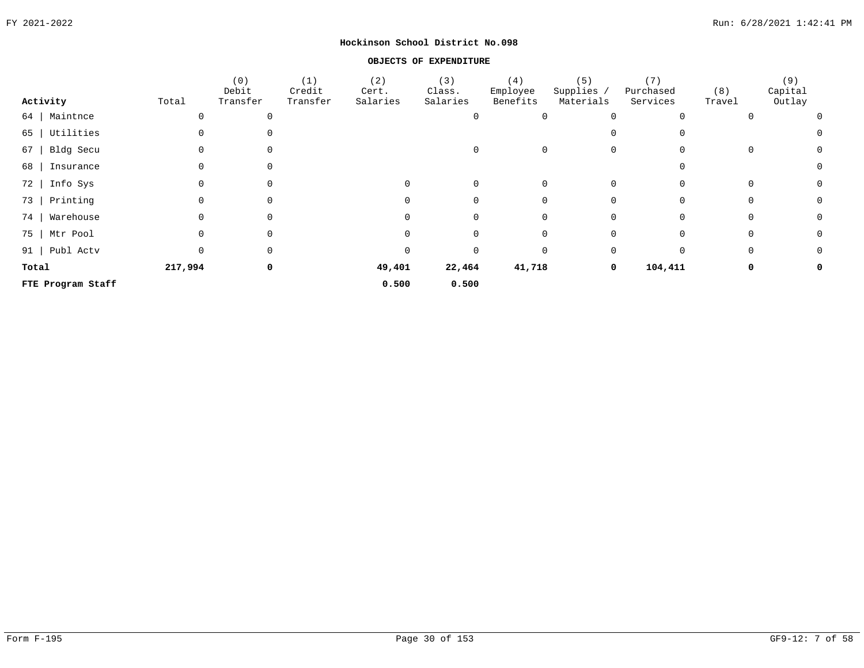#### **OBJECTS OF EXPENDITURE**

|       |                   |          | (0)<br>Debit | (1)<br>Credit | (2)<br>Cert. | (3)<br>Class. | (4)<br>Employee | (5)<br>Supplies / | (7)<br>Purchased | (8)    | (9)<br>Capital |
|-------|-------------------|----------|--------------|---------------|--------------|---------------|-----------------|-------------------|------------------|--------|----------------|
|       | Activity          | Total    | Transfer     | Transfer      | Salaries     | Salaries      | Benefits        | Materials         | Services         | Travel | Outlay         |
| 64    | Maintnce          | $\Omega$ | 0            |               |              | $\Omega$      | 0               | $\Omega$          | $\Omega$         |        | 0              |
| 65    | Utilities         |          | 0            |               |              |               |                 |                   |                  |        | 0              |
| 67    | Bldg Secu         | 0        | $\Omega$     |               |              | $\Omega$      | $\Omega$        | 0                 | $\Omega$         |        | 0<br>0         |
| 68    | Insurance         | 0        | 0            |               |              |               |                 |                   | $\Omega$         |        | 0              |
| 72    | Info Sys          | $\Omega$ | 0            |               | 0            | 0             | $\Omega$        | $\mathbf 0$       | $\mathbf 0$      |        | 0<br>0         |
| 73    | Printing          | 0        | 0            |               | 0            | 0             | 0               | 0                 | $\mathbf 0$      |        | 0<br>0         |
| 74    | Warehouse         | $\Omega$ | 0            |               | 0            | 0             | 0               | 0                 | 0                |        | 0<br>0         |
|       | 75   Mtr Pool     | 0        | 0            |               |              | 0             | 0               | 0                 | 0                |        | 0<br>0         |
|       | 91   Publ Actv    | 0        | 0            |               | 0            | 0             | 0               | 0                 | 0                |        | 0<br>0         |
| Total |                   | 217,994  | 0            |               | 49,401       | 22,464        | 41,718          | 0                 | 104,411          |        | 0<br>0         |
|       | FTE Program Staff |          |              |               | 0.500        | 0.500         |                 |                   |                  |        |                |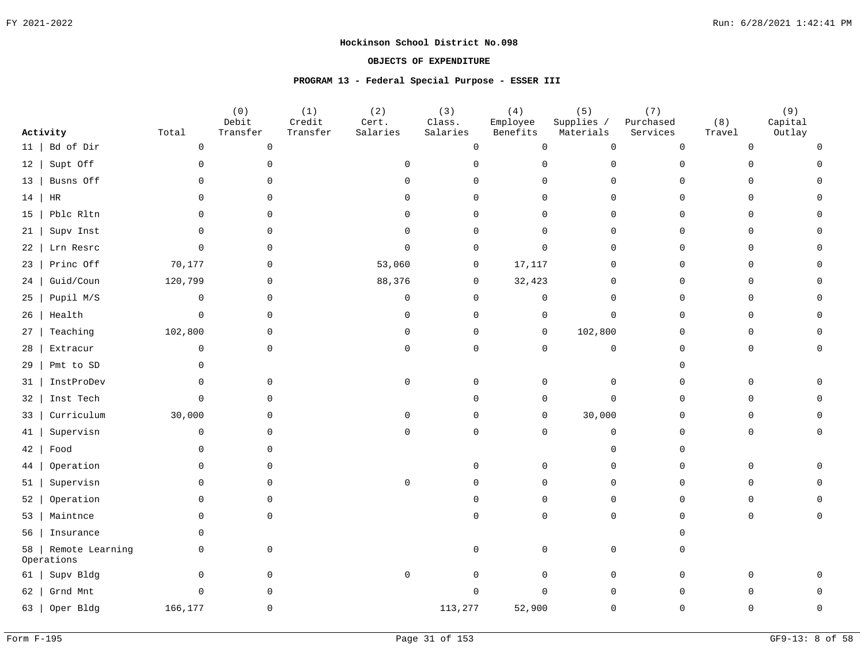## **OBJECTS OF EXPENDITURE**

#### **PROGRAM 13 - Federal Special Purpose - ESSER III**

|                                     |             | (0)<br>Debit | (1)<br>Credit | (2)<br>Cert.        | (3)<br>Class. | (4)<br>Employee     | (5)<br>Supplies /   | (7)<br>Purchased | (8)          | (9)<br>Capital |
|-------------------------------------|-------------|--------------|---------------|---------------------|---------------|---------------------|---------------------|------------------|--------------|----------------|
| Activity                            | Total       | Transfer     | Transfer      | Salaries            | Salaries      | Benefits            | Materials           | Services         | Travel       | Outlay         |
| Bd of Dir<br>11                     | $\mathsf 0$ | $\mathbb O$  |               |                     | $\mathsf 0$   | $\mathsf{O}$        | $\mathsf{O}$        | $\mathbb O$      | $\mathsf{O}$ |                |
| Supt Off<br>12                      | $\mathsf 0$ | $\Omega$     |               | $\Omega$            | $\Omega$      | $\Omega$            | $\Omega$            | $\Omega$         | $\Omega$     |                |
| Busns Off<br>13                     | $\Omega$    | $\mathbf 0$  |               | $\Omega$            | $\Omega$      | 0                   | $\mathbf 0$         | $\Omega$         | $\mathbf 0$  |                |
| HR<br>14                            | $\Omega$    | $\Omega$     |               | $\Omega$            | $\Omega$      | $\mathbf 0$         | $\mathbf 0$         | $\Omega$         | $\mathbf 0$  |                |
| Pblc Rltn<br>15                     | $\Omega$    | $\mathbf 0$  |               | $\Omega$            | $\mathbf 0$   | 0                   | $\mathbf 0$         | $\mathbf 0$      | 0            |                |
| Supv Inst<br>21                     | $\mathbf 0$ | 0            |               | $\Omega$            | 0             | $\mathsf{O}$        | $\mathbf 0$         | $\mathbf 0$      | $\mathsf{O}$ |                |
| Lrn Resrc<br>22                     | $\Omega$    | $\mathbf 0$  |               | $\Omega$            | $\Omega$      | $\mathbf 0$         | $\mathbf 0$         | $\Omega$         | $\mathbf 0$  |                |
| Princ Off<br>23                     | 70,177      | $\mathbf 0$  |               | 53,060              | $\mathbf 0$   | 17,117              | $\mathbf 0$         | $\Omega$         | $\mathsf{O}$ |                |
| Guid/Coun<br>24                     | 120,799     | $\Omega$     |               | 88,376              | $\mathbf 0$   | 32,423              | $\Omega$            | $\Omega$         | $\mathbf 0$  |                |
| Pupil M/S<br>25                     | $\mathbf 0$ | $\mathbf 0$  |               | $\mathsf{O}\xspace$ | $\mathsf 0$   | $\mathsf{O}\xspace$ | $\mathbf 0$         | $\Omega$         | $\mathsf{O}$ |                |
| Health<br>26                        | $\mathbf 0$ | $\Omega$     |               | $\mathbf 0$         | $\Omega$      | $\mathbf 0$         | $\mathbf{0}$        | $\Omega$         | $\mathbf 0$  |                |
| Teaching<br>27                      | 102,800     | $\mathbf 0$  |               | $\mathbf 0$         | $\mathbf 0$   | $\overline{0}$      | 102,800             | $\Omega$         | $\mathbf 0$  |                |
| Extracur<br>28                      | $\mathbf 0$ | $\mathbf 0$  |               | $\mathsf{O}$        | $\mathsf 0$   | $\mathsf{O}$        | $\mathsf{O}$        | $\Omega$         | $\mathsf{O}$ |                |
| Pmt to SD<br>29                     | 0           |              |               |                     |               |                     |                     | $\Omega$         |              |                |
| InstProDev<br>31                    | $\mathbf 0$ | $\Omega$     |               | $\mathsf{O}$        | $\Omega$      | 0                   | 0                   | $\Omega$         | 0            |                |
| Inst Tech<br>32                     | $\mathbf 0$ | $\mathbf 0$  |               |                     | $\Omega$      | $\mathsf{O}$        | $\mathbf 0$         | $\mathbf 0$      | $\mathbf 0$  |                |
| Curriculum<br>33                    | 30,000      | $\Omega$     |               | $\Omega$            | $\Omega$      | $\mathbf 0$         | 30,000              | $\Omega$         | $\Omega$     |                |
| Supervisn<br>41                     | $\mathsf 0$ | $\Omega$     |               | $\mathbf 0$         | $\mathbf 0$   | $\mathsf{O}$        | $\mathsf{O}\xspace$ | $\Omega$         | $\mathbf 0$  |                |
| Food<br>42                          | $\Omega$    | $\Omega$     |               |                     |               |                     | $\mathbf 0$         | $\Omega$         |              |                |
| Operation<br>44                     | $\Omega$    | $\Omega$     |               |                     | $\Omega$      | $\mathbf 0$         | $\mathbf 0$         | $\Omega$         | $\mathbf 0$  |                |
| Supervisn<br>51                     | $\Omega$    | $\Omega$     |               | $\mathbf 0$         | $\Omega$      | $\mathbf 0$         | $\mathbf 0$         | $\Omega$         | $\mathbf 0$  |                |
| Operation<br>52                     | $\Omega$    | $\Omega$     |               |                     | $\Omega$      | $\mathsf{O}$        | $\mathbf 0$         | $\Omega$         | $\mathbf 0$  |                |
| Maintnce<br>53                      | $\mathbf 0$ | $\mathbf 0$  |               |                     | $\cap$        | $\mathsf{O}$        | $\mathbf 0$         | $\Omega$         | $\mathbf 0$  |                |
| Insurance<br>56                     | $\Omega$    |              |               |                     |               |                     |                     | $\cap$           |              |                |
| Remote Learning<br>58<br>Operations | $\mathbf 0$ | $\mathbf 0$  |               |                     | $\Omega$      | $\mathbf 0$         | $\mathbf 0$         | $\Omega$         |              |                |
| Supv Bldg<br>61                     | $\mathbf 0$ | $\mathbf 0$  |               | $\mathsf{O}\xspace$ | $\mathbf 0$   | $\overline{0}$      | $\mathbf 0$         | $\Omega$         | 0            |                |
| Grnd Mnt<br>62                      | $\Omega$    | $\Omega$     |               |                     | $\Omega$      | $\Omega$            | $\mathbf 0$         | $\Omega$         | $\cap$       |                |
| Oper Bldg<br>63                     | 166,177     | $\Omega$     |               |                     | 113,277       | 52,900              | $\Omega$            | $\Omega$         | $\cap$       |                |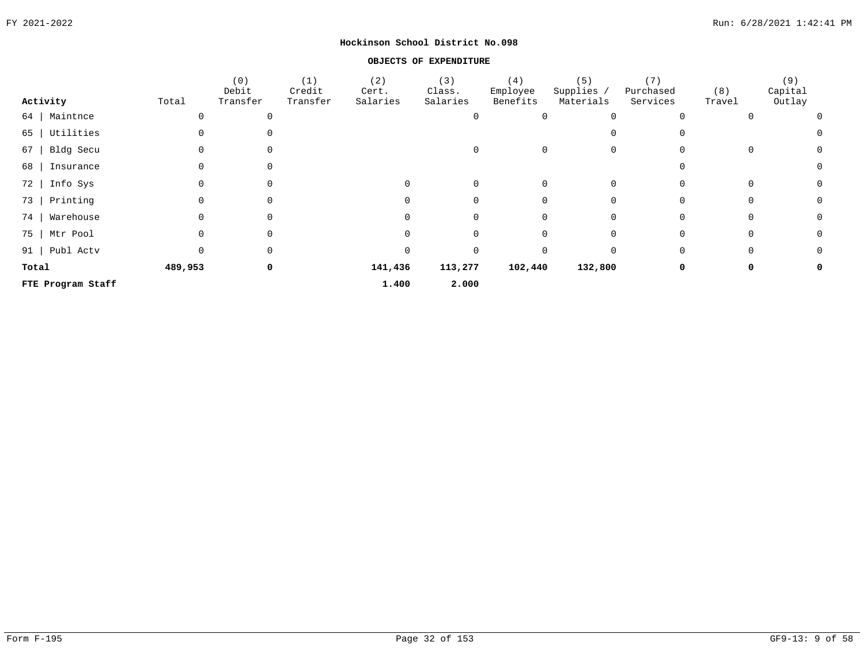#### **OBJECTS OF EXPENDITURE**

|       |                   |          | (0)<br>Debit | (1)<br>Credit | (2)<br>Cert. | (3)<br>Class. | (4)<br>Employee | (5)<br>Supplies / | (7)<br>Purchased | (8)    | (9)<br>Capital |
|-------|-------------------|----------|--------------|---------------|--------------|---------------|-----------------|-------------------|------------------|--------|----------------|
|       | Activity          | Total    | Transfer     | Transfer      | Salaries     | Salaries      | Benefits        | Materials         | Services         | Travel | Outlay         |
| 64    | Maintnce          |          | 0            |               |              | $\Omega$      | 0               | $\Omega$          | $\Omega$         |        | 0              |
| 65    | Utilities         |          | $\Omega$     |               |              |               |                 |                   |                  |        | 0              |
| 67    | Bldg Secu         | 0        | $\Omega$     |               |              | 0             | $\Omega$        | 0                 | $\Omega$         |        | 0<br>0         |
| 68    | Insurance         | 0        | $\Omega$     |               |              |               |                 |                   |                  |        | 0              |
| 72    | Info Sys          | $\Omega$ | 0            |               | 0            | 0             | $\Omega$        | 0                 | $\Omega$         |        | 0<br>0         |
| 73    | Printing          | 0        | 0            |               | 0            | 0             | 0               | 0                 | 0                |        | 0<br>0         |
| 74    | Warehouse         | $\Omega$ | 0            |               | 0            | 0             | 0               | 0                 | 0                |        | 0<br>0         |
|       | 75   Mtr Pool     | 0        | 0            |               |              | 0             | 0               | 0                 | 0                |        | 0<br>0         |
|       | 91   Publ Actv    | 0        | 0            |               |              | 0             | $\Omega$        | $\Omega$          | 0                |        | 0<br>0         |
| Total |                   | 489,953  | 0            |               | 141,436      | 113,277       | 102,440         | 132,800           | 0                |        | 0<br>0         |
|       | FTE Program Staff |          |              |               | 1.400        | 2.000         |                 |                   |                  |        |                |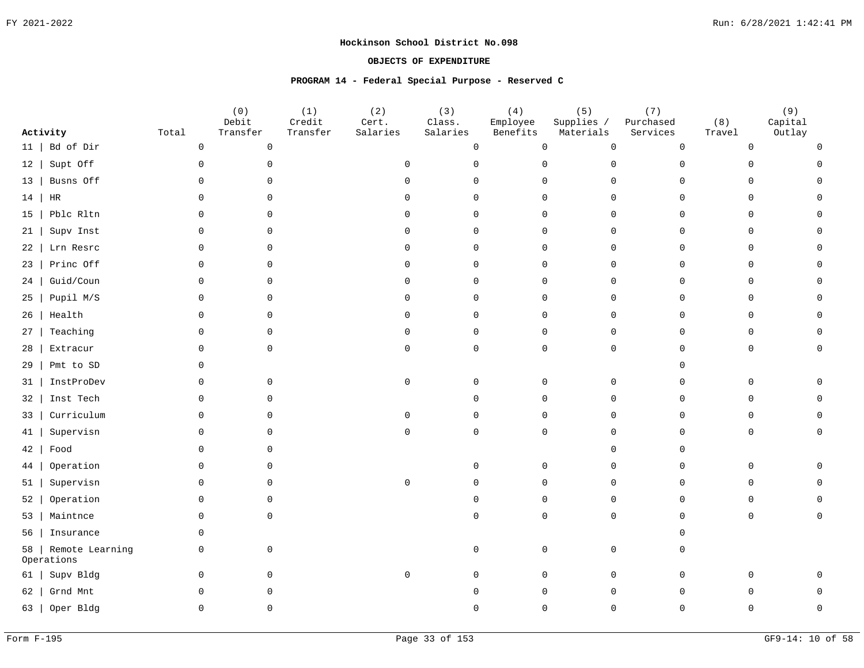#### **OBJECTS OF EXPENDITURE**

#### **PROGRAM 14 - Federal Special Purpose - Reserved C**

|           | Activity                      | Total               | (0)<br>Debit<br>Transfer | (1)<br>Credit<br>Transfer | (2)<br>Cert.<br>Salaries | (3)<br>Class.<br>Salaries | (4)<br>Employee<br>Benefits | (5)<br>Supplies /<br>Materials | (7)<br>Purchased<br>Services | (8)<br>Travel | (9)<br>Capital<br>Outlay |
|-----------|-------------------------------|---------------------|--------------------------|---------------------------|--------------------------|---------------------------|-----------------------------|--------------------------------|------------------------------|---------------|--------------------------|
| 11        | Bd of Dir                     | $\mathsf{O}\xspace$ | $\mathsf{O}$             |                           |                          | 0                         | $\mathbf 0$                 | $\mathsf{O}\xspace$            | $\overline{0}$               | 0             |                          |
| 12        | Supt Off                      | $\mathsf{O}$        | $\mathbf 0$              |                           | $\Omega$                 | $\Omega$                  | $\mathbf 0$                 | 0                              | $\Omega$                     | U             |                          |
| $13 \mid$ | Busns Off                     | $\mathbf 0$         | $\Omega$                 |                           | $\cap$                   | $\Omega$                  | 0                           | 0                              | $\Omega$                     | $\Omega$      |                          |
| 14        | HR                            | $\Omega$            | $\Omega$                 |                           | $\Omega$                 | $\Omega$                  | $\mathbf 0$                 | $\Omega$                       | $\Omega$                     | $\Omega$      |                          |
| 15        | Pblc Rltn                     | $\mathbf 0$         | $\mathbf 0$              |                           | $\Omega$                 | $\Omega$                  | $\mathbf 0$                 | 0                              | $\Omega$                     | $\mathbf 0$   |                          |
| 21        | Supv Inst                     | 0                   | 0                        |                           | $\Omega$                 | 0                         | $\mathbf 0$                 | $\mathbf 0$                    | $\cap$                       | 0             |                          |
| 22        | Lrn Resrc                     | $\mathbf 0$         | $\mathbf{0}$             |                           | $\Omega$                 | $\Omega$                  | $\mathbf 0$                 | 0                              | $\Omega$                     | 0             |                          |
| 23        | Princ Off                     | 0                   | 0                        |                           | $\Omega$                 | $\Omega$                  | $\mathbf 0$                 | $\mathbf 0$                    | $\cap$                       | 0             |                          |
| 24        | Guid/Coun                     | $\mathbf 0$         | $\mathbf 0$              |                           | $\Omega$                 | $\Omega$                  | $\mathbf 0$                 | $\mathsf{O}$                   | ∩                            | $\mathbf 0$   |                          |
| 25        | Pupil M/S                     | $\mathsf{O}$        | 0                        |                           | $\Omega$                 | $\Omega$                  | $\mathbf 0$                 | $\mathsf{O}$                   | $\Omega$                     | $\mathbf 0$   |                          |
| 26        | Health                        | $\Omega$            | $\Omega$                 |                           | $\Omega$                 | $\Omega$                  | $\Omega$                    | $\Omega$                       | $\Omega$                     | $\Omega$      |                          |
| 27        | Teaching                      | 0                   | $\mathbf 0$              |                           | $\Omega$                 | $\mathbf 0$               | $\mathbf 0$                 | $\mathbf 0$                    | $\Omega$                     | $\mathbf 0$   |                          |
| 28        | Extracur                      | $\mathbf 0$         | $\Omega$                 |                           | $\Omega$                 | $\Omega$                  | $\mathbf 0$                 | $\mathbf 0$                    | $\Omega$                     | $\mathbf 0$   |                          |
| 29        | Pmt to SD                     | 0                   |                          |                           |                          |                           |                             |                                |                              |               |                          |
| 31        | InstProDev                    | 0                   | 0                        |                           | $\mathbf 0$              | $\Omega$                  | $\Omega$                    | 0                              | $\cap$                       | $\Omega$      |                          |
| 32        | Inst Tech                     | $\mathbf 0$         | $\Omega$                 |                           |                          | ∩                         | $\Omega$                    | $\mathsf{O}$                   | $\Omega$                     | $\Omega$      |                          |
| 33        | Curriculum                    | $\mathbf 0$         | $\Omega$                 |                           | $\Omega$                 | $\cap$                    | $\Omega$                    | $\Omega$                       |                              | <sup>n</sup>  |                          |
| 41        | Supervisn                     | $\Omega$            | $\Omega$                 |                           | $\cap$                   | $\Omega$                  | $\Omega$                    | $\Omega$                       |                              | <sup>n</sup>  |                          |
| 42        | Food                          | $\mathbf 0$         | 0                        |                           |                          |                           |                             | $\Omega$                       |                              |               |                          |
| 44        | Operation                     | $\mathbf 0$         | $\Omega$                 |                           |                          | $\Omega$                  | $\mathbf 0$                 | $\mathsf{O}$                   | $\Omega$                     | $\mathbf 0$   |                          |
| 51        | Supervisn                     | $\mathbf 0$         | $\mathbf{0}$             |                           | $\mathsf 0$              | $\Omega$                  | $\mathbf 0$                 | $\mathsf{O}$                   | $\Omega$                     | $\mathbf 0$   |                          |
| 52        | Operation                     | $\mathbf 0$         | $\mathbf 0$              |                           |                          | $\Omega$                  | $\mathbf 0$                 | $\mathsf{O}$                   | $\Omega$                     | $\mathbf 0$   |                          |
| 53        | Maintnce                      | $\mathbf 0$         | $\mathbf 0$              |                           |                          | $\cap$                    | $\Omega$                    | $\mathbf 0$                    | $\Omega$                     | 0             |                          |
| 56        | Insurance                     | $\mathbf 0$         |                          |                           |                          |                           |                             |                                |                              |               |                          |
| 58        | Remote Learning<br>Operations | $\mathbf 0$         | $\mathbf 0$              |                           |                          | $\Omega$                  | $\mathbf 0$                 | 0                              |                              |               |                          |
| 61        | Supv Bldg                     | $\mathbf 0$         | $\mathbf 0$              |                           | $\mathbf 0$              | $\cap$                    | $\mathbf 0$                 | 0                              | $\Omega$                     | O.            |                          |
| 62        | Grnd Mnt                      | $\mathbf 0$         | 0                        |                           |                          |                           | $\Omega$                    | 0                              |                              |               |                          |
|           | 63   Oper Bldg                | $\Omega$            | 0                        |                           |                          |                           | $\Omega$                    | $\Omega$                       | ∩                            |               |                          |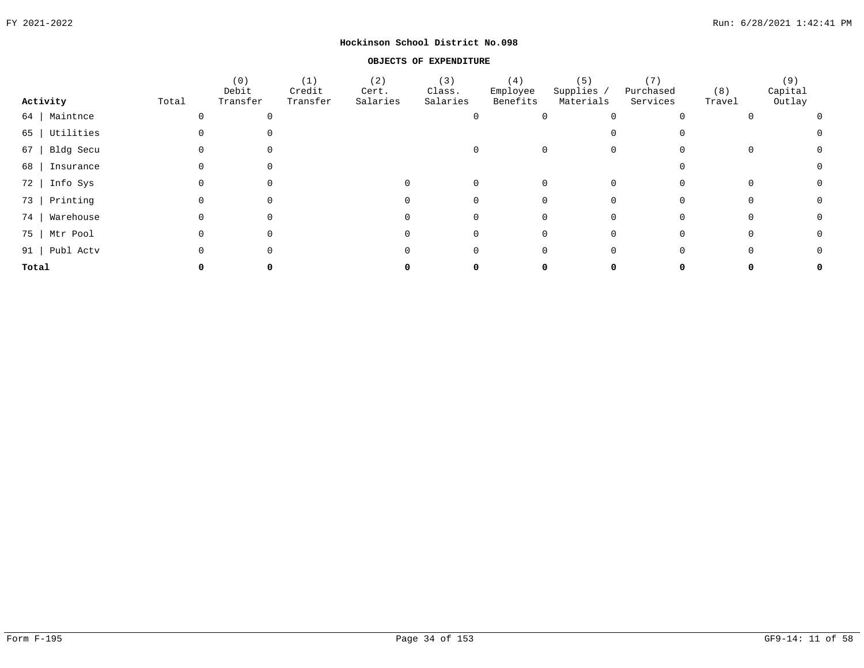#### **OBJECTS OF EXPENDITURE**

|                  |       | (0)<br>Debit | (1)<br>Credit | (2)<br>Cert. | (3)<br>Class. | (4)<br>Employee | (5)<br>Supplies / | (7)<br>Purchased | (8)    | (9)<br>Capital |                |
|------------------|-------|--------------|---------------|--------------|---------------|-----------------|-------------------|------------------|--------|----------------|----------------|
| Activity         | Total | Transfer     | Transfer      | Salaries     | Salaries      | Benefits        | Materials         | Services         | Travel | Outlay         |                |
| 64   Maintnce    |       |              |               |              |               |                 |                   |                  |        |                | $\overline{0}$ |
| 65   Utilities   |       |              |               |              |               |                 |                   | $\Omega$         |        |                | $\Omega$       |
| $67$   Bldg Secu |       |              |               |              |               |                 |                   | $\mathbf 0$      |        |                | $\Omega$       |
| 68   Insurance   |       |              |               |              |               |                 |                   |                  |        |                |                |
| 72   Info Sys    |       |              |               |              |               |                 |                   |                  |        |                |                |
| 73   Printing    |       |              |               |              |               |                 |                   |                  |        |                | $\Omega$       |
| 74   Warehouse   |       |              |               |              |               |                 |                   |                  |        |                | $\Omega$       |
| 75   Mtr Pool    |       |              |               |              |               |                 |                   | 0                |        |                | 0              |
| 91   Publ Actv   |       |              |               |              |               |                 |                   | 0                |        |                | 0              |
| Total            |       |              |               |              |               |                 |                   |                  |        |                | 0              |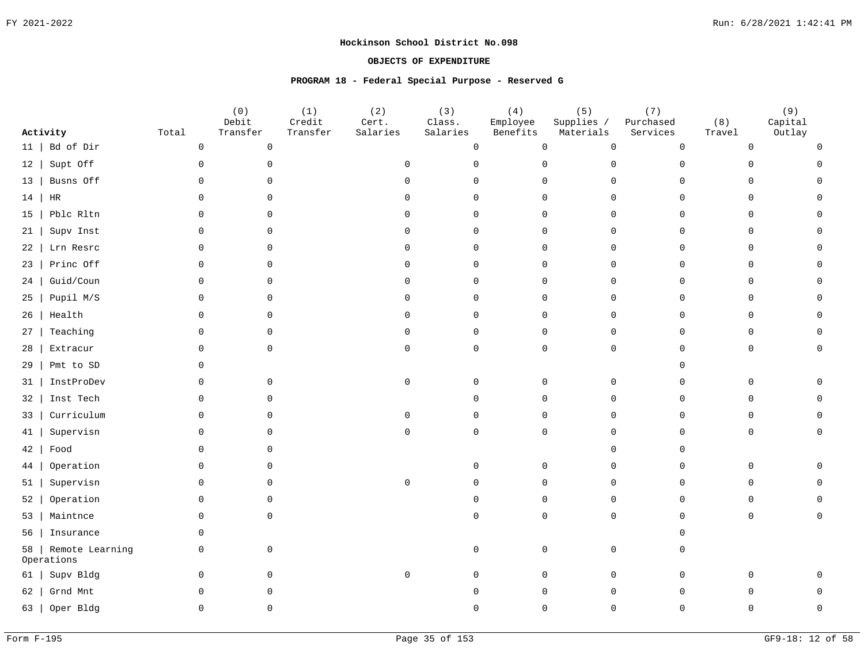#### **OBJECTS OF EXPENDITURE**

#### **PROGRAM 18 - Federal Special Purpose - Reserved G**

|           | Activity                      | Total               | (0)<br>Debit<br>Transfer | (1)<br>Credit<br>Transfer | (2)<br>Cert.<br>Salaries | (3)<br>Class.<br>Salaries | (4)<br>Employee<br>Benefits | (5)<br>Supplies /<br>Materials | (7)<br>Purchased<br>Services | (8)<br>Travel | (9)<br>Capital<br>Outlay |
|-----------|-------------------------------|---------------------|--------------------------|---------------------------|--------------------------|---------------------------|-----------------------------|--------------------------------|------------------------------|---------------|--------------------------|
| 11        | Bd of Dir                     | $\mathsf{O}\xspace$ | $\mathsf{O}$             |                           |                          | 0                         | $\mathbf 0$                 | $\mathsf{O}\xspace$            | $\mathbf 0$                  | 0             |                          |
| 12        | Supt Off                      | $\mathsf{O}$        | $\mathbf 0$              |                           | $\Omega$                 | $\Omega$                  | $\mathbf 0$                 | 0                              | $\Omega$                     | U             |                          |
| $13 \mid$ | Busns Off                     | $\mathbf 0$         | $\Omega$                 |                           | $\cap$                   | $\Omega$                  | 0                           | 0                              | $\Omega$                     | $\Omega$      |                          |
| 14        | HR                            | $\Omega$            | $\Omega$                 |                           | $\Omega$                 | $\Omega$                  | $\mathbf 0$                 | $\Omega$                       | $\Omega$                     | $\Omega$      |                          |
| 15        | Pblc Rltn                     | $\mathbf 0$         | $\mathbf 0$              |                           | $\Omega$                 | $\Omega$                  | $\mathbf 0$                 | $\mathsf{O}$                   | $\Omega$                     | $\mathbf 0$   |                          |
| 21        | Supv Inst                     | 0                   | 0                        |                           | $\Omega$                 | 0                         | $\mathbf 0$                 | $\mathbf 0$                    | $\cap$                       | 0             |                          |
| 22        | Lrn Resrc                     | $\mathbf 0$         | $\mathbf{0}$             |                           | $\Omega$                 | $\Omega$                  | $\mathbf 0$                 | $\mathsf{O}$                   | $\Omega$                     | 0             |                          |
| 23        | Princ Off                     | 0                   | 0                        |                           | $\Omega$                 | $\Omega$                  | $\mathbf 0$                 | $\mathbf 0$                    | $\cap$                       | 0             |                          |
| 24        | Guid/Coun                     | $\mathbf 0$         | $\mathbf 0$              |                           | $\Omega$                 | $\Omega$                  | $\mathbf 0$                 | $\mathsf{O}$                   | ∩                            | $\mathbf 0$   |                          |
| 25        | Pupil M/S                     | $\mathsf{O}$        | 0                        |                           | $\Omega$                 | $\Omega$                  | $\mathbf 0$                 | $\mathsf{O}$                   | $\Omega$                     | $\mathbf 0$   |                          |
| 26        | Health                        | $\Omega$            | $\Omega$                 |                           | $\Omega$                 | $\Omega$                  | $\Omega$                    | $\Omega$                       | $\Omega$                     | $\Omega$      |                          |
| 27        | Teaching                      | 0                   | $\mathbf 0$              |                           | $\Omega$                 | $\mathbf 0$               | $\mathbf 0$                 | $\mathbf 0$                    | $\Omega$                     | $\mathbf 0$   |                          |
| 28        | Extracur                      | $\mathbf 0$         | $\Omega$                 |                           | $\Omega$                 | $\Omega$                  | $\mathbf 0$                 | $\mathbf 0$                    | $\Omega$                     | $\mathbf 0$   |                          |
| 29        | Pmt to SD                     | 0                   |                          |                           |                          |                           |                             |                                |                              |               |                          |
| 31        | InstProDev                    | 0                   | 0                        |                           | $\mathbf 0$              | $\Omega$                  | $\Omega$                    | 0                              | $\cap$                       | $\Omega$      |                          |
| 32        | Inst Tech                     | $\mathbf 0$         | $\Omega$                 |                           |                          | ∩                         | $\Omega$                    | $\mathsf{O}$                   | $\Omega$                     | $\Omega$      |                          |
| 33        | Curriculum                    | $\mathbf 0$         | $\Omega$                 |                           | $\Omega$                 | $\cap$                    | $\Omega$                    | $\Omega$                       |                              | <sup>n</sup>  |                          |
| 41        | Supervisn                     | $\Omega$            | $\Omega$                 |                           | $\cap$                   | $\Omega$                  | $\Omega$                    | $\Omega$                       |                              | <sup>n</sup>  |                          |
| 42        | Food                          | $\mathbf 0$         | 0                        |                           |                          |                           |                             | $\Omega$                       |                              |               |                          |
| 44        | Operation                     | $\mathbf 0$         | $\Omega$                 |                           |                          | $\Omega$                  | $\mathbf 0$                 | $\mathsf{O}$                   | $\Omega$                     | $\mathbf 0$   |                          |
| 51        | Supervisn                     | $\mathbf 0$         | $\mathbf{0}$             |                           | $\mathsf 0$              | $\Omega$                  | $\mathbf 0$                 | $\mathsf{O}$                   | $\Omega$                     | $\mathbf 0$   |                          |
| 52        | Operation                     | $\mathbf 0$         | $\mathbf 0$              |                           |                          | $\Omega$                  | $\mathbf 0$                 | $\mathsf{O}$                   | $\Omega$                     | $\mathbf 0$   |                          |
| 53        | Maintnce                      | $\mathbf 0$         | $\mathbf 0$              |                           |                          | $\cap$                    | $\Omega$                    | $\mathbf 0$                    | $\Omega$                     | 0             |                          |
| 56        | Insurance                     | $\mathbf 0$         |                          |                           |                          |                           |                             |                                |                              |               |                          |
| 58        | Remote Learning<br>Operations | $\mathbf 0$         | $\mathbf 0$              |                           |                          | $\Omega$                  | $\mathbf 0$                 | 0                              |                              |               |                          |
| 61        | Supv Bldg                     | $\mathbf 0$         | $\mathbf 0$              |                           | $\mathbf 0$              | $\cap$                    | $\mathbf 0$                 | $\mathsf{O}$                   | $\Omega$                     | O.            |                          |
| 62        | Grnd Mnt                      | $\mathbf 0$         | 0                        |                           |                          |                           | $\Omega$                    | $\mathsf{O}$                   |                              |               |                          |
|           | 63   Oper Bldg                | $\Omega$            | 0                        |                           |                          |                           | $\Omega$                    | $\Omega$                       | ∩                            |               |                          |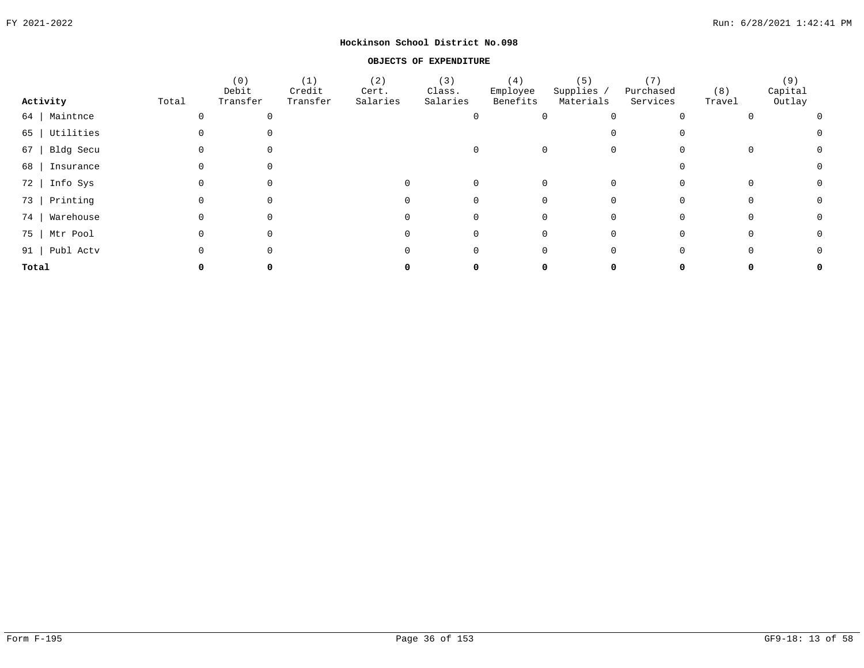#### **OBJECTS OF EXPENDITURE**

|                  |       | (0)<br>Debit | (1)<br>Credit | (2)<br>Cert. | (3)<br>Class. | (4)<br>Employee | (5)<br>Supplies / | (7)<br>Purchased | (8)    | (9)<br>Capital |                |
|------------------|-------|--------------|---------------|--------------|---------------|-----------------|-------------------|------------------|--------|----------------|----------------|
| Activity         | Total | Transfer     | Transfer      | Salaries     | Salaries      | Benefits        | Materials         | Services         | Travel | Outlay         |                |
| 64   Maintnce    |       |              |               |              |               |                 |                   |                  |        |                | $\overline{0}$ |
| 65   Utilities   |       |              |               |              |               |                 |                   | $\Omega$         |        |                | $\Omega$       |
| $67$   Bldg Secu |       |              |               |              |               |                 |                   | $\mathbf 0$      |        |                | $\Omega$       |
| 68   Insurance   |       |              |               |              |               |                 |                   |                  |        |                |                |
| 72   Info Sys    |       |              |               |              |               |                 |                   |                  |        |                |                |
| 73   Printing    |       |              |               |              |               |                 |                   |                  |        |                | $\Omega$       |
| 74   Warehouse   |       |              |               |              |               |                 |                   |                  |        |                | $\Omega$       |
| 75   Mtr Pool    |       |              |               |              |               |                 |                   | 0                |        |                | 0              |
| 91   Publ Actv   |       |              |               |              |               |                 |                   | 0                |        |                | 0              |
| Total            |       |              |               |              |               |                 |                   |                  |        |                | 0              |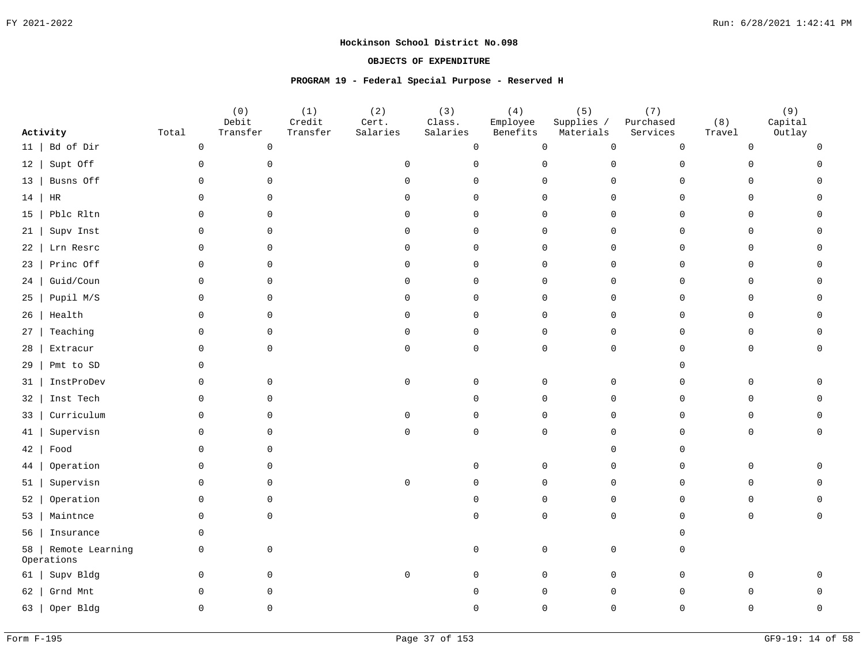### **OBJECTS OF EXPENDITURE**

### **PROGRAM 19 - Federal Special Purpose - Reserved H**

|           | Activity                      | Total               | (0)<br>Debit<br>Transfer | (1)<br>Credit<br>Transfer | (2)<br>Cert.<br>Salaries | (3)<br>Class.<br>Salaries | (4)<br>Employee<br>Benefits | (5)<br>Supplies /<br>Materials | (7)<br>Purchased<br>Services | (8)<br>Travel | (9)<br>Capital<br>Outlay |
|-----------|-------------------------------|---------------------|--------------------------|---------------------------|--------------------------|---------------------------|-----------------------------|--------------------------------|------------------------------|---------------|--------------------------|
| 11        | Bd of Dir                     | $\mathsf{O}\xspace$ | $\mathsf{O}$             |                           |                          | 0                         | $\mathbf 0$                 | $\mathsf{O}\xspace$            | $\overline{0}$               | 0             |                          |
| 12        | Supt Off                      | $\mathsf{O}$        | $\mathbf 0$              |                           | $\Omega$                 | $\Omega$                  | $\mathbf 0$                 | $\mathsf{O}$                   | $\Omega$                     | U             |                          |
| $13 \mid$ | Busns Off                     | $\mathbf 0$         | $\Omega$                 |                           | $\cap$                   | $\Omega$                  | $\mathsf{O}$                | $\mathsf{O}$                   | $\Omega$                     | $\Omega$      |                          |
| 14        | HR                            | $\Omega$            | $\Omega$                 |                           | $\Omega$                 | $\Omega$                  | $\mathbf 0$                 | $\Omega$                       | $\Omega$                     | $\Omega$      |                          |
| 15        | Pblc Rltn                     | $\mathbf 0$         | $\mathbf 0$              |                           | $\Omega$                 | $\Omega$                  | $\mathbf 0$                 | $\mathsf{O}$                   | $\Omega$                     | $\mathbf 0$   |                          |
| 21        | Supv Inst                     | 0                   | 0                        |                           | $\Omega$                 | 0                         | $\mathbf 0$                 | $\mathbf 0$                    | $\cap$                       | 0             |                          |
| 22        | Lrn Resrc                     | $\mathbf 0$         | $\mathbf 0$              |                           | $\Omega$                 | $\Omega$                  | $\mathbf 0$                 | $\mathsf{O}$                   | $\Omega$                     | 0             |                          |
| 23        | Princ Off                     | 0                   | 0                        |                           | $\Omega$                 | $\Omega$                  | $\mathbf 0$                 | $\mathbf 0$                    | $\cap$                       | 0             |                          |
| 24        | Guid/Coun                     | $\mathbf 0$         | $\mathbf 0$              |                           | $\Omega$                 | $\Omega$                  | $\mathbf 0$                 | $\mathsf{O}$                   | ∩                            | $\mathbf 0$   |                          |
| 25        | Pupil M/S                     | $\mathsf{O}$        | 0                        |                           | $\Omega$                 | $\Omega$                  | $\mathbf 0$                 | $\mathsf{O}$                   | $\Omega$                     | $\mathbf 0$   |                          |
| 26        | Health                        | $\Omega$            | $\Omega$                 |                           | $\Omega$                 | $\Omega$                  | $\Omega$                    | $\Omega$                       | $\Omega$                     | $\Omega$      |                          |
| 27        | Teaching                      | 0                   | $\mathbf 0$              |                           | $\Omega$                 | $\mathbf 0$               | $\mathbf 0$                 | $\mathbf 0$                    | $\Omega$                     | $\mathbf 0$   |                          |
| 28        | Extracur                      | $\mathbf 0$         | $\Omega$                 |                           | $\Omega$                 | $\Omega$                  | $\mathbf 0$                 | $\mathbf 0$                    | $\Omega$                     | $\mathbf 0$   |                          |
| 29        | Pmt to SD                     | 0                   |                          |                           |                          |                           |                             |                                |                              |               |                          |
| 31        | InstProDev                    | 0                   | 0                        |                           | $\mathbf 0$              | $\Omega$                  | $\Omega$                    | 0                              | $\cap$                       | $\Omega$      |                          |
| 32        | Inst Tech                     | $\mathbf 0$         | $\Omega$                 |                           |                          | ∩                         | $\Omega$                    | $\mathsf{O}$                   | $\Omega$                     | $\Omega$      |                          |
| 33        | Curriculum                    | $\mathbf 0$         | $\Omega$                 |                           | $\Omega$                 | $\cap$                    | $\Omega$                    | $\Omega$                       |                              | <sup>n</sup>  |                          |
| 41        | Supervisn                     | $\Omega$            | $\Omega$                 |                           | $\cap$                   | $\Omega$                  | $\Omega$                    | $\Omega$                       |                              | <sup>n</sup>  |                          |
| 42        | Food                          | $\mathbf 0$         | 0                        |                           |                          |                           |                             | $\Omega$                       |                              |               |                          |
| 44        | Operation                     | $\mathbf 0$         | $\Omega$                 |                           |                          | $\Omega$                  | $\mathbf 0$                 | $\mathsf{O}$                   | $\Omega$                     | $\mathbf 0$   |                          |
| 51        | Supervisn                     | $\mathbf 0$         | $\mathbf 0$              |                           | $\mathsf 0$              | $\Omega$                  | $\mathbf 0$                 | $\mathsf{O}$                   | $\Omega$                     | $\mathbf 0$   |                          |
| 52        | Operation                     | $\mathbf 0$         | $\mathbf 0$              |                           |                          | $\Omega$                  | $\mathbf 0$                 | $\mathsf{O}$                   | $\Omega$                     | $\mathbf 0$   |                          |
| 53        | Maintnce                      | $\mathbf 0$         | $\mathbf 0$              |                           |                          | $\cap$                    | $\Omega$                    | $\mathbf 0$                    | $\Omega$                     | 0             |                          |
| 56        | Insurance                     | $\mathbf 0$         |                          |                           |                          |                           |                             |                                |                              |               |                          |
| 58        | Remote Learning<br>Operations | $\mathbf 0$         | $\mathbf 0$              |                           |                          | $\Omega$                  | $\mathbf 0$                 | 0                              |                              |               |                          |
| 61        | Supv Bldg                     | $\mathbf 0$         | $\mathbf 0$              |                           | $\mathbf 0$              | $\cap$                    | $\mathbf 0$                 | $\mathsf{O}$                   | $\Omega$                     | O.            |                          |
| 62        | Grnd Mnt                      | $\mathbf 0$         | 0                        |                           |                          |                           | $\Omega$                    | $\mathsf{O}$                   |                              |               |                          |
|           | 63   Oper Bldg                | $\Omega$            | 0                        |                           |                          |                           | $\Omega$                    | $\Omega$                       | ∩                            |               |                          |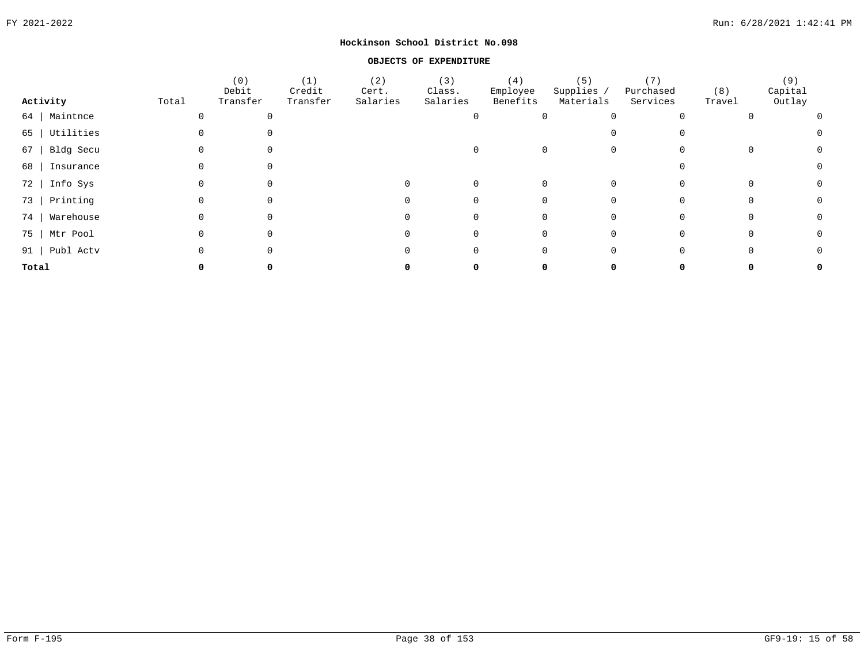#### **OBJECTS OF EXPENDITURE**

|                  |       | (0)<br>Debit | (1)<br>Credit | (2)<br>Cert. | (3)<br>Class. | (4)<br>Employee | (5)<br>Supplies / | (7)<br>Purchased | (8)    | (9)<br>Capital |                |
|------------------|-------|--------------|---------------|--------------|---------------|-----------------|-------------------|------------------|--------|----------------|----------------|
| Activity         | Total | Transfer     | Transfer      | Salaries     | Salaries      | Benefits        | Materials         | Services         | Travel | Outlay         |                |
| 64   Maintnce    |       |              |               |              |               |                 |                   |                  |        |                | $\overline{0}$ |
| 65   Utilities   |       |              |               |              |               |                 |                   | $\Omega$         |        |                | $\Omega$       |
| $67$   Bldg Secu |       |              |               |              |               |                 |                   | $\mathbf 0$      |        |                | $\Omega$       |
| 68   Insurance   |       |              |               |              |               |                 |                   |                  |        |                |                |
| 72   Info Sys    |       |              |               |              |               |                 |                   |                  |        |                |                |
| 73   Printing    |       |              |               |              |               |                 |                   |                  |        |                | $\Omega$       |
| 74   Warehouse   |       |              |               |              |               |                 |                   |                  |        |                | $\Omega$       |
| 75   Mtr Pool    |       |              |               |              |               |                 |                   | 0                |        |                | 0              |
| 91   Publ Actv   |       |              |               |              |               |                 |                   | 0                |        |                | 0              |
| Total            |       |              |               |              |               |                 |                   |                  |        |                | 0              |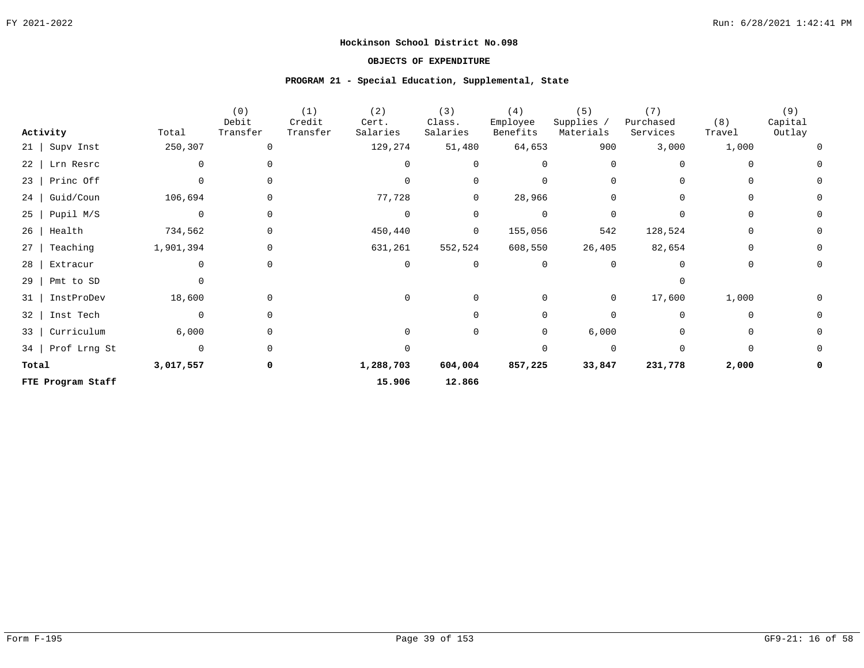### **OBJECTS OF EXPENDITURE**

#### **PROGRAM 21 - Special Education, Supplemental, State**

|           | Activity          | Total       | (0)<br>Debit<br>Transfer | (1)<br>Credit<br>Transfer | (2)<br>Cert.<br>Salaries | (3)<br>Class.<br>Salaries | (4)<br>Employee<br>Benefits | (5)<br>Supplies /<br>Materials | (7)<br>Purchased<br>Services | (8)<br>Travel | (9)<br>Capital<br>Outlay |
|-----------|-------------------|-------------|--------------------------|---------------------------|--------------------------|---------------------------|-----------------------------|--------------------------------|------------------------------|---------------|--------------------------|
| $21 \mid$ | Supv Inst         | 250,307     | 0                        |                           | 129,274                  | 51,480                    | 64,653                      | 900                            | 3,000                        | 1,000         |                          |
| $22 \mid$ | Lrn Resrc         | 0           |                          |                           |                          | $\Omega$                  |                             | $\Omega$                       |                              |               |                          |
|           | $23$   Princ Off  |             |                          |                           | $\Omega$                 | 0                         |                             |                                |                              |               |                          |
| 24        | Guid/Coun         | 106,694     | 0                        |                           | 77,728                   | 0                         | 28,966                      | 0                              |                              |               |                          |
| $25 \mid$ | Pupil M/S         | $\Omega$    | $\Omega$                 |                           | $\overline{0}$           | $\mathbf 0$               | $\Omega$                    | $\Omega$                       |                              |               |                          |
| 26        | Health            | 734,562     | $\Omega$                 |                           | 450,440                  | 0                         | 155,056                     | 542                            | 128,524                      | $\Omega$      |                          |
| $27 \mid$ | Teaching          | 1,901,394   |                          |                           | 631,261                  | 552,524                   | 608,550                     | 26,405                         | 82,654                       | $\Omega$      |                          |
| 28        | Extracur          |             | 0                        |                           | 0                        | $\mathbf 0$               |                             |                                |                              |               |                          |
| 29        | Pmt to SD         | 0           |                          |                           |                          |                           |                             |                                |                              |               |                          |
| 31        | InstProDev        | 18,600      |                          |                           | 0                        | $\Omega$                  |                             | $\overline{0}$                 | 17,600                       | 1,000         |                          |
| $32 \mid$ | Inst Tech         | 0           |                          |                           |                          | $\Omega$                  | <sup>0</sup>                |                                | 0                            | 0             |                          |
| $33 \mid$ | Curriculum        | 6,000       | 0                        |                           |                          | 0                         | 0                           | 6,000                          |                              |               |                          |
|           | 34   Prof Lrng St | $\mathbf 0$ |                          |                           |                          |                           |                             | $\Omega$                       | $\Omega$                     |               |                          |
| Total     |                   | 3,017,557   | 0                        |                           | 1,288,703                | 604,004                   | 857,225                     | 33,847                         | 231,778                      | 2,000         |                          |
|           | FTE Program Staff |             |                          |                           | 15.906                   | 12.866                    |                             |                                |                              |               |                          |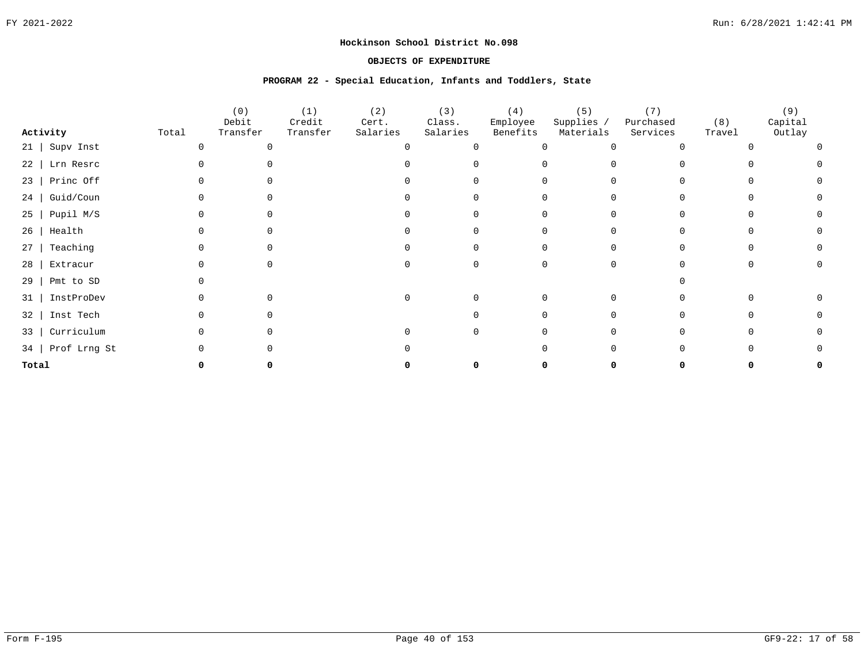### **OBJECTS OF EXPENDITURE**

#### **PROGRAM 22 - Special Education, Infants and Toddlers, State**

|           |                   |       | (0)<br>Debit | (1)<br>Credit | (2)<br>Cert. | (3)<br>Class. | (4)<br>Employee | (5)<br>Supplies / | (7)<br>Purchased | (8)    | (9)<br>Capital |
|-----------|-------------------|-------|--------------|---------------|--------------|---------------|-----------------|-------------------|------------------|--------|----------------|
|           | Activity          | Total | Transfer     | Transfer      | Salaries     | Salaries      | Benefits        | Materials         | Services         | Travel | Outlay         |
| $21$      | Supv Inst         |       |              |               |              | $\Omega$      |                 |                   |                  |        |                |
|           | 22   Lrn Resrc    |       |              |               |              |               |                 |                   |                  |        |                |
| $23$      | Princ Off         |       |              |               |              |               |                 |                   |                  |        |                |
| $24$      | Guid/Coun         |       |              |               |              |               |                 |                   |                  |        |                |
| $25 \mid$ | Pupil M/S         |       |              |               |              |               |                 |                   |                  |        |                |
| 26        | Health            |       |              |               |              |               |                 |                   |                  |        |                |
| 27        | Teaching          |       |              |               |              |               |                 |                   |                  |        |                |
| 28        | Extracur          |       |              |               |              |               |                 |                   |                  |        |                |
| 29        | Pmt to SD         |       |              |               |              |               |                 |                   |                  |        |                |
| 31        | InstProDev        |       |              |               |              |               |                 |                   |                  |        |                |
| 32        | Inst Tech         |       |              |               |              |               |                 |                   |                  |        |                |
| $33 \mid$ | Curriculum        |       |              |               |              |               |                 |                   |                  |        |                |
|           | 34   Prof Lrng St |       |              |               |              |               |                 |                   |                  |        |                |
| Total     |                   |       |              |               |              |               |                 |                   |                  |        |                |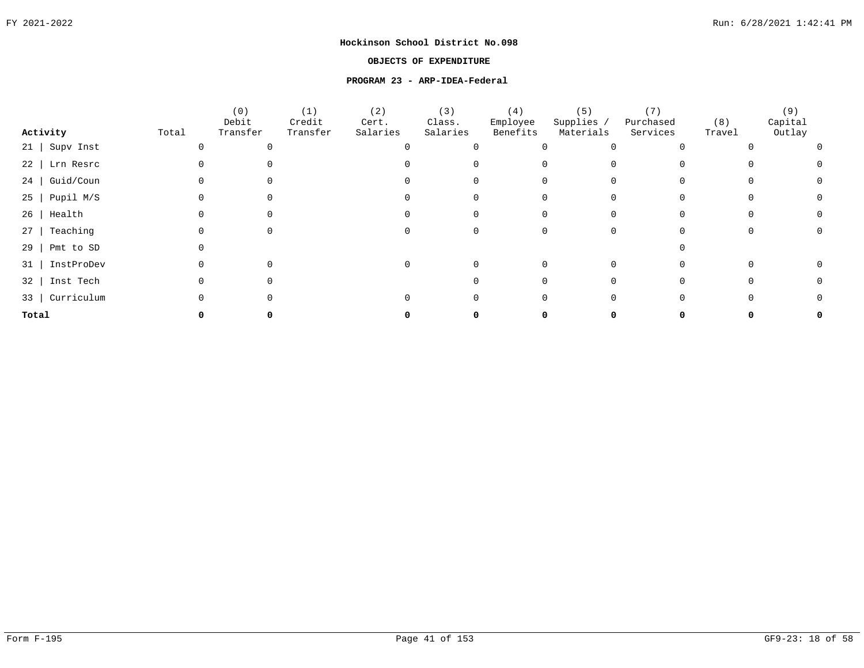### **OBJECTS OF EXPENDITURE**

#### **PROGRAM 23 - ARP-IDEA-Federal**

|                        |       | (0)               | (1)                | (2)               | (3)                | (4)                  | (5)                     | (7)                   |               | (9)               |  |
|------------------------|-------|-------------------|--------------------|-------------------|--------------------|----------------------|-------------------------|-----------------------|---------------|-------------------|--|
| Activity               | Total | Debit<br>Transfer | Credit<br>Transfer | Cert.<br>Salaries | Class.<br>Salaries | Employee<br>Benefits | Supplies /<br>Materials | Purchased<br>Services | (8)<br>Travel | Capital<br>Outlay |  |
| $21$   Supv Inst       |       |                   |                    |                   |                    |                      |                         |                       |               |                   |  |
| 22   Lrn Resrc         |       |                   |                    |                   |                    |                      |                         |                       |               |                   |  |
| Guid/Coun<br>24        |       |                   |                    |                   |                    |                      |                         |                       |               |                   |  |
| $25$   Pupil M/S       |       |                   |                    |                   |                    |                      |                         |                       |               |                   |  |
| Health<br>26           |       |                   |                    |                   |                    |                      |                         |                       |               |                   |  |
| Teaching<br>27         |       |                   |                    |                   |                    |                      |                         |                       |               |                   |  |
| Pmt to SD<br>29        |       |                   |                    |                   |                    |                      |                         |                       |               |                   |  |
| InstProDev<br>31       |       |                   |                    |                   |                    |                      |                         |                       |               |                   |  |
| Inst Tech<br>$32 \mid$ |       |                   |                    |                   |                    |                      |                         |                       |               |                   |  |
| Curriculum<br>33       |       |                   |                    |                   |                    |                      |                         |                       |               |                   |  |
| Total                  |       |                   |                    |                   |                    |                      |                         |                       |               |                   |  |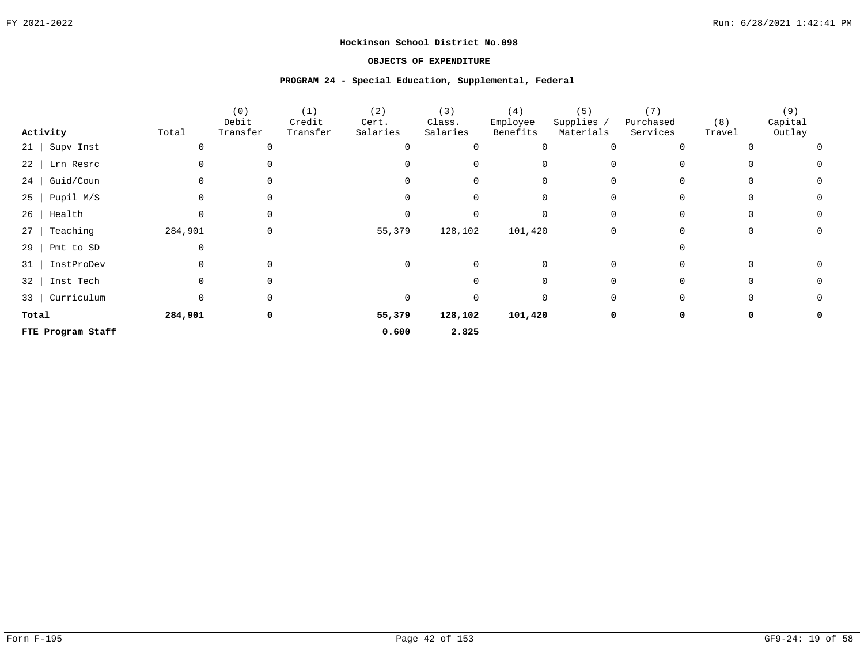### **OBJECTS OF EXPENDITURE**

#### **PROGRAM 24 - Special Education, Supplemental, Federal**

|                       |         | (0)<br>Debit | (1)<br>Credit | (2)<br>Cert. | (3)<br>Class. | (4)<br>Employee | (5)<br>Supplies / | (7)<br>Purchased | (8)    | (9)<br>Capital |  |
|-----------------------|---------|--------------|---------------|--------------|---------------|-----------------|-------------------|------------------|--------|----------------|--|
| Activity              | Total   | Transfer     | Transfer      | Salaries     | Salaries      | Benefits        | Materials         | Services         | Travel | Outlay         |  |
| 21   Supv Inst        |         |              |               |              | $\Omega$      |                 |                   |                  |        |                |  |
| 22   Lrn Resrc        |         |              |               |              |               |                 |                   |                  |        |                |  |
| $24$   Guid/Coun      |         |              |               |              |               |                 |                   |                  |        |                |  |
| $25$   Pupil M/S      |         |              |               |              |               |                 |                   |                  |        |                |  |
| Health<br>26          | O       |              |               |              |               |                 |                   |                  |        |                |  |
| Teaching<br>$27 \mid$ | 284,901 |              |               | 55,379       | 128,102       | 101,420         | $\Omega$          |                  |        |                |  |
| $29$   Pmt to SD      |         |              |               |              |               |                 |                   |                  |        |                |  |
| 31   InstProDev       |         |              |               | 0            |               |                 |                   |                  |        |                |  |
| 32   Inst Tech        |         |              |               |              |               |                 |                   |                  |        |                |  |
| 33   Curriculum       | O       |              |               | $\Omega$     |               |                 |                   |                  |        |                |  |
| Total                 | 284,901 |              |               | 55,379       | 128,102       | 101,420         |                   |                  |        |                |  |
| FTE Program Staff     |         |              |               | 0.600        | 2.825         |                 |                   |                  |        |                |  |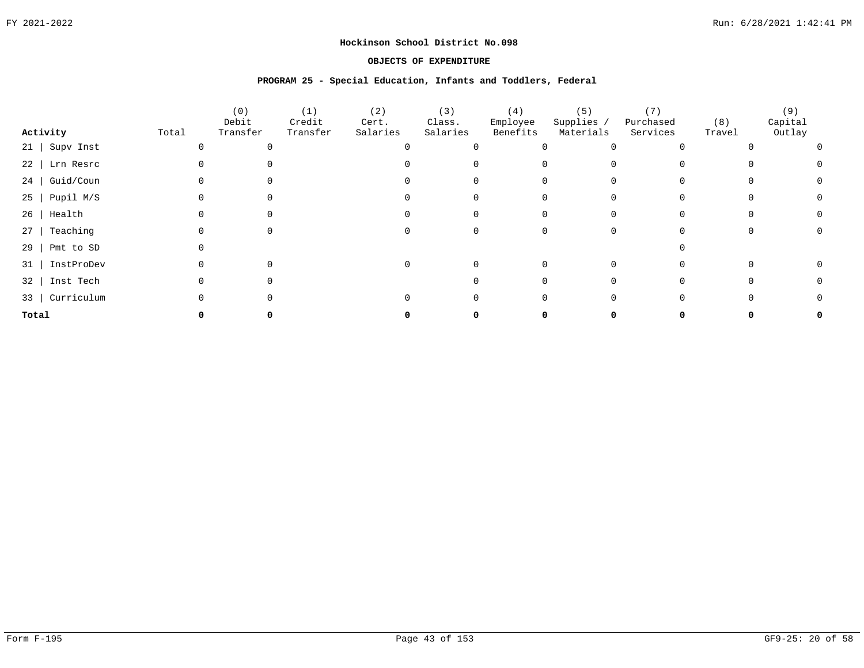### **OBJECTS OF EXPENDITURE**

#### **PROGRAM 25 - Special Education, Infants and Toddlers, Federal**

|       |                  |       | (0)               | (1)                | (2)               | (3)                | (4)                  | (5)                     | (7)                   |               | (9)               |  |
|-------|------------------|-------|-------------------|--------------------|-------------------|--------------------|----------------------|-------------------------|-----------------------|---------------|-------------------|--|
|       | Activity         | Total | Debit<br>Transfer | Credit<br>Transfer | Cert.<br>Salaries | Class.<br>Salaries | Employee<br>Benefits | Supplies /<br>Materials | Purchased<br>Services | (8)<br>Travel | Capital<br>Outlay |  |
|       | 21   Supv Inst   |       |                   |                    |                   |                    |                      |                         |                       |               |                   |  |
|       | 22   Lrn Resrc   |       |                   |                    |                   |                    |                      | 0                       |                       |               |                   |  |
|       | $24$   Guid/Coun |       |                   |                    |                   |                    |                      | 0                       |                       |               |                   |  |
|       | $25$   Pupil M/S |       |                   |                    |                   |                    |                      | $\Omega$                |                       |               |                   |  |
| 26    | Health           |       |                   |                    |                   |                    |                      | $\Omega$                |                       |               |                   |  |
| 27    | Teaching         |       |                   |                    |                   |                    |                      | $\Omega$                |                       |               |                   |  |
| 29    | Pmt to SD        |       |                   |                    |                   |                    |                      |                         |                       |               |                   |  |
| 31    | InstProDev       |       |                   |                    |                   |                    |                      | $\Omega$                |                       |               |                   |  |
|       | 32   Inst Tech   |       |                   |                    |                   |                    |                      | 0                       |                       |               |                   |  |
|       | 33   Curriculum  |       |                   |                    |                   |                    |                      | $\Omega$                |                       |               |                   |  |
| Total |                  |       |                   |                    |                   |                    |                      |                         |                       |               |                   |  |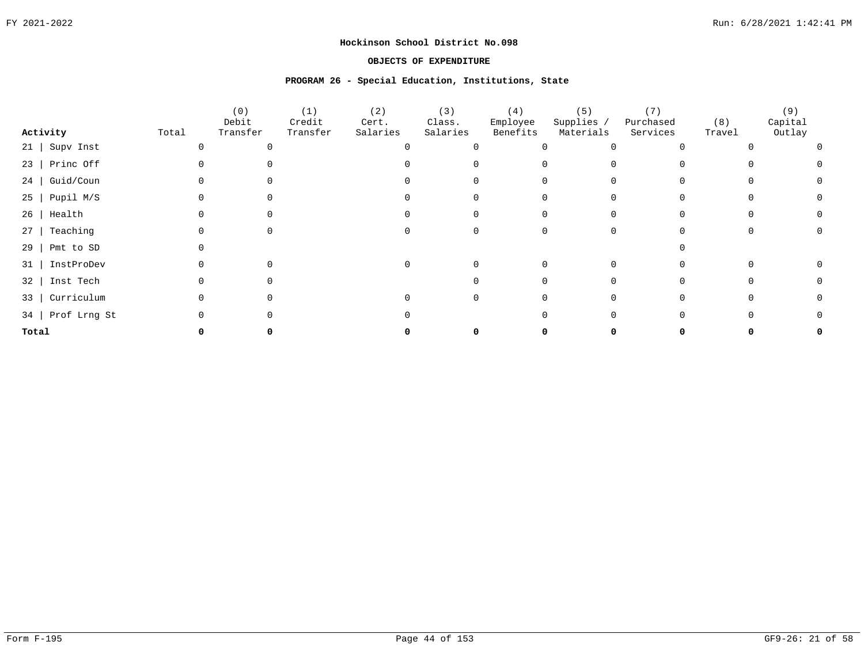### **OBJECTS OF EXPENDITURE**

#### **PROGRAM 26 - Special Education, Institutions, State**

|                         |       | (0)               | (1)                | (2)               | (3)                | (4)                  | (5)                     | (7)                   |               | (9)               |  |
|-------------------------|-------|-------------------|--------------------|-------------------|--------------------|----------------------|-------------------------|-----------------------|---------------|-------------------|--|
| Activity                | Total | Debit<br>Transfer | Credit<br>Transfer | Cert.<br>Salaries | Class.<br>Salaries | Employee<br>Benefits | Supplies /<br>Materials | Purchased<br>Services | (8)<br>Travel | Capital<br>Outlay |  |
| Supv Inst<br>21         |       |                   |                    |                   |                    |                      |                         |                       |               |                   |  |
| $23$   Princ Off        |       |                   |                    |                   |                    |                      |                         |                       |               |                   |  |
| $24$   Guid/Coun        |       |                   |                    |                   |                    |                      |                         |                       |               |                   |  |
| Pupil M/S<br>$25 \mid$  |       |                   |                    |                   |                    |                      |                         |                       |               |                   |  |
| Health<br>26            |       |                   |                    |                   |                    |                      |                         |                       |               |                   |  |
| Teaching<br>$27 \mid$   |       |                   |                    |                   |                    |                      |                         |                       |               |                   |  |
| Pmt to SD<br>29         |       |                   |                    |                   |                    |                      |                         |                       |               |                   |  |
| InstProDev<br>31        |       |                   |                    |                   |                    |                      |                         |                       |               |                   |  |
| Inst Tech<br>32         |       |                   |                    |                   |                    |                      |                         |                       |               |                   |  |
| Curriculum<br>$33 \mid$ |       |                   |                    |                   |                    |                      |                         |                       |               |                   |  |
| 34   Prof Lrng St       |       |                   |                    |                   |                    |                      |                         |                       |               |                   |  |
| Total                   |       |                   |                    |                   |                    |                      |                         |                       |               |                   |  |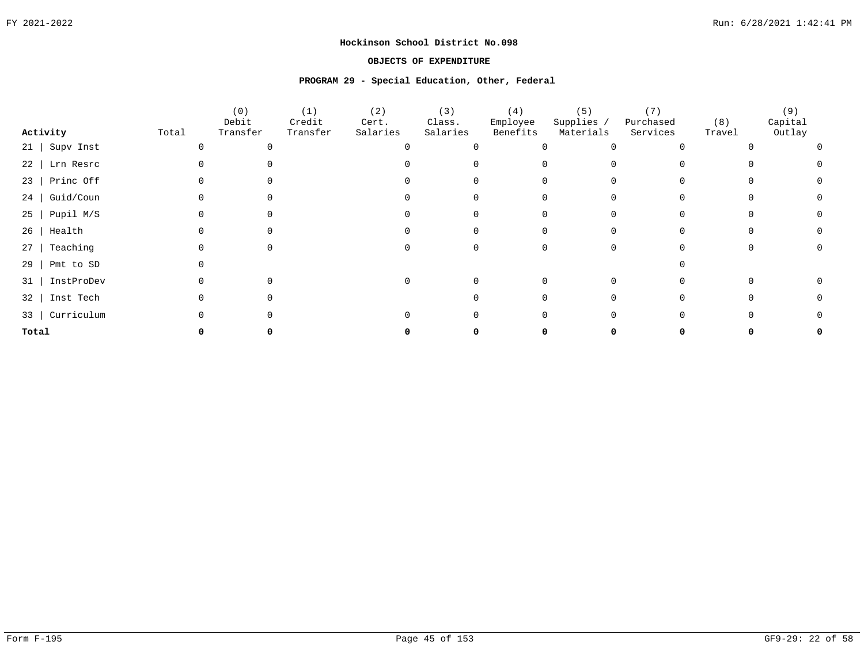### **OBJECTS OF EXPENDITURE**

#### **PROGRAM 29 - Special Education, Other, Federal**

|                        |       | (0)<br>Debit | (1)<br>Credit | (2)<br>Cert. | (3)<br>Class. | (4)<br>Employee | (5)<br>Supplies / | (7)<br>Purchased | (8)    | (9)<br>Capital |  |
|------------------------|-------|--------------|---------------|--------------|---------------|-----------------|-------------------|------------------|--------|----------------|--|
| Activity               | Total | Transfer     | Transfer      | Salaries     | Salaries      | Benefits        | Materials         | Services         | Travel | Outlay         |  |
| $21$   Supv Inst       |       |              |               |              |               |                 |                   |                  |        |                |  |
| $22$   Lrn Resrc       |       |              |               |              |               |                 |                   |                  |        |                |  |
| $23$   Princ Off       |       |              |               |              |               |                 |                   |                  |        |                |  |
| Guid/Coun<br>24        |       |              |               |              |               |                 |                   |                  |        |                |  |
| Pupil M/S<br>$25 \mid$ |       |              |               |              |               |                 |                   |                  |        |                |  |
| $26$   Health          |       |              |               |              |               |                 |                   |                  |        |                |  |
| Teaching<br>$27$       |       |              |               |              |               |                 |                   |                  |        |                |  |
| Pmt to SD<br>29        |       |              |               |              |               |                 |                   |                  |        |                |  |
| InstProDev<br>31       |       |              |               |              |               |                 | 0                 |                  |        |                |  |
| Inst Tech<br>32        |       |              |               |              |               |                 |                   |                  |        |                |  |
| 33   Curriculum        |       |              |               |              |               |                 |                   |                  |        |                |  |
| Total                  |       |              |               |              |               |                 |                   |                  |        |                |  |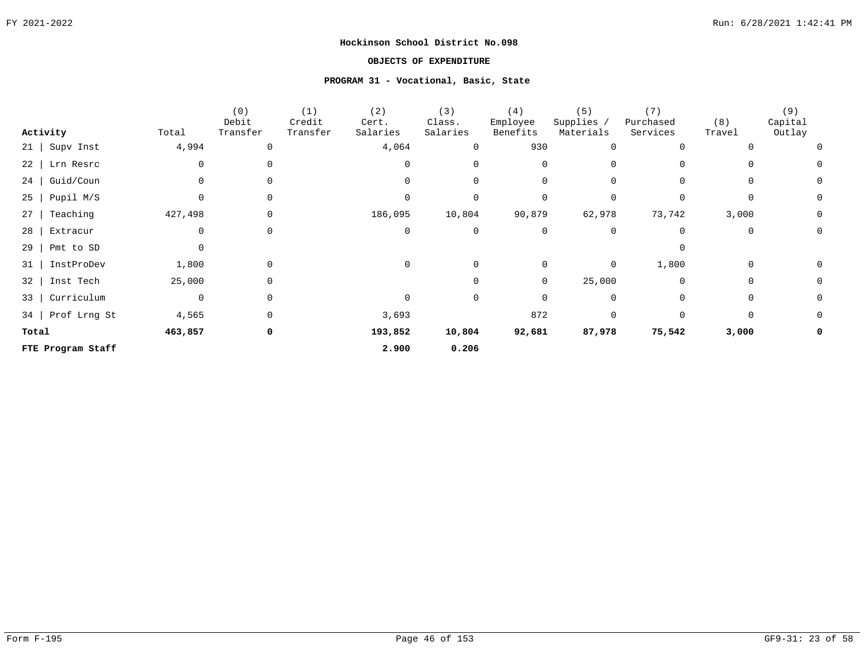### **OBJECTS OF EXPENDITURE**

#### **PROGRAM 31 - Vocational, Basic, State**

|                         |              | (0)      | (1)      | (2)      | (3)         | (4)         | (5)         | (7)       |          | (9)         |
|-------------------------|--------------|----------|----------|----------|-------------|-------------|-------------|-----------|----------|-------------|
|                         |              | Debit    | Credit   | Cert.    | Class.      | Employee    | Supplies,   | Purchased | (8)      | Capital     |
| Activity                | Total        | Transfer | Transfer | Salaries | Salaries    | Benefits    | Materials   | Services  | Travel   | Outlay      |
| Supv Inst<br>$21$       | 4,994        | $\Omega$ |          | 4,064    | 0           | 930         | 0           |           |          | $\Omega$    |
| 22<br>Lrn Resrc         | <sup>0</sup> |          |          | $\Omega$ | $\Omega$    | $\Omega$    | $\Omega$    |           |          | $\Omega$    |
| Guid/Coun<br>$24$       | 0            |          |          | $\Omega$ | $\mathbf 0$ | 0           | 0           |           | 0        | 0           |
| Pupil M/S<br>25         | $\cap$       |          |          | 0        | $\mathbf 0$ | $\Omega$    | $\Omega$    |           | $\Omega$ | 0           |
| Teaching<br>27          | 427,498      | 0        |          | 186,095  | 10,804      | 90,879      | 62,978      | 73,742    | 3,000    | 0           |
| 28<br>Extracur          | 0            | 0        |          | 0        | 0           | 0           | $\mathbf 0$ |           | 0        | $\mathbf 0$ |
| 29<br>Pmt to SD         | $\Omega$     |          |          |          |             |             |             | $\Omega$  |          |             |
| InstProDev<br>31        | 1,800        | $\Omega$ |          | 0        | $\mathbf 0$ | 0           | 0           | 1,800     | 0        | 0           |
| Inst Tech<br>32         | 25,000       | $\Omega$ |          |          | $\Omega$    | $\mathbf 0$ | 25,000      | $\Omega$  | $\Omega$ | 0           |
| Curriculum<br>$33 \mid$ | 0            | $\Omega$ |          | 0        | 0           | 0           | 0           |           | $\Omega$ | 0           |
| 34   Prof Lrng St       | 4,565        | $\Omega$ |          | 3,693    |             | 872         | $\Omega$    | $\Omega$  | $\Omega$ | 0           |
| Total                   | 463,857      | 0        |          | 193,852  | 10,804      | 92,681      | 87,978      | 75,542    | 3,000    |             |
| FTE Program Staff       |              |          |          | 2.900    | 0.206       |             |             |           |          |             |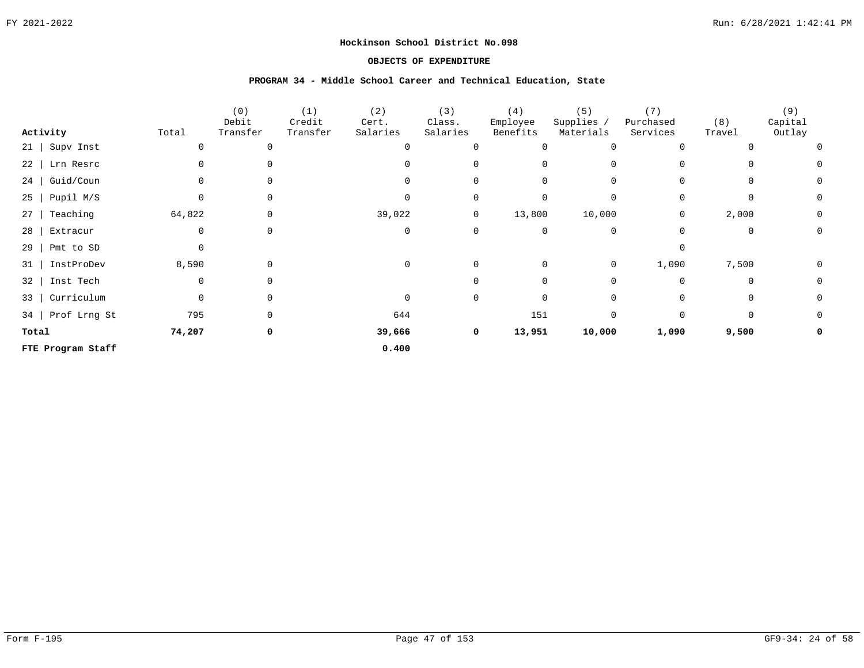### **OBJECTS OF EXPENDITURE**

#### **PROGRAM 34 - Middle School Career and Technical Education, State**

|           |                   |             | (0)      | (1)      | (2)      | (3)      | (4)      | (5)            | (7)         |             | (9)         |
|-----------|-------------------|-------------|----------|----------|----------|----------|----------|----------------|-------------|-------------|-------------|
|           |                   |             | Debit    | Credit   | Cert.    | Class.   | Employee | Supplies /     | Purchased   | (8)         | Capital     |
|           | Activity          | Total       | Transfer | Transfer | Salaries | Salaries | Benefits | Materials      | Services    | Travel      | Outlay      |
| 21        | Supv Inst         |             |          |          |          | O        |          | 0              | $\Omega$    |             | $\Omega$    |
| 22        | Lrn Resrc         |             |          |          |          |          |          | $\Omega$       |             |             | 0           |
| 24        | Guid/Coun         |             |          |          |          | $\Omega$ |          | 0              | $\Omega$    | $\Omega$    | 0           |
| 25        | Pupil M/S         |             |          |          |          | 0        |          | $\mathbf 0$    | $\Omega$    | $\Omega$    | 0           |
| 27        | Teaching          | 64,822      | $\Omega$ |          | 39,022   | 0        | 13,800   | 10,000         | 0           | 2,000       | 0           |
| 28        | Extracur          | $\mathbf 0$ | $\Omega$ |          | $\Omega$ | 0        |          | 0              | $\Omega$    | $\mathbf 0$ | $\mathbf 0$ |
| 29        | Pmt to SD         | $\Omega$    |          |          |          |          |          |                | $\Omega$    |             |             |
| 31        | InstProDev        | 8,590       | 0        |          | 0        | 0        | $\Omega$ | $\overline{0}$ | 1,090       | 7,500       | 0           |
| 32        | Inst Tech         | $\Omega$    | $\Omega$ |          |          | $\cap$   | $\Omega$ | $\mathbf 0$    | $\Omega$    | $\mathbf 0$ | 0           |
| $33 \mid$ | Curriculum        | 0           | $\Omega$ |          | 0        | 0        |          | 0              | $\mathbf 0$ | 0           | 0           |
| 34        | Prof Lrng St      | 795         | $\Omega$ |          | 644      |          | 151      | 0              | $\Omega$    | $\Omega$    | 0           |
| Total     |                   | 74,207      | 0        |          | 39,666   | 0        | 13,951   | 10,000         | 1,090       | 9,500       | 0           |
|           | FTE Program Staff |             |          |          | 0.400    |          |          |                |             |             |             |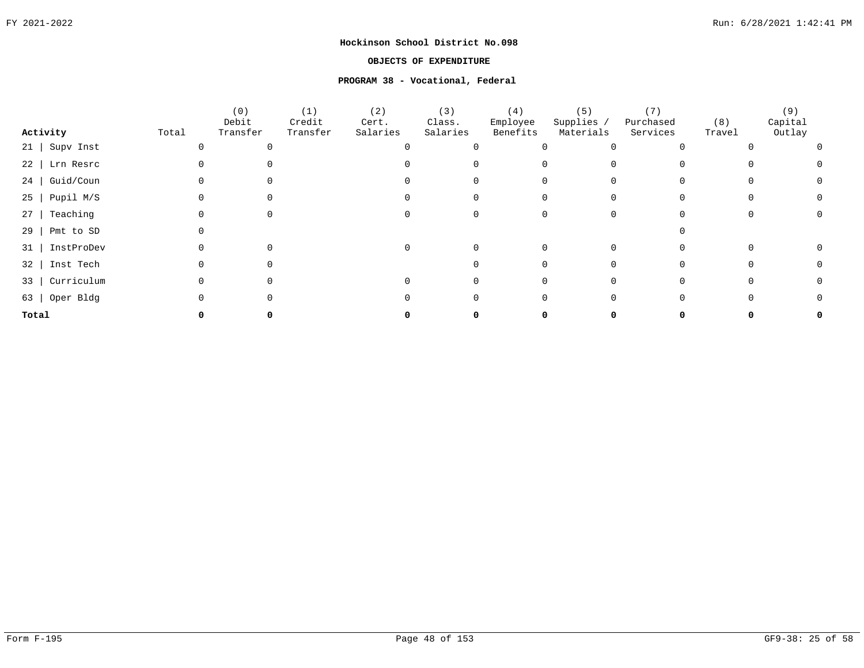### **OBJECTS OF EXPENDITURE**

### **PROGRAM 38 - Vocational, Federal**

|                  |       | (0)               | (1)                | (2)               | (3)                | (4)                  | (5)                     | (7)                   |               | (9)               |  |
|------------------|-------|-------------------|--------------------|-------------------|--------------------|----------------------|-------------------------|-----------------------|---------------|-------------------|--|
| Activity         | Total | Debit<br>Transfer | Credit<br>Transfer | Cert.<br>Salaries | Class.<br>Salaries | Employee<br>Benefits | Supplies /<br>Materials | Purchased<br>Services | (8)<br>Travel | Capital<br>Outlay |  |
| 21   Supv Inst   |       |                   |                    |                   |                    |                      |                         |                       |               |                   |  |
| 22   Lrn Resrc   |       |                   |                    |                   |                    |                      |                         |                       |               |                   |  |
| Guid/Coun<br>24  |       |                   |                    |                   |                    |                      |                         |                       |               |                   |  |
| Pupil M/S<br>25  |       |                   |                    |                   |                    |                      |                         |                       |               |                   |  |
| Teaching<br>27   |       |                   |                    |                   |                    |                      |                         |                       |               |                   |  |
| 29<br>Pmt to SD  |       |                   |                    |                   |                    |                      |                         |                       |               |                   |  |
| InstProDev<br>31 |       |                   |                    |                   |                    |                      |                         |                       |               |                   |  |
| Inst Tech<br>32  |       |                   |                    |                   |                    |                      |                         |                       |               |                   |  |
| Curriculum<br>33 |       |                   |                    |                   |                    |                      |                         |                       |               |                   |  |
| 63   Oper Bldg   |       |                   |                    |                   |                    |                      |                         |                       |               |                   |  |
| Total            |       |                   |                    |                   |                    |                      |                         |                       |               |                   |  |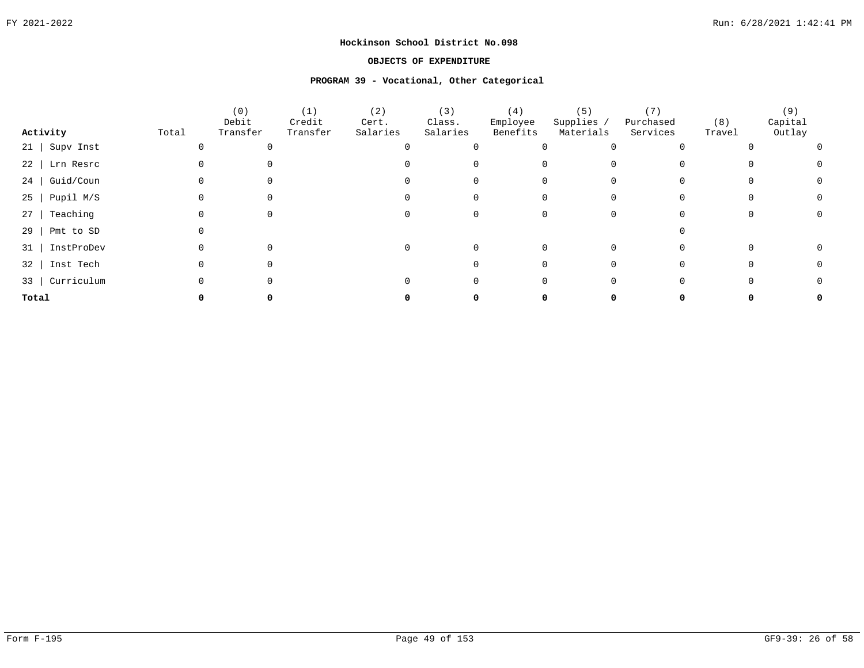### **OBJECTS OF EXPENDITURE**

#### **PROGRAM 39 - Vocational, Other Categorical**

|                         |       | (0)<br>Debit | (1)<br>Credit | (2)<br>Cert. | (3)<br>Class. | (4)<br>Employee | (5)<br>Supplies / | Purchased | (8)    | (9)<br>Capital |  |
|-------------------------|-------|--------------|---------------|--------------|---------------|-----------------|-------------------|-----------|--------|----------------|--|
| Activity                | Total | Transfer     | Transfer      | Salaries     | Salaries      | Benefits        | Materials         | Services  | Travel | Outlay         |  |
| $21$ Supv Inst          |       |              |               |              |               |                 |                   |           |        |                |  |
| $22$   Lrn Resrc        |       |              |               |              |               |                 |                   |           |        |                |  |
| $24$   Guid/Coun        |       |              |               |              |               |                 |                   |           |        |                |  |
| $25$   Pupil M/S        |       |              |               |              |               |                 |                   |           |        |                |  |
| Teaching<br>27          |       |              |               |              |               |                 |                   |           |        |                |  |
| 29<br>Pmt to SD         |       |              |               |              |               |                 |                   |           |        |                |  |
| 31   InstProDev         |       |              |               | 0            |               |                 |                   |           |        |                |  |
| 32   Inst Tech          |       |              |               |              |               |                 |                   |           |        |                |  |
| Curriculum<br>$33 \mid$ |       |              |               |              |               |                 |                   |           |        |                |  |
| Total                   |       |              |               |              |               |                 |                   |           |        |                |  |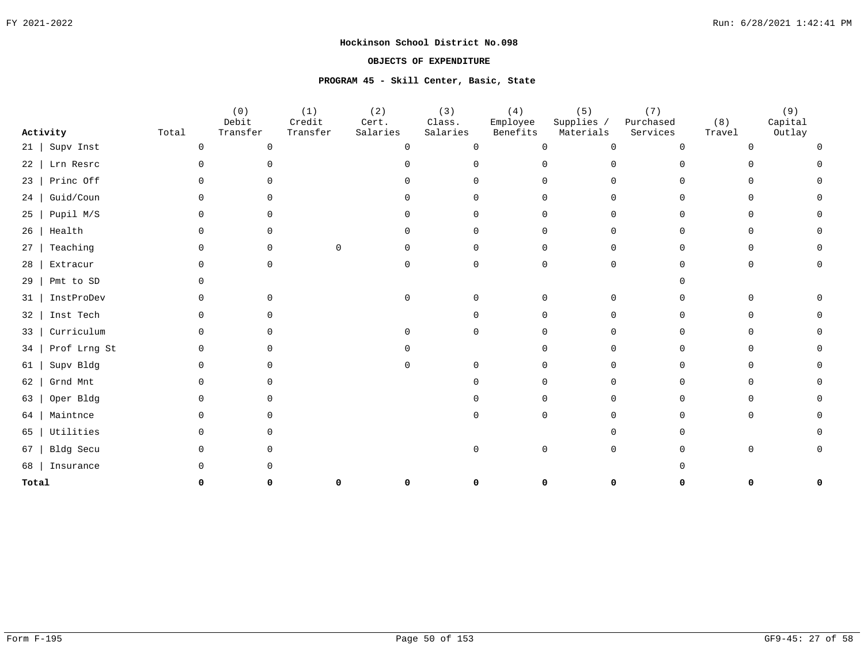### **OBJECTS OF EXPENDITURE**

### **PROGRAM 45 - Skill Center, Basic, State**

|           |              |          | (0)<br>Debit | (1)<br>Credit | (2)<br>Cert. | (3)<br>Class. | (4)<br>Employee | (5)<br>Supplies /        | (7)<br>Purchased | (8)    | (9)<br>Capital |  |
|-----------|--------------|----------|--------------|---------------|--------------|---------------|-----------------|--------------------------|------------------|--------|----------------|--|
|           | Activity     | Total    | Transfer     | Transfer      | Salaries     | Salaries      | Benefits        | Materials                | Services         | Travel | Outlay         |  |
| $21 \mid$ | Supv Inst    | 0        | $\mathbf 0$  |               | $\Omega$     | $\Omega$      |                 | $\Omega$<br>0            | ∩                |        |                |  |
| 22        | Lrn Resrc    | 0        | $\Omega$     |               |              | $\cap$        |                 | $\Omega$<br>0            | ∩                |        |                |  |
| 23        | Princ Off    | 0        | ∩            |               |              |               | n.              | $\Omega$                 |                  |        |                |  |
| 24        | Guid/Coun    | $\Omega$ | O.           |               | U            |               |                 | 0<br>$\Omega$            |                  |        |                |  |
| 25        | Pupil M/S    | $\Omega$ | $\Omega$     |               | U            | $\cap$        |                 | $\mathbf 0$<br>0         | $\Omega$         |        | ∩              |  |
| 26        | Health       | 0        | $\Omega$     |               | O.           | $\cap$        |                 | 0<br>0                   | ∩                |        | ∩              |  |
| 27        | Teaching     | 0        | $\Omega$     | $\Omega$      | $\Omega$     | $\cap$        |                 | 0<br>$\Omega$            | <sup>n</sup>     |        | <sup>0</sup>   |  |
| 28        | Extracur     | 0        | $\Omega$     |               | $\Omega$     | $\Omega$      |                 | $\mathbf 0$<br>$\Omega$  | ∩                |        | ∩              |  |
| 29        | Pmt to SD    |          |              |               |              |               |                 |                          |                  |        |                |  |
| 31        | InstProDev   | U        | $\Omega$     |               | $\Omega$     | $\cap$        |                 | <sup>n</sup><br>$\Omega$ |                  |        |                |  |
| 32        | Inst Tech    | 0        | $\cap$       |               |              |               | U               | $\Omega$                 |                  |        |                |  |
| 33        | Curriculum   | 0        | U            |               |              | $\cap$        |                 | $\cap$                   |                  |        |                |  |
| 34        | Prof Lrng St | 0        | U            |               |              |               | ∩               | $\Omega$                 | ∩                |        |                |  |
| 61        | Supv Bldg    | 0        | $\Omega$     |               |              | $\Omega$      |                 | 0<br>$\Omega$            | ∩                |        |                |  |
| 62        | Grnd Mnt     | 0        | $\Omega$     |               |              |               |                 | $\Omega$<br>0            | ∩                |        |                |  |
| 63        | Oper Bldg    | 0        | $\Omega$     |               |              |               |                 | 0<br>0                   | ∩                |        | $\Omega$       |  |
| 64        | Maintnce     | 0        | $\Omega$     |               |              |               |                 | 0<br>$\Omega$            | ∩                |        | $\Omega$       |  |
| 65        | Utilities    | 0        | ∩            |               |              |               |                 | $\cap$                   |                  |        |                |  |
| 67        | Bldg Secu    | U        | O.           |               |              | $\Omega$      |                 | 0<br>$\Omega$            |                  |        |                |  |
| 68        | Insurance    |          |              |               |              |               |                 |                          |                  |        |                |  |
| Total     |              |          |              |               |              |               |                 | U                        |                  |        |                |  |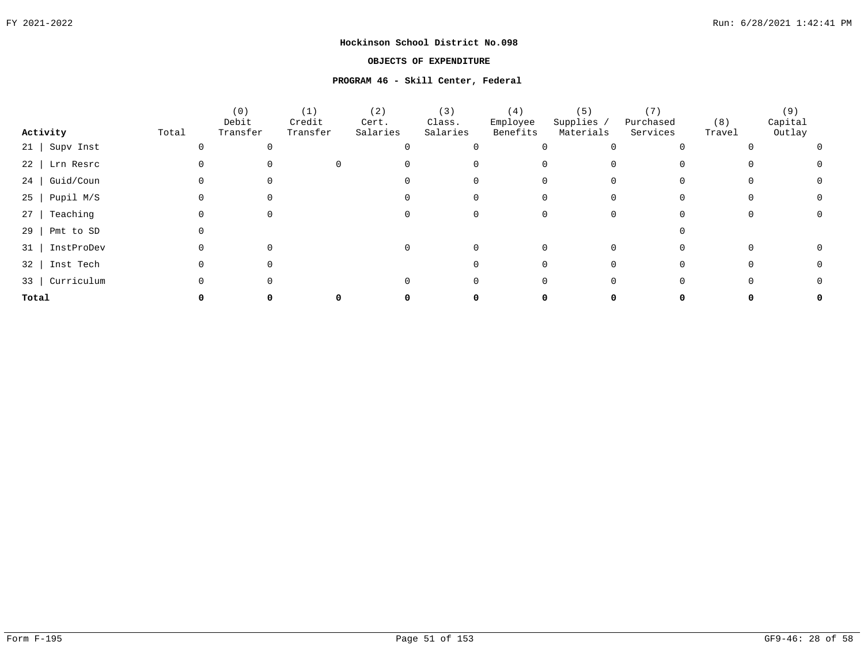### **OBJECTS OF EXPENDITURE**

#### **PROGRAM 46 - Skill Center, Federal**

|                   |       | (0)<br>Debit | (1)<br>Credit | (2)<br>Cert. | (3)<br>Class. | (4)<br>Employee | (5)<br>Supplies / | Purchased | (8)    | (9)<br>Capital |  |
|-------------------|-------|--------------|---------------|--------------|---------------|-----------------|-------------------|-----------|--------|----------------|--|
| Activity          | Total | Transfer     | Transfer      | Salaries     | Salaries      | Benefits        | Materials         | Services  | Travel | Outlay         |  |
| $21$ Supv Inst    |       |              |               |              |               |                 |                   |           |        |                |  |
| 22   Lrn Resrc    |       |              |               |              |               |                 |                   |           |        |                |  |
| 24 Guid/Coun      |       |              |               |              |               |                 |                   |           |        |                |  |
| $25$   Pupil M/S  |       |              |               |              |               |                 |                   |           |        |                |  |
| Teaching<br>$27$  |       |              |               |              |               |                 |                   |           |        |                |  |
| 29  <br>Pmt to SD |       |              |               |              |               |                 |                   |           |        |                |  |
| 31   InstProDev   |       |              |               |              |               |                 |                   |           |        |                |  |
| 32   Inst Tech    |       |              |               |              |               |                 |                   |           |        |                |  |
| 33   Curriculum   |       |              |               |              |               |                 |                   |           |        |                |  |
| Total             |       |              |               |              |               |                 |                   |           |        |                |  |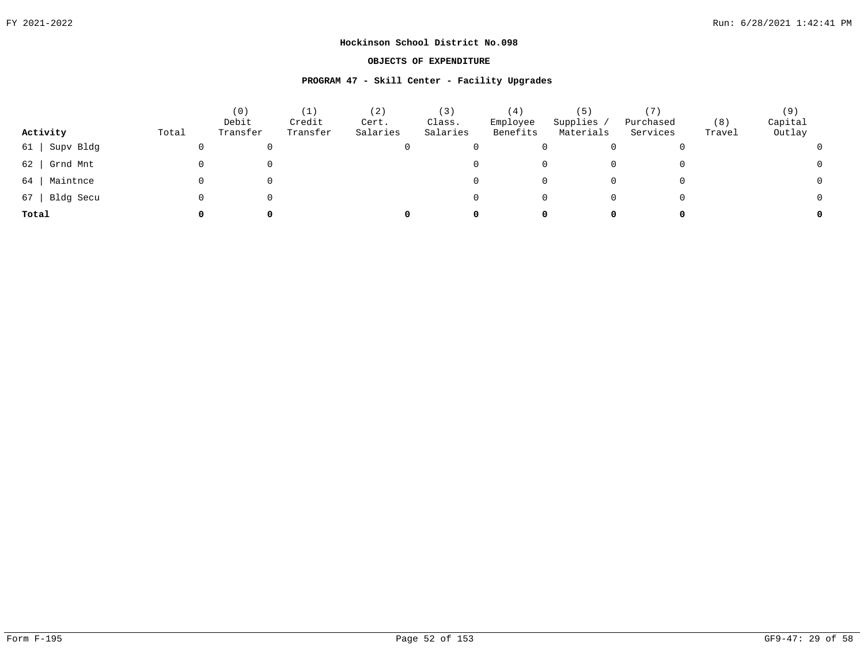### **OBJECTS OF EXPENDITURE**

#### **PROGRAM 47 - Skill Center - Facility Upgrades**

| Activity        | Total | (0)<br>Debit<br>Transfer | $\left( 1\right)$<br>Credit<br>Transfer | (2)<br>Cert.<br>Salaries | (3)<br>Class.<br>Salaries | (4)<br>Employee<br>Benefits | (5)<br>Supplies<br>Materials | 7)<br>Purchased<br>Services | (8)<br>Travel | (9)<br>Capital<br>Outlay |
|-----------------|-------|--------------------------|-----------------------------------------|--------------------------|---------------------------|-----------------------------|------------------------------|-----------------------------|---------------|--------------------------|
| Supv Bldg<br>61 |       |                          |                                         | U                        |                           |                             |                              |                             | 0             |                          |
| Grnd Mnt<br>62  |       |                          |                                         |                          |                           |                             |                              |                             | 0             |                          |
| Maintnce<br>64  |       |                          |                                         |                          |                           |                             |                              |                             | 0             |                          |
| Bldg Secu<br>67 |       |                          |                                         |                          |                           |                             | 0                            |                             | 0             |                          |
| Total           | 0     | O                        |                                         | 0                        |                           |                             | 0                            | 0                           | 0             | 0                        |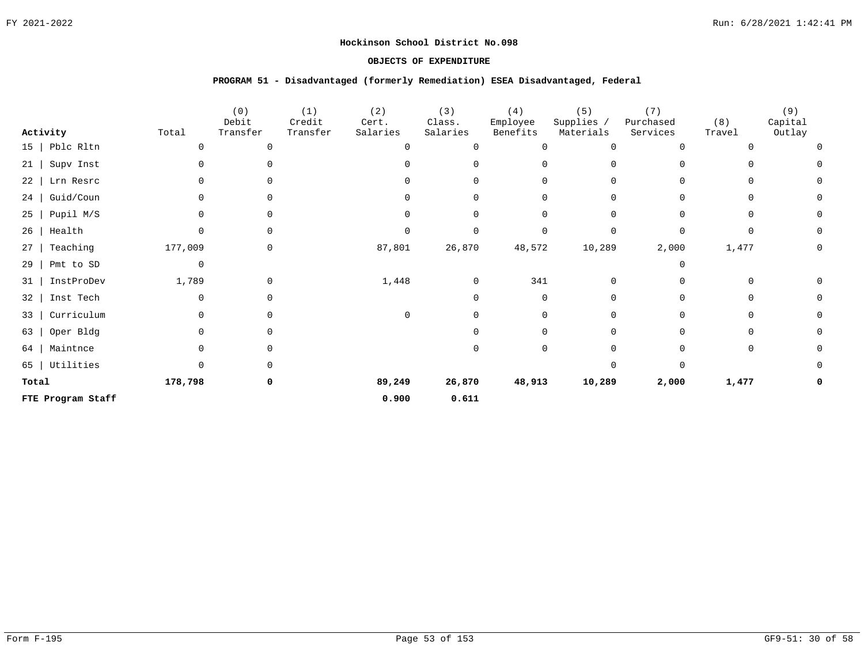### **OBJECTS OF EXPENDITURE**

#### **PROGRAM 51 - Disadvantaged (formerly Remediation) ESEA Disadvantaged, Federal**

| Activity          | Total        | (0)<br>Debit<br>Transfer | (1)<br>Credit<br>Transfer | (2)<br>Cert.<br>Salaries | (3)<br>Class.<br>Salaries | (4)<br>Employee<br>Benefits | (5)<br>Supplies /<br>Materials | (7)<br>Purchased<br>Services | (8)<br>Travel | (9)<br>Capital<br>Outlay |
|-------------------|--------------|--------------------------|---------------------------|--------------------------|---------------------------|-----------------------------|--------------------------------|------------------------------|---------------|--------------------------|
| $15$   Pblc Rltn  | 0            | $\Omega$                 |                           |                          | 0                         | $\Omega$                    | 0                              | $\Omega$                     |               |                          |
| 21   Supv Inst    | 0            | $\Omega$                 |                           |                          | 0                         | $\Omega$                    | 0                              | $\Omega$                     | 0             |                          |
| 22   Lrn Resrc    | $\Omega$     | $\Omega$                 |                           |                          | $\Omega$                  | <sup>0</sup>                | 0                              | $\Omega$                     | $\Omega$      |                          |
| 24   Guid/Coun    | 0            | $\Omega$                 |                           |                          | 0                         | $\Omega$                    | 0                              | $\Omega$                     | 0             | 0                        |
| $25$   Pupil M/S  | 0            | $\Omega$                 |                           |                          | 0                         | $\Omega$                    | 0                              | $\Omega$                     | $\Omega$      |                          |
| $26$   Health     | 0            | $\Omega$                 |                           |                          | $\mathbf 0$               | $\Omega$                    | $\Omega$                       | $\Omega$                     | $\Omega$      | 0                        |
| $27$ Teaching     | 177,009      | 0                        |                           | 87,801                   | 26,870                    | 48,572                      | 10,289                         | 2,000                        | 1,477         | 0                        |
| $29$   Pmt to SD  | 0            |                          |                           |                          |                           |                             |                                | $\Omega$                     |               |                          |
| 31   InstProDev   | 1,789        | 0                        |                           | 1,448                    | 0                         | 341                         | 0                              | 0                            | 0             |                          |
| 32   Inst Tech    | 0            | 0                        |                           |                          | 0                         | $\Omega$                    | $\mathbf 0$                    | $\Omega$                     | 0             |                          |
| 33   Curriculum   | $\mathbf 0$  | $\Omega$                 |                           |                          | $\Omega$                  | $\Omega$                    | $\Omega$                       | $\Omega$                     | 0             |                          |
| 63   Oper Bldg    | $\Omega$     | $\Omega$                 |                           |                          | U                         | $\Omega$                    | $\Omega$                       | $\Omega$                     | $\Omega$      |                          |
| 64   Maintnce     | 0            | $\Omega$                 |                           |                          | 0                         | $\Omega$                    | $\Omega$                       | ∩                            | 0             |                          |
| 65   Utilities    | <sup>n</sup> | $\Omega$                 |                           |                          |                           |                             | $\Omega$                       | $\Omega$                     |               |                          |
| Total             | 178,798      | 0                        |                           | 89,249                   | 26,870                    | 48,913                      | 10,289                         | 2,000                        | 1,477         |                          |
| FTE Program Staff |              |                          |                           | 0.900                    | 0.611                     |                             |                                |                              |               |                          |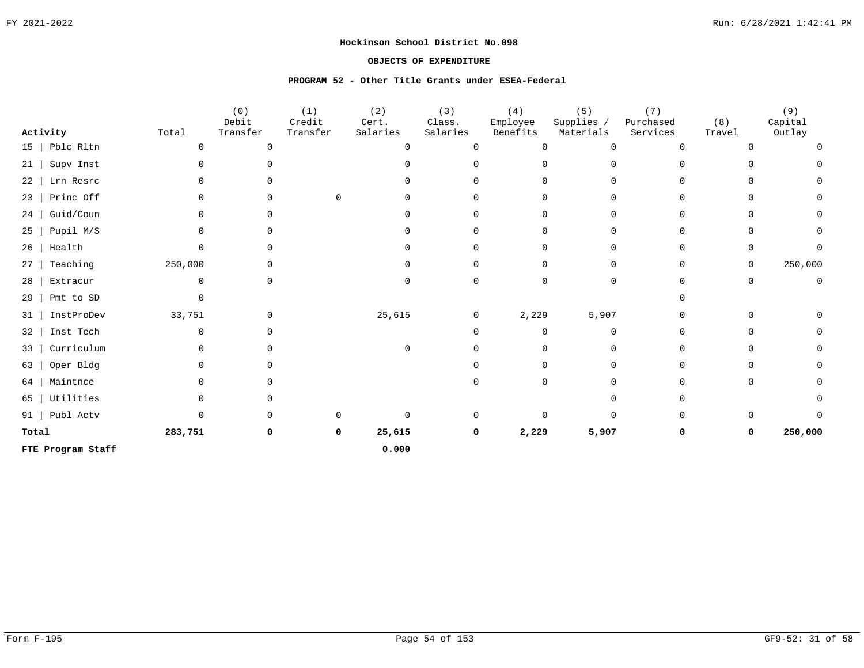### **OBJECTS OF EXPENDITURE**

## **PROGRAM 52 - Other Title Grants under ESEA-Federal**

|                        |              | (0)<br>Debit | (1)<br>Credit | (2)<br>Cert. | (3)<br>Class. | (4)<br>Employee | (5)<br>Supplies / | (7)<br>Purchased | (8)      | (9)<br>Capital |
|------------------------|--------------|--------------|---------------|--------------|---------------|-----------------|-------------------|------------------|----------|----------------|
| Activity               | Total        | Transfer     | Transfer      | Salaries     | Salaries      | Benefits        | Materials         | Services         | Travel   | Outlay         |
| Pblc Rltn<br>$15 \mid$ | 0            | $\Omega$     |               |              | $\cap$        | ∩               | $\Omega$          |                  |          |                |
| Supv Inst<br>21        |              |              |               |              |               |                 |                   |                  |          |                |
| Lrn Resrc<br>22        |              |              |               |              |               |                 | 0                 |                  |          |                |
| Princ Off<br>23        |              |              | 0             |              |               |                 | $\Omega$          |                  |          | <sup>0</sup>   |
| Guid/Coun<br>24        |              | $\Omega$     |               |              |               |                 | 0                 |                  |          |                |
| Pupil M/S<br>25        | U            |              |               |              |               |                 | 0                 |                  |          |                |
| Health<br>26           |              |              |               |              |               |                 | 0                 |                  | O        |                |
| Teaching<br>27         | 250,000      |              |               |              |               |                 | 0                 |                  | 0        | 250,000        |
| Extracur<br>28         | <sup>n</sup> |              |               |              | O.            |                 | 0                 |                  | $\Omega$ | $\mathbf 0$    |
| Pmt to SD<br>29        |              |              |               |              |               |                 |                   |                  |          |                |
| InstProDev<br>31       | 33,751       | $\Omega$     |               | 25,615       | 0             | 2,229           | 5,907             |                  |          |                |
| Inst Tech<br>32        |              |              |               |              |               |                 | $\Omega$          |                  |          |                |
| Curriculum<br>33       |              |              |               |              |               |                 | 0                 |                  |          |                |
| Oper Bldg<br>63        |              |              |               |              |               |                 | $\Omega$          |                  |          | $\Omega$       |
| Maintnce<br>64         |              |              |               |              |               |                 | 0                 |                  |          |                |
| Utilities<br>65        |              |              |               |              |               |                 | $\Omega$          |                  |          |                |
| Publ Actv<br>91        |              | <sup>n</sup> |               |              | $\Omega$      |                 | $\Omega$          |                  | O        |                |
| Total                  | 283,751      | 0            | 0             | 25,615       | 0             | 2,229           | 5,907             | $\Omega$         | 0        | 250,000        |
| FTE Program Staff      |              |              |               | 0.000        |               |                 |                   |                  |          |                |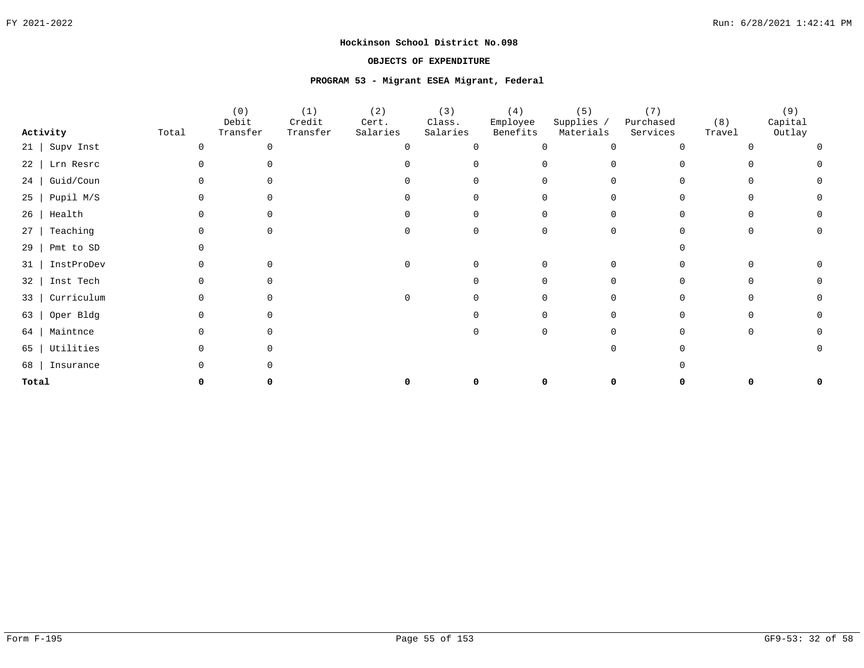### **OBJECTS OF EXPENDITURE**

#### **PROGRAM 53 - Migrant ESEA Migrant, Federal**

|           |                  |       | (0)<br>Debit | (1)<br>Credit | (2)<br>Cert. | (3)<br>Class. | (4)<br>Employee | (5)<br>Supplies / | (7)<br>Purchased | (8)    | (9)<br>Capital |
|-----------|------------------|-------|--------------|---------------|--------------|---------------|-----------------|-------------------|------------------|--------|----------------|
|           | Activity         | Total | Transfer     | Transfer      | Salaries     | Salaries      | Benefits        | Materials         | Services         | Travel | Outlay         |
|           | $21$   Supv Inst |       |              |               |              | $\cap$        |                 |                   |                  |        |                |
| 22        | Lrn Resrc        |       |              |               |              |               |                 |                   |                  |        |                |
| 24        | Guid/Coun        |       |              |               |              |               |                 |                   |                  |        |                |
| $25 \mid$ | Pupil M/S        |       |              |               |              |               |                 |                   |                  |        |                |
| 26        | Health           |       |              |               |              |               |                 |                   |                  |        |                |
| 27        | Teaching         |       |              |               |              |               |                 |                   |                  |        |                |
| 29        | Pmt to SD        |       |              |               |              |               |                 |                   |                  |        |                |
| 31        | InstProDev       |       |              |               |              |               |                 |                   |                  |        |                |
| 32        | Inst Tech        |       |              |               |              |               |                 |                   |                  |        |                |
| 33        | Curriculum       |       |              |               |              |               |                 |                   |                  |        |                |
| 63        | Oper Bldg        |       |              |               |              |               |                 |                   |                  |        |                |
| 64        | Maintnce         |       |              |               |              |               |                 |                   |                  |        |                |
| 65        | Utilities        |       |              |               |              |               |                 |                   |                  |        |                |
| 68        | Insurance        |       |              |               |              |               |                 |                   |                  |        |                |
| Total     |                  |       |              |               |              |               |                 |                   |                  |        |                |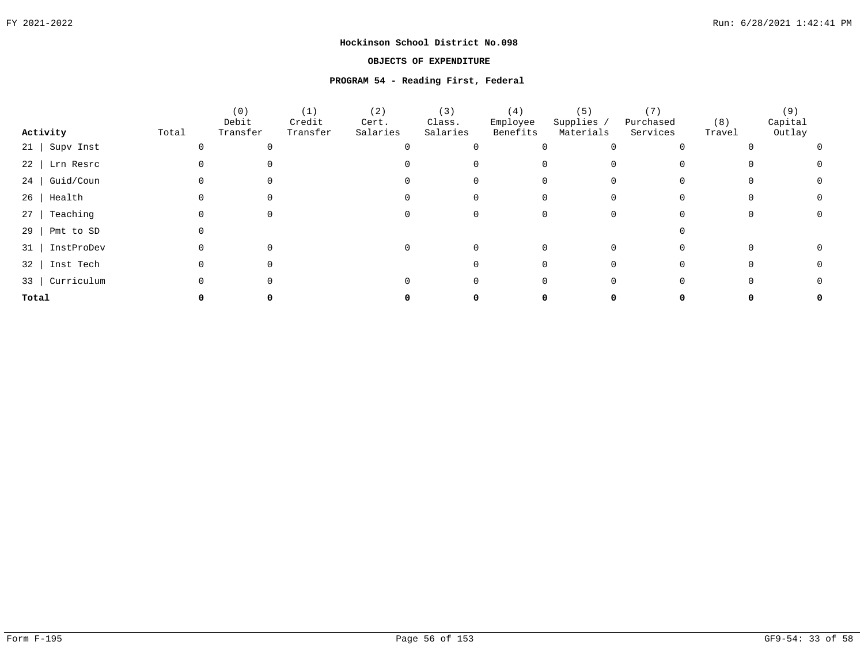### **OBJECTS OF EXPENDITURE**

#### **PROGRAM 54 - Reading First, Federal**

|                   |       | (0)<br>Debit | (1)<br>Credit | (2)<br>Cert. | (3)<br>Class. | (4)<br>Employee | (5)<br>Supplies / | Purchased | (8)    | (9)<br>Capital |  |
|-------------------|-------|--------------|---------------|--------------|---------------|-----------------|-------------------|-----------|--------|----------------|--|
| Activity          | Total | Transfer     | Transfer      | Salaries     | Salaries      | Benefits        | Materials         | Services  | Travel | Outlay         |  |
| $21$ Supv Inst    |       |              |               |              |               |                 |                   |           |        |                |  |
| 22   Lrn Resrc    |       |              |               |              |               |                 |                   |           |        |                |  |
| 24 Guid/Coun      |       |              |               |              |               |                 |                   |           |        |                |  |
| $26$   Health     |       |              |               |              |               |                 |                   |           |        |                |  |
| Teaching<br>27    |       |              |               |              |               |                 |                   |           |        |                |  |
| 29  <br>Pmt to SD |       |              |               |              |               |                 |                   |           |        |                |  |
| 31   InstProDev   |       |              |               |              |               |                 |                   |           |        |                |  |
| 32   Inst Tech    |       |              |               |              |               |                 |                   |           |        |                |  |
| Curriculum<br>33  |       |              |               |              |               |                 |                   |           |        |                |  |
| Total             |       |              |               |              |               |                 |                   |           |        |                |  |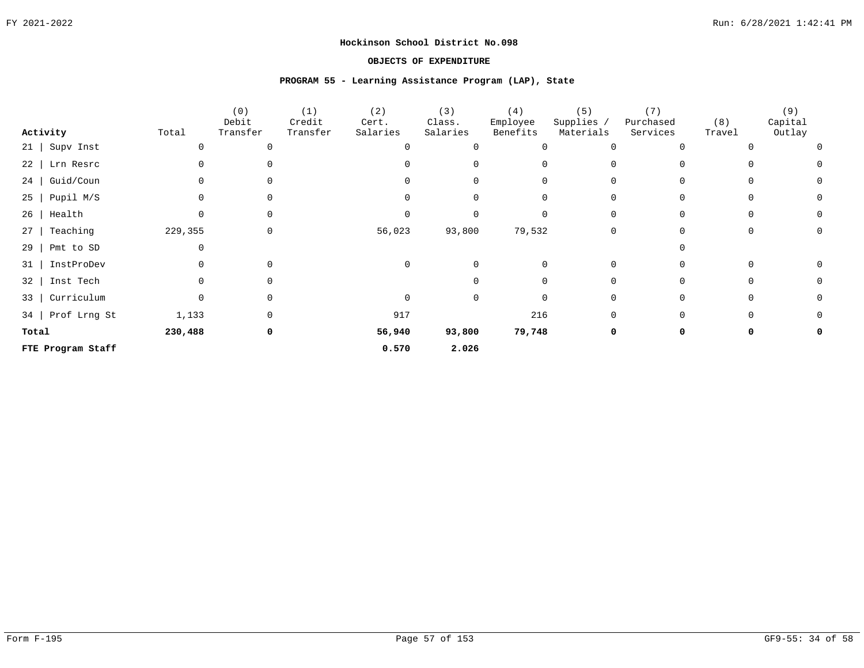### **OBJECTS OF EXPENDITURE**

#### **PROGRAM 55 - Learning Assistance Program (LAP), State**

|                         |          | (0)      | (1)      | (2)            | (3)         | (4)      | (5)        | (7)       |        | (9)     |
|-------------------------|----------|----------|----------|----------------|-------------|----------|------------|-----------|--------|---------|
|                         |          | Debit    | Credit   | Cert.          | Class.      | Employee | Supplies / | Purchased | (8)    | Capital |
| Activity                | Total    | Transfer | Transfer | Salaries       | Salaries    | Benefits | Materials  | Services  | Travel | Outlay  |
| $21$   Supv Inst        |          |          |          |                | $\Omega$    | O        |            |           |        |         |
| 22   Lrn Resrc          |          |          |          |                | $\Omega$    |          |            |           |        |         |
| Guid/Coun<br>24         |          |          |          |                | $\Omega$    | O        |            |           |        | 0       |
| Pupil M/S<br>$25 \mid$  |          |          |          |                | $\Omega$    |          |            |           |        | O       |
| Health<br>$26$          | 0        |          |          |                | $\Omega$    | O        | ∩          |           |        |         |
| 27<br>Teaching          | 229,355  |          |          | 56,023         | 93,800      | 79,532   |            |           |        | O       |
| 29<br>Pmt to SD         | 0        |          |          |                |             |          |            |           |        |         |
| InstProDev<br>31        | 0        | $\Omega$ |          | $\overline{0}$ | $\mathbf 0$ | $\Omega$ | $\Omega$   |           |        |         |
| Inst Tech<br>32         | $\Omega$ | $\Omega$ |          |                | $\Omega$    | 0        | $\Omega$   |           |        |         |
| Curriculum<br>$33 \mid$ | 0        | $\Omega$ |          | $\mathbf 0$    | 0           | 0        | 0          |           |        | 0       |
| 34   Prof Lrng St       | 1,133    |          |          | 917            |             | 216      | $\Omega$   |           |        |         |
| Total                   | 230,488  | 0        |          | 56,940         | 93,800      | 79,748   |            |           |        |         |
| FTE Program Staff       |          |          |          | 0.570          | 2.026       |          |            |           |        |         |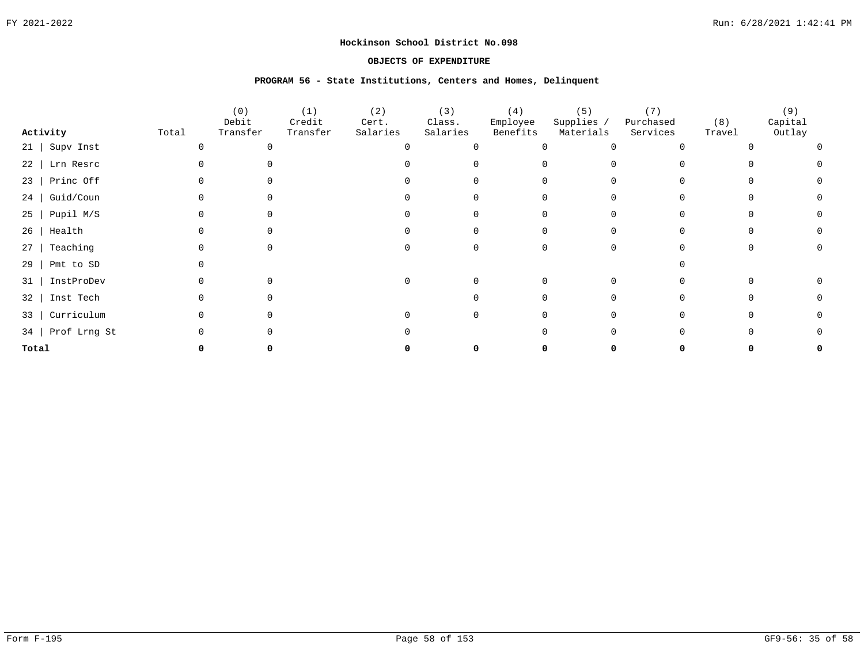### **OBJECTS OF EXPENDITURE**

#### **PROGRAM 56 - State Institutions, Centers and Homes, Delinquent**

|          |              |       | (0)               | (1)                | (2)               | (3)                | (4)                  | (5)                     | (7)                   |               | (9)               |  |
|----------|--------------|-------|-------------------|--------------------|-------------------|--------------------|----------------------|-------------------------|-----------------------|---------------|-------------------|--|
| Activity |              | Total | Debit<br>Transfer | Credit<br>Transfer | Cert.<br>Salaries | Class.<br>Salaries | Employee<br>Benefits | Supplies /<br>Materials | Purchased<br>Services | (8)<br>Travel | Capital<br>Outlay |  |
| 21       | Supv Inst    |       |                   |                    |                   |                    |                      |                         |                       |               |                   |  |
| 22       | Lrn Resrc    |       |                   |                    |                   |                    |                      |                         |                       |               |                   |  |
| 23       | Princ Off    |       |                   |                    |                   |                    |                      |                         |                       |               |                   |  |
| 24       | Guid/Coun    |       |                   |                    |                   |                    |                      |                         |                       |               |                   |  |
| 25       | Pupil M/S    |       |                   |                    |                   |                    |                      | 0                       |                       |               |                   |  |
| 26       | Health       |       |                   |                    |                   |                    |                      |                         |                       |               |                   |  |
| 27       | Teaching     |       |                   |                    |                   |                    |                      | 0                       |                       |               |                   |  |
| 29       | Pmt to SD    |       |                   |                    |                   |                    |                      |                         |                       |               |                   |  |
| 31       | InstProDev   |       |                   |                    |                   |                    |                      | $\Omega$                |                       |               |                   |  |
| 32       | Inst Tech    |       |                   |                    |                   |                    |                      | 0                       |                       |               |                   |  |
| 33       | Curriculum   |       |                   |                    |                   |                    |                      | 0                       |                       |               |                   |  |
| 34       | Prof Lrng St |       |                   |                    |                   |                    |                      |                         |                       |               |                   |  |
| Total    |              |       |                   |                    |                   |                    |                      |                         |                       |               |                   |  |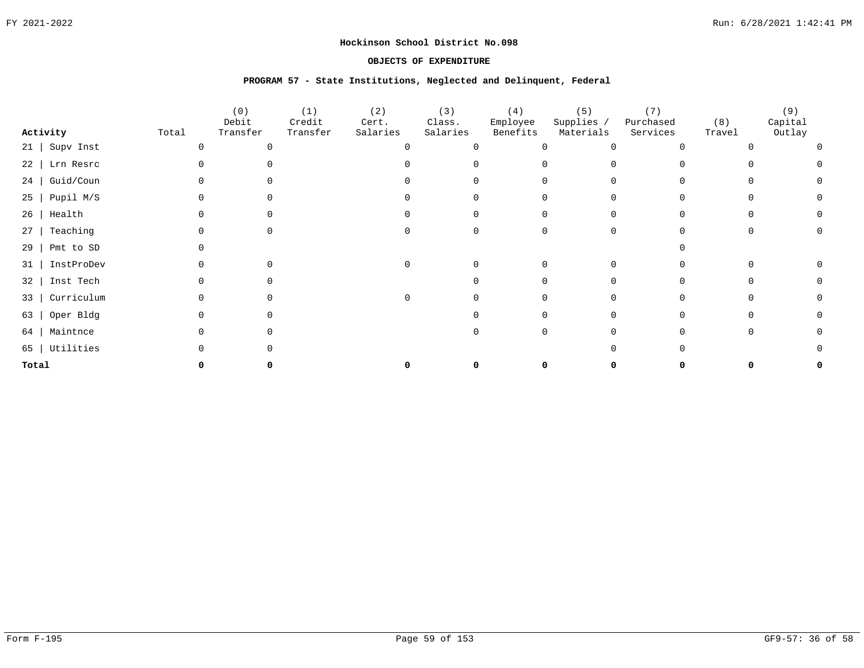### **OBJECTS OF EXPENDITURE**

#### **PROGRAM 57 - State Institutions, Neglected and Delinquent, Federal**

|       |            |       | (0)<br>Debit | (1)<br>Credit | (2)<br>Cert. | (3)<br>Class. | (4)<br>Employee | (5)<br>Supplies / | (7)<br>Purchased | (8)    | (9)<br>Capital |
|-------|------------|-------|--------------|---------------|--------------|---------------|-----------------|-------------------|------------------|--------|----------------|
|       | Activity   | Total | Transfer     | Transfer      | Salaries     | Salaries      | Benefits        | Materials         | Services         | Travel | Outlay         |
| 21    | Supv Inst  |       |              |               |              | $\Omega$      |                 | U                 |                  |        |                |
| 22    | Lrn Resrc  |       |              |               |              |               |                 |                   |                  |        |                |
| 24    | Guid/Coun  |       |              |               |              |               |                 | 0                 |                  |        |                |
| 25    | Pupil M/S  |       |              |               |              |               |                 | <sup>n</sup>      |                  |        |                |
| 26    | Health     |       |              |               |              |               |                 | 0                 |                  |        |                |
| 27    | Teaching   |       |              |               |              |               |                 | 0                 |                  |        |                |
| 29    | Pmt to SD  |       |              |               |              |               |                 |                   |                  |        |                |
| 31    | InstProDev |       |              |               |              |               |                 | 0                 |                  |        |                |
| 32    | Inst Tech  |       |              |               |              |               |                 | 0                 |                  |        |                |
| 33    | Curriculum |       |              |               |              |               |                 | 0                 |                  |        |                |
| 63    | Oper Bldg  |       |              |               |              |               |                 | 0                 |                  |        |                |
| 64    | Maintnce   |       |              |               |              |               |                 | <sup>n</sup>      |                  |        |                |
| 65    | Utilities  |       |              |               |              |               |                 |                   |                  |        |                |
| Total |            |       |              |               |              |               |                 |                   |                  |        |                |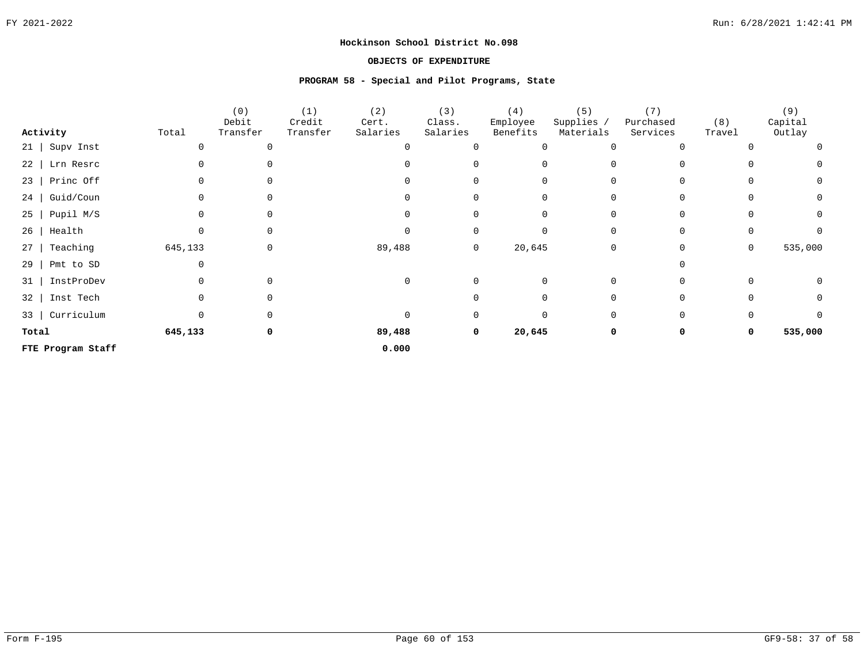### **OBJECTS OF EXPENDITURE**

### **PROGRAM 58 - Special and Pilot Programs, State**

|                         |              | (0)               | (1)                | (2)               | (3)                | (4)                  | (5)                    | (7)                   |               | (9)               |
|-------------------------|--------------|-------------------|--------------------|-------------------|--------------------|----------------------|------------------------|-----------------------|---------------|-------------------|
| Activity                | Total        | Debit<br>Transfer | Credit<br>Transfer | Cert.<br>Salaries | Class.<br>Salaries | Employee<br>Benefits | Supplies,<br>Materials | Purchased<br>Services | (8)<br>Travel | Capital<br>Outlay |
|                         |              |                   |                    |                   |                    |                      |                        |                       |               |                   |
| Supv Inst<br>21         |              |                   |                    |                   | $\Omega$           | 0                    | $\Omega$               |                       |               | 0                 |
| Lrn Resrc<br>22         |              |                   |                    |                   |                    |                      | $\cap$                 |                       |               | $\Omega$          |
| Princ Off<br>$23$       |              |                   |                    |                   | $\Omega$           | 0                    | $\Omega$               |                       |               | 0                 |
| Guid/Coun<br>24         |              |                   |                    |                   | $\Omega$           | O.                   | $\Omega$               |                       |               | 0                 |
| Pupil M/S<br>$25 \mid$  | <sup>0</sup> |                   |                    |                   | $\Omega$           | 0                    | 0                      |                       |               | $\Omega$          |
| Health<br>26            |              |                   |                    |                   | 0                  | 0                    | 0                      |                       | O             |                   |
| Teaching<br>$27$        | 645,133      | $\Omega$          |                    | 89,488            | 0                  | 20,645               | $\mathbf 0$            |                       | 0             | 535,000           |
| Pmt to SD<br>29         |              |                   |                    |                   |                    |                      |                        |                       |               |                   |
| InstProDev<br>31        |              |                   |                    | $\Omega$          | $\Omega$           | $\Omega$             | $\Omega$               |                       |               |                   |
| 32   Inst Tech          |              |                   |                    |                   | $\Omega$           | 0                    | 0                      |                       |               |                   |
| Curriculum<br>$33 \mid$ | $\Omega$     |                   |                    | $\Omega$          | 0                  | U                    | $\Omega$               |                       |               |                   |
| Total                   | 645,133      | 0                 |                    | 89,488            | 0                  | 20,645               | 0                      | $\Omega$              | 0             | 535,000           |
| FTE Program Staff       |              |                   |                    | 0.000             |                    |                      |                        |                       |               |                   |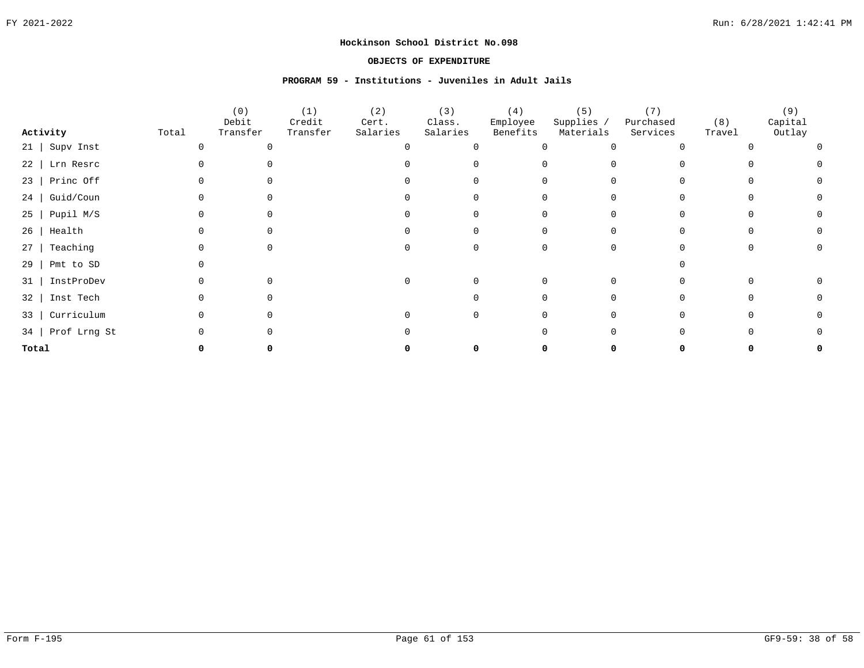### **OBJECTS OF EXPENDITURE**

## **PROGRAM 59 - Institutions - Juveniles in Adult Jails**

|                   |            | (0)               | (1)                | (2)               | (3)                | (4)                  | (5)                     | (7)                   |               | (9)               |  |
|-------------------|------------|-------------------|--------------------|-------------------|--------------------|----------------------|-------------------------|-----------------------|---------------|-------------------|--|
| Activity          | Total      | Debit<br>Transfer | Credit<br>Transfer | Cert.<br>Salaries | Class.<br>Salaries | Employee<br>Benefits | Supplies /<br>Materials | Purchased<br>Services | (8)<br>Travel | Capital<br>Outlay |  |
| 21   Supv Inst    |            |                   |                    |                   |                    |                      |                         |                       |               |                   |  |
| 22   Lrn Resrc    |            |                   |                    |                   |                    |                      |                         |                       |               |                   |  |
| 23   Princ Off    |            |                   |                    |                   |                    |                      |                         |                       |               |                   |  |
| Guid/Coun<br>24   |            |                   |                    |                   |                    |                      |                         |                       |               |                   |  |
| $25$   Pupil M/S  |            |                   |                    |                   |                    |                      |                         |                       |               |                   |  |
| Health<br>26      |            |                   |                    |                   |                    |                      |                         |                       |               |                   |  |
| Teaching<br>$27$  |            |                   |                    |                   |                    |                      |                         |                       |               |                   |  |
| Pmt to SD<br>29   |            |                   |                    |                   |                    |                      |                         |                       |               |                   |  |
| 31                | InstProDev |                   |                    |                   |                    |                      |                         |                       |               |                   |  |
| 32   Inst Tech    |            |                   |                    |                   |                    |                      |                         |                       |               |                   |  |
| $33 \mid$         | Curriculum |                   |                    |                   |                    |                      |                         |                       |               |                   |  |
| 34   Prof Lrng St |            |                   |                    |                   |                    |                      |                         |                       |               |                   |  |
| Total             |            |                   |                    |                   |                    |                      |                         |                       |               |                   |  |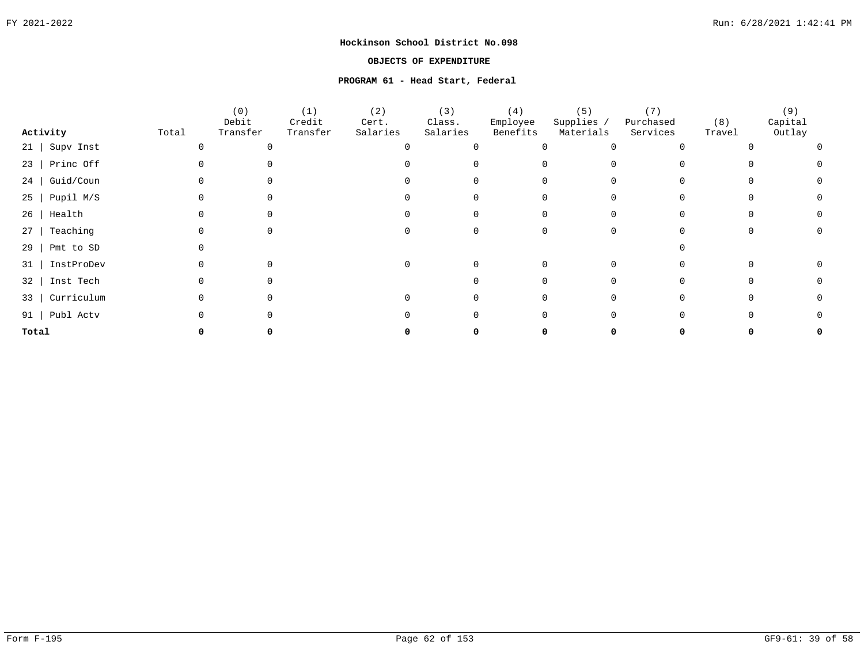### **OBJECTS OF EXPENDITURE**

#### **PROGRAM 61 - Head Start, Federal**

|                        |       | (0)               | (1)                | (2)               | (3)                | (4)                  | (5)                     | (7)                   |               | (9)               |  |
|------------------------|-------|-------------------|--------------------|-------------------|--------------------|----------------------|-------------------------|-----------------------|---------------|-------------------|--|
| Activity               | Total | Debit<br>Transfer | Credit<br>Transfer | Cert.<br>Salaries | Class.<br>Salaries | Employee<br>Benefits | Supplies /<br>Materials | Purchased<br>Services | (8)<br>Travel | Capital<br>Outlay |  |
| Supv Inst<br>$21$      |       |                   |                    |                   |                    |                      |                         |                       |               |                   |  |
| Princ Off<br>$23 \mid$ |       |                   |                    |                   |                    |                      |                         |                       |               |                   |  |
| Guid/Coun<br>24        |       |                   |                    |                   |                    |                      |                         |                       |               |                   |  |
| Pupil M/S<br>25        |       |                   |                    |                   |                    |                      |                         |                       |               |                   |  |
| Health<br>26           |       |                   |                    |                   |                    |                      |                         |                       |               |                   |  |
| Teaching<br>27         |       |                   |                    |                   |                    |                      |                         |                       |               |                   |  |
| Pmt to SD<br>29        |       |                   |                    |                   |                    |                      |                         |                       |               |                   |  |
| InstProDev<br>31       |       |                   |                    |                   |                    |                      |                         |                       |               |                   |  |
| Inst Tech<br>32        |       |                   |                    |                   |                    |                      |                         |                       |               |                   |  |
| Curriculum<br>33       |       |                   |                    |                   |                    |                      |                         |                       |               |                   |  |
| Publ Actv<br>91        |       |                   |                    |                   |                    |                      |                         |                       |               |                   |  |
| Total                  |       |                   |                    |                   |                    |                      |                         |                       |               |                   |  |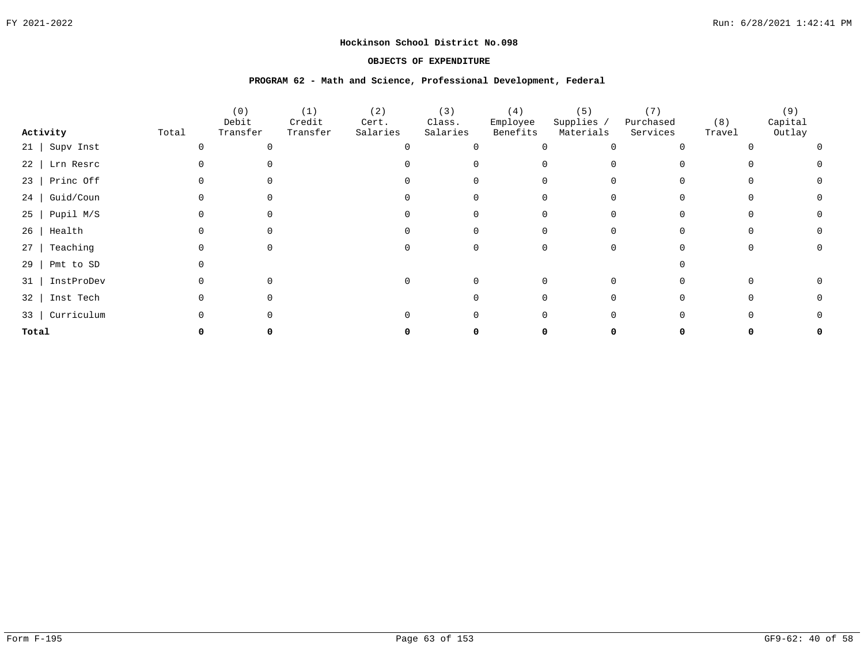### **OBJECTS OF EXPENDITURE**

#### **PROGRAM 62 - Math and Science, Professional Development, Federal**

|                        |       | (0)               | (1)                | (2)               | (3)                | (4)                  | (5)                     | (7)                   |               | (9)               |  |
|------------------------|-------|-------------------|--------------------|-------------------|--------------------|----------------------|-------------------------|-----------------------|---------------|-------------------|--|
| Activity               | Total | Debit<br>Transfer | Credit<br>Transfer | Cert.<br>Salaries | Class.<br>Salaries | Employee<br>Benefits | Supplies /<br>Materials | Purchased<br>Services | (8)<br>Travel | Capital<br>Outlay |  |
| 21   Supv Inst         |       |                   |                    |                   |                    |                      |                         |                       |               |                   |  |
| $22$   Lrn Resrc       |       |                   |                    |                   |                    |                      |                         |                       |               |                   |  |
| Princ Off<br>$23 \mid$ |       |                   |                    |                   |                    |                      |                         |                       |               |                   |  |
| Guid/Coun<br>24        |       |                   |                    |                   |                    |                      |                         |                       |               |                   |  |
| Pupil M/S<br>25        |       |                   |                    |                   |                    |                      |                         |                       |               |                   |  |
| $26$   Health          |       |                   |                    |                   |                    |                      |                         |                       |               |                   |  |
| Teaching<br>27         |       |                   |                    |                   |                    |                      |                         |                       |               |                   |  |
| Pmt to SD<br>29        |       |                   |                    |                   |                    |                      |                         |                       |               |                   |  |
| InstProDev<br>31       |       |                   |                    |                   |                    |                      | ∩                       |                       |               |                   |  |
| 32   Inst Tech         |       |                   |                    |                   |                    |                      |                         |                       |               |                   |  |
| 33   Curriculum        |       |                   |                    |                   |                    |                      |                         |                       |               |                   |  |
| Total                  |       |                   |                    |                   |                    |                      |                         |                       |               |                   |  |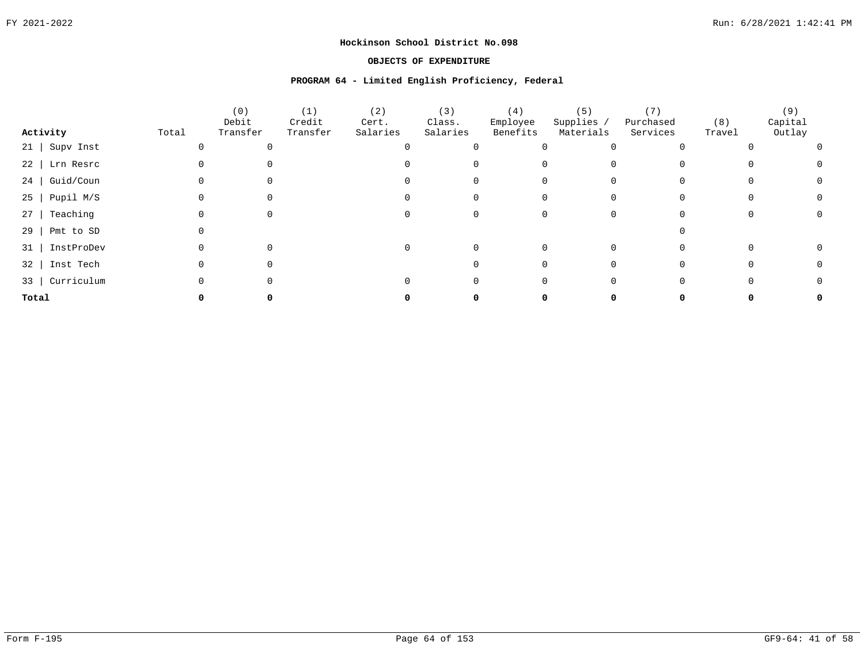### **OBJECTS OF EXPENDITURE**

#### **PROGRAM 64 - Limited English Proficiency, Federal**

|                  |       | (0)<br>Debit | (1)<br>Credit | (2)<br>Cert. | (3)<br>Class. | (4)<br>Employee | (5)<br>Supplies / | Purchased | (8)    | (9)<br>Capital |  |
|------------------|-------|--------------|---------------|--------------|---------------|-----------------|-------------------|-----------|--------|----------------|--|
| Activity         | Total | Transfer     | Transfer      | Salaries     | Salaries      | Benefits        | Materials         | Services  | Travel | Outlay         |  |
| $21$ Supv Inst   |       |              |               |              |               |                 |                   |           |        |                |  |
| 22   Lrn Resrc   |       |              |               |              |               |                 |                   |           |        |                |  |
| Guid/Coun<br>24  |       |              |               |              |               |                 |                   |           |        |                |  |
| $25$   Pupil M/S |       |              |               |              |               |                 |                   |           |        |                |  |
| Teaching<br>27   |       |              |               |              |               |                 |                   |           |        |                |  |
| 29<br>Pmt to SD  |       |              |               |              |               |                 |                   |           |        |                |  |
| 31   InstProDev  |       |              |               | 0            |               |                 |                   |           |        |                |  |
| 32   Inst Tech   |       |              |               |              |               |                 |                   |           |        |                |  |
| 33   Curriculum  |       |              |               |              |               |                 |                   |           |        |                |  |
| Total            |       |              |               |              |               |                 |                   |           |        |                |  |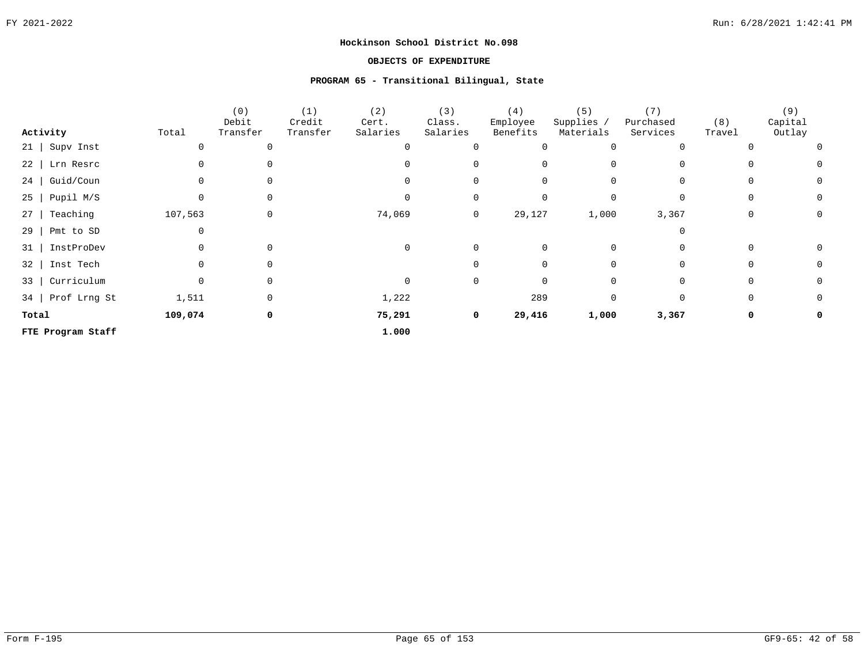### **OBJECTS OF EXPENDITURE**

## **PROGRAM 65 - Transitional Bilingual, State**

|                         |              | (0)<br>Debit | (1)<br>Credit | (2)<br>Cert. | (3)<br>Class. | (4)<br>Employee | (5)<br>Supplies / | (7)<br>Purchased | (8)      | (9)<br>Capital |
|-------------------------|--------------|--------------|---------------|--------------|---------------|-----------------|-------------------|------------------|----------|----------------|
| Activity                | Total        | Transfer     | Transfer      | Salaries     | Salaries      | Benefits        | Materials         | Services         | Travel   | Outlay         |
| $21$ Supv Inst          |              |              |               |              |               | $\Omega$        | $\Omega$          |                  |          |                |
| $22$   Lrn Resrc        |              |              |               |              |               | 0               | $\Omega$          |                  |          |                |
| $24$   Guid/Coun        |              |              |               |              |               |                 | 0                 |                  |          | 0              |
| $25$   Pupil M/S        |              |              |               |              |               |                 | $\Omega$          |                  |          | $\Omega$       |
| Teaching<br>27          | 107,563      |              |               | 74,069       | 0             | 29,127          | 1,000             | 3,367            |          | 0              |
| Pmt to SD<br>$29$       |              |              |               |              |               |                 |                   |                  |          |                |
| 31   InstProDev         |              |              |               |              | 0             | 0               | 0                 |                  |          |                |
| Inst Tech<br>$32 \mid$  |              |              |               |              |               |                 | $\Omega$          |                  | $\Omega$ | 0              |
| Curriculum<br>$33 \mid$ | <sup>n</sup> | $\Omega$     |               |              | $\mathbf 0$   | $\Omega$        | $\Omega$          |                  | O        | $\Omega$       |
| 34   Prof Lrng St       | 1,511        | $\Omega$     |               | 1,222        |               | 289             | 0                 | $\Omega$         | $\Omega$ | 0              |
| Total                   | 109,074      | 0            |               | 75,291       | 0             | 29,416          | 1,000             | 3,367            | 0        |                |
| FTE Program Staff       |              |              |               | 1.000        |               |                 |                   |                  |          |                |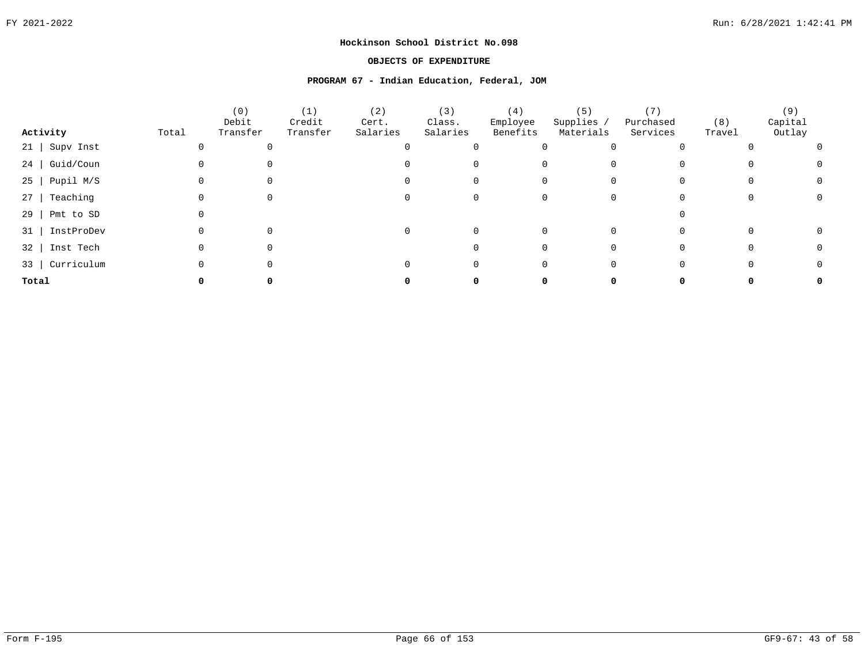### **OBJECTS OF EXPENDITURE**

#### **PROGRAM 67 - Indian Education, Federal, JOM**

|                       |       | (0)<br>Debit | (1)<br>Credit | (2)<br>Cert. | (3)<br>Class. | (4)<br>Employee | (5)<br>Supplies / | Purchased | (8)    | (9)<br>Capital |
|-----------------------|-------|--------------|---------------|--------------|---------------|-----------------|-------------------|-----------|--------|----------------|
| Activity              | Total | Transfer     | Transfer      | Salaries     | Salaries      | Benefits        | Materials         | Services  | Travel | Outlay         |
| Supv Inst<br>$21$     |       |              |               |              |               |                 |                   |           |        |                |
| $24$   Guid/Coun      |       |              |               |              |               |                 |                   |           |        |                |
| $25$   Pupil M/S      |       |              |               |              |               |                 |                   |           |        |                |
| Teaching<br>$27 \mid$ |       |              |               |              |               |                 |                   |           |        |                |
| $29$   Pmt to SD      |       |              |               |              |               |                 |                   |           |        |                |
| 31   InstProDev       |       |              |               |              |               |                 |                   |           |        |                |
| 32   Inst Tech        |       |              |               |              |               |                 |                   |           |        |                |
| 33   Curriculum       |       |              |               |              |               |                 |                   |           |        |                |
| Total                 |       |              |               |              |               |                 |                   |           |        |                |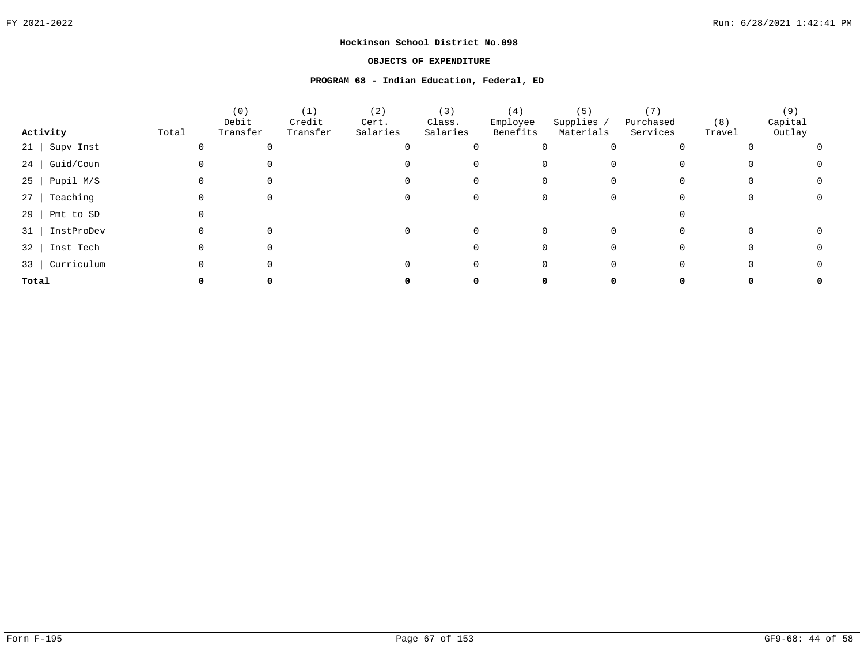### **OBJECTS OF EXPENDITURE**

#### **PROGRAM 68 - Indian Education, Federal, ED**

|                       |       | (0)<br>Debit | (1)<br>Credit | (2)<br>Cert. | (3)<br>Class. | (4)<br>Employee | (5)<br>Supplies / | Purchased | (8)    | (9)<br>Capital |
|-----------------------|-------|--------------|---------------|--------------|---------------|-----------------|-------------------|-----------|--------|----------------|
| Activity              | Total | Transfer     | Transfer      | Salaries     | Salaries      | Benefits        | Materials         | Services  | Travel | Outlay         |
| Supv Inst<br>$21$     |       |              |               |              |               |                 |                   |           |        |                |
| $24$   Guid/Coun      |       |              |               |              |               |                 |                   |           |        |                |
| $25$   Pupil M/S      |       |              |               |              |               |                 |                   |           |        |                |
| Teaching<br>$27 \mid$ |       |              |               |              |               |                 |                   |           |        |                |
| $29$   Pmt to SD      |       |              |               |              |               |                 |                   |           |        |                |
| 31   InstProDev       |       |              |               |              |               |                 |                   |           |        |                |
| 32   Inst Tech        |       |              |               |              |               |                 |                   |           |        |                |
| 33   Curriculum       |       |              |               |              |               |                 |                   |           |        |                |
| Total                 |       |              |               |              |               |                 |                   |           |        |                |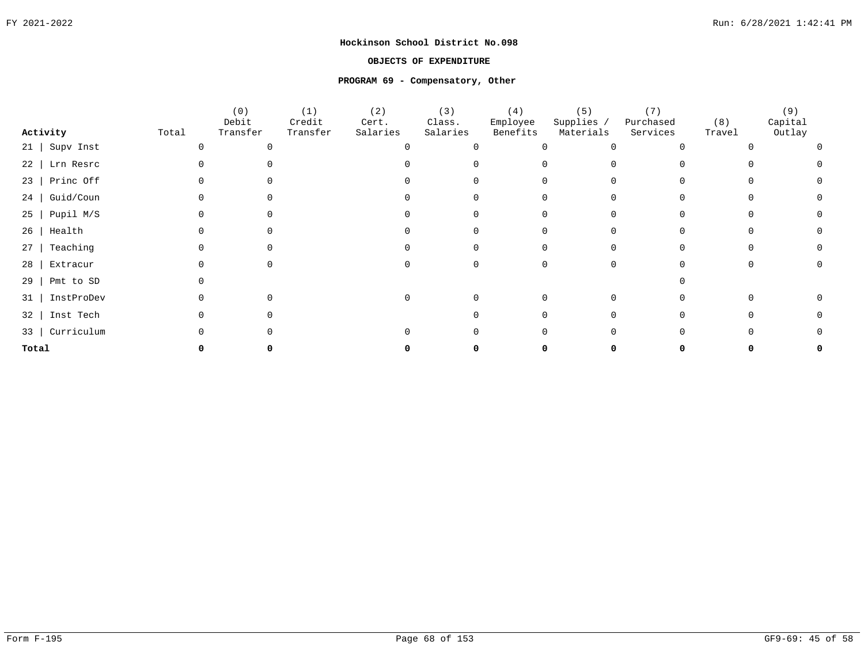### **OBJECTS OF EXPENDITURE**

#### **PROGRAM 69 - Compensatory, Other**

|                        |       | (0)               | (1)                | (2)               | (3)                | (4)                  | (5)                     | (7)                   |               | (9)               |
|------------------------|-------|-------------------|--------------------|-------------------|--------------------|----------------------|-------------------------|-----------------------|---------------|-------------------|
| Activity               | Total | Debit<br>Transfer | Credit<br>Transfer | Cert.<br>Salaries | Class.<br>Salaries | Employee<br>Benefits | Supplies /<br>Materials | Purchased<br>Services | (8)<br>Travel | Capital<br>Outlay |
| $21$   Supv Inst       |       | ∩                 |                    |                   |                    |                      |                         |                       |               |                   |
| Lrn Resrc<br>22        |       |                   |                    |                   |                    |                      |                         |                       |               |                   |
| Princ Off<br>$23 \mid$ |       |                   |                    |                   |                    |                      |                         |                       |               |                   |
| Guid/Coun<br>24        |       |                   |                    |                   |                    |                      |                         |                       |               |                   |
| Pupil M/S<br>$25 \mid$ |       |                   |                    |                   |                    |                      |                         |                       |               |                   |
| $26$   Health          |       |                   |                    |                   |                    |                      |                         |                       |               |                   |
| Teaching<br>27         |       |                   |                    |                   |                    |                      |                         |                       |               |                   |
| Extracur<br>28         |       |                   |                    |                   |                    |                      |                         |                       |               |                   |
| Pmt to SD<br>29        |       |                   |                    |                   |                    |                      |                         |                       |               |                   |
| InstProDev<br>31       |       |                   |                    |                   |                    |                      |                         |                       |               |                   |
| Inst Tech<br>32        |       |                   |                    |                   |                    |                      |                         |                       |               |                   |
| 33   Curriculum        |       |                   |                    |                   |                    |                      |                         |                       |               |                   |
| Total                  |       |                   |                    |                   |                    |                      |                         |                       |               |                   |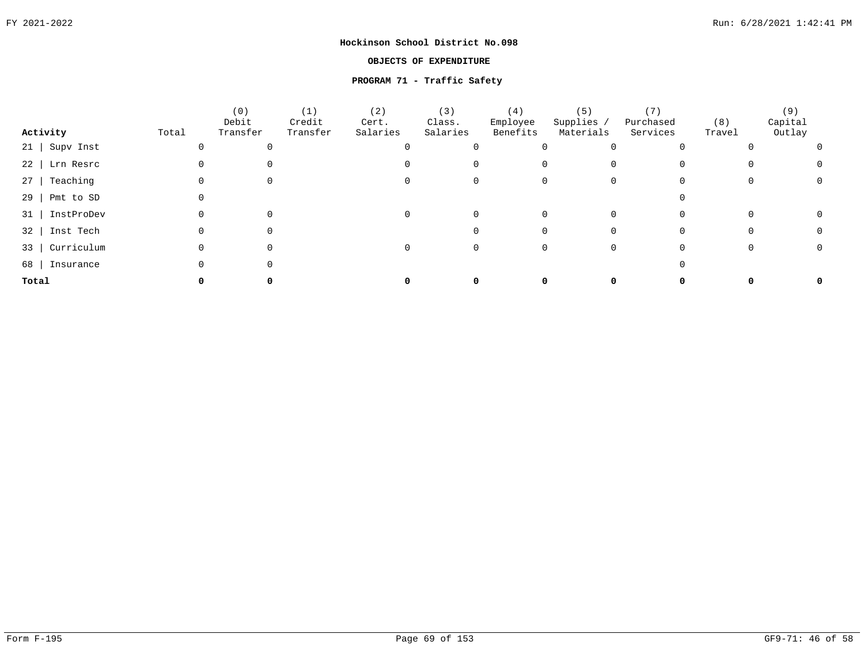### **OBJECTS OF EXPENDITURE**

# **PROGRAM 71 - Traffic Safety**

|                       |       | (0)<br>Debit | (1)<br>Credit | (2)<br>Cert. | (3)<br>Class. | (4)<br>Employee | (5)<br>Supplies / | Purchased | (8)    | (9)<br>Capital |  |
|-----------------------|-------|--------------|---------------|--------------|---------------|-----------------|-------------------|-----------|--------|----------------|--|
| Activity              | Total | Transfer     | Transfer      | Salaries     | Salaries      | Benefits        | Materials         | Services  | Travel | Outlay         |  |
| Supv Inst<br>$21$     |       |              |               |              |               |                 |                   |           |        |                |  |
| 22   Lrn Resrc        |       |              |               |              |               |                 |                   |           |        |                |  |
| Teaching<br>$27 \mid$ |       |              |               |              |               |                 |                   |           |        |                |  |
| $29$   Pmt to SD      |       |              |               |              |               |                 |                   |           |        |                |  |
| InstProDev<br>31      |       |              |               |              |               |                 |                   |           |        |                |  |
| 32   Inst Tech        |       |              |               |              |               |                 |                   |           |        |                |  |
| Curriculum<br>33      |       |              |               |              |               |                 |                   |           |        |                |  |
| 68  <br>Insurance     |       |              |               |              |               |                 |                   |           |        |                |  |
| Total                 |       |              |               |              |               |                 |                   |           |        |                |  |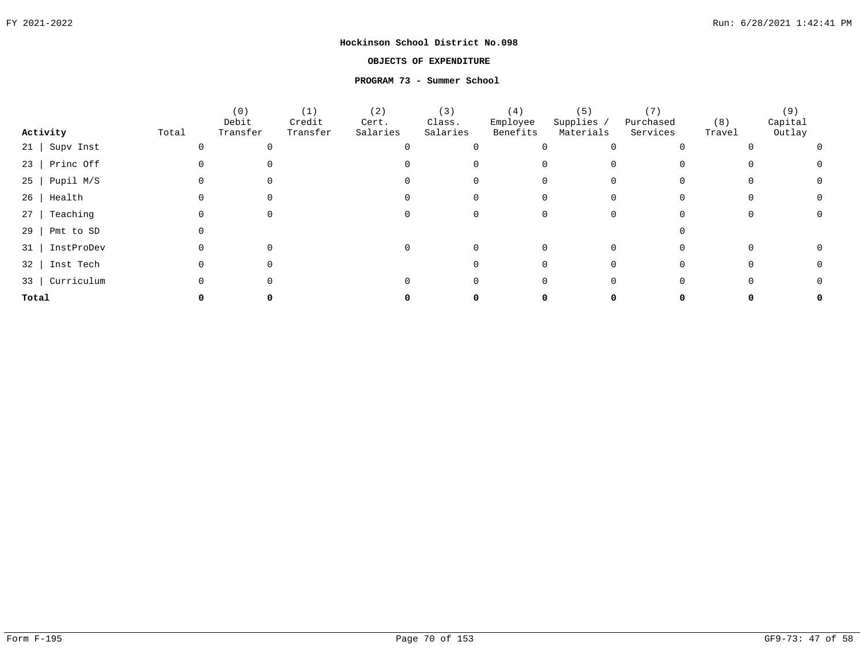### **OBJECTS OF EXPENDITURE**

#### **PROGRAM 73 - Summer School**

|                  |       | (0)<br>Debit | (1)<br>Credit | (2)<br>Cert. | (3)<br>Class. | (4)<br>Employee | (5)<br>Supplies / | Purchased | (8)    | (9)<br>Capital |  |
|------------------|-------|--------------|---------------|--------------|---------------|-----------------|-------------------|-----------|--------|----------------|--|
| Activity         | Total | Transfer     | Transfer      | Salaries     | Salaries      | Benefits        | Materials         | Services  | Travel | Outlay         |  |
| Supv Inst<br>21  |       |              |               |              |               |                 |                   |           |        |                |  |
| $23$   Princ Off |       |              |               |              |               |                 |                   |           |        |                |  |
| Pupil M/S<br>25  |       |              |               |              |               |                 |                   |           |        |                |  |
| Health<br>26     |       |              |               |              |               |                 |                   |           |        |                |  |
| Teaching<br>27   |       |              |               |              |               |                 |                   |           |        |                |  |
| 29<br>Pmt to SD  |       |              |               |              |               |                 |                   |           |        |                |  |
| InstProDev<br>31 |       |              |               | $\Omega$     |               |                 |                   |           |        |                |  |
| Inst Tech<br>32  |       |              |               |              |               |                 |                   |           |        |                |  |
| Curriculum<br>33 |       |              |               |              |               |                 |                   |           |        |                |  |
| Total            |       |              |               |              |               |                 |                   |           |        |                |  |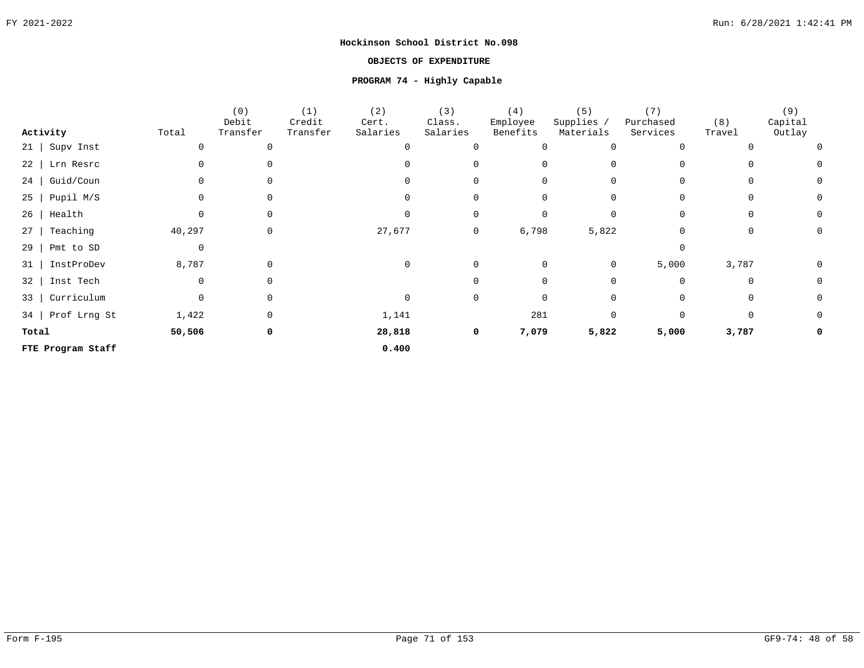### **OBJECTS OF EXPENDITURE**

# **PROGRAM 74 - Highly Capable**

|                        |        | (0)         | (1)      | (2)      | (3)         | (4)      | (5)         | (7)       |          | (9)      |
|------------------------|--------|-------------|----------|----------|-------------|----------|-------------|-----------|----------|----------|
|                        |        | Debit       | Credit   | Cert.    | Class.      | Employee | Supplies /  | Purchased | (8)      | Capital  |
| Activity               | Total  | Transfer    | Transfer | Salaries | Salaries    | Benefits | Materials   | Services  | Travel   | Outlay   |
| Supv Inst<br>$21 \mid$ |        |             |          | $\Omega$ | $\mathbf 0$ | 0        | $\Omega$    |           |          | $\Omega$ |
| $22$  <br>Lrn Resrc    |        |             |          |          | $\Omega$    | 0        | $\Omega$    |           |          | 0        |
| Guid/Coun<br>$24$      |        |             |          | $\Omega$ | $\Omega$    | 0        | 0           |           |          | 0        |
| Pupil M/S<br>$25 \mid$ |        |             |          | $\Omega$ | $\Omega$    | 0        | $\Omega$    |           | O        | 0        |
| $26$   Health          | 0      | $\Omega$    |          | 0        | 0           | 0        | $\mathbf 0$ | $\Omega$  | $\Omega$ | 0        |
| Teaching<br>27         | 40,297 | $\mathbf 0$ |          | 27,677   | 0           | 6,798    | 5,822       |           | 0        | 0        |
| Pmt to SD<br>29        | 0      |             |          |          |             |          |             | $\Omega$  |          |          |
| InstProDev<br>$31$     | 8,787  | $\Omega$    |          | 0        | 0           | 0        | 0           | 5,000     | 3,787    | 0        |
| Inst Tech<br>32        | 0      |             |          |          | $\Omega$    | $\Omega$ | $\Omega$    | $\Omega$  | $\Omega$ | 0        |
| Curriculum<br>33       | 0      |             |          | 0        | 0           | 0        | 0           |           | 0        | 0        |
| 34   Prof Lrng St      | 1,422  |             |          | 1,141    |             | 281      | $\Omega$    | $\Omega$  |          | 0        |
| Total                  | 50,506 | 0           |          | 28,818   | 0           | 7,079    | 5,822       | 5,000     | 3,787    |          |
| FTE Program Staff      |        |             |          | 0.400    |             |          |             |           |          |          |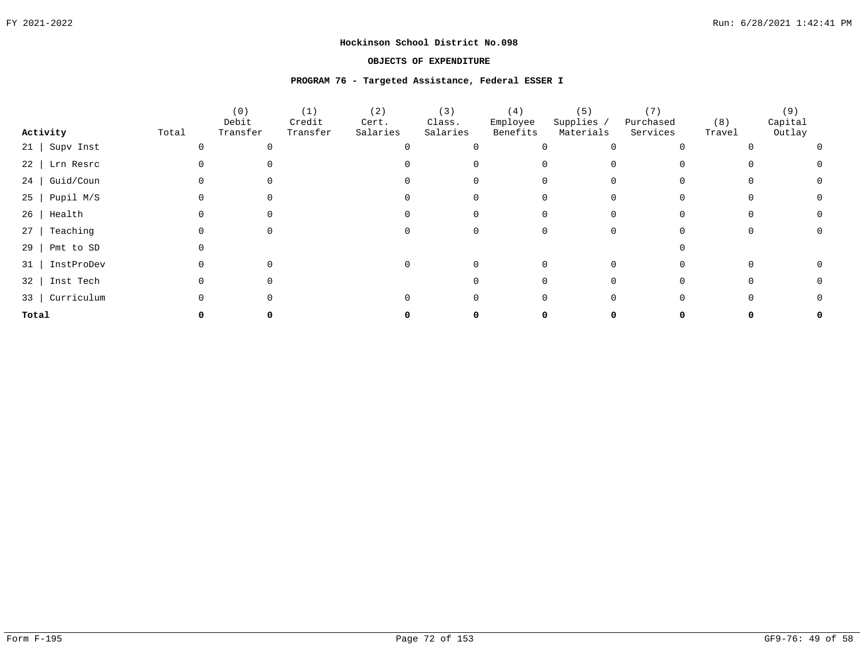### **OBJECTS OF EXPENDITURE**

#### **PROGRAM 76 - Targeted Assistance, Federal ESSER I**

|          |                  |       | (0)               | (1)                | (2)               | (3)                | (4)                  | (5)                     | (7)                   |               | (9)               |  |
|----------|------------------|-------|-------------------|--------------------|-------------------|--------------------|----------------------|-------------------------|-----------------------|---------------|-------------------|--|
| Activity |                  | Total | Debit<br>Transfer | Credit<br>Transfer | Cert.<br>Salaries | Class.<br>Salaries | Employee<br>Benefits | Supplies /<br>Materials | Purchased<br>Services | (8)<br>Travel | Capital<br>Outlay |  |
|          | 21   Supv Inst   |       |                   |                    |                   |                    |                      |                         |                       |               |                   |  |
|          | 22   Lrn Resrc   |       |                   |                    |                   |                    |                      |                         |                       |               |                   |  |
|          | 24   Guid/Coun   |       |                   |                    |                   |                    |                      |                         |                       |               |                   |  |
|          | $25$   Pupil M/S |       |                   |                    |                   |                    |                      |                         |                       |               |                   |  |
|          | $26$   Health    |       |                   |                    |                   |                    |                      |                         |                       |               |                   |  |
| 27       | Teaching         |       |                   |                    |                   |                    |                      |                         |                       |               |                   |  |
| $29$     | Pmt to SD        |       |                   |                    |                   |                    |                      |                         |                       |               |                   |  |
| 31       | InstProDev       |       |                   |                    |                   |                    |                      |                         |                       |               |                   |  |
|          | 32   Inst Tech   |       |                   |                    |                   |                    |                      |                         |                       |               |                   |  |
|          | 33   Curriculum  |       |                   |                    |                   |                    |                      |                         |                       |               |                   |  |
| Total    |                  |       |                   |                    |                   |                    |                      |                         |                       |               |                   |  |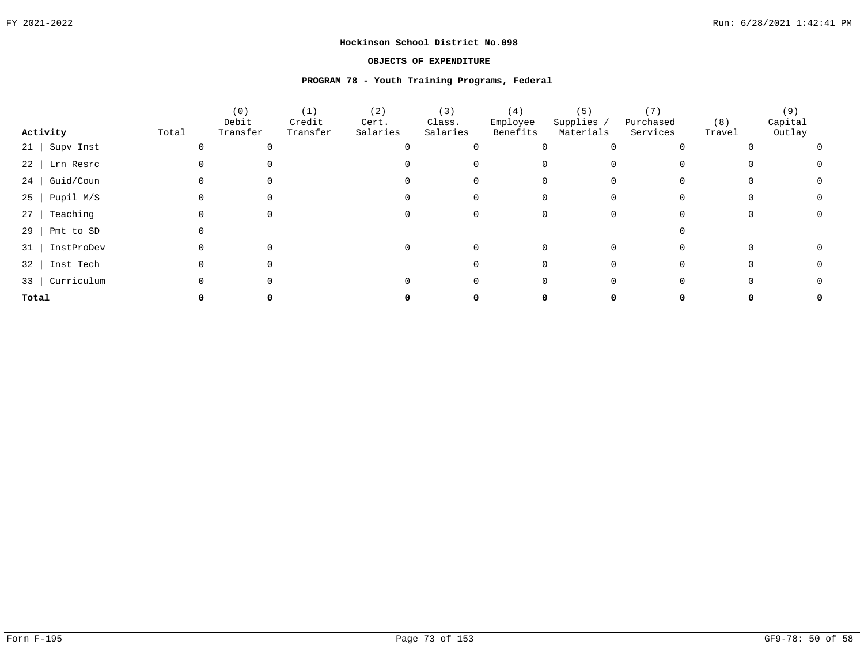# **OBJECTS OF EXPENDITURE**

# **PROGRAM 78 - Youth Training Programs, Federal**

|                  |       | (0)<br>Debit | (1)<br>Credit | (2)<br>Cert. | (3)<br>Class. | (4)<br>Employee | (5)<br>Supplies / | Purchased | (8)    | (9)<br>Capital |  |
|------------------|-------|--------------|---------------|--------------|---------------|-----------------|-------------------|-----------|--------|----------------|--|
| Activity         | Total | Transfer     | Transfer      | Salaries     | Salaries      | Benefits        | Materials         | Services  | Travel | Outlay         |  |
| $21$ Supv Inst   |       |              |               |              |               |                 |                   |           |        |                |  |
| $22$ Lrn Resrc   |       |              |               |              |               |                 |                   |           |        |                |  |
| 24 Guid/Coun     |       |              |               |              |               |                 |                   |           |        |                |  |
| $25$   Pupil M/S |       |              |               |              |               |                 |                   |           |        |                |  |
| Teaching<br>$27$ |       |              |               |              |               |                 |                   |           |        |                |  |
| 29<br>Pmt to SD  |       |              |               |              |               |                 |                   |           |        |                |  |
| 31   InstProDev  |       |              |               |              |               |                 |                   |           |        |                |  |
| 32   Inst Tech   |       |              |               |              |               |                 |                   |           |        |                |  |
| 33   Curriculum  |       |              |               |              |               |                 |                   |           |        |                |  |
| Total            |       |              |               |              |               |                 |                   |           |        |                |  |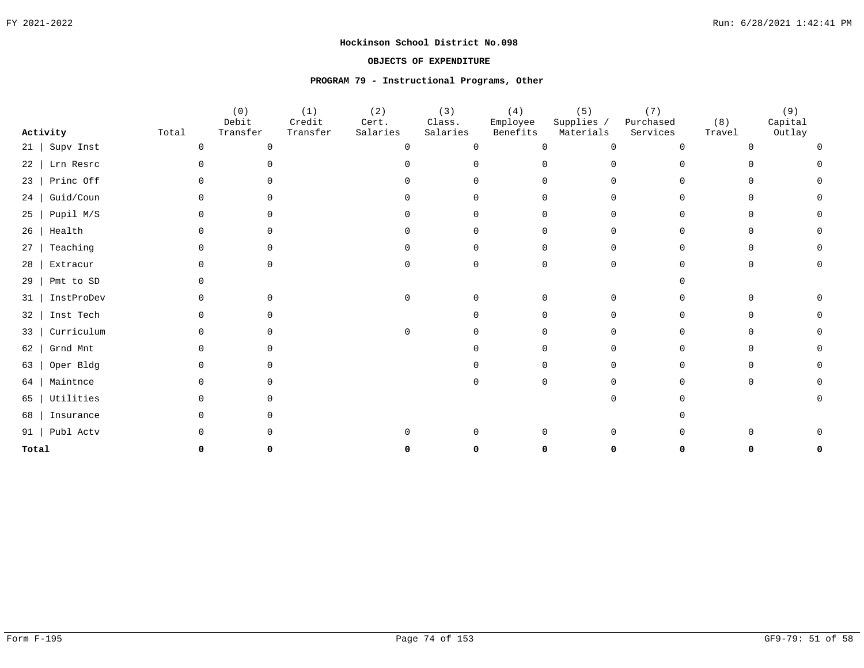# **OBJECTS OF EXPENDITURE**

# **PROGRAM 79 - Instructional Programs, Other**

|       |            |              | (0)<br>Debit | (1)<br>Credit | (2)<br>Cert. | (3)<br>Class. | (4)<br>Employee | (5)<br>Supplies / | (7)<br>Purchased | (8)    | (9)<br>Capital |
|-------|------------|--------------|--------------|---------------|--------------|---------------|-----------------|-------------------|------------------|--------|----------------|
|       | Activity   | Total        | Transfer     | Transfer      | Salaries     | Salaries      | Benefits        | Materials         | Services         | Travel | Outlay         |
| 21    | Supv Inst  | $\Omega$     | $\Omega$     |               | $\cap$       | $\Omega$      | 0               | $\Omega$          | ∩                |        |                |
| 22    | Lrn Resrc  |              |              |               |              |               |                 |                   |                  |        |                |
| 23    | Princ Off  |              |              |               |              |               |                 | $\cap$            |                  |        |                |
| 24    | Guid/Coun  | ∩            |              |               |              |               |                 | 0<br>$\Omega$     |                  |        |                |
| 25    | Pupil M/S  |              |              |               |              |               |                 | 0<br>0            | U                |        |                |
| 26    | Health     | <sup>n</sup> | $\cap$       |               |              | $\cap$        |                 | 0<br>0            | U                |        |                |
| 27    | Teaching   |              |              |               |              |               |                 | $\Omega$<br>0     |                  |        |                |
| 28    | Extracur   |              | $\cap$       |               | $\Omega$     | $\Omega$      |                 | $\mathbf 0$<br>0  |                  |        |                |
| 29    | Pmt to SD  |              |              |               |              |               |                 |                   |                  |        |                |
| 31    | InstProDev |              |              |               | 0            | $\Omega$      |                 | $\mathbf 0$<br>0  |                  |        |                |
| 32    | Inst Tech  |              |              |               |              |               |                 | 0<br>0            | U                |        |                |
| 33    | Curriculum |              |              |               |              |               |                 | $\Omega$<br>0     |                  |        |                |
| 62    | Grnd Mnt   |              |              |               |              |               |                 | $\cap$            |                  |        |                |
| 63    | Oper Bldg  |              |              |               |              |               |                 | ∩<br>$\Omega$     |                  |        |                |
| 64    | Maintnce   |              |              |               |              |               |                 | $\Omega$<br>∩     |                  |        |                |
| 65    | Utilities  |              |              |               |              |               |                 | $\Omega$          |                  |        |                |
| 68    | Insurance  |              |              |               |              |               |                 |                   |                  |        |                |
| 91    | Publ Actv  |              |              |               |              | $\Omega$      | U               | $\Omega$          |                  |        |                |
| Total |            |              |              |               |              |               |                 |                   |                  |        |                |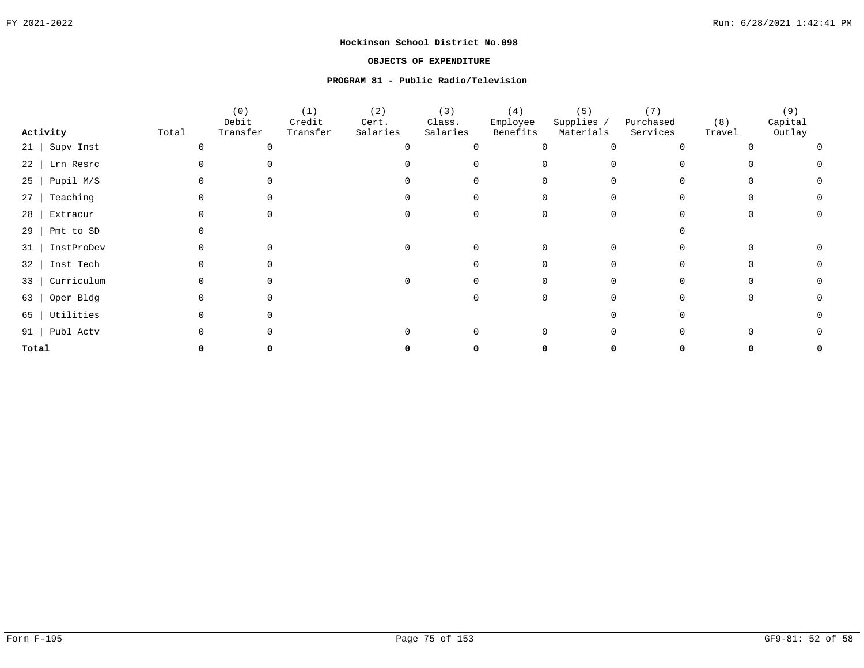# **OBJECTS OF EXPENDITURE**

# **PROGRAM 81 - Public Radio/Television**

|                         |       | (0)               | (1)                | (2)               | (3)                | (4)                  | (5)                     | (7)                   |               | (9)               |
|-------------------------|-------|-------------------|--------------------|-------------------|--------------------|----------------------|-------------------------|-----------------------|---------------|-------------------|
| Activity                | Total | Debit<br>Transfer | Credit<br>Transfer | Cert.<br>Salaries | Class.<br>Salaries | Employee<br>Benefits | Supplies /<br>Materials | Purchased<br>Services | (8)<br>Travel | Capital<br>Outlay |
| Supv Inst<br>$21 \mid$  |       | ∩                 |                    |                   |                    |                      |                         |                       |               |                   |
| Lrn Resrc<br>$22$       |       |                   |                    |                   |                    |                      |                         |                       |               |                   |
| Pupil M/S<br>25         |       |                   |                    |                   |                    |                      |                         |                       |               |                   |
| Teaching<br>27          |       |                   |                    |                   |                    |                      |                         |                       |               |                   |
| Extracur<br>28          |       |                   |                    |                   |                    |                      |                         |                       |               |                   |
| Pmt to SD<br>29         |       |                   |                    |                   |                    |                      |                         |                       |               |                   |
| InstProDev<br>31        |       |                   |                    |                   |                    |                      | 0                       |                       |               |                   |
| Inst Tech<br>32         |       |                   |                    |                   |                    |                      |                         |                       |               |                   |
| Curriculum<br>$33 \mid$ |       |                   |                    |                   |                    |                      |                         |                       |               |                   |
| Oper Bldg<br>63         |       |                   |                    |                   |                    |                      |                         |                       |               |                   |
| 65   Utilities          |       |                   |                    |                   |                    |                      |                         |                       |               |                   |
| 91   Publ Actv          |       |                   |                    |                   |                    |                      |                         |                       |               |                   |
| Total                   |       |                   |                    |                   |                    |                      |                         |                       |               |                   |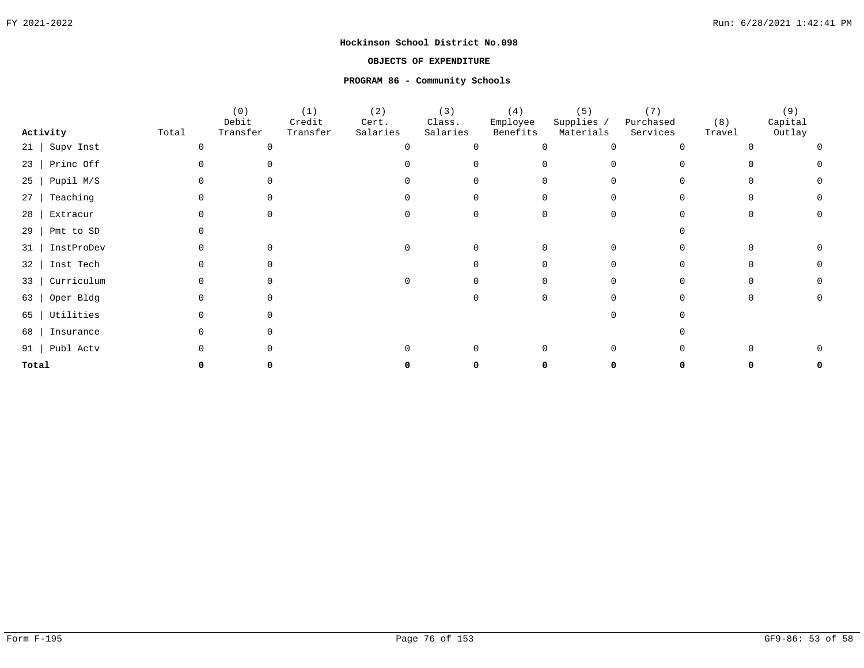# **OBJECTS OF EXPENDITURE**

# **PROGRAM 86 - Community Schools**

|           |                  |       | (0)<br>Debit | (1)<br>Credit | (2)<br>Cert. | (3)<br>Class. | (4)<br>Employee | (5)<br>Supplies / | (7)<br>Purchased | (8)    | (9)<br>Capital |
|-----------|------------------|-------|--------------|---------------|--------------|---------------|-----------------|-------------------|------------------|--------|----------------|
|           | Activity         | Total | Transfer     | Transfer      | Salaries     | Salaries      | Benefits        | Materials         | Services         | Travel | Outlay         |
| $21 \mid$ | Supv Inst        |       |              |               |              | $\Omega$      |                 |                   |                  |        |                |
|           | $23$   Princ Off |       |              |               |              |               |                 |                   |                  |        |                |
| 25        | Pupil M/S        |       |              |               |              |               |                 |                   |                  |        |                |
| 27        | Teaching         |       |              |               |              |               |                 |                   |                  |        |                |
| 28        | Extracur         |       |              |               |              |               |                 |                   |                  |        |                |
| 29        | Pmt to SD        |       |              |               |              |               |                 |                   |                  |        |                |
| 31        | InstProDev       |       |              |               |              |               |                 |                   |                  |        |                |
| 32        | Inst Tech        |       |              |               |              |               |                 |                   |                  |        |                |
| 33        | Curriculum       |       |              |               |              |               |                 |                   |                  |        |                |
| 63        | Oper Bldg        |       |              |               |              |               |                 |                   |                  |        |                |
| 65        | Utilities        |       |              |               |              |               |                 |                   |                  |        |                |
| 68        | Insurance        |       |              |               |              |               |                 |                   |                  |        |                |
|           | 91   Publ Actv   |       |              |               |              |               |                 |                   |                  |        |                |
| Total     |                  |       |              |               |              |               |                 |                   |                  |        |                |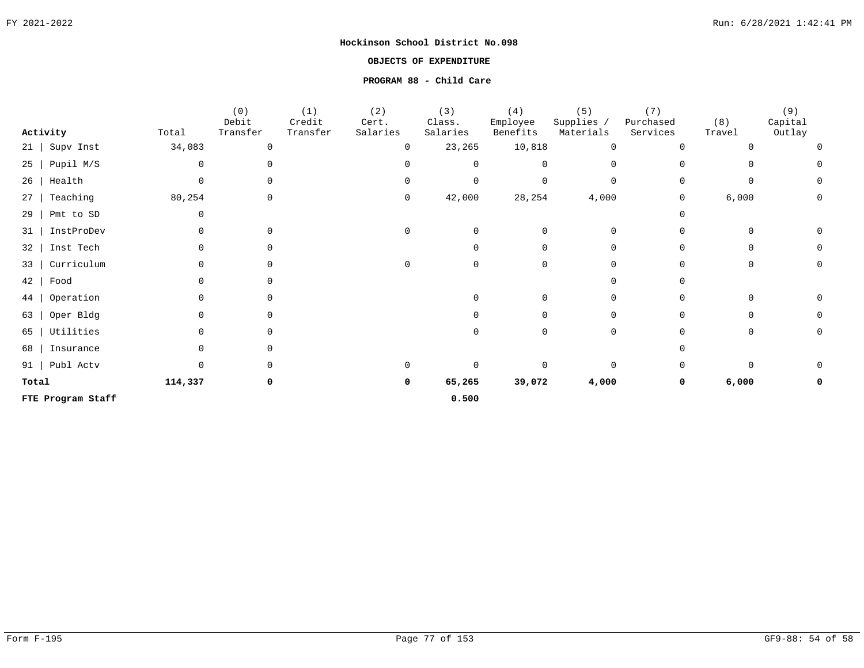# **OBJECTS OF EXPENDITURE**

# **PROGRAM 88 - Child Care**

| Activity               | Total   | (0)<br>Debit<br>Transfer | (1)<br>Credit<br>Transfer | (2)<br>Cert.<br>Salaries | (3)<br>Class.<br>Salaries | (4)<br>Employee<br>Benefits | (5)<br>Supplies /<br>Materials | (7)<br>Purchased<br>Services | (8)<br>Travel | (9)<br>Capital<br>Outlay |
|------------------------|---------|--------------------------|---------------------------|--------------------------|---------------------------|-----------------------------|--------------------------------|------------------------------|---------------|--------------------------|
| Supv Inst<br>$21 \mid$ | 34,083  | $\Omega$                 |                           |                          | 23,265                    | 10,818                      | $\mathsf{O}$                   | $\Omega$                     |               | $\Omega$                 |
| Pupil M/S<br>$25 \mid$ | 0       |                          |                           |                          | $\Omega$                  |                             | 0                              |                              |               |                          |
| Health<br>26           | 0       |                          |                           |                          | 0                         |                             | $\mathbf 0$                    |                              |               |                          |
| Teaching<br>27         | 80,254  | $\Omega$                 |                           | 0                        | 42,000                    | 28,254                      | 4,000                          | 0                            | 6,000         | 0                        |
| Pmt to SD<br>29        |         |                          |                           |                          |                           |                             |                                |                              |               |                          |
| InstProDev<br>31       |         |                          |                           |                          | $\Omega$                  |                             | $\mathbf 0$                    |                              |               |                          |
| Inst Tech<br>32        |         |                          |                           |                          |                           |                             | $\Omega$                       | $\cap$                       | 0             | 0                        |
| Curriculum<br>33       |         |                          |                           |                          | $\Omega$                  |                             | 0                              |                              | O             | $\mathbf 0$              |
| 42<br>Food             |         |                          |                           |                          |                           |                             | $\Omega$                       |                              |               |                          |
| Operation<br>44        |         | $\Omega$                 |                           |                          |                           | 0                           | $\mathbf 0$                    | $\Omega$                     |               |                          |
| Oper Bldg<br>63        |         | $\Omega$                 |                           |                          |                           | 0                           | $\mathbf 0$                    | $\Omega$                     | O             | 0                        |
| Utilities<br>65        |         |                          |                           |                          |                           |                             | 0                              |                              | O             | 0                        |
| 68<br>Insurance        |         |                          |                           |                          |                           |                             |                                |                              |               |                          |
| 91   Publ Actv         |         |                          |                           |                          | $\Omega$                  |                             | $\mathbf 0$                    |                              |               |                          |
| Total                  | 114,337 |                          |                           | 0                        | 65,265                    | 39,072                      | 4,000                          | 0                            | 6,000         | 0                        |
| FTE Program Staff      |         |                          |                           |                          | 0.500                     |                             |                                |                              |               |                          |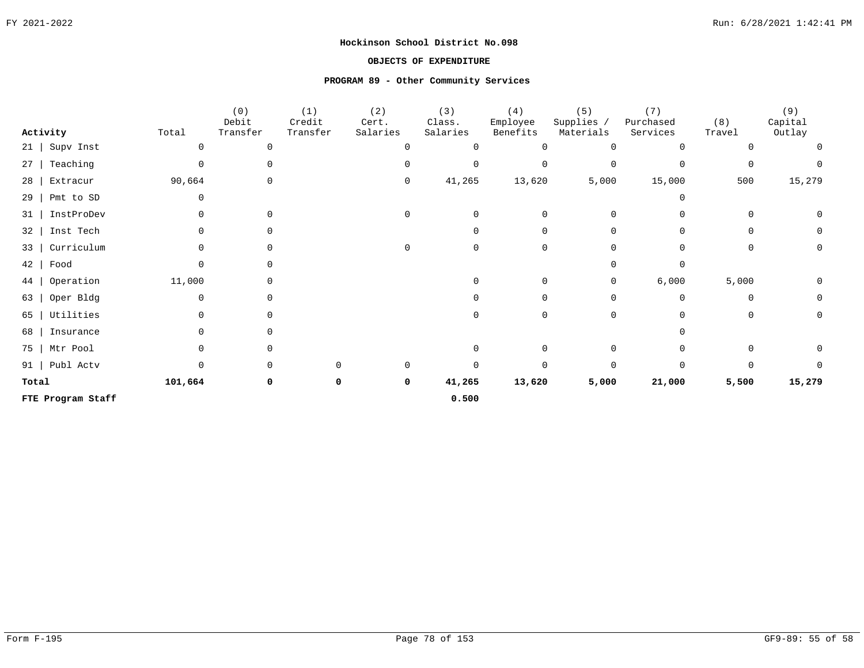# **OBJECTS OF EXPENDITURE**

# **PROGRAM 89 - Other Community Services**

| Activity          | Total   | (0)<br>Debit<br>Transfer | (1)<br>Credit<br>Transfer | (2)<br>Cert.<br>Salaries | (3)<br>Class.<br>Salaries | (4)<br>Employee<br>Benefits | (5)<br>Supplies /<br>Materials | (7)<br>Purchased<br>Services | (8)<br>Travel | (9)<br>Capital<br>Outlay |
|-------------------|---------|--------------------------|---------------------------|--------------------------|---------------------------|-----------------------------|--------------------------------|------------------------------|---------------|--------------------------|
| Supv Inst<br>21   |         | $\Omega$                 |                           |                          | $\Omega$                  |                             | $\Omega$                       | $\Omega$                     |               | $\Omega$                 |
| Teaching<br>27    |         |                          |                           |                          | 0                         | $\Omega$                    | $\mathbf 0$                    | $\Omega$                     | 0             |                          |
| Extracur<br>28    | 90,664  | 0                        |                           | 0                        | 41,265                    | 13,620                      | 5,000                          | 15,000                       | 500           | 15,279                   |
| Pmt to SD<br>29   | 0       |                          |                           |                          |                           |                             |                                |                              |               |                          |
| InstProDev<br>31  |         | $\Omega$                 |                           |                          | $\Omega$                  | $\Omega$                    | $\Omega$                       |                              | 0             | 0                        |
| Inst Tech<br>32   |         |                          |                           |                          | $\cap$                    | $\cap$                      | $\Omega$                       | $\Omega$                     | 0             | 0                        |
| Curriculum<br>33  | O.      |                          |                           | ∩                        | $\cap$                    | $\cap$                      | $\Omega$                       |                              | 0             | 0                        |
| 42<br>Food        |         |                          |                           |                          |                           |                             |                                | $\Omega$                     |               |                          |
| Operation<br>44   | 11,000  |                          |                           |                          | ∩                         | $\Omega$                    | 0                              | 6,000                        | 5,000         | 0                        |
| Oper Bldg<br>63   |         |                          |                           |                          |                           |                             | $\Omega$                       | $\Omega$                     | O             | 0                        |
| Utilities<br>65   |         | <sup>n</sup>             |                           |                          | U                         | U                           | $\Omega$                       |                              | $\Omega$      | 0                        |
| 68<br>Insurance   |         |                          |                           |                          |                           |                             |                                |                              |               |                          |
| 75<br>Mtr Pool    |         | $\cap$                   |                           |                          | $\Omega$                  | $\Omega$                    | $\Omega$                       |                              | U             | 0                        |
| Publ Actv<br>91   |         |                          |                           |                          | $\cap$                    | $\Omega$                    | $\Omega$                       | $\Omega$                     |               |                          |
| Total             | 101,664 | 0                        |                           | 0                        | 41,265                    | 13,620                      | 5,000                          | 21,000                       | 5,500         | 15,279                   |
| FTE Program Staff |         |                          |                           |                          | 0.500                     |                             |                                |                              |               |                          |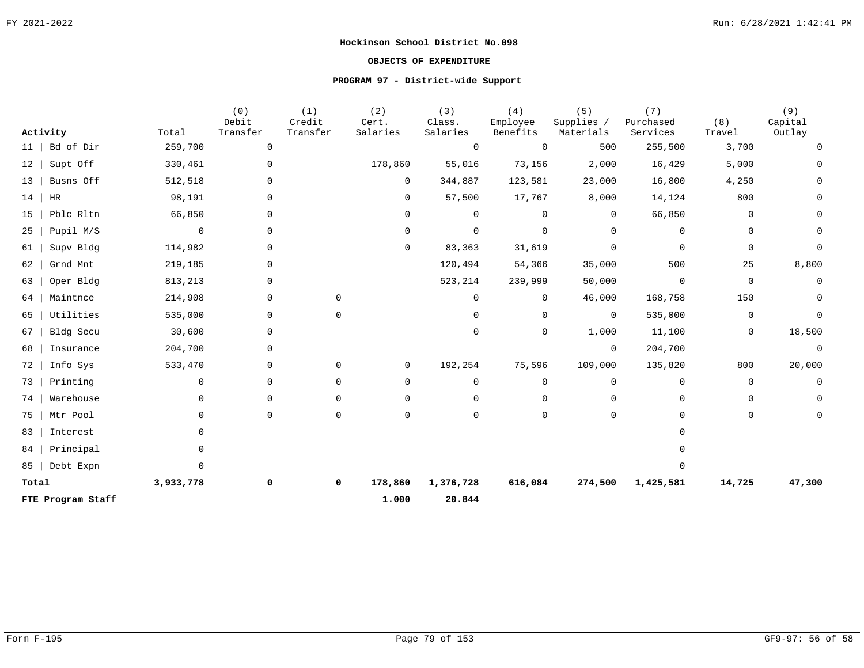# **OBJECTS OF EXPENDITURE**

# **PROGRAM 97 - District-wide Support**

|          |                   |           | (0)<br>Debit | (1)<br>Credit | (2)<br>Cert.   | (3)<br>Class.  | (4)<br>Employee | (5)<br>Supplies / | (7)<br>Purchased | (8)          | (9)<br>Capital |
|----------|-------------------|-----------|--------------|---------------|----------------|----------------|-----------------|-------------------|------------------|--------------|----------------|
| Activity |                   | Total     | Transfer     | Transfer      | Salaries       | Salaries       | Benefits        | Materials         | Services         | Travel       | Outlay         |
| 11       | Bd of Dir         | 259,700   | $\mathbf 0$  |               |                | $\overline{0}$ | $\Omega$        | 500               | 255,500          | 3,700        | $\Omega$       |
| 12       | Supt Off          | 330,461   | 0            |               | 178,860        | 55,016         | 73,156          | 2,000             | 16,429           | 5,000        |                |
| 13       | Busns Off         | 512,518   | 0            |               | 0              | 344,887        | 123,581         | 23,000            | 16,800           | 4,250        |                |
| 14       | HR                | 98,191    | 0            |               | 0              | 57,500         | 17,767          | 8,000             | 14,124           | 800          |                |
| 15       | Pblc Rltn         | 66,850    | 0            |               | $\Omega$       | 0              | 0               | $\overline{0}$    | 66,850           | 0            |                |
| 25       | Pupil M/S         | 0         | 0            |               | 0              | $\mathbf 0$    | $\Omega$        | $\mathbf 0$       | $\mathbf 0$      | 0            | 0              |
| 61       | Supv Bldg         | 114,982   | 0            |               | 0              | 83,363         | 31,619          | $\mathbf 0$       | $\Omega$         | 0            | $\Omega$       |
| 62       | Grnd Mnt          | 219,185   | $\Omega$     |               |                | 120,494        | 54,366          | 35,000            | 500              | 25           | 8,800          |
| 63       | Oper Bldg         | 813,213   | $\mathbf 0$  |               |                | 523,214        | 239,999         | 50,000            | $\mathbf 0$      | $\mathsf{O}$ | 0              |
| 64       | Maintnce          | 214,908   | $\mathbf 0$  | $\Omega$      |                | $\Omega$       | $\mathbf 0$     | 46,000            | 168,758          | 150          | $\Omega$       |
| 65       | Utilities         | 535,000   | 0            | $\Omega$      |                | $\Omega$       | $\Omega$        | $\overline{0}$    | 535,000          | 0            | $\Omega$       |
| 67       | Bldg Secu         | 30,600    | 0            |               |                | 0              | $\mathbf 0$     | 1,000             | 11,100           | 0            | 18,500         |
| 68       | Insurance         | 204,700   | 0            |               |                |                |                 | $\overline{0}$    | 204,700          |              | $\mathbf 0$    |
| 72       | Info Sys          | 533,470   | 0            | $\Omega$      | $\overline{0}$ | 192,254        | 75,596          | 109,000           | 135,820          | 800          | 20,000         |
| 73       | Printing          | 0         | 0            | $\Omega$      | 0              | $\mathbf 0$    | 0               | $\mathbf 0$       | $\mathbf 0$      | $\mathbf 0$  | $\mathbf 0$    |
| 74       | Warehouse         | O.        | $\mathbf 0$  | $\Omega$      | $\Omega$       | $\Omega$       | $\Omega$        | $\Omega$          | $\Omega$         | $\mathbf 0$  |                |
| 75       | Mtr Pool          | 0         | 0            | $\Omega$      | $\Omega$       | $\Omega$       | $\Omega$        | $\mathbf 0$       | $\cap$           | 0            | $\Omega$       |
| 83       | Interest          |           |              |               |                |                |                 |                   | $\cap$           |              |                |
| 84       | Principal         |           |              |               |                |                |                 |                   |                  |              |                |
| 85       | Debt Expn         | 0         |              |               |                |                |                 |                   | $\Omega$         |              |                |
| Total    |                   | 3,933,778 | 0            | 0             | 178,860        | 1,376,728      | 616,084         | 274,500           | 1,425,581        | 14,725       | 47,300         |
|          | FTE Program Staff |           |              |               | 1.000          | 20.844         |                 |                   |                  |              |                |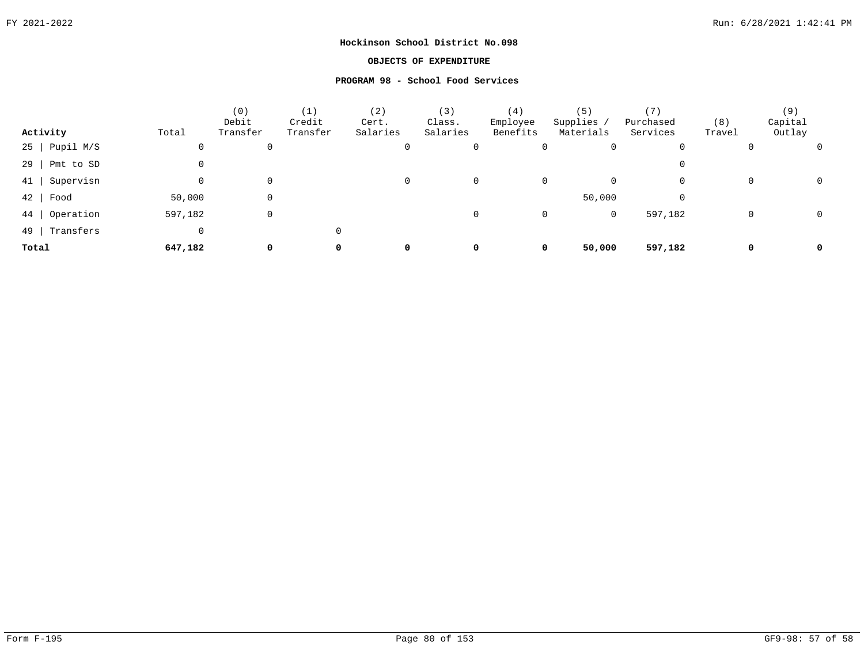# **OBJECTS OF EXPENDITURE**

# **PROGRAM 98 - School Food Services**

|                     |             | (0)<br>Debit | (1)<br>Credit | (2)<br>Cert. | (3)<br>Class. | (4)<br>Employee | (5)<br>Supplies,  | ' 7 )<br>Purchased | (8)         | (9)<br>Capital |
|---------------------|-------------|--------------|---------------|--------------|---------------|-----------------|-------------------|--------------------|-------------|----------------|
| Activity            | Total       | Transfer     | Transfer      | Salaries     | Salaries      | Benefits        | Materials         | Services           | Travel      | Outlay         |
| $25$   Pupil M/S    | 0           | 0            |               | 0            |               |                 | 0<br>0            | 0                  | 0           |                |
| $29$  <br>Pmt to SD | 0           |              |               |              |               |                 |                   | 0                  |             |                |
| Supervisn<br>41     | 0           | 0            |               | 0            |               |                 | 0<br>0            | 0                  | $\mathbf 0$ |                |
| $42$ Food           | 50,000      | 0            |               |              |               |                 | 50,000            | 0                  |             |                |
| 44  <br>Operation   | 597,182     | 0            |               |              | 0             |                 | $\mathbf{0}$<br>0 | 597,182            | $\mathbf 0$ |                |
| 49  <br>Transfers   | $\mathbf 0$ |              | 0             |              |               |                 |                   |                    |             |                |
| Total               | 647,182     | 0            | 0             | 0            | 0             |                 | 50,000<br>0       | 597,182            | 0           | 0              |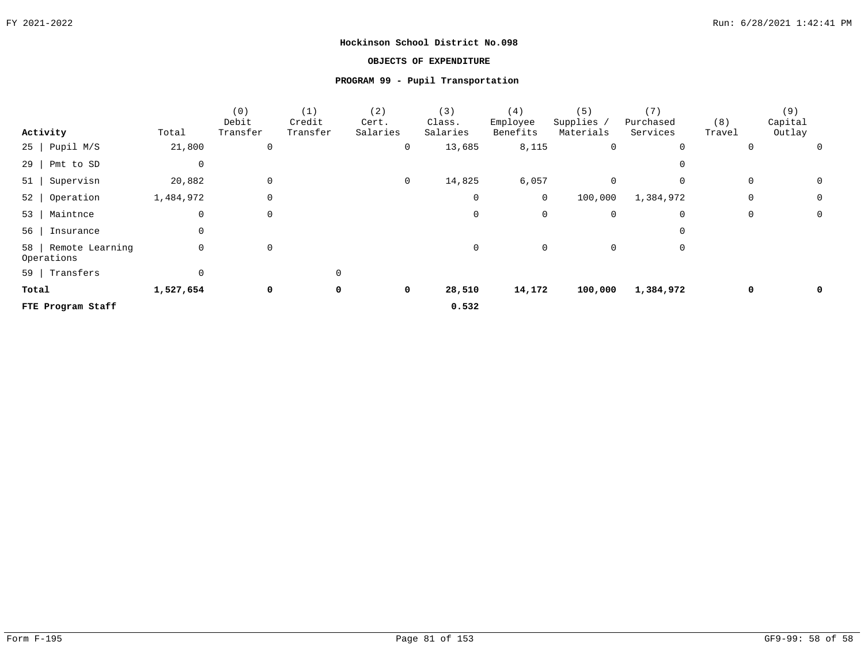# **OBJECTS OF EXPENDITURE**

# **PROGRAM 99 - Pupil Transportation**

|       |                                    |           | (0)<br>Debit | (1)<br>Credit | (2)<br>Cert. | (3)<br>Class. | (4)<br>Employee | (5)<br>Supplies / | (7)<br>Purchased | (8)    | (9)<br>Capital |             |
|-------|------------------------------------|-----------|--------------|---------------|--------------|---------------|-----------------|-------------------|------------------|--------|----------------|-------------|
|       | Activity                           | Total     | Transfer     | Transfer      | Salaries     | Salaries      | Benefits        | Materials         | Services         | Travel | Outlay         |             |
|       | $25$   Pupil M/S                   | 21,800    | $\mathbf 0$  |               | 0            | 13,685        | 8,115           | 0                 | $\mathbf 0$      |        | 0              | $\mathbf 0$ |
|       | $29$   Pmt to SD                   | 0         |              |               |              |               |                 |                   |                  |        |                |             |
|       | 51   Supervisn                     | 20,882    | $\mathbf 0$  |               | $\mathbf 0$  | 14,825        | 6,057           | $\mathbf 0$       | $\mathbf 0$      |        | 0              | $\mathbf 0$ |
|       | $52$   Operation                   | 1,484,972 | 0            |               |              | 0             | $\overline{0}$  | 100,000           | 1,384,972        |        | 0              | 0           |
|       | 53   Maintnce                      | 0         | $\mathbf 0$  |               |              | 0             | $\mathbf 0$     | 0                 | $\mathbf 0$      |        | 0              | $\mathbf 0$ |
|       | 56   Insurance                     | 0         |              |               |              |               |                 |                   |                  |        |                |             |
|       | 58   Remote Learning<br>Operations | 0         | $\mathbf 0$  |               |              | 0             | $\mathbf 0$     | $\mathbf 0$       | 0                |        |                |             |
|       | 59   Transfers                     | 0         |              | 0             |              |               |                 |                   |                  |        |                |             |
| Total |                                    | 1,527,654 | 0            | 0             | 0            | 28,510        | 14,172          | 100,000           | 1,384,972        |        | 0              | 0           |
|       | FTE Program Staff                  |           |              |               |              | 0.532         |                 |                   |                  |        |                |             |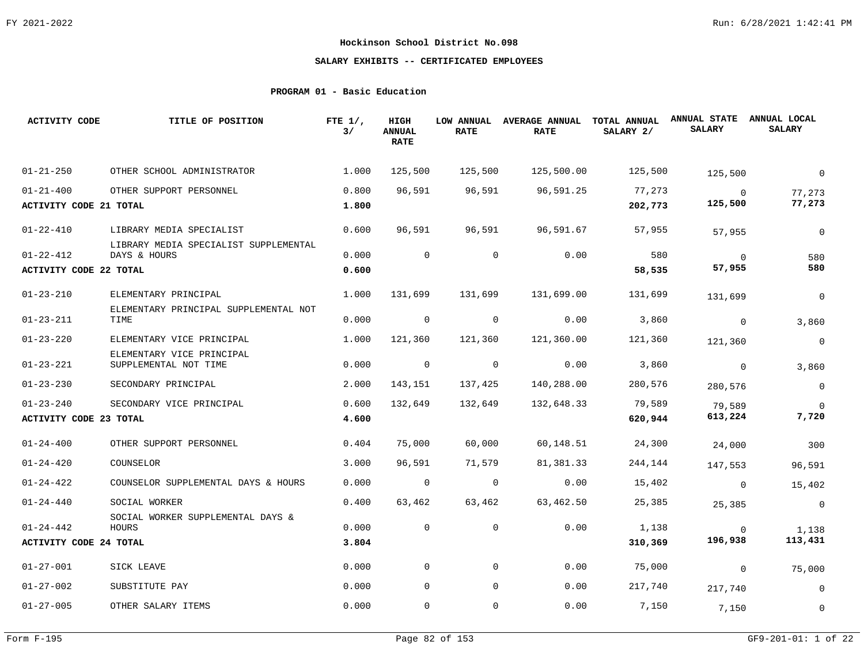# **SALARY EXHIBITS -- CERTIFICATED EMPLOYEES**

# **PROGRAM 01 - Basic Education**

| <b>ACTIVITY CODE</b>          | TITLE OF POSITION                                     | FTE $1/$ ,<br>3/ | HIGH<br><b>ANNUAL</b><br><b>RATE</b> | <b>LOW ANNUAL</b><br><b>RATE</b> | <b>AVERAGE ANNUAL</b><br><b>RATE</b> | TOTAL ANNUAL<br>SALARY 2/ | <b>ANNUAL STATE</b><br><b>SALARY</b> | ANNUAL LOCAL<br><b>SALARY</b> |
|-------------------------------|-------------------------------------------------------|------------------|--------------------------------------|----------------------------------|--------------------------------------|---------------------------|--------------------------------------|-------------------------------|
| $01 - 21 - 250$               | OTHER SCHOOL ADMINISTRATOR                            | 1.000            | 125,500                              | 125,500                          | 125,500.00                           | 125,500                   | 125,500                              | $\mathbf 0$                   |
| $01 - 21 - 400$               | OTHER SUPPORT PERSONNEL                               | 0.800            | 96,591                               | 96,591                           | 96,591.25                            | 77,273                    | $\overline{0}$                       | 77,273                        |
| <b>ACTIVITY CODE 21 TOTAL</b> |                                                       | 1.800            |                                      |                                  |                                      | 202,773                   | 125,500                              | 77,273                        |
| $01 - 22 - 410$               | LIBRARY MEDIA SPECIALIST                              | 0.600            | 96,591                               | 96,591                           | 96,591.67                            | 57,955                    | 57,955                               | $\mathbf 0$                   |
| $01 - 22 - 412$               | LIBRARY MEDIA SPECIALIST SUPPLEMENTAL<br>DAYS & HOURS | 0.000            | $\mathbf{0}$                         | $\mathbf{0}$                     | 0.00                                 | 580                       | $\overline{0}$                       | 580                           |
| <b>ACTIVITY CODE 22 TOTAL</b> |                                                       | 0.600            |                                      |                                  |                                      | 58,535                    | 57,955                               | 580                           |
| $01 - 23 - 210$               | ELEMENTARY PRINCIPAL                                  | 1,000            | 131,699                              | 131,699                          | 131,699.00                           | 131,699                   | 131,699                              | $\mathbf 0$                   |
| $01 - 23 - 211$               | ELEMENTARY PRINCIPAL SUPPLEMENTAL NOT<br>TIME         | 0.000            | $\overline{0}$                       | 0                                | 0.00                                 | 3,860                     | $\overline{0}$                       | 3,860                         |
| $01 - 23 - 220$               | ELEMENTARY VICE PRINCIPAL                             | 1.000            | 121,360                              | 121,360                          | 121,360.00                           | 121,360                   | 121,360                              | $\mathsf 0$                   |
| $01 - 23 - 221$               | ELEMENTARY VICE PRINCIPAL<br>SUPPLEMENTAL NOT TIME    | 0.000            | $\overline{0}$                       | 0                                | 0.00                                 | 3,860                     | $\overline{0}$                       | 3,860                         |
| $01 - 23 - 230$               | SECONDARY PRINCIPAL                                   | 2.000            | 143,151                              | 137,425                          | 140,288.00                           | 280,576                   | 280,576                              | $\overline{0}$                |
| $01 - 23 - 240$               | SECONDARY VICE PRINCIPAL                              | 0.600            | 132,649                              | 132,649                          | 132,648.33                           | 79,589                    | 79,589                               | $\Omega$                      |
| ACTIVITY CODE 23 TOTAL        |                                                       | 4.600            |                                      |                                  |                                      | 620,944                   | 613,224                              | 7,720                         |
| $01 - 24 - 400$               | OTHER SUPPORT PERSONNEL                               | 0.404            | 75,000                               | 60,000                           | 60,148.51                            | 24,300                    | 24,000                               | 300                           |
| $01 - 24 - 420$               | COUNSELOR                                             | 3,000            | 96,591                               | 71,579                           | 81,381.33                            | 244,144                   | 147,553                              | 96,591                        |
| $01 - 24 - 422$               | COUNSELOR SUPPLEMENTAL DAYS & HOURS                   | 0.000            | $\mathbf 0$                          | 0                                | 0.00                                 | 15,402                    | $\overline{0}$                       | 15,402                        |
| $01 - 24 - 440$               | SOCIAL WORKER                                         | 0.400            | 63,462                               | 63,462                           | 63,462.50                            | 25,385                    | 25,385                               | $\overline{0}$                |
| $01 - 24 - 442$               | SOCIAL WORKER SUPPLEMENTAL DAYS &<br>HOURS            | 0.000            | $\mathbf 0$                          | $\mathbf 0$                      | 0.00                                 | 1,138                     | 0                                    | 1,138                         |
| <b>ACTIVITY CODE 24 TOTAL</b> |                                                       | 3.804            |                                      |                                  |                                      | 310,369                   | 196,938                              | 113,431                       |
| $01 - 27 - 001$               | SICK LEAVE                                            | 0.000            | $\mathbf 0$                          | $\mathbf 0$                      | 0.00                                 | 75,000                    | $\overline{0}$                       | 75,000                        |
| $01 - 27 - 002$               | SUBSTITUTE PAY                                        | 0.000            | $\Omega$                             | $\mathbf 0$                      | 0.00                                 | 217,740                   | 217,740                              | $\overline{0}$                |
| $01 - 27 - 005$               | OTHER SALARY ITEMS                                    | 0.000            | $\mathbf 0$                          | $\mathsf{O}$                     | 0.00                                 | 7,150                     | 7,150                                | $\mathbf 0$                   |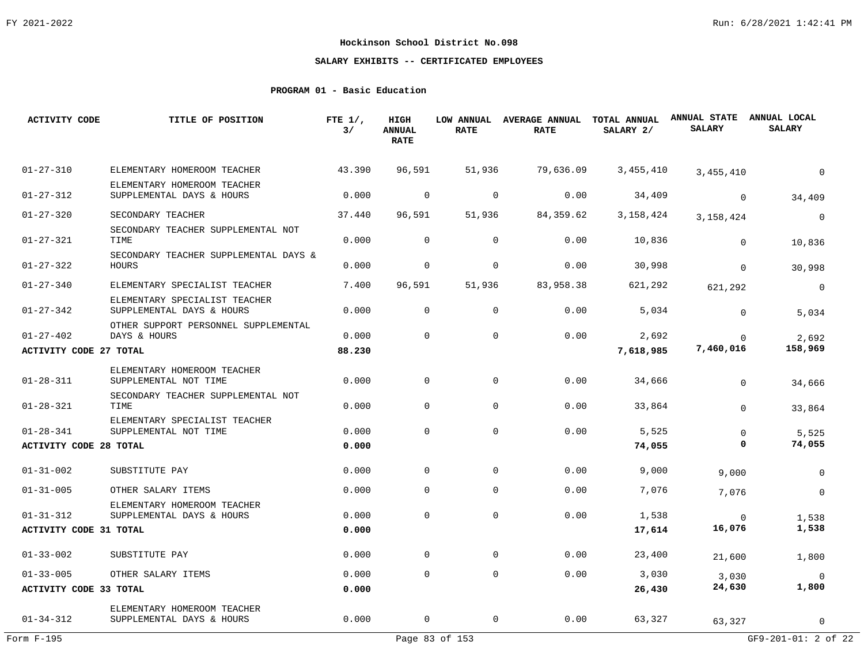# **SALARY EXHIBITS -- CERTIFICATED EMPLOYEES**

# **PROGRAM 01 - Basic Education**

| <b>ACTIVITY CODE</b>          | TITLE OF POSITION                                          | FTE $1/$ ,<br>3/ | HIGH<br><b>ANNUAL</b><br><b>RATE</b> | LOW ANNUAL<br><b>RATE</b> | AVERAGE ANNUAL TOTAL ANNUAL<br><b>RATE</b> | SALARY 2/   | <b>ANNUAL STATE</b><br><b>SALARY</b> | ANNUAL LOCAL<br><b>SALARY</b> |
|-------------------------------|------------------------------------------------------------|------------------|--------------------------------------|---------------------------|--------------------------------------------|-------------|--------------------------------------|-------------------------------|
| $01 - 27 - 310$               | ELEMENTARY HOMEROOM TEACHER                                | 43.390           | 96,591                               | 51,936                    | 79,636.09                                  | 3,455,410   | 3,455,410                            | $\Omega$                      |
| $01 - 27 - 312$               | ELEMENTARY HOMEROOM TEACHER<br>SUPPLEMENTAL DAYS & HOURS   | 0.000            | $\mathbf 0$                          | $\mathbf 0$               | 0.00                                       | 34,409      | $\Omega$                             | 34,409                        |
| $01 - 27 - 320$               | SECONDARY TEACHER                                          | 37.440           | 96,591                               | 51,936                    | 84,359.62                                  | 3, 158, 424 | 3, 158, 424                          | $\mathbf 0$                   |
| $01 - 27 - 321$               | SECONDARY TEACHER SUPPLEMENTAL NOT<br>TIME                 | 0.000            | $\Omega$                             | $\mathbf 0$               | 0.00                                       | 10,836      | $\mathbf 0$                          | 10,836                        |
| $01 - 27 - 322$               | SECONDARY TEACHER SUPPLEMENTAL DAYS &<br><b>HOURS</b>      | 0.000            | $\mathbf 0$                          | $\mathbf 0$               | 0.00                                       | 30,998      | $\Omega$                             | 30,998                        |
| $01 - 27 - 340$               | ELEMENTARY SPECIALIST TEACHER                              | 7.400            | 96,591                               | 51,936                    | 83,958.38                                  | 621,292     | 621,292                              | $\mathsf{O}$                  |
| $01 - 27 - 342$               | ELEMENTARY SPECIALIST TEACHER<br>SUPPLEMENTAL DAYS & HOURS | 0.000            | $\Omega$                             | $\mathbf 0$               | 0.00                                       | 5,034       | $\Omega$                             | 5,034                         |
| $01 - 27 - 402$               | OTHER SUPPORT PERSONNEL SUPPLEMENTAL<br>DAYS & HOURS       | 0.000            | $\Omega$                             | $\mathbf 0$               | 0.00                                       | 2,692       | $\Omega$                             | 2,692                         |
| <b>ACTIVITY CODE 27 TOTAL</b> |                                                            | 88.230           |                                      |                           |                                            | 7,618,985   | 7,460,016                            | 158,969                       |
| $01 - 28 - 311$               | ELEMENTARY HOMEROOM TEACHER<br>SUPPLEMENTAL NOT TIME       | 0.000            | $\mathbf 0$                          | $\mathbf 0$               | 0.00                                       | 34,666      | $\Omega$                             | 34,666                        |
| $01 - 28 - 321$               | SECONDARY TEACHER SUPPLEMENTAL NOT<br>TIME                 | 0.000            | $\Omega$                             | $\mathbf 0$               | 0.00                                       | 33,864      | $\Omega$                             | 33,864                        |
| $01 - 28 - 341$               | ELEMENTARY SPECIALIST TEACHER<br>SUPPLEMENTAL NOT TIME     | 0.000            | $\mathbf 0$                          | $\mathbf 0$               | 0.00                                       | 5,525       | $\mathbf 0$                          | 5,525                         |
| <b>ACTIVITY CODE 28 TOTAL</b> |                                                            | 0.000            |                                      |                           |                                            | 74,055      | 0                                    | 74,055                        |
| $01 - 31 - 002$               | SUBSTITUTE PAY                                             | 0.000            | $\Omega$                             | $\mathbf 0$               | 0.00                                       | 9,000       | 9,000                                | $\mathbf 0$                   |
| $01 - 31 - 005$               | OTHER SALARY ITEMS                                         | 0.000            | 0                                    | $\mathbf{0}$              | 0.00                                       | 7,076       | 7,076                                | $\mathbf 0$                   |
| $01 - 31 - 312$               | ELEMENTARY HOMEROOM TEACHER<br>SUPPLEMENTAL DAYS & HOURS   | 0.000            | $\Omega$                             | $\Omega$                  | 0.00                                       | 1,538       |                                      |                               |
| <b>ACTIVITY CODE 31 TOTAL</b> |                                                            | 0.000            |                                      |                           |                                            | 17,614      | $\Omega$<br>16,076                   | 1,538<br>1,538                |
|                               |                                                            |                  |                                      |                           |                                            |             |                                      |                               |
| $01 - 33 - 002$               | SUBSTITUTE PAY                                             | 0.000            | $\mathbf 0$                          | 0                         | 0.00                                       | 23,400      | 21,600                               | 1,800                         |
| $01 - 33 - 005$               | OTHER SALARY ITEMS                                         | 0.000            | $\mathbf 0$                          | $\mathbf 0$               | 0.00                                       | 3,030       | 3,030                                | $\Omega$                      |
| ACTIVITY CODE 33 TOTAL        |                                                            | 0.000            |                                      |                           |                                            | 26,430      | 24,630                               | 1,800                         |
| $01 - 34 - 312$               | ELEMENTARY HOMEROOM TEACHER<br>SUPPLEMENTAL DAYS & HOURS   | 0.000            | $\mathbf 0$                          | $\mathbf 0$               | 0.00                                       | 63,327      | 63,327                               | $\mathbf 0$                   |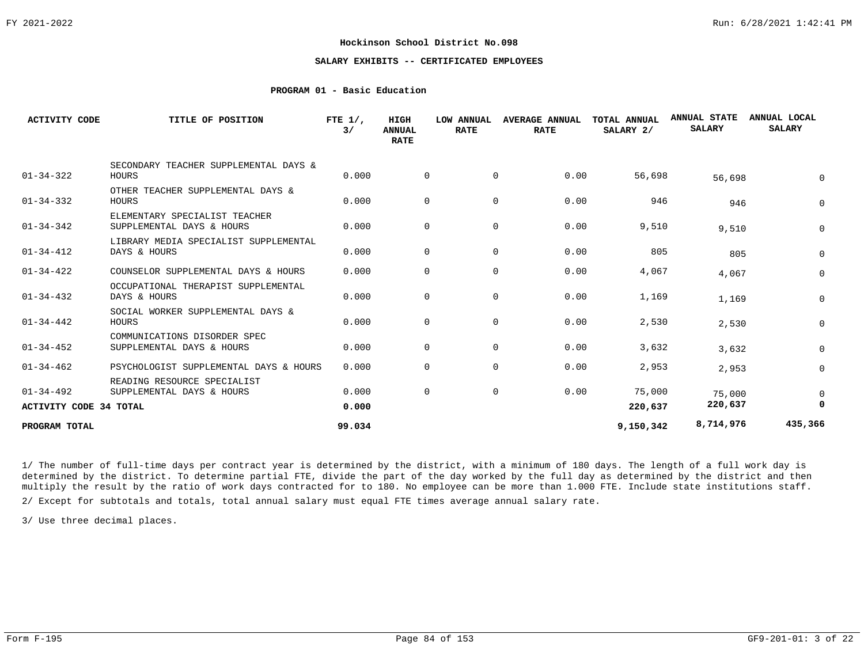# **SALARY EXHIBITS -- CERTIFICATED EMPLOYEES**

## **PROGRAM 01 - Basic Education**

| <b>ACTIVITY CODE</b>                             | TITLE OF POSITION                                          | FTE $1/$ ,<br>3/ | HIGH<br><b>ANNUAL</b><br><b>RATE</b> | <b>LOW ANNUAL</b><br><b>RATE</b> | <b>AVERAGE ANNUAL</b><br><b>RATE</b> | TOTAL ANNUAL<br>SALARY 2/ | <b>ANNUAL STATE</b><br><b>SALARY</b> | ANNUAL LOCAL<br><b>SALARY</b> |
|--------------------------------------------------|------------------------------------------------------------|------------------|--------------------------------------|----------------------------------|--------------------------------------|---------------------------|--------------------------------------|-------------------------------|
| $01 - 34 - 322$                                  | SECONDARY TEACHER SUPPLEMENTAL DAYS &<br>HOURS             | 0.000            | $\Omega$                             | $\mathbf{0}$                     | 0.00                                 | 56,698                    | 56,698                               |                               |
| $01 - 34 - 332$                                  | OTHER TEACHER SUPPLEMENTAL DAYS &<br>HOURS                 | 0.000            | $\Omega$                             | $\mathbf 0$                      | 0.00                                 | 946                       | 946                                  | 0                             |
| $01 - 34 - 342$                                  | ELEMENTARY SPECIALIST TEACHER<br>SUPPLEMENTAL DAYS & HOURS | 0.000            | $\Omega$                             | 0                                | 0.00                                 | 9,510                     | 9,510                                | 0                             |
| $01 - 34 - 412$                                  | LIBRARY MEDIA SPECIALIST SUPPLEMENTAL<br>DAYS & HOURS      | 0.000            | $\Omega$                             | $\mathbf 0$                      | 0.00                                 | 805                       | 805                                  | 0                             |
| $01 - 34 - 422$                                  | COUNSELOR SUPPLEMENTAL DAYS & HOURS                        | 0.000            | $\Omega$                             | 0                                | 0.00                                 | 4,067                     | 4,067                                | 0                             |
| $01 - 34 - 432$                                  | OCCUPATIONAL THERAPIST SUPPLEMENTAL<br>DAYS & HOURS        | 0.000            | 0                                    | $\mathbf 0$                      | 0.00                                 | 1,169                     | 1,169                                | 0                             |
| $01 - 34 - 442$                                  | SOCIAL WORKER SUPPLEMENTAL DAYS &<br>HOURS                 | 0.000            | 0                                    | $\mathbf 0$                      | 0.00                                 | 2,530                     | 2,530                                | 0                             |
| $01 - 34 - 452$                                  | COMMUNICATIONS DISORDER SPEC<br>SUPPLEMENTAL DAYS & HOURS  | 0.000            | 0                                    | $\mathbf 0$                      | 0.00                                 | 3,632                     | 3,632                                | 0                             |
| $01 - 34 - 462$                                  | PSYCHOLOGIST SUPPLEMENTAL DAYS & HOURS                     | 0.000            | 0                                    | 0                                | 0.00                                 | 2,953                     | 2,953                                | 0                             |
| $01 - 34 - 492$<br><b>ACTIVITY CODE 34 TOTAL</b> | READING RESOURCE SPECIALIST<br>SUPPLEMENTAL DAYS & HOURS   | 0.000<br>0.000   | 0                                    | 0                                | 0.00                                 | 75,000<br>220,637         | 75,000<br>220,637                    | 0                             |
| PROGRAM TOTAL                                    |                                                            | 99.034           |                                      |                                  |                                      | 9,150,342                 | 8,714,976                            | 435,366                       |

1/ The number of full-time days per contract year is determined by the district, with a minimum of 180 days. The length of a full work day is determined by the district. To determine partial FTE, divide the part of the day worked by the full day as determined by the district and then multiply the result by the ratio of work days contracted for to 180. No employee can be more than 1.000 FTE. Include state institutions staff.

2/ Except for subtotals and totals, total annual salary must equal FTE times average annual salary rate.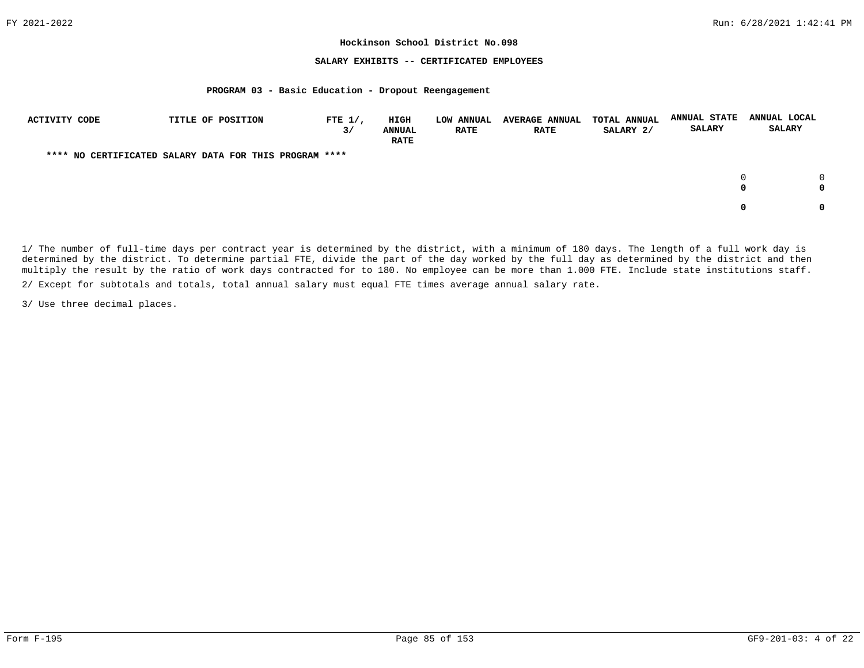### **SALARY EXHIBITS -- CERTIFICATED EMPLOYEES**

#### **PROGRAM 03 - Basic Education - Dropout Reengagement**

| <b>ACTIVITY CODE</b> | TITLE OF POSITION                                      | FTE $1/$ ,<br>3/ | <b>HIGH</b><br><b>ANNUAL</b><br><b>RATE</b> | <b>LOW ANNUAL</b><br><b>RATE</b> | <b>AVERAGE ANNUAL</b><br><b>RATE</b> | <b>TOTAL ANNUAL</b><br>SALARY 2/ | <b>ANNUAL STATE</b><br><b>SALARY</b> | ANNUAL LOCAL<br><b>SALARY</b> |
|----------------------|--------------------------------------------------------|------------------|---------------------------------------------|----------------------------------|--------------------------------------|----------------------------------|--------------------------------------|-------------------------------|
|                      | **** NO CERTIFICATED SALARY DATA FOR THIS PROGRAM **** |                  |                                             |                                  |                                      |                                  |                                      |                               |
|                      |                                                        |                  |                                             |                                  |                                      |                                  |                                      | $\cap$<br>0<br>0              |
|                      |                                                        |                  |                                             |                                  |                                      |                                  |                                      | 0<br>0                        |

1/ The number of full-time days per contract year is determined by the district, with a minimum of 180 days. The length of a full work day is determined by the district. To determine partial FTE, divide the part of the day worked by the full day as determined by the district and then multiply the result by the ratio of work days contracted for to 180. No employee can be more than 1.000 FTE. Include state institutions staff.

2/ Except for subtotals and totals, total annual salary must equal FTE times average annual salary rate.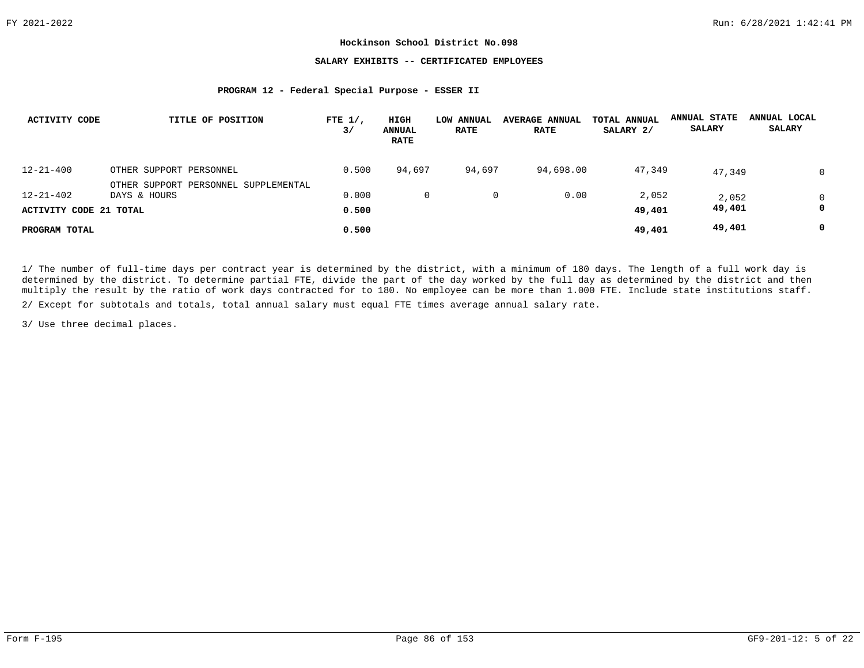## **SALARY EXHIBITS -- CERTIFICATED EMPLOYEES**

### **PROGRAM 12 - Federal Special Purpose - ESSER II**

| <b>ACTIVITY CODE</b>   | TITLE OF POSITION                    | FTE $1/$ ,<br>3/ | HIGH<br>ANNUAL<br><b>RATE</b> | LOW ANNUAL<br><b>RATE</b> | <b>AVERAGE ANNUAL</b><br><b>RATE</b> | TOTAL ANNUAL<br>SALARY 2/ | <b>ANNUAL STATE</b><br><b>SALARY</b> | ANNUAL LOCAL<br><b>SALARY</b> |
|------------------------|--------------------------------------|------------------|-------------------------------|---------------------------|--------------------------------------|---------------------------|--------------------------------------|-------------------------------|
| $12 - 21 - 400$        | OTHER SUPPORT PERSONNEL              | 0.500            | 94,697                        | 94,697                    | 94,698.00                            | 47,349                    | 47,349                               | $\Omega$                      |
|                        | OTHER SUPPORT PERSONNEL SUPPLEMENTAL |                  |                               |                           |                                      |                           |                                      |                               |
| $12 - 21 - 402$        | DAYS & HOURS                         | 0.000            | 0                             | 0                         | 0.00                                 | 2,052                     | 2,052                                | $\mathbf 0$                   |
| ACTIVITY CODE 21 TOTAL |                                      | 0.500            |                               |                           |                                      | 49,401                    | 49,401                               | 0                             |
| PROGRAM TOTAL          |                                      | 0.500            |                               |                           |                                      | 49,401                    | 49,401                               | 0                             |

1/ The number of full-time days per contract year is determined by the district, with a minimum of 180 days. The length of a full work day is determined by the district. To determine partial FTE, divide the part of the day worked by the full day as determined by the district and then multiply the result by the ratio of work days contracted for to 180. No employee can be more than 1.000 FTE. Include state institutions staff.

2/ Except for subtotals and totals, total annual salary must equal FTE times average annual salary rate.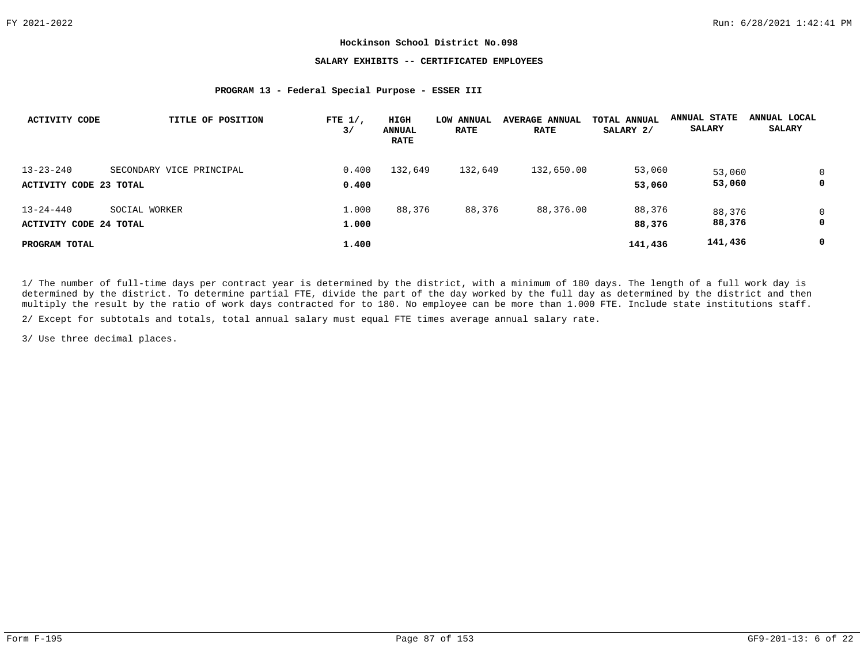# **SALARY EXHIBITS -- CERTIFICATED EMPLOYEES**

### **PROGRAM 13 - Federal Special Purpose - ESSER III**

| <b>ACTIVITY CODE</b>          | TITLE OF POSITION        | FTE $1/$ ,<br>3/ | HIGH<br><b>ANNUAL</b><br><b>RATE</b> | LOW ANNUAL<br><b>RATE</b> | <b>AVERAGE ANNUAL</b><br><b>RATE</b> | TOTAL ANNUAL<br>SALARY 2/ | ANNUAL STATE<br><b>SALARY</b> | ANNUAL LOCAL<br><b>SALARY</b> |
|-------------------------------|--------------------------|------------------|--------------------------------------|---------------------------|--------------------------------------|---------------------------|-------------------------------|-------------------------------|
| $13 - 23 - 240$               | SECONDARY VICE PRINCIPAL | 0.400            | 132,649                              | 132,649                   | 132,650.00                           | 53,060                    | 53,060                        | $\Omega$                      |
| ACTIVITY CODE 23 TOTAL        |                          | 0.400            |                                      |                           |                                      | 53,060                    | 53,060                        | 0                             |
| $13 - 24 - 440$               | SOCIAL WORKER            | 1,000            | 88,376                               | 88,376                    | 88,376.00                            | 88,376                    | 88,376                        | $\mathbf 0$                   |
| <b>ACTIVITY CODE 24 TOTAL</b> |                          | 1,000            |                                      |                           |                                      | 88,376                    | 88,376                        | 0                             |
| PROGRAM TOTAL                 |                          | 1.400            |                                      |                           |                                      | 141,436                   | 141,436                       | 0                             |

1/ The number of full-time days per contract year is determined by the district, with a minimum of 180 days. The length of a full work day is determined by the district. To determine partial FTE, divide the part of the day worked by the full day as determined by the district and then multiply the result by the ratio of work days contracted for to 180. No employee can be more than 1.000 FTE. Include state institutions staff.

2/ Except for subtotals and totals, total annual salary must equal FTE times average annual salary rate.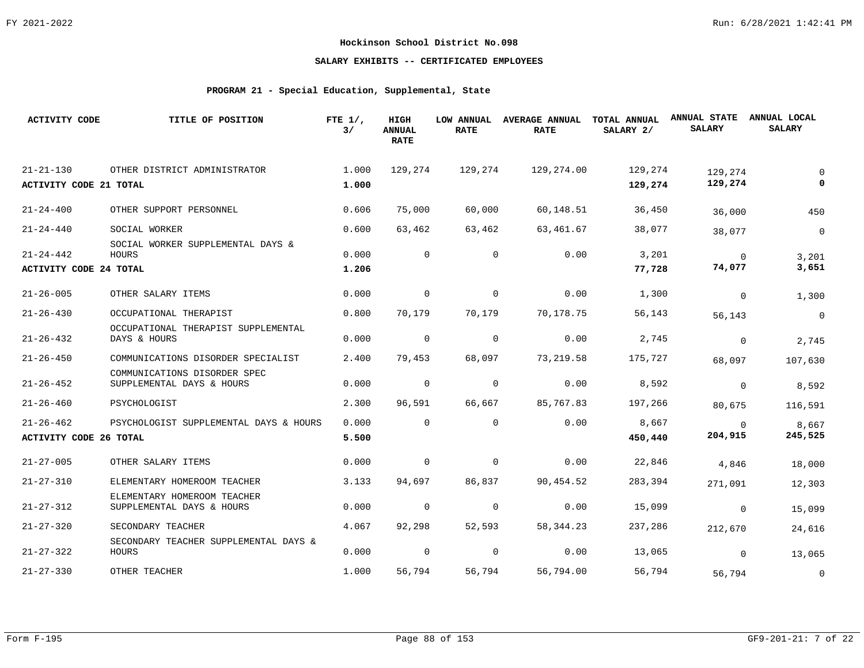# **SALARY EXHIBITS -- CERTIFICATED EMPLOYEES**

# **PROGRAM 21 - Special Education, Supplemental, State**

| <b>ACTIVITY CODE</b>          | TITLE OF POSITION                                         | FTE $1/$ ,<br>3/ | HIGH<br><b>ANNUAL</b><br><b>RATE</b> | LOW ANNUAL<br><b>RATE</b> | <b>AVERAGE ANNUAL</b><br><b>RATE</b> | TOTAL ANNUAL<br>SALARY 2/ | <b>ANNUAL STATE</b><br><b>SALARY</b> | ANNUAL LOCAL<br><b>SALARY</b> |
|-------------------------------|-----------------------------------------------------------|------------------|--------------------------------------|---------------------------|--------------------------------------|---------------------------|--------------------------------------|-------------------------------|
| $21 - 21 - 130$               | OTHER DISTRICT ADMINISTRATOR                              | 1.000            | 129,274                              | 129,274                   | 129,274.00                           | 129,274                   | 129,274                              | $\Omega$                      |
| <b>ACTIVITY CODE 21 TOTAL</b> |                                                           | 1.000            |                                      |                           |                                      | 129,274                   | 129,274                              |                               |
| $21 - 24 - 400$               | OTHER SUPPORT PERSONNEL                                   | 0.606            | 75,000                               | 60,000                    | 60,148.51                            | 36,450                    | 36,000                               | 450                           |
| $21 - 24 - 440$               | SOCIAL WORKER                                             | 0.600            | 63,462                               | 63,462                    | 63,461.67                            | 38,077                    | 38,077                               | $\mathbf 0$                   |
|                               | SOCIAL WORKER SUPPLEMENTAL DAYS &                         |                  |                                      |                           |                                      |                           |                                      |                               |
| $21 - 24 - 442$               | HOURS                                                     | 0.000            | $\Omega$                             | $\mathbf 0$               | 0.00                                 | 3,201                     | $\mathbf 0$                          | 3,201<br>3,651                |
| <b>ACTIVITY CODE 24 TOTAL</b> |                                                           | 1.206            |                                      |                           |                                      | 77,728                    | 74,077                               |                               |
| $21 - 26 - 005$               | OTHER SALARY ITEMS                                        | 0.000            | $\mathbf 0$                          | 0                         | 0.00                                 | 1,300                     | $\Omega$                             | 1,300                         |
| $21 - 26 - 430$               | OCCUPATIONAL THERAPIST                                    | 0.800            | 70,179                               | 70,179                    | 70,178.75                            | 56,143                    | 56,143                               | $\mathbf 0$                   |
| $21 - 26 - 432$               | OCCUPATIONAL THERAPIST SUPPLEMENTAL<br>DAYS & HOURS       | 0.000            | $\mathsf{O}$                         | 0                         | 0.00                                 | 2,745                     | $\mathbf 0$                          | 2,745                         |
| $21 - 26 - 450$               | COMMUNICATIONS DISORDER SPECIALIST                        | 2.400            | 79,453                               | 68,097                    | 73,219.58                            | 175,727                   | 68,097                               | 107,630                       |
| $21 - 26 - 452$               | COMMUNICATIONS DISORDER SPEC<br>SUPPLEMENTAL DAYS & HOURS | 0.000            | $\mathbf 0$                          | $\mathbf 0$               | 0.00                                 | 8,592                     | $\mathbf 0$                          | 8,592                         |
| $21 - 26 - 460$               | PSYCHOLOGIST                                              | 2.300            | 96,591                               | 66,667                    | 85,767.83                            | 197,266                   | 80,675                               | 116,591                       |
| $21 - 26 - 462$               | PSYCHOLOGIST SUPPLEMENTAL DAYS & HOURS                    | 0.000            | $\Omega$                             | $\mathbf{0}$              | 0.00                                 | 8,667                     | 0                                    | 8,667                         |
| <b>ACTIVITY CODE 26 TOTAL</b> |                                                           | 5.500            |                                      |                           |                                      | 450,440                   | 204,915                              | 245,525                       |
| $21 - 27 - 005$               | OTHER SALARY ITEMS                                        | 0.000            | $\mathbf 0$                          | 0                         | 0.00                                 | 22,846                    | 4,846                                | 18,000                        |
| $21 - 27 - 310$               | ELEMENTARY HOMEROOM TEACHER                               | 3.133            | 94,697                               | 86,837                    | 90,454.52                            | 283,394                   | 271,091                              | 12,303                        |
|                               | ELEMENTARY HOMEROOM TEACHER                               |                  |                                      |                           |                                      |                           |                                      |                               |
| $21 - 27 - 312$               | SUPPLEMENTAL DAYS & HOURS                                 | 0.000            | $\overline{0}$                       | 0                         | 0.00                                 | 15,099                    | $\mathbf 0$                          | 15,099                        |
| $21 - 27 - 320$               | SECONDARY TEACHER                                         | 4.067            | 92,298                               | 52,593                    | 58, 344. 23                          | 237,286                   | 212,670                              | 24,616                        |
| $21 - 27 - 322$               | SECONDARY TEACHER SUPPLEMENTAL DAYS &<br>HOURS            | 0.000            | $\mathbf 0$                          | 0                         | 0.00                                 | 13,065                    | $\Omega$                             | 13,065                        |
| $21 - 27 - 330$               | OTHER TEACHER                                             | 1.000            | 56,794                               | 56,794                    | 56,794.00                            | 56,794                    | 56,794                               | $\overline{0}$                |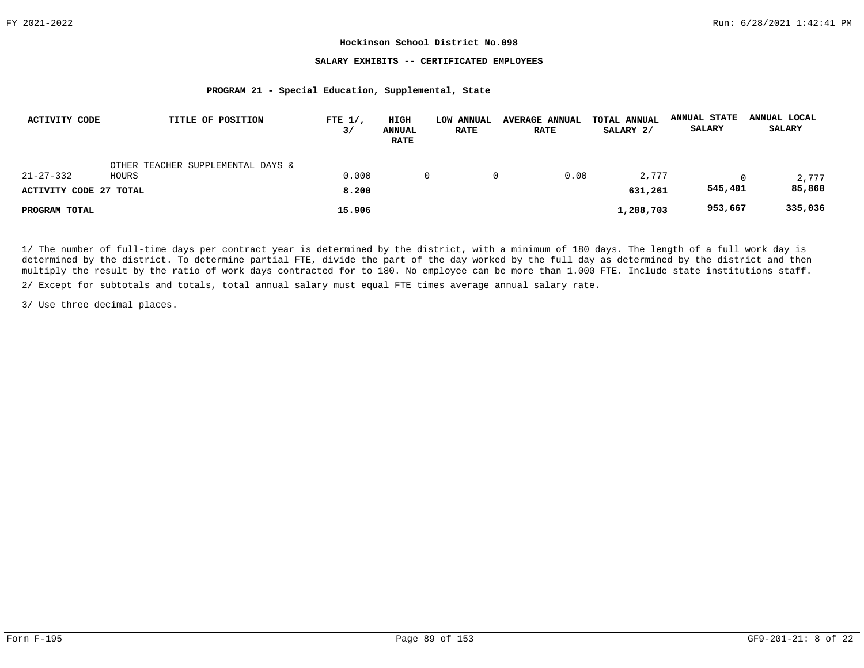## **SALARY EXHIBITS -- CERTIFICATED EMPLOYEES**

#### **PROGRAM 21 - Special Education, Supplemental, State**

| ACTIVITY CODE          | TITLE OF POSITION                 | FTE $1/$ ,<br>3/ | HIGH<br><b>ANNUAL</b><br><b>RATE</b> | LOW ANNUAL<br><b>RATE</b> | <b>AVERAGE ANNUAL</b><br><b>RATE</b> | TOTAL ANNUAL<br>SALARY 2/ | <b>ANNUAL STATE</b><br>SALARY | ANNUAL LOCAL<br><b>SALARY</b> |
|------------------------|-----------------------------------|------------------|--------------------------------------|---------------------------|--------------------------------------|---------------------------|-------------------------------|-------------------------------|
|                        | OTHER TEACHER SUPPLEMENTAL DAYS & |                  |                                      |                           |                                      |                           |                               |                               |
| $21 - 27 - 332$        | HOURS                             | 0.000            | 0                                    |                           | 0.00                                 | 2,777                     |                               | 2,777                         |
| ACTIVITY CODE 27 TOTAL |                                   | 8,200            |                                      |                           |                                      | 631,261                   | 545,401                       | 85,860                        |
| PROGRAM TOTAL          |                                   | 15.906           |                                      |                           |                                      | 1,288,703                 | 953,667                       | 335,036                       |

1/ The number of full-time days per contract year is determined by the district, with a minimum of 180 days. The length of a full work day is determined by the district. To determine partial FTE, divide the part of the day worked by the full day as determined by the district and then multiply the result by the ratio of work days contracted for to 180. No employee can be more than 1.000 FTE. Include state institutions staff.

2/ Except for subtotals and totals, total annual salary must equal FTE times average annual salary rate.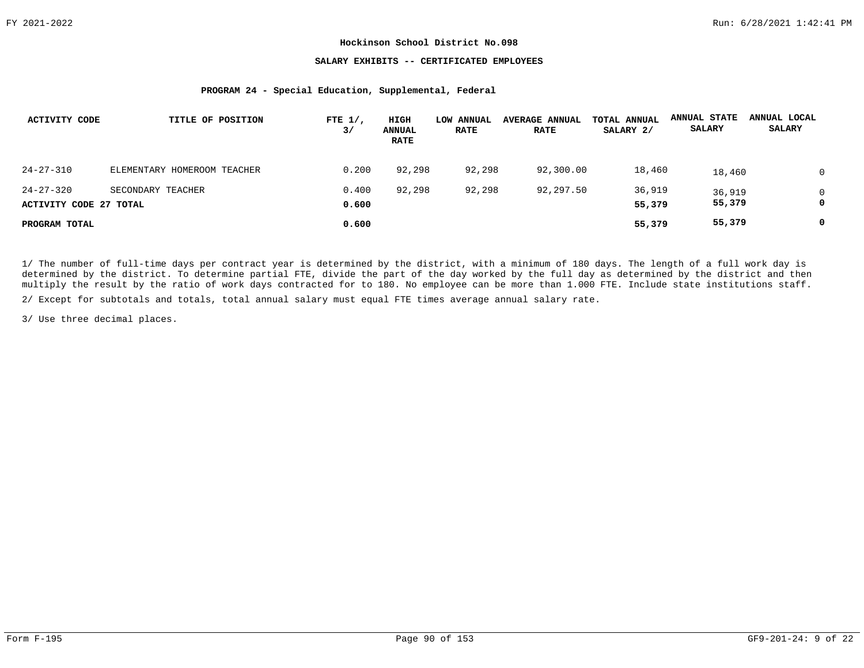## **SALARY EXHIBITS -- CERTIFICATED EMPLOYEES**

#### **PROGRAM 24 - Special Education, Supplemental, Federal**

| ACTIVITY CODE          | TITLE OF POSITION           | FTE $1/$ ,<br>3/ | HIGH<br><b>ANNUAL</b><br><b>RATE</b> | LOW ANNUAL<br><b>RATE</b> | <b>AVERAGE ANNUAL</b><br><b>RATE</b> | TOTAL ANNUAL<br>SALARY 2/ | <b>ANNUAL STATE</b><br><b>SALARY</b> | ANNUAL LOCAL<br>SALARY |
|------------------------|-----------------------------|------------------|--------------------------------------|---------------------------|--------------------------------------|---------------------------|--------------------------------------|------------------------|
| $24 - 27 - 310$        | ELEMENTARY HOMEROOM TEACHER | 0.200            | 92,298                               | 92,298                    | 92,300.00                            | 18,460                    | 18,460                               | $\Omega$               |
| $24 - 27 - 320$        | SECONDARY TEACHER           | 0.400            | 92,298                               | 92,298                    | 92,297.50                            | 36,919                    | 36,919                               | $\Omega$<br>0          |
| ACTIVITY CODE 27 TOTAL |                             | 0.600            |                                      |                           |                                      | 55,379                    | 55,379                               |                        |
| PROGRAM TOTAL          |                             | 0.600            |                                      |                           |                                      | 55,379                    | 55,379                               | 0                      |

1/ The number of full-time days per contract year is determined by the district, with a minimum of 180 days. The length of a full work day is determined by the district. To determine partial FTE, divide the part of the day worked by the full day as determined by the district and then multiply the result by the ratio of work days contracted for to 180. No employee can be more than 1.000 FTE. Include state institutions staff.

2/ Except for subtotals and totals, total annual salary must equal FTE times average annual salary rate.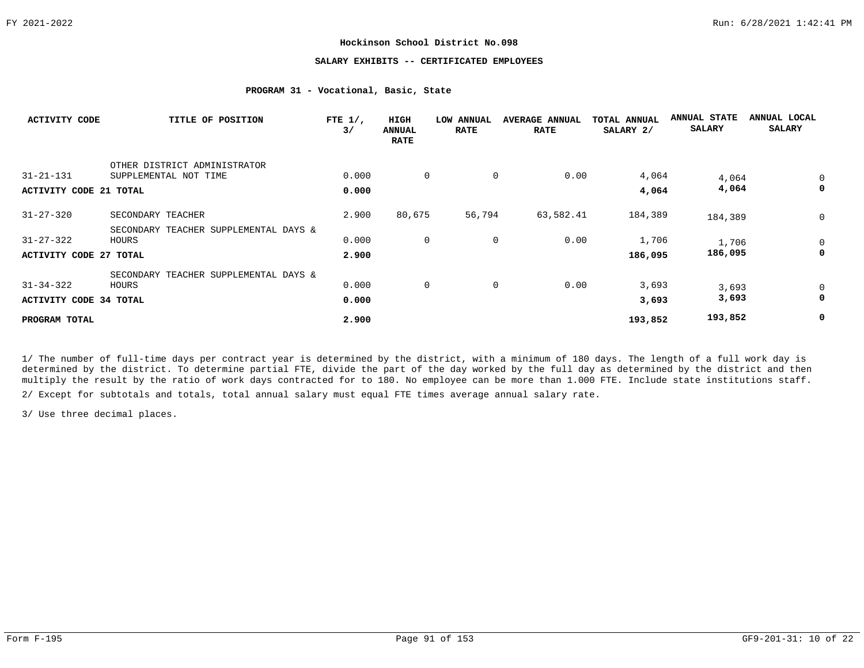# **SALARY EXHIBITS -- CERTIFICATED EMPLOYEES**

# **PROGRAM 31 - Vocational, Basic, State**

| <b>ACTIVITY CODE</b>          | TITLE OF POSITION                     | FTE $1/$ ,<br>3/ | HIGH<br><b>ANNUAL</b><br><b>RATE</b> | LOW ANNUAL<br><b>RATE</b> | <b>AVERAGE ANNUAL</b><br><b>RATE</b> | TOTAL ANNUAL<br>SALARY 2/ | <b>ANNUAL STATE</b><br><b>SALARY</b> | ANNUAL LOCAL<br><b>SALARY</b> |
|-------------------------------|---------------------------------------|------------------|--------------------------------------|---------------------------|--------------------------------------|---------------------------|--------------------------------------|-------------------------------|
|                               | OTHER DISTRICT ADMINISTRATOR          |                  |                                      |                           |                                      |                           |                                      |                               |
| $31 - 21 - 131$               | SUPPLEMENTAL NOT TIME                 | 0.000            | 0                                    | 0                         | 0.00                                 | 4,064                     | 4,064                                | 0                             |
| ACTIVITY CODE 21 TOTAL        |                                       | 0.000            |                                      |                           |                                      | 4,064                     | 4,064                                | 0                             |
| $31 - 27 - 320$               | SECONDARY TEACHER                     | 2.900            | 80,675                               | 56,794                    | 63,582.41                            | 184,389                   | 184,389                              | 0                             |
|                               | SECONDARY TEACHER SUPPLEMENTAL DAYS & |                  |                                      |                           |                                      |                           |                                      |                               |
| $31 - 27 - 322$               | HOURS                                 | 0.000            | $\mathbf 0$                          | 0                         | 0.00                                 | 1,706                     | 1,706                                | 0                             |
| <b>ACTIVITY CODE 27 TOTAL</b> |                                       | 2,900            |                                      |                           |                                      | 186,095                   | 186,095                              | 0                             |
|                               | SECONDARY TEACHER SUPPLEMENTAL DAYS & |                  |                                      |                           |                                      |                           |                                      |                               |
| $31 - 34 - 322$               | HOURS                                 | 0.000            | $\mathbf 0$                          | 0                         | 0.00                                 | 3,693                     | 3,693                                | 0                             |
| <b>ACTIVITY CODE 34 TOTAL</b> |                                       | 0.000            |                                      |                           |                                      | 3,693                     | 3,693                                | 0                             |
| PROGRAM TOTAL                 |                                       | 2.900            |                                      |                           |                                      | 193,852                   | 193,852                              | 0                             |

1/ The number of full-time days per contract year is determined by the district, with a minimum of 180 days. The length of a full work day is determined by the district. To determine partial FTE, divide the part of the day worked by the full day as determined by the district and then multiply the result by the ratio of work days contracted for to 180. No employee can be more than 1.000 FTE. Include state institutions staff.

2/ Except for subtotals and totals, total annual salary must equal FTE times average annual salary rate.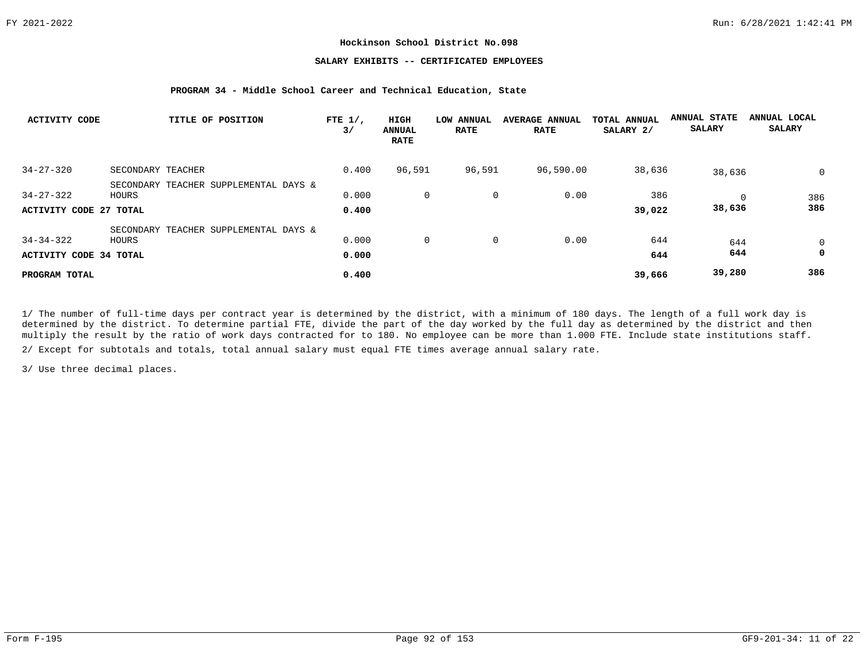## **SALARY EXHIBITS -- CERTIFICATED EMPLOYEES**

#### **PROGRAM 34 - Middle School Career and Technical Education, State**

| <b>ACTIVITY CODE</b>   | TITLE OF POSITION                              | FTE $1/$ ,<br>3/ | HIGH<br>ANNUAL<br><b>RATE</b> | LOW ANNUAL<br><b>RATE</b> | <b>AVERAGE ANNUAL</b><br><b>RATE</b> | TOTAL ANNUAL<br>SALARY 2/ | <b>ANNUAL STATE</b><br><b>SALARY</b> | ANNUAL LOCAL<br><b>SALARY</b> |
|------------------------|------------------------------------------------|------------------|-------------------------------|---------------------------|--------------------------------------|---------------------------|--------------------------------------|-------------------------------|
| $34 - 27 - 320$        | SECONDARY TEACHER                              | 0.400            | 96,591                        | 96,591                    | 96,590.00                            | 38,636                    | 38,636                               | $\mathbf{0}$                  |
| $34 - 27 - 322$        | SECONDARY TEACHER SUPPLEMENTAL DAYS &<br>HOURS | 0.000            | 0                             | 0                         | 0.00                                 | 386                       |                                      | 386                           |
| ACTIVITY CODE 27 TOTAL |                                                | 0.400            |                               |                           |                                      | 39,022                    | 38,636                               | 386                           |
| $34 - 34 - 322$        | SECONDARY TEACHER SUPPLEMENTAL DAYS &<br>HOURS | 0.000            | 0                             | 0                         | 0.00                                 | 644                       | 644                                  | $\mathbf 0$                   |
| ACTIVITY CODE 34 TOTAL |                                                | 0.000            |                               |                           |                                      | 644                       | 644                                  | $\mathbf 0$                   |
| PROGRAM TOTAL          |                                                | 0.400            |                               |                           |                                      | 39,666                    | 39,280                               | 386                           |

1/ The number of full-time days per contract year is determined by the district, with a minimum of 180 days. The length of a full work day is determined by the district. To determine partial FTE, divide the part of the day worked by the full day as determined by the district and then multiply the result by the ratio of work days contracted for to 180. No employee can be more than 1.000 FTE. Include state institutions staff.

2/ Except for subtotals and totals, total annual salary must equal FTE times average annual salary rate.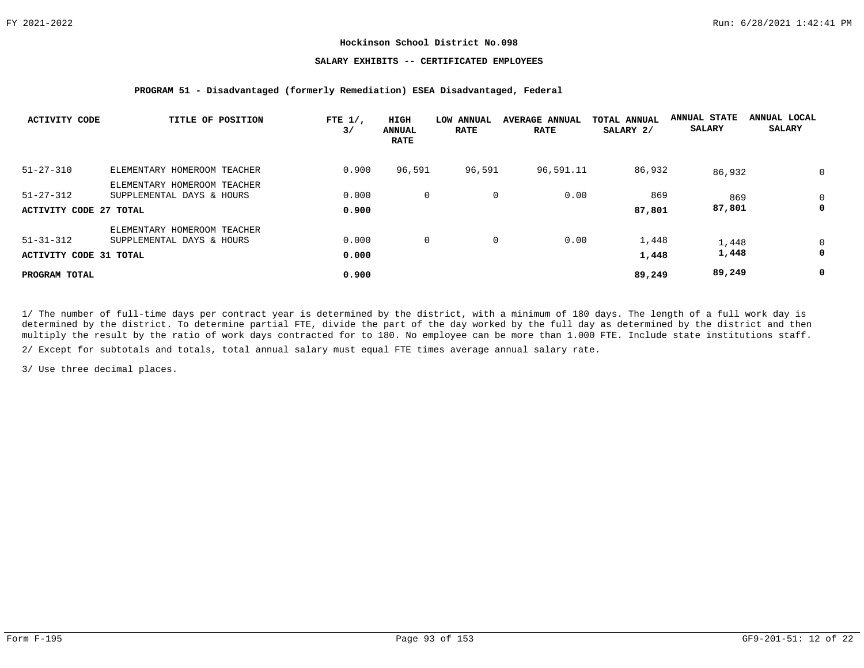## **SALARY EXHIBITS -- CERTIFICATED EMPLOYEES**

#### **PROGRAM 51 - Disadvantaged (formerly Remediation) ESEA Disadvantaged, Federal**

| <b>ACTIVITY CODE</b>   | TITLE OF POSITION           | FTE $1/$ ,<br>3/ | HIGH<br><b>ANNUAL</b><br><b>RATE</b> | LOW ANNUAL<br><b>RATE</b> | <b>AVERAGE ANNUAL</b><br><b>RATE</b> | TOTAL ANNUAL<br>SALARY 2/ | <b>ANNUAL STATE</b><br><b>SALARY</b> | ANNUAL LOCAL<br><b>SALARY</b> |
|------------------------|-----------------------------|------------------|--------------------------------------|---------------------------|--------------------------------------|---------------------------|--------------------------------------|-------------------------------|
| $51 - 27 - 310$        | ELEMENTARY HOMEROOM TEACHER | 0.900            | 96,591                               | 96,591                    | 96,591.11                            | 86,932                    | 86,932                               | $\mathbf 0$                   |
|                        | ELEMENTARY HOMEROOM TEACHER |                  |                                      |                           |                                      |                           |                                      |                               |
| $51 - 27 - 312$        | SUPPLEMENTAL DAYS & HOURS   | 0.000            | $\mathbf{0}$                         | $\mathbf 0$               | 0.00                                 | 869                       | 869                                  | $\mathbf 0$                   |
| ACTIVITY CODE 27 TOTAL |                             | 0.900            |                                      |                           |                                      | 87,801                    | 87,801                               | 0                             |
|                        | ELEMENTARY HOMEROOM TEACHER |                  |                                      |                           |                                      |                           |                                      |                               |
| $51 - 31 - 312$        | SUPPLEMENTAL DAYS & HOURS   | 0.000            | $\mathbf{0}$                         | 0                         | 0.00                                 | 1,448                     | 1,448                                | $\mathbf 0$                   |
| ACTIVITY CODE 31 TOTAL |                             | 0.000            |                                      |                           |                                      | 1,448                     | 1,448                                | 0                             |
| PROGRAM TOTAL          |                             | 0.900            |                                      |                           |                                      | 89,249                    | 89,249                               | 0                             |

1/ The number of full-time days per contract year is determined by the district, with a minimum of 180 days. The length of a full work day is determined by the district. To determine partial FTE, divide the part of the day worked by the full day as determined by the district and then multiply the result by the ratio of work days contracted for to 180. No employee can be more than 1.000 FTE. Include state institutions staff.

2/ Except for subtotals and totals, total annual salary must equal FTE times average annual salary rate.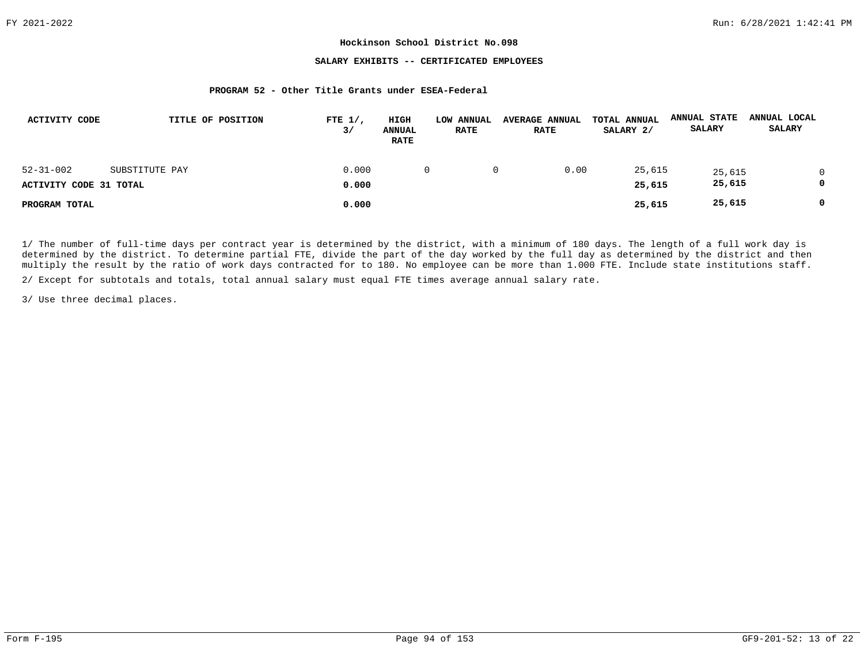## **SALARY EXHIBITS -- CERTIFICATED EMPLOYEES**

#### **PROGRAM 52 - Other Title Grants under ESEA-Federal**

| ACTIVITY CODE          | TITLE OF POSITION | FTE $1/$ ,<br>3/ | HIGH<br><b>ANNUAL</b><br><b>RATE</b> | LOW ANNUAL<br><b>RATE</b> | <b>AVERAGE ANNUAL</b><br><b>RATE</b> | TOTAL ANNUAL<br>SALARY 2/ | <b>ANNUAL STATE</b><br>SALARY | ANNUAL LOCAL<br><b>SALARY</b> |  |
|------------------------|-------------------|------------------|--------------------------------------|---------------------------|--------------------------------------|---------------------------|-------------------------------|-------------------------------|--|
| $52 - 31 - 002$        | SUBSTITUTE PAY    | 0.000            |                                      |                           | 0.00                                 | 25,615                    | 25,615                        | 0                             |  |
| ACTIVITY CODE 31 TOTAL |                   | 0.000            |                                      |                           |                                      | 25,615                    | 25,615                        | 0                             |  |
| PROGRAM TOTAL          |                   | 0.000            |                                      |                           |                                      | 25,615                    | 25,615                        | 0                             |  |

1/ The number of full-time days per contract year is determined by the district, with a minimum of 180 days. The length of a full work day is determined by the district. To determine partial FTE, divide the part of the day worked by the full day as determined by the district and then multiply the result by the ratio of work days contracted for to 180. No employee can be more than 1.000 FTE. Include state institutions staff.

2/ Except for subtotals and totals, total annual salary must equal FTE times average annual salary rate.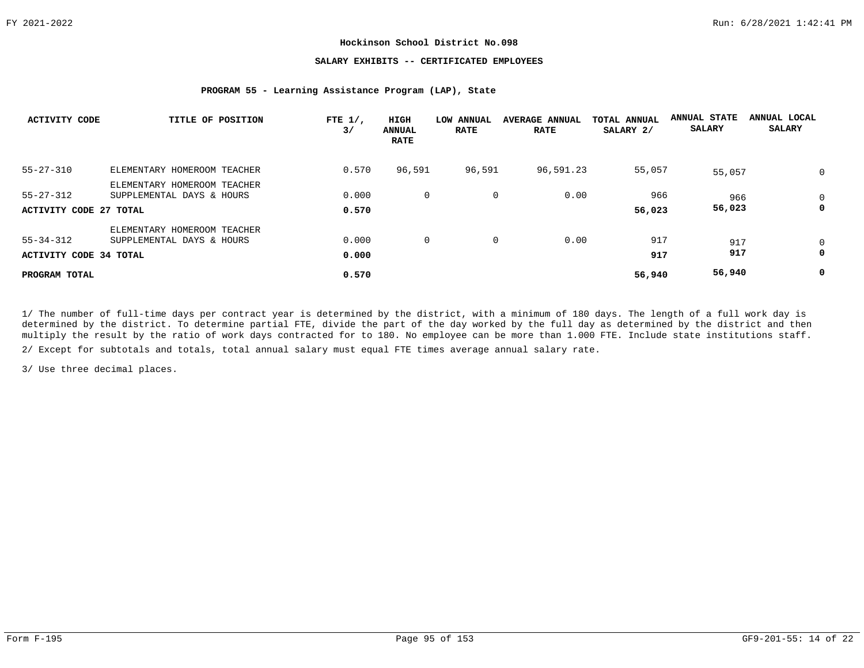## **SALARY EXHIBITS -- CERTIFICATED EMPLOYEES**

#### **PROGRAM 55 - Learning Assistance Program (LAP), State**

| ACTIVITY CODE          | TITLE OF POSITION           | FTE $1/$ ,<br>3/ | <b>HIGH</b><br><b>ANNUAL</b><br><b>RATE</b> | LOW ANNUAL<br><b>RATE</b> | <b>AVERAGE ANNUAL</b><br><b>RATE</b> | TOTAL ANNUAL<br>SALARY 2/ | <b>ANNUAL STATE</b><br><b>SALARY</b> | ANNUAL LOCAL<br><b>SALARY</b> |
|------------------------|-----------------------------|------------------|---------------------------------------------|---------------------------|--------------------------------------|---------------------------|--------------------------------------|-------------------------------|
| $55 - 27 - 310$        | ELEMENTARY HOMEROOM TEACHER | 0.570            | 96,591                                      | 96,591                    | 96,591.23                            | 55,057                    | 55,057                               | $\mathbf 0$                   |
|                        | ELEMENTARY HOMEROOM TEACHER |                  |                                             |                           |                                      |                           |                                      |                               |
| $55 - 27 - 312$        | SUPPLEMENTAL DAYS & HOURS   | 0.000            | $\mathbf{0}$                                | 0                         | 0.00                                 | 966                       | 966                                  | $\mathbf 0$                   |
| ACTIVITY CODE 27 TOTAL |                             | 0.570            |                                             |                           |                                      | 56,023                    | 56,023                               | 0                             |
|                        | ELEMENTARY HOMEROOM TEACHER |                  |                                             |                           |                                      |                           |                                      |                               |
| $55 - 34 - 312$        | SUPPLEMENTAL DAYS & HOURS   | 0.000            | $\mathbf{0}$                                | 0                         | 0.00                                 | 917                       | 917                                  | $\mathbf 0$                   |
| ACTIVITY CODE 34 TOTAL |                             | 0.000            |                                             |                           |                                      | 917                       | 917                                  | 0                             |
| PROGRAM TOTAL          |                             | 0.570            |                                             |                           |                                      | 56,940                    | 56,940                               | 0                             |

1/ The number of full-time days per contract year is determined by the district, with a minimum of 180 days. The length of a full work day is determined by the district. To determine partial FTE, divide the part of the day worked by the full day as determined by the district and then multiply the result by the ratio of work days contracted for to 180. No employee can be more than 1.000 FTE. Include state institutions staff.

2/ Except for subtotals and totals, total annual salary must equal FTE times average annual salary rate.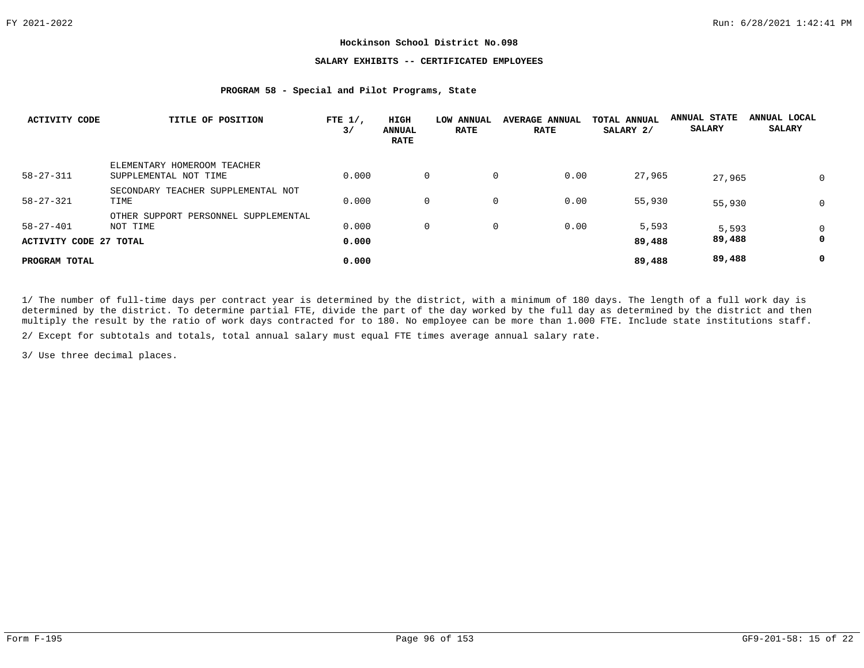## **SALARY EXHIBITS -- CERTIFICATED EMPLOYEES**

#### **PROGRAM 58 - Special and Pilot Programs, State**

| <b>ACTIVITY CODE</b>                      | TITLE OF POSITION                                    | FTE $1/$ ,<br>3/ | HIGH<br><b>ANNUAL</b><br><b>RATE</b> | LOW ANNUAL<br><b>RATE</b> | <b>AVERAGE ANNUAL</b><br><b>RATE</b> | TOTAL ANNUAL<br>SALARY 2/ | <b>ANNUAL STATE</b><br><b>SALARY</b> | ANNUAL LOCAL<br><b>SALARY</b> |
|-------------------------------------------|------------------------------------------------------|------------------|--------------------------------------|---------------------------|--------------------------------------|---------------------------|--------------------------------------|-------------------------------|
| $58 - 27 - 311$                           | ELEMENTARY HOMEROOM TEACHER<br>SUPPLEMENTAL NOT TIME | 0.000            | $\mathbf{0}$                         |                           | $\mathbf 0$<br>0.00                  | 27,965                    | 27,965                               | 0                             |
| $58 - 27 - 321$                           | SECONDARY TEACHER SUPPLEMENTAL NOT<br>TIME           | 0.000            | $\Omega$                             |                           | 0<br>0.00                            | 55,930                    | 55,930                               | 0                             |
| $58 - 27 - 401$<br>ACTIVITY CODE 27 TOTAL | OTHER SUPPORT PERSONNEL SUPPLEMENTAL<br>NOT TIME     | 0.000<br>0.000   | $\mathbf{0}$                         | 0                         | 0.00                                 | 5,593<br>89,488           | 5,593<br>89,488                      | 0<br>0                        |
| PROGRAM TOTAL                             |                                                      | 0.000            |                                      |                           |                                      | 89,488                    | 89,488                               | 0                             |

1/ The number of full-time days per contract year is determined by the district, with a minimum of 180 days. The length of a full work day is determined by the district. To determine partial FTE, divide the part of the day worked by the full day as determined by the district and then multiply the result by the ratio of work days contracted for to 180. No employee can be more than 1.000 FTE. Include state institutions staff.

2/ Except for subtotals and totals, total annual salary must equal FTE times average annual salary rate.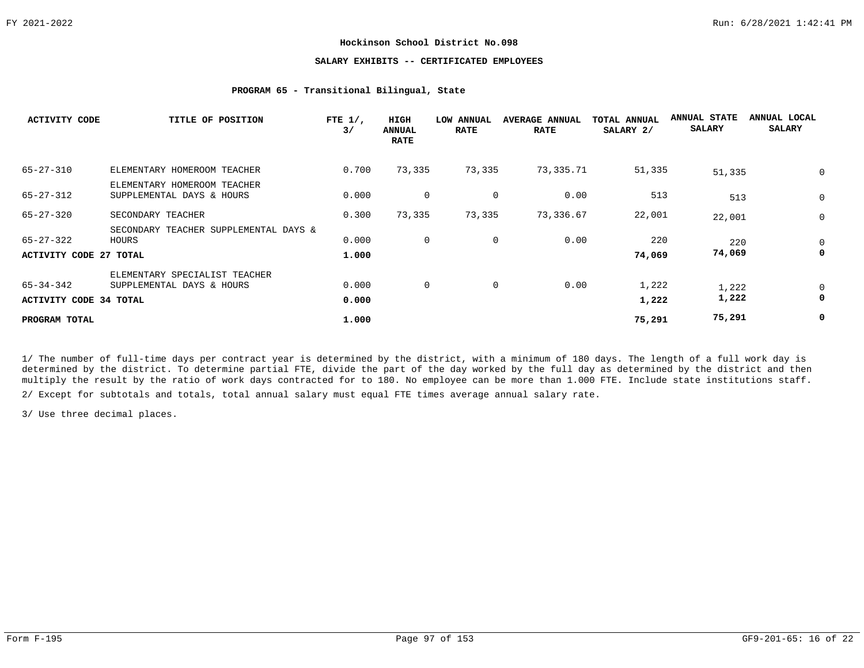# **SALARY EXHIBITS -- CERTIFICATED EMPLOYEES**

## **PROGRAM 65 - Transitional Bilingual, State**

| <b>ACTIVITY CODE</b>                       | TITLE OF POSITION                                          | FTE $1/$ ,<br>3/ | HIGH<br><b>ANNUAL</b><br><b>RATE</b> | <b>LOW ANNUAL</b><br><b>RATE</b> | <b>AVERAGE ANNUAL</b><br><b>RATE</b> | TOTAL ANNUAL<br>SALARY 2/ | <b>ANNUAL STATE</b><br><b>SALARY</b> | ANNUAL LOCAL<br><b>SALARY</b> |
|--------------------------------------------|------------------------------------------------------------|------------------|--------------------------------------|----------------------------------|--------------------------------------|---------------------------|--------------------------------------|-------------------------------|
| $65 - 27 - 310$                            | ELEMENTARY HOMEROOM TEACHER                                | 0.700            | 73,335                               | 73,335                           | 73,335.71                            | 51,335                    | 51,335                               | 0                             |
| $65 - 27 - 312$                            | ELEMENTARY HOMEROOM TEACHER<br>SUPPLEMENTAL DAYS & HOURS   | 0.000            | 0                                    | $\overline{0}$                   | 0.00                                 | 513                       | 513                                  | 0                             |
| $65 - 27 - 320$                            | SECONDARY TEACHER                                          | 0.300            | 73,335                               | 73,335                           | 73,336.67                            | 22,001                    | 22,001                               | 0                             |
| 65-27-322                                  | SECONDARY TEACHER SUPPLEMENTAL DAYS &<br>HOURS             | 0.000            | $\mathbf 0$                          | 0                                | 0.00                                 | 220                       | 220                                  | 0                             |
| <b>ACTIVITY CODE 27 TOTAL</b>              |                                                            | 1.000            |                                      |                                  |                                      | 74,069                    | 74,069                               | 0                             |
| 65-34-342<br><b>ACTIVITY CODE 34 TOTAL</b> | ELEMENTARY SPECIALIST TEACHER<br>SUPPLEMENTAL DAYS & HOURS | 0.000<br>0.000   | 0                                    | $\overline{0}$                   | 0.00                                 | 1,222<br>1,222            | 1,222<br>1,222                       | 0<br>0                        |
| PROGRAM TOTAL                              |                                                            | 1.000            |                                      |                                  |                                      | 75,291                    | 75,291                               | 0                             |

1/ The number of full-time days per contract year is determined by the district, with a minimum of 180 days. The length of a full work day is determined by the district. To determine partial FTE, divide the part of the day worked by the full day as determined by the district and then multiply the result by the ratio of work days contracted for to 180. No employee can be more than 1.000 FTE. Include state institutions staff.

2/ Except for subtotals and totals, total annual salary must equal FTE times average annual salary rate.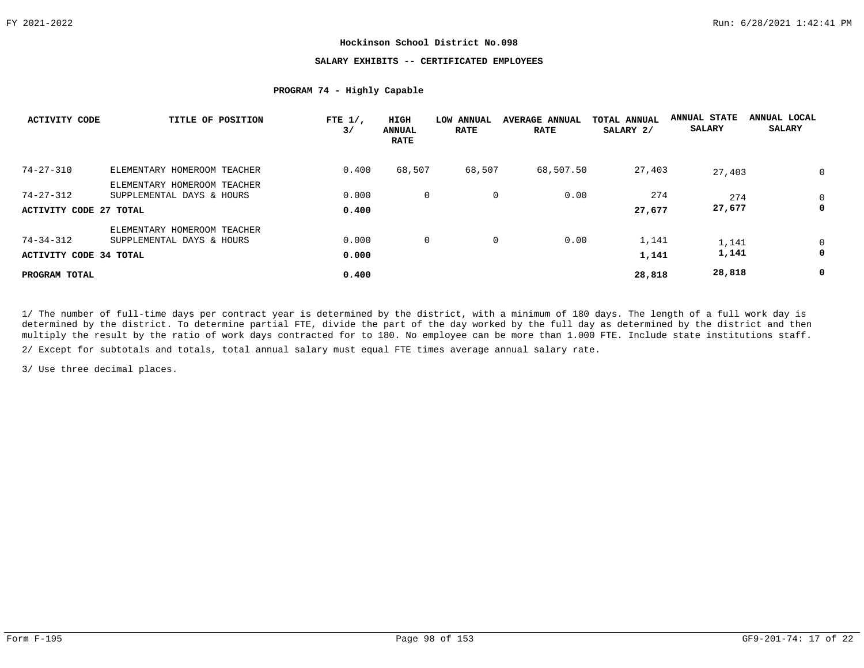## **SALARY EXHIBITS -- CERTIFICATED EMPLOYEES**

# **PROGRAM 74 - Highly Capable**

| ACTIVITY CODE          | TITLE OF POSITION           | FTE $1/$ ,<br>3/ | <b>HIGH</b><br><b>ANNUAL</b><br><b>RATE</b> | LOW ANNUAL<br><b>RATE</b> | <b>AVERAGE ANNUAL</b><br><b>RATE</b> | TOTAL ANNUAL<br>SALARY 2/ | <b>ANNUAL STATE</b><br><b>SALARY</b> | ANNUAL LOCAL<br><b>SALARY</b> |
|------------------------|-----------------------------|------------------|---------------------------------------------|---------------------------|--------------------------------------|---------------------------|--------------------------------------|-------------------------------|
| $74 - 27 - 310$        | ELEMENTARY HOMEROOM TEACHER | 0.400            | 68,507                                      | 68,507                    | 68,507.50                            | 27,403                    | 27,403                               | $\mathbf 0$                   |
|                        | ELEMENTARY HOMEROOM TEACHER |                  |                                             |                           |                                      |                           |                                      |                               |
| 74-27-312              | SUPPLEMENTAL DAYS & HOURS   | 0.000            | $\mathbf{0}$                                | 0                         | 0.00                                 | 274                       | 274                                  | $\mathbf 0$                   |
| ACTIVITY CODE 27 TOTAL |                             | 0.400            |                                             |                           |                                      | 27,677                    | 27,677                               | 0                             |
|                        | ELEMENTARY HOMEROOM TEACHER |                  |                                             |                           |                                      |                           |                                      |                               |
| 74-34-312              | SUPPLEMENTAL DAYS & HOURS   | 0.000            | $\mathbf{0}$                                | 0                         | 0.00                                 | 1,141                     | 1,141                                | 0                             |
| ACTIVITY CODE 34 TOTAL |                             | 0.000            |                                             |                           |                                      | 1,141                     | 1,141                                | 0                             |
| PROGRAM TOTAL          |                             | 0.400            |                                             |                           |                                      | 28,818                    | 28,818                               | 0                             |

1/ The number of full-time days per contract year is determined by the district, with a minimum of 180 days. The length of a full work day is determined by the district. To determine partial FTE, divide the part of the day worked by the full day as determined by the district and then multiply the result by the ratio of work days contracted for to 180. No employee can be more than 1.000 FTE. Include state institutions staff.

2/ Except for subtotals and totals, total annual salary must equal FTE times average annual salary rate.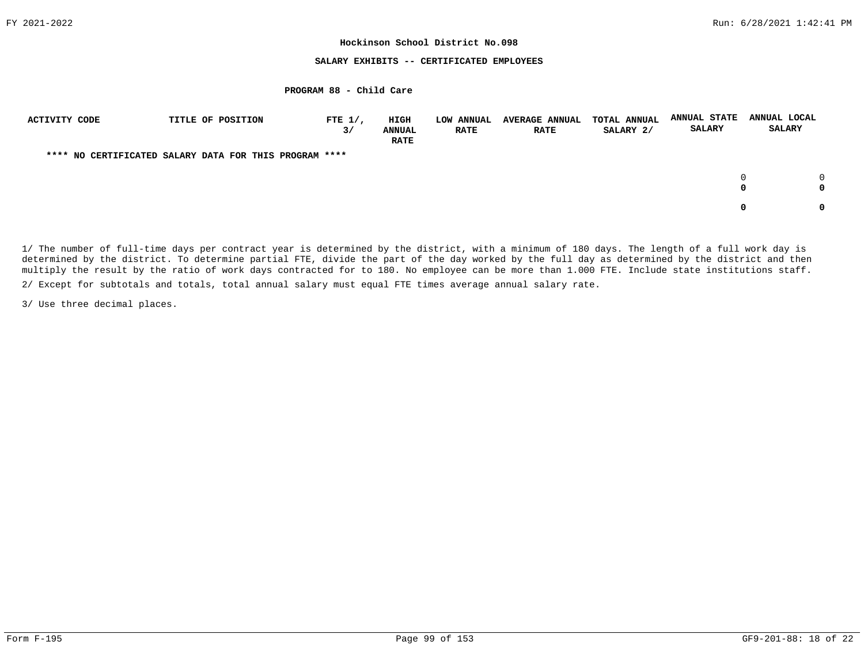## **SALARY EXHIBITS -- CERTIFICATED EMPLOYEES**

# **PROGRAM 88 - Child Care**

| <b>ACTIVITY CODE</b> | TITLE OF POSITION                                      | FTE $1/$ ,<br>3/ | <b>HIGH</b><br><b>ANNUAL</b><br><b>RATE</b> | <b>LOW ANNUAL</b><br><b>RATE</b> | <b>AVERAGE ANNUAL</b><br><b>RATE</b> | TOTAL ANNUAL<br>SALARY 2/ | <b>ANNUAL STATE</b><br><b>SALARY</b> | ANNUAL LOCAL<br><b>SALARY</b> |             |
|----------------------|--------------------------------------------------------|------------------|---------------------------------------------|----------------------------------|--------------------------------------|---------------------------|--------------------------------------|-------------------------------|-------------|
|                      | **** NO CERTIFICATED SALARY DATA FOR THIS PROGRAM **** |                  |                                             |                                  |                                      |                           |                                      |                               |             |
|                      |                                                        |                  |                                             |                                  |                                      |                           |                                      |                               | $\cap$<br>0 |
|                      |                                                        |                  |                                             |                                  |                                      |                           |                                      |                               | $\Omega$    |

1/ The number of full-time days per contract year is determined by the district, with a minimum of 180 days. The length of a full work day is determined by the district. To determine partial FTE, divide the part of the day worked by the full day as determined by the district and then multiply the result by the ratio of work days contracted for to 180. No employee can be more than 1.000 FTE. Include state institutions staff.

2/ Except for subtotals and totals, total annual salary must equal FTE times average annual salary rate.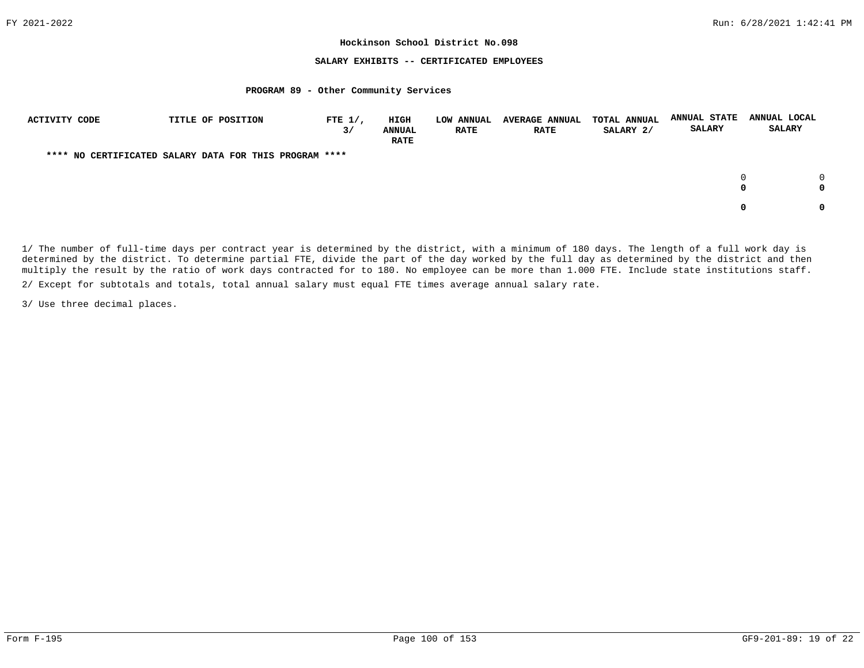### **SALARY EXHIBITS -- CERTIFICATED EMPLOYEES**

### **PROGRAM 89 - Other Community Services**

| ACTIVITY CODE | TITLE OF POSITION                                      | FTE $1/$ ,<br>3/ | HIGH<br><b>ANNUAL</b><br><b>RATE</b> | <b>LOW ANNUAL</b><br><b>RATE</b> | <b>AVERAGE ANNUAL</b><br><b>RATE</b> | <b>TOTAL ANNUAL</b><br>SALARY 2/ | <b>ANNUAL STATE</b><br><b>SALARY</b> | ANNUAL LOCAL<br><b>SALARY</b> |
|---------------|--------------------------------------------------------|------------------|--------------------------------------|----------------------------------|--------------------------------------|----------------------------------|--------------------------------------|-------------------------------|
|               | **** NO CERTIFICATED SALARY DATA FOR THIS PROGRAM **** |                  |                                      |                                  |                                      |                                  |                                      |                               |
|               |                                                        |                  |                                      |                                  |                                      |                                  |                                      | <sup>n</sup><br>0<br>0<br>0   |
|               |                                                        |                  |                                      |                                  |                                      |                                  |                                      | <sup>o</sup><br>0             |

1/ The number of full-time days per contract year is determined by the district, with a minimum of 180 days. The length of a full work day is determined by the district. To determine partial FTE, divide the part of the day worked by the full day as determined by the district and then multiply the result by the ratio of work days contracted for to 180. No employee can be more than 1.000 FTE. Include state institutions staff.

2/ Except for subtotals and totals, total annual salary must equal FTE times average annual salary rate.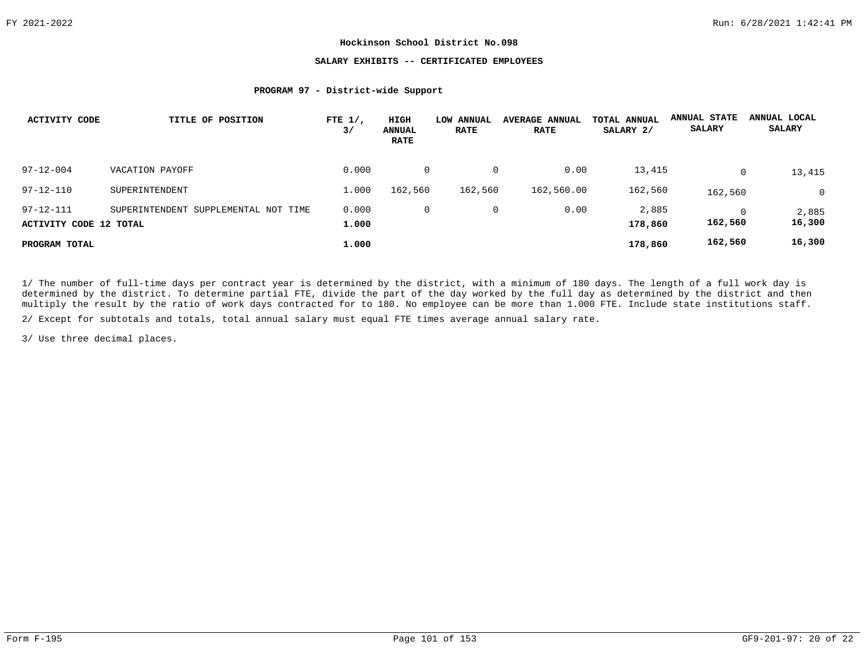# **SALARY EXHIBITS -- CERTIFICATED EMPLOYEES**

## **PROGRAM 97 - District-wide Support**

| <b>ACTIVITY CODE</b>                      | TITLE OF POSITION                    | FTE $1/$ ,<br>3/ | HIGH<br><b>ANNUAL</b><br><b>RATE</b> | LOW ANNUAL<br><b>RATE</b> | <b>AVERAGE ANNUAL</b><br><b>RATE</b> | TOTAL ANNUAL<br>SALARY 2/ | <b>ANNUAL STATE</b><br><b>SALARY</b> | ANNUAL LOCAL<br><b>SALARY</b> |
|-------------------------------------------|--------------------------------------|------------------|--------------------------------------|---------------------------|--------------------------------------|---------------------------|--------------------------------------|-------------------------------|
| $97 - 12 - 004$                           | VACATION PAYOFF                      | 0.000            | 0                                    | 0                         | 0.00                                 | 13,415                    | 0                                    | 13,415                        |
| $97 - 12 - 110$                           | SUPERINTENDENT                       | 1,000            | 162,560                              | 162,560                   | 162,560.00                           | 162,560                   | 162,560                              | $\mathbf 0$                   |
| $97 - 12 - 111$<br>ACTIVITY CODE 12 TOTAL | SUPERINTENDENT SUPPLEMENTAL NOT TIME | 0.000<br>1,000   | 0                                    | 0                         | 0.00                                 | 2,885<br>178,860          | 162,560                              | 2,885<br>16,300               |
| PROGRAM TOTAL                             |                                      | 1,000            |                                      |                           |                                      | 178,860                   | 162,560                              | 16,300                        |

1/ The number of full-time days per contract year is determined by the district, with a minimum of 180 days. The length of a full work day is determined by the district. To determine partial FTE, divide the part of the day worked by the full day as determined by the district and then multiply the result by the ratio of work days contracted for to 180. No employee can be more than 1.000 FTE. Include state institutions staff.

2/ Except for subtotals and totals, total annual salary must equal FTE times average annual salary rate.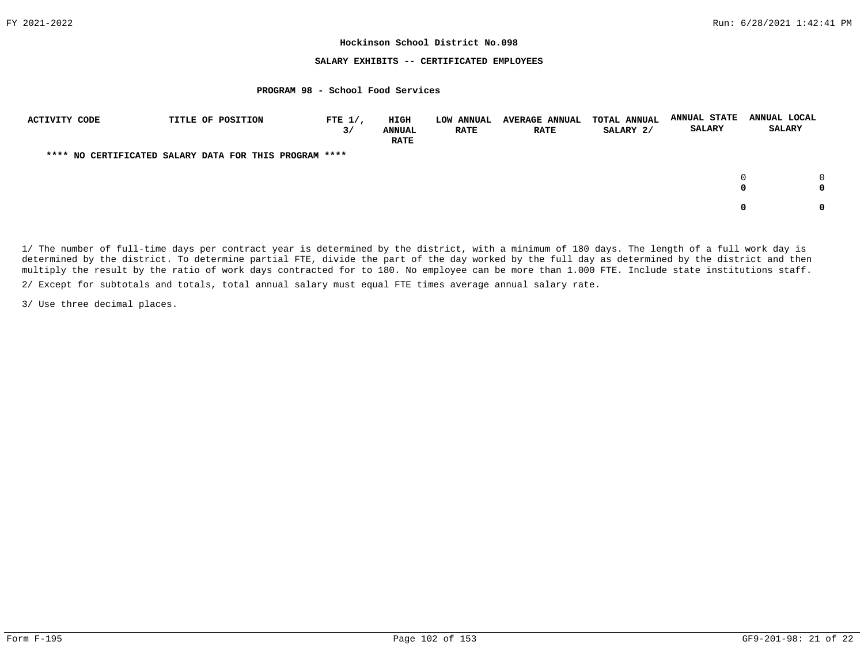## **SALARY EXHIBITS -- CERTIFICATED EMPLOYEES**

### **PROGRAM 98 - School Food Services**

| ACTIVITY CODE | TITLE OF POSITION                                      | FTE $1/$ ,<br>3/ | <b>HIGH</b><br><b>ANNUAL</b><br><b>RATE</b> | <b>LOW ANNUAL</b><br><b>RATE</b> | <b>AVERAGE ANNUAL</b><br><b>RATE</b> | <b>TOTAL ANNUAL</b><br>SALARY 2/ | <b>ANNUAL STATE</b><br><b>SALARY</b> | ANNUAL LOCAL<br><b>SALARY</b> |
|---------------|--------------------------------------------------------|------------------|---------------------------------------------|----------------------------------|--------------------------------------|----------------------------------|--------------------------------------|-------------------------------|
|               | **** NO CERTIFICATED SALARY DATA FOR THIS PROGRAM **** |                  |                                             |                                  |                                      |                                  |                                      |                               |
|               |                                                        |                  |                                             |                                  |                                      |                                  |                                      | <sup>n</sup><br>0<br>0        |
|               |                                                        |                  |                                             |                                  |                                      |                                  |                                      | <sup>o</sup><br>0             |

1/ The number of full-time days per contract year is determined by the district, with a minimum of 180 days. The length of a full work day is determined by the district. To determine partial FTE, divide the part of the day worked by the full day as determined by the district and then multiply the result by the ratio of work days contracted for to 180. No employee can be more than 1.000 FTE. Include state institutions staff.

2/ Except for subtotals and totals, total annual salary must equal FTE times average annual salary rate.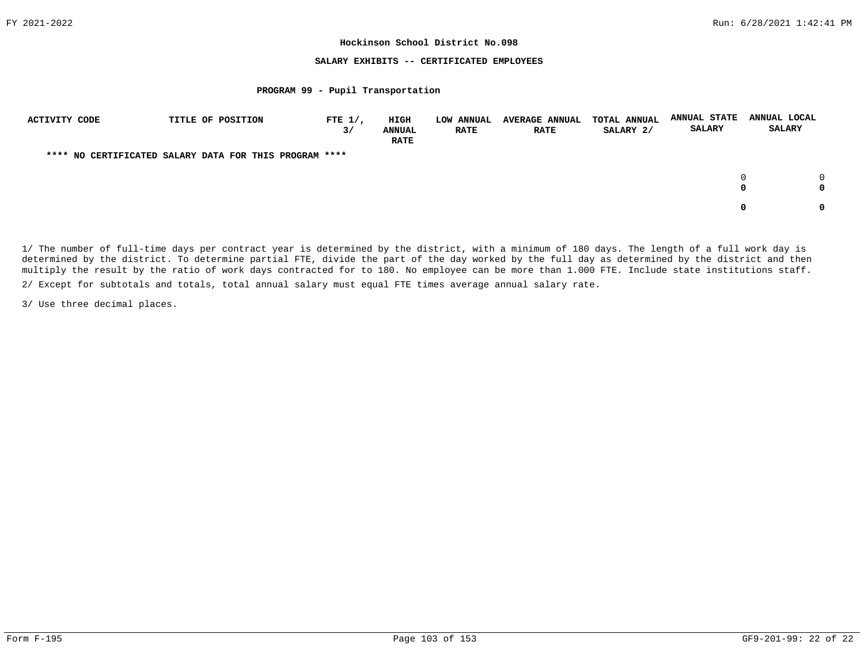## **SALARY EXHIBITS -- CERTIFICATED EMPLOYEES**

### **PROGRAM 99 - Pupil Transportation**

| <b>ACTIVITY CODE</b> | TITLE OF POSITION                                      | FTE $1/$ ,<br>3/ | HIGH<br><b>ANNUAL</b><br><b>RATE</b> | <b>LOW ANNUAL</b><br><b>RATE</b> | <b>AVERAGE ANNUAL</b><br><b>RATE</b> | <b>TOTAL ANNUAL</b><br>SALARY 2/ | <b>ANNUAL STATE</b><br><b>SALARY</b> | ANNUAL LOCAL<br><b>SALARY</b> |   |
|----------------------|--------------------------------------------------------|------------------|--------------------------------------|----------------------------------|--------------------------------------|----------------------------------|--------------------------------------|-------------------------------|---|
|                      | **** NO CERTIFICATED SALARY DATA FOR THIS PROGRAM **** |                  |                                      |                                  |                                      |                                  |                                      |                               |   |
|                      |                                                        |                  |                                      |                                  |                                      |                                  |                                      | 0                             |   |
|                      |                                                        |                  |                                      |                                  |                                      |                                  |                                      |                               | 0 |

1/ The number of full-time days per contract year is determined by the district, with a minimum of 180 days. The length of a full work day is determined by the district. To determine partial FTE, divide the part of the day worked by the full day as determined by the district and then multiply the result by the ratio of work days contracted for to 180. No employee can be more than 1.000 FTE. Include state institutions staff.

2/ Except for subtotals and totals, total annual salary must equal FTE times average annual salary rate.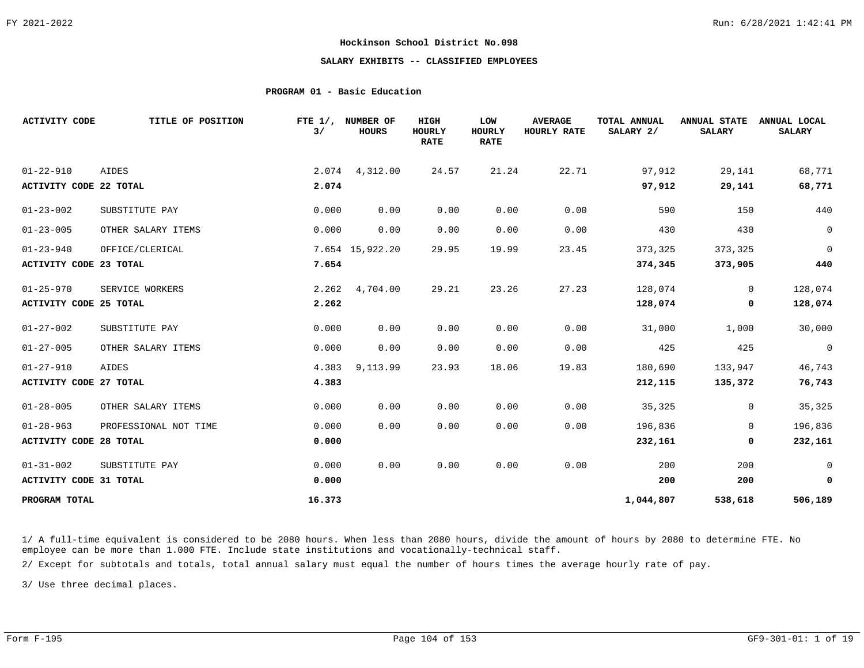# **SALARY EXHIBITS -- CLASSIFIED EMPLOYEES**

## **PROGRAM 01 - Basic Education**

| <b>ACTIVITY CODE</b>          | TITLE OF POSITION     | 3/     | FTE 1/, NUMBER OF<br><b>HOURS</b> | HIGH<br><b>HOURLY</b><br><b>RATE</b> | LOW<br><b>HOURLY</b><br><b>RATE</b> | <b>AVERAGE</b><br>HOURLY RATE | TOTAL ANNUAL<br>SALARY 2/ | <b>ANNUAL STATE</b><br><b>SALARY</b> | ANNUAL LOCAL<br><b>SALARY</b> |
|-------------------------------|-----------------------|--------|-----------------------------------|--------------------------------------|-------------------------------------|-------------------------------|---------------------------|--------------------------------------|-------------------------------|
| $01 - 22 - 910$               | AIDES                 |        | 2.074 4,312.00                    | 24.57                                | 21.24                               | 22.71                         | 97,912                    | 29,141                               | 68,771                        |
| <b>ACTIVITY CODE 22 TOTAL</b> |                       | 2.074  |                                   |                                      |                                     |                               | 97,912                    | 29,141                               | 68,771                        |
| $01 - 23 - 002$               | SUBSTITUTE PAY        | 0.000  | 0.00                              | 0.00                                 | 0.00                                | 0.00                          | 590                       | 150                                  | 440                           |
| $01 - 23 - 005$               | OTHER SALARY ITEMS    | 0.000  | 0.00                              | 0.00                                 | 0.00                                | 0.00                          | 430                       | 430                                  | $\mathbf 0$                   |
| $01 - 23 - 940$               | OFFICE/CLERICAL       |        | 7.654 15,922.20                   | 29.95                                | 19.99                               | 23.45                         | 373,325                   | 373,325                              | $\mathbf 0$                   |
| <b>ACTIVITY CODE 23 TOTAL</b> |                       | 7.654  |                                   |                                      |                                     |                               | 374,345                   | 373,905                              | 440                           |
| $01 - 25 - 970$               | SERVICE WORKERS       | 2.262  | 4,704.00                          | 29.21                                | 23.26                               | 27.23                         | 128,074                   | $\overline{0}$                       | 128,074                       |
| <b>ACTIVITY CODE 25 TOTAL</b> |                       | 2.262  |                                   |                                      |                                     |                               | 128,074                   | 0                                    | 128,074                       |
| $01 - 27 - 002$               | SUBSTITUTE PAY        | 0.000  | 0.00                              | 0.00                                 | 0.00                                | 0.00                          | 31,000                    | 1,000                                | 30,000                        |
| $01 - 27 - 005$               | OTHER SALARY ITEMS    | 0.000  | 0.00                              | 0.00                                 | 0.00                                | 0.00                          | 425                       | 425                                  | $\mathsf{O}$                  |
| $01 - 27 - 910$               | <b>AIDES</b>          | 4.383  | 9,113.99                          | 23.93                                | 18.06                               | 19.83                         | 180,690                   | 133,947                              | 46,743                        |
| <b>ACTIVITY CODE 27 TOTAL</b> |                       | 4.383  |                                   |                                      |                                     |                               | 212,115                   | 135,372                              | 76,743                        |
| $01 - 28 - 005$               | OTHER SALARY ITEMS    | 0.000  | 0.00                              | 0.00                                 | 0.00                                | 0.00                          | 35,325                    | 0                                    | 35,325                        |
| $01 - 28 - 963$               | PROFESSIONAL NOT TIME | 0.000  | 0.00                              | 0.00                                 | 0.00                                | 0.00                          | 196,836                   | $\Omega$                             | 196,836                       |
| <b>ACTIVITY CODE 28 TOTAL</b> |                       | 0.000  |                                   |                                      |                                     |                               | 232,161                   | 0                                    | 232,161                       |
| $01 - 31 - 002$               | SUBSTITUTE PAY        | 0.000  | 0.00                              | 0.00                                 | 0.00                                | 0.00                          | 200                       | 200                                  | $\overline{0}$                |
| <b>ACTIVITY CODE 31 TOTAL</b> |                       | 0.000  |                                   |                                      |                                     |                               | 200                       | 200                                  | 0                             |
| PROGRAM TOTAL                 |                       | 16.373 |                                   |                                      |                                     |                               | 1,044,807                 | 538,618                              | 506,189                       |

1/ A full-time equivalent is considered to be 2080 hours. When less than 2080 hours, divide the amount of hours by 2080 to determine FTE. No employee can be more than 1.000 FTE. Include state institutions and vocationally-technical staff.

2/ Except for subtotals and totals, total annual salary must equal the number of hours times the average hourly rate of pay.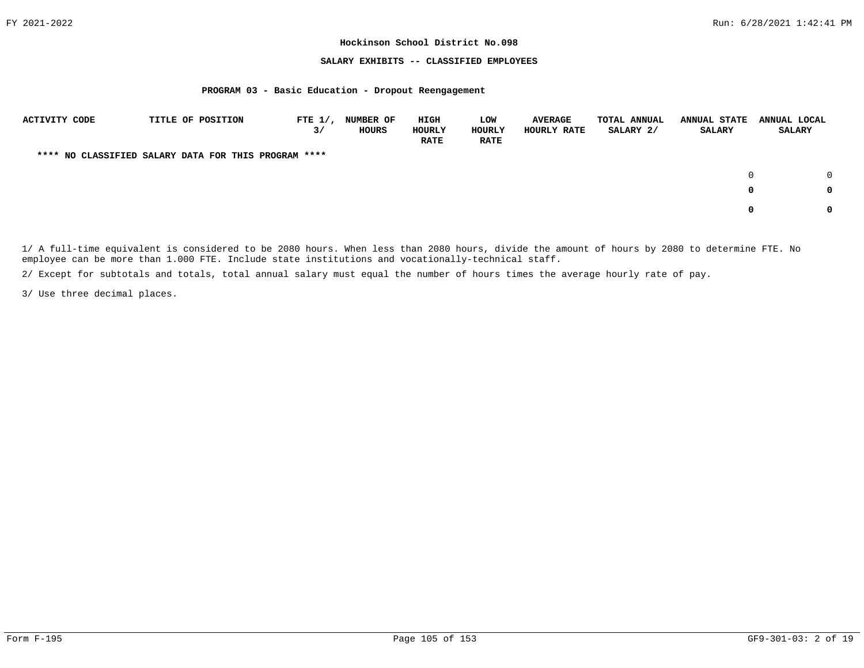## **SALARY EXHIBITS -- CLASSIFIED EMPLOYEES**

### **PROGRAM 03 - Basic Education - Dropout Reengagement**

| ACTIVITY CODE                                        | TITLE OF POSITION | FTE $1/$ ,<br>3/ | <b>NUMBER OF</b><br>HOURS | HIGH<br>HOURLY<br><b>RATE</b> | LOW<br>HOURLY<br><b>RATE</b> | <b>AVERAGE</b><br>HOURLY RATE | TOTAL ANNUAL<br>SALARY 2/ | <b>ANNUAL STATE</b><br><b>SALARY</b> | ANNUAL LOCAL<br><b>SALARY</b> |
|------------------------------------------------------|-------------------|------------------|---------------------------|-------------------------------|------------------------------|-------------------------------|---------------------------|--------------------------------------|-------------------------------|
| **** NO CLASSIFIED SALARY DATA FOR THIS PROGRAM **** |                   |                  |                           |                               |                              |                               |                           |                                      |                               |
|                                                      |                   |                  |                           |                               |                              |                               |                           |                                      | $\cap$                        |
|                                                      |                   |                  |                           |                               |                              |                               |                           | 0                                    | 0                             |
|                                                      |                   |                  |                           |                               |                              |                               |                           | 0                                    | 0                             |

1/ A full-time equivalent is considered to be 2080 hours. When less than 2080 hours, divide the amount of hours by 2080 to determine FTE. No employee can be more than 1.000 FTE. Include state institutions and vocationally-technical staff.

2/ Except for subtotals and totals, total annual salary must equal the number of hours times the average hourly rate of pay.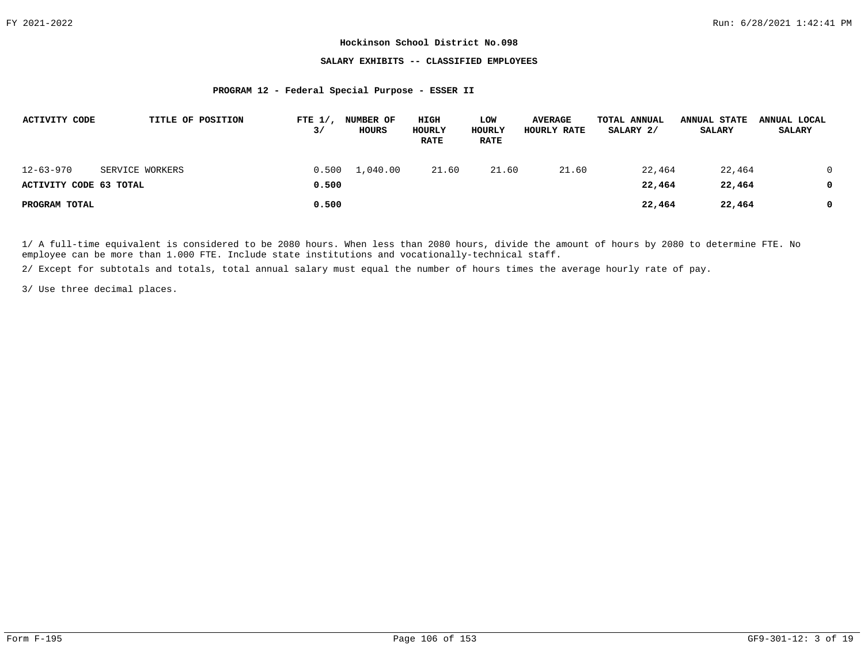# **SALARY EXHIBITS -- CLASSIFIED EMPLOYEES**

### **PROGRAM 12 - Federal Special Purpose - ESSER II**

| ACTIVITY CODE          |                 | TITLE OF POSITION | FTE $1/$ ,<br>3/ | <b>NUMBER OF</b><br>HOURS | HIGH<br>HOURLY<br><b>RATE</b> | LOW<br>HOURLY<br><b>RATE</b> | <b>AVERAGE</b><br>HOURLY RATE | TOTAL ANNUAL<br>SALARY 2/ | <b>ANNUAL STATE</b><br><b>SALARY</b> | ANNUAL LOCAL<br><b>SALARY</b> |
|------------------------|-----------------|-------------------|------------------|---------------------------|-------------------------------|------------------------------|-------------------------------|---------------------------|--------------------------------------|-------------------------------|
| $12 - 63 - 970$        | SERVICE WORKERS |                   | 0.500            | 1,040.00                  | 21.60                         | 21.60                        | 21.60                         | 22,464                    | 22,464                               |                               |
| ACTIVITY CODE 63 TOTAL |                 |                   | 0.500            |                           |                               |                              |                               | 22,464                    | 22,464                               |                               |
| PROGRAM TOTAL          |                 |                   | 0.500            |                           |                               |                              |                               | 22,464                    | 22,464                               |                               |

1/ A full-time equivalent is considered to be 2080 hours. When less than 2080 hours, divide the amount of hours by 2080 to determine FTE. No employee can be more than 1.000 FTE. Include state institutions and vocationally-technical staff.

2/ Except for subtotals and totals, total annual salary must equal the number of hours times the average hourly rate of pay.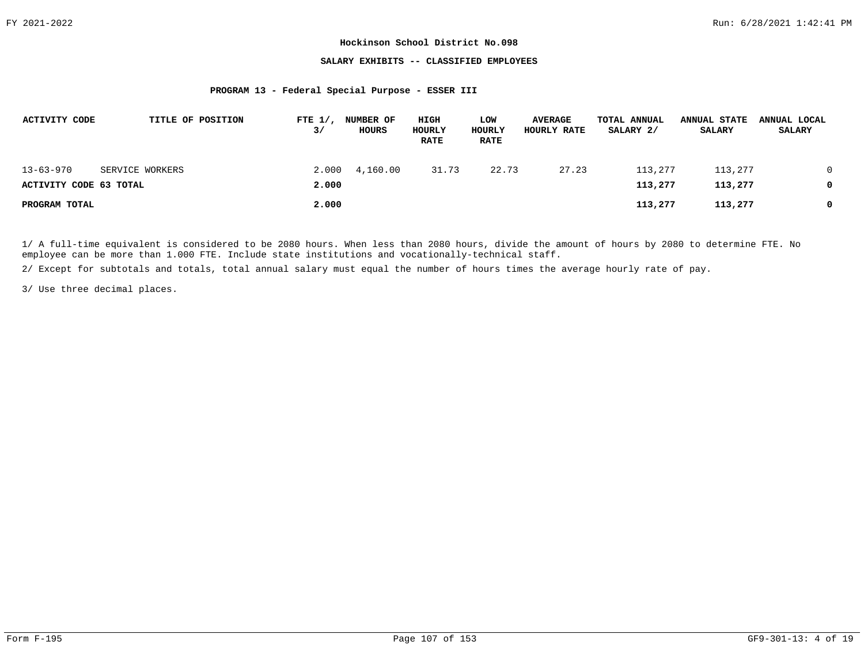## **SALARY EXHIBITS -- CLASSIFIED EMPLOYEES**

### **PROGRAM 13 - Federal Special Purpose - ESSER III**

| <b>ACTIVITY CODE</b>                      |                 | TITLE OF POSITION | FTE $1/$ ,<br>3/ | <b>NUMBER OF</b><br><b>HOURS</b> | HIGH<br>HOURLY<br><b>RATE</b> | LOW<br>HOURLY<br><b>RATE</b> | <b>AVERAGE</b><br>HOURLY RATE | TOTAL ANNUAL<br>SALARY 2/ | <b>ANNUAL STATE</b><br><b>SALARY</b> | ANNUAL LOCAL<br><b>SALARY</b> |
|-------------------------------------------|-----------------|-------------------|------------------|----------------------------------|-------------------------------|------------------------------|-------------------------------|---------------------------|--------------------------------------|-------------------------------|
| $13 - 63 - 970$<br>ACTIVITY CODE 63 TOTAL | SERVICE WORKERS |                   | 2.000<br>2,000   | 4,160.00                         | 31.73                         | 22.73                        | 27.23                         | 113,277<br>113,277        | 113,277<br>113,277                   | 0                             |
| PROGRAM TOTAL                             |                 |                   | 2,000            |                                  |                               |                              |                               | 113,277                   | 113,277                              | 0                             |

1/ A full-time equivalent is considered to be 2080 hours. When less than 2080 hours, divide the amount of hours by 2080 to determine FTE. No employee can be more than 1.000 FTE. Include state institutions and vocationally-technical staff.

2/ Except for subtotals and totals, total annual salary must equal the number of hours times the average hourly rate of pay.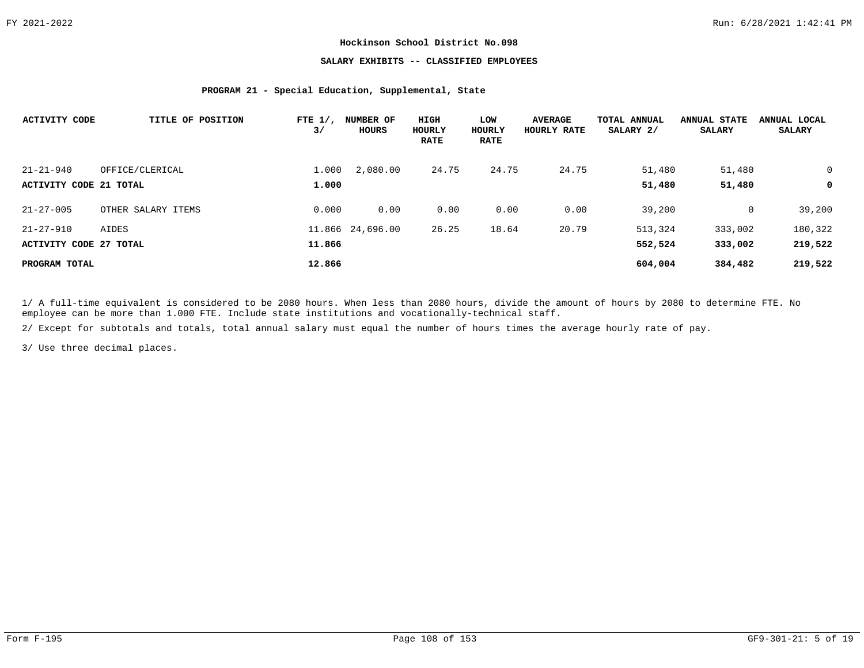# **SALARY EXHIBITS -- CLASSIFIED EMPLOYEES**

# **PROGRAM 21 - Special Education, Supplemental, State**

| <b>ACTIVITY CODE</b>   | TITLE OF POSITION  | FTE $1/$ ,<br>$\frac{3}{ }$ | <b>NUMBER OF</b><br>HOURS | HIGH<br>HOURLY<br><b>RATE</b> | LOW<br>HOURLY<br><b>RATE</b> | <b>AVERAGE</b><br>HOURLY RATE | TOTAL ANNUAL<br>SALARY 2/ | <b>ANNUAL STATE</b><br><b>SALARY</b> | ANNUAL LOCAL<br><b>SALARY</b> |
|------------------------|--------------------|-----------------------------|---------------------------|-------------------------------|------------------------------|-------------------------------|---------------------------|--------------------------------------|-------------------------------|
| $21 - 21 - 940$        | OFFICE/CLERICAL    | 1,000                       | 2,080.00                  | 24.75                         | 24.75                        | 24.75                         | 51,480                    | 51,480                               | 0                             |
| ACTIVITY CODE 21 TOTAL |                    | 1,000                       |                           |                               |                              |                               | 51,480                    | 51,480                               | 0                             |
| $21 - 27 - 005$        | OTHER SALARY ITEMS | 0.000                       | 0.00                      | 0.00                          | 0.00                         | 0.00                          | 39,200                    | $\mathbf 0$                          | 39,200                        |
| $21 - 27 - 910$        | AIDES              |                             | 11.866 24,696.00          | 26.25                         | 18.64                        | 20.79                         | 513,324                   | 333,002                              | 180,322                       |
| ACTIVITY CODE 27 TOTAL |                    | 11.866                      |                           |                               |                              |                               | 552,524                   | 333,002                              | 219,522                       |
| PROGRAM TOTAL          |                    | 12.866                      |                           |                               |                              |                               | 604,004                   | 384,482                              | 219,522                       |

1/ A full-time equivalent is considered to be 2080 hours. When less than 2080 hours, divide the amount of hours by 2080 to determine FTE. No employee can be more than 1.000 FTE. Include state institutions and vocationally-technical staff.

2/ Except for subtotals and totals, total annual salary must equal the number of hours times the average hourly rate of pay.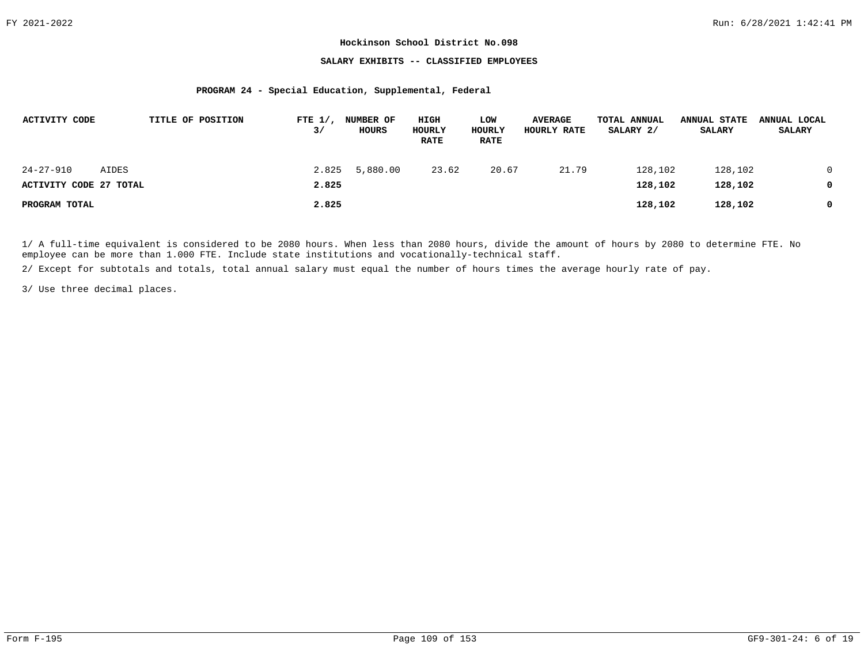## **SALARY EXHIBITS -- CLASSIFIED EMPLOYEES**

#### **PROGRAM 24 - Special Education, Supplemental, Federal**

| ACTIVITY CODE          |       | TITLE OF POSITION | FTE $1/$ ,<br>3/ | <b>NUMBER OF</b><br>HOURS | HIGH<br>HOURLY<br><b>RATE</b> | LOW<br>HOURLY<br><b>RATE</b> | <b>AVERAGE</b><br>HOURLY RATE | TOTAL ANNUAL<br>SALARY 2/ | <b>ANNUAL STATE</b><br><b>SALARY</b> | ANNUAL LOCAL<br><b>SALARY</b> |
|------------------------|-------|-------------------|------------------|---------------------------|-------------------------------|------------------------------|-------------------------------|---------------------------|--------------------------------------|-------------------------------|
| 24-27-910              | AIDES |                   | 2.825            | 5,880.00                  | 23.62                         | 20.67                        | 21.79                         | 128,102                   | 128,102                              |                               |
| ACTIVITY CODE 27 TOTAL |       |                   | 2.825            |                           |                               |                              |                               | 128,102                   | 128,102                              |                               |
| PROGRAM TOTAL          |       |                   | 2.825            |                           |                               |                              |                               | 128,102                   | 128,102                              |                               |

1/ A full-time equivalent is considered to be 2080 hours. When less than 2080 hours, divide the amount of hours by 2080 to determine FTE. No employee can be more than 1.000 FTE. Include state institutions and vocationally-technical staff.

2/ Except for subtotals and totals, total annual salary must equal the number of hours times the average hourly rate of pay.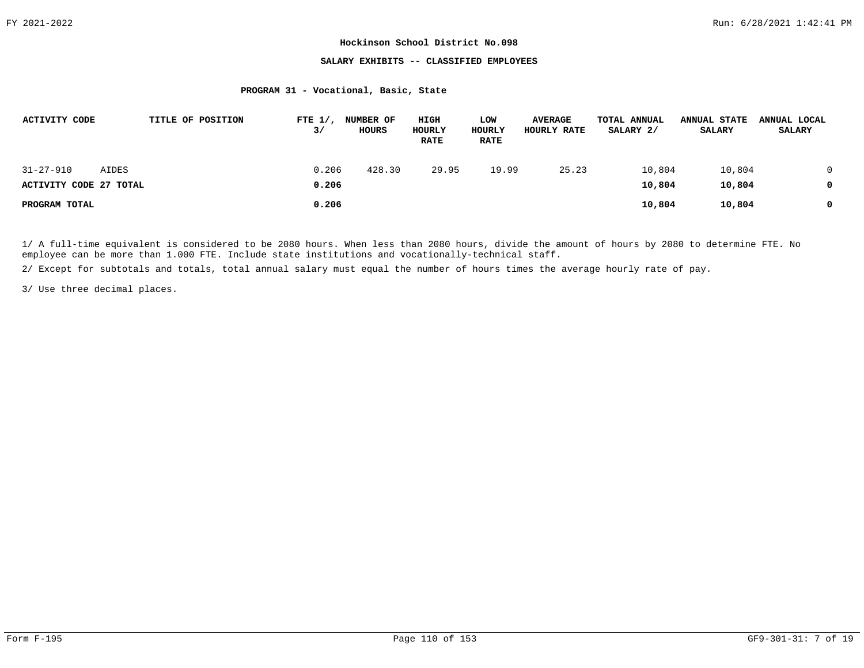## **SALARY EXHIBITS -- CLASSIFIED EMPLOYEES**

# **PROGRAM 31 - Vocational, Basic, State**

| <b>ACTIVITY CODE</b>                |       | TITLE OF POSITION | FTE $1/$ ,<br>3/ | <b>NUMBER OF</b><br>HOURS | HIGH<br>HOURLY<br><b>RATE</b> | LOW<br>HOURLY<br><b>RATE</b> | <b>AVERAGE</b><br>HOURLY RATE | TOTAL ANNUAL<br>SALARY 2/ | <b>ANNUAL STATE</b><br><b>SALARY</b> | ANNUAL LOCAL<br><b>SALARY</b> |
|-------------------------------------|-------|-------------------|------------------|---------------------------|-------------------------------|------------------------------|-------------------------------|---------------------------|--------------------------------------|-------------------------------|
| 31-27-910<br>ACTIVITY CODE 27 TOTAL | AIDES |                   | 0.206<br>0.206   | 428.30                    | 29.95                         | 19.99                        | 25.23                         | 10,804<br>10,804          | 10,804<br>10,804                     |                               |
| PROGRAM TOTAL                       |       |                   | 0.206            |                           |                               |                              |                               | 10,804                    | 10,804                               |                               |

1/ A full-time equivalent is considered to be 2080 hours. When less than 2080 hours, divide the amount of hours by 2080 to determine FTE. No employee can be more than 1.000 FTE. Include state institutions and vocationally-technical staff.

2/ Except for subtotals and totals, total annual salary must equal the number of hours times the average hourly rate of pay.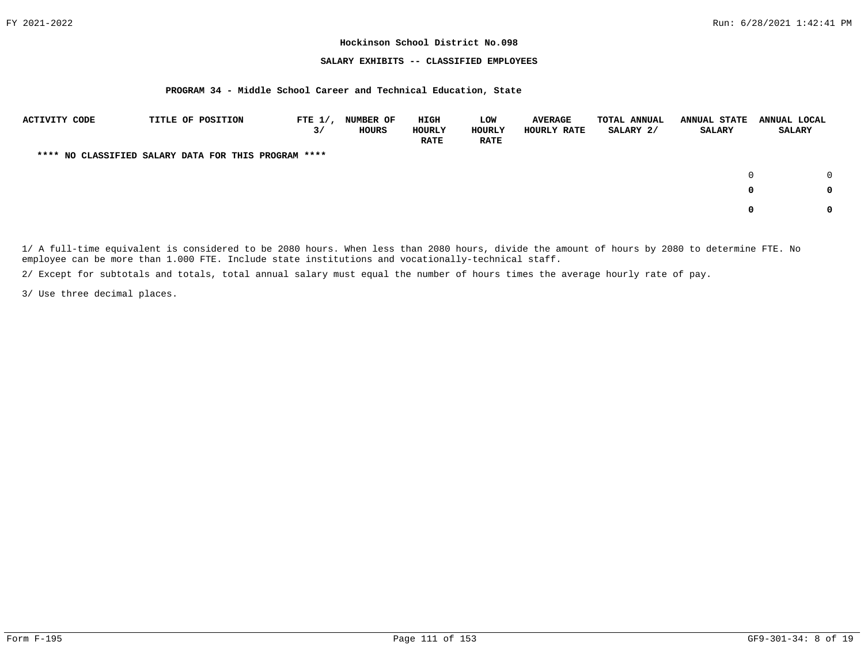## **SALARY EXHIBITS -- CLASSIFIED EMPLOYEES**

## **PROGRAM 34 - Middle School Career and Technical Education, State**

| ACTIVITY CODE | TITLE OF POSITION                                    | FTE $1/$ ,<br>3/ | <b>NUMBER OF</b><br>HOURS | HIGH<br>HOURLY<br><b>RATE</b> | LOW<br>HOURLY<br><b>RATE</b> | <b>AVERAGE</b><br>HOURLY RATE | <b>TOTAL ANNUAL</b><br>SALARY 2/ | <b>ANNUAL STATE</b><br><b>SALARY</b> | ANNUAL LOCAL<br><b>SALARY</b> |
|---------------|------------------------------------------------------|------------------|---------------------------|-------------------------------|------------------------------|-------------------------------|----------------------------------|--------------------------------------|-------------------------------|
|               | **** NO CLASSIFIED SALARY DATA FOR THIS PROGRAM **** |                  |                           |                               |                              |                               |                                  |                                      |                               |
|               |                                                      |                  |                           |                               |                              |                               |                                  |                                      | $\Omega$                      |
|               |                                                      |                  |                           |                               |                              |                               |                                  | 0                                    | 0                             |
|               |                                                      |                  |                           |                               |                              |                               |                                  | 0                                    | <sup>0</sup>                  |

1/ A full-time equivalent is considered to be 2080 hours. When less than 2080 hours, divide the amount of hours by 2080 to determine FTE. No employee can be more than 1.000 FTE. Include state institutions and vocationally-technical staff.

2/ Except for subtotals and totals, total annual salary must equal the number of hours times the average hourly rate of pay.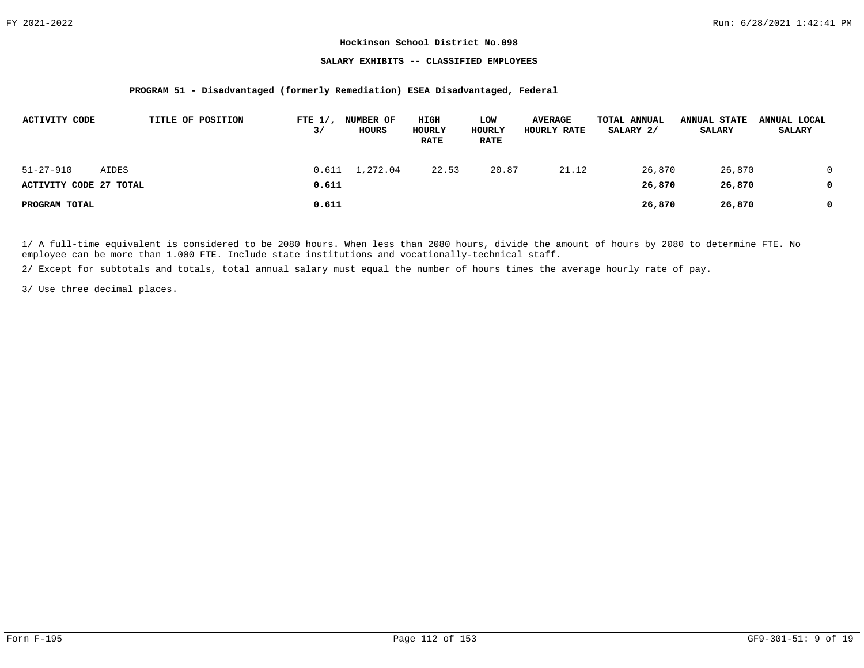## **SALARY EXHIBITS -- CLASSIFIED EMPLOYEES**

## **PROGRAM 51 - Disadvantaged (formerly Remediation) ESEA Disadvantaged, Federal**

| ACTIVITY CODE                             |       | TITLE OF POSITION | FTE $1/$ ,<br>3/ | NUMBER OF<br>HOURS     | HIGH<br>HOURLY<br><b>RATE</b> | LOW<br>HOURLY<br><b>RATE</b> | <b>AVERAGE</b><br>HOURLY RATE | TOTAL ANNUAL<br>SALARY 2/ | <b>ANNUAL STATE</b><br><b>SALARY</b> | ANNUAL LOCAL<br><b>SALARY</b> |
|-------------------------------------------|-------|-------------------|------------------|------------------------|-------------------------------|------------------------------|-------------------------------|---------------------------|--------------------------------------|-------------------------------|
| $51 - 27 - 910$<br>ACTIVITY CODE 27 TOTAL | AIDES |                   | 0.611            | $0.611 \quad 1,272.04$ | 22.53                         | 20.87                        | 21.12                         | 26,870<br>26,870          | 26,870<br>26,870                     |                               |
| PROGRAM TOTAL                             |       |                   | 0.611            |                        |                               |                              |                               | 26,870                    | 26,870                               |                               |

1/ A full-time equivalent is considered to be 2080 hours. When less than 2080 hours, divide the amount of hours by 2080 to determine FTE. No employee can be more than 1.000 FTE. Include state institutions and vocationally-technical staff.

2/ Except for subtotals and totals, total annual salary must equal the number of hours times the average hourly rate of pay.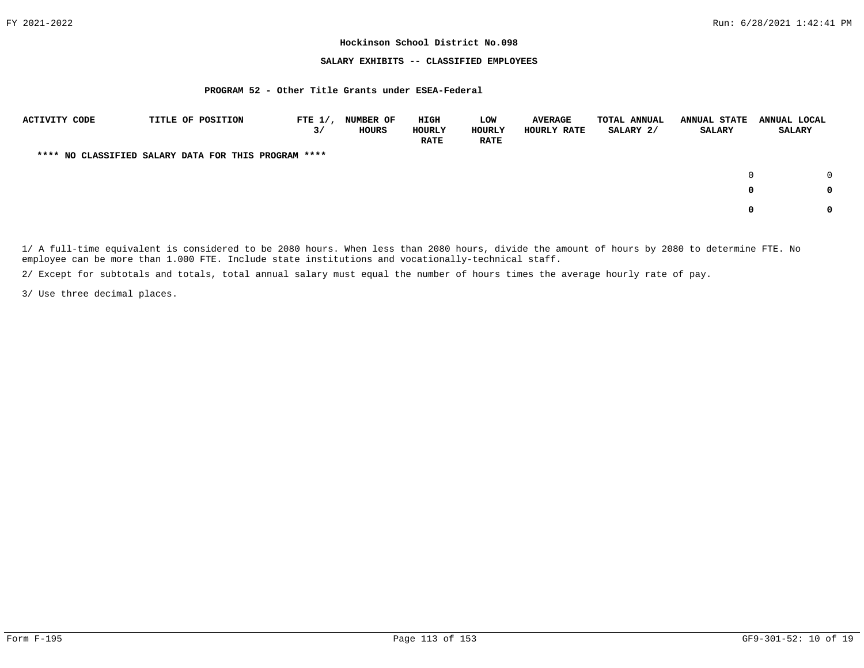## **SALARY EXHIBITS -- CLASSIFIED EMPLOYEES**

#### **PROGRAM 52 - Other Title Grants under ESEA-Federal**

| <b>ACTIVITY CODE</b> | TITLE OF POSITION                                    | FTE $1/$ ,<br>3/ | <b>NUMBER OF</b><br>HOURS | HIGH<br>HOURLY<br><b>RATE</b> | LOW<br>HOURLY<br><b>RATE</b> | <b>AVERAGE</b><br>HOURLY RATE | TOTAL ANNUAL<br>SALARY 2/ | <b>ANNUAL STATE</b><br><b>SALARY</b> | ANNUAL LOCAL<br><b>SALARY</b> |
|----------------------|------------------------------------------------------|------------------|---------------------------|-------------------------------|------------------------------|-------------------------------|---------------------------|--------------------------------------|-------------------------------|
|                      | **** NO CLASSIFIED SALARY DATA FOR THIS PROGRAM **** |                  |                           |                               |                              |                               |                           |                                      |                               |
|                      |                                                      |                  |                           |                               |                              |                               |                           |                                      | $\Omega$<br>0                 |
|                      |                                                      |                  |                           |                               |                              |                               |                           | 0                                    | 0                             |
|                      |                                                      |                  |                           |                               |                              |                               |                           |                                      | 0                             |

1/ A full-time equivalent is considered to be 2080 hours. When less than 2080 hours, divide the amount of hours by 2080 to determine FTE. No employee can be more than 1.000 FTE. Include state institutions and vocationally-technical staff.

2/ Except for subtotals and totals, total annual salary must equal the number of hours times the average hourly rate of pay.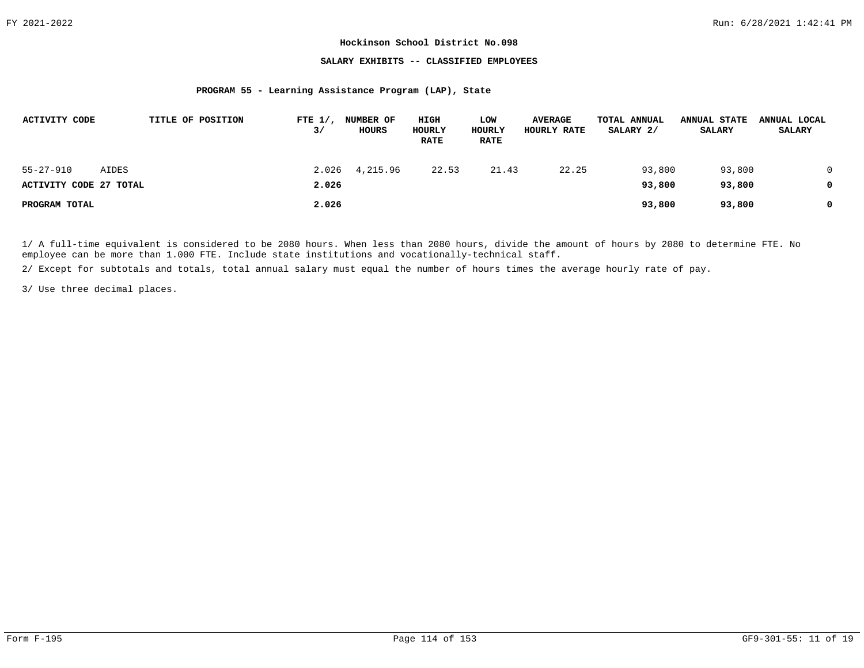## **SALARY EXHIBITS -- CLASSIFIED EMPLOYEES**

#### **PROGRAM 55 - Learning Assistance Program (LAP), State**

| <b>ACTIVITY CODE</b>   |       | TITLE OF POSITION | FTE $1/$ ,<br>3/ | <b>NUMBER OF</b><br><b>HOURS</b> | HIGH<br>HOURLY<br><b>RATE</b> | LOW<br>HOURLY<br><b>RATE</b> | <b>AVERAGE</b><br>HOURLY RATE | TOTAL ANNUAL<br>SALARY 2/ | <b>ANNUAL STATE</b><br><b>SALARY</b> | ANNUAL LOCAL<br><b>SALARY</b> |
|------------------------|-------|-------------------|------------------|----------------------------------|-------------------------------|------------------------------|-------------------------------|---------------------------|--------------------------------------|-------------------------------|
| $55 - 27 - 910$        | AIDES |                   |                  | 2.026 4,215.96                   | 22.53                         | 21.43                        | 22.25                         | 93,800                    | 93,800                               |                               |
| ACTIVITY CODE 27 TOTAL |       |                   | 2.026            |                                  |                               |                              |                               | 93,800                    | 93,800                               |                               |
| PROGRAM TOTAL          |       |                   | 2.026            |                                  |                               |                              |                               | 93,800                    | 93,800                               | 0                             |

1/ A full-time equivalent is considered to be 2080 hours. When less than 2080 hours, divide the amount of hours by 2080 to determine FTE. No employee can be more than 1.000 FTE. Include state institutions and vocationally-technical staff.

2/ Except for subtotals and totals, total annual salary must equal the number of hours times the average hourly rate of pay.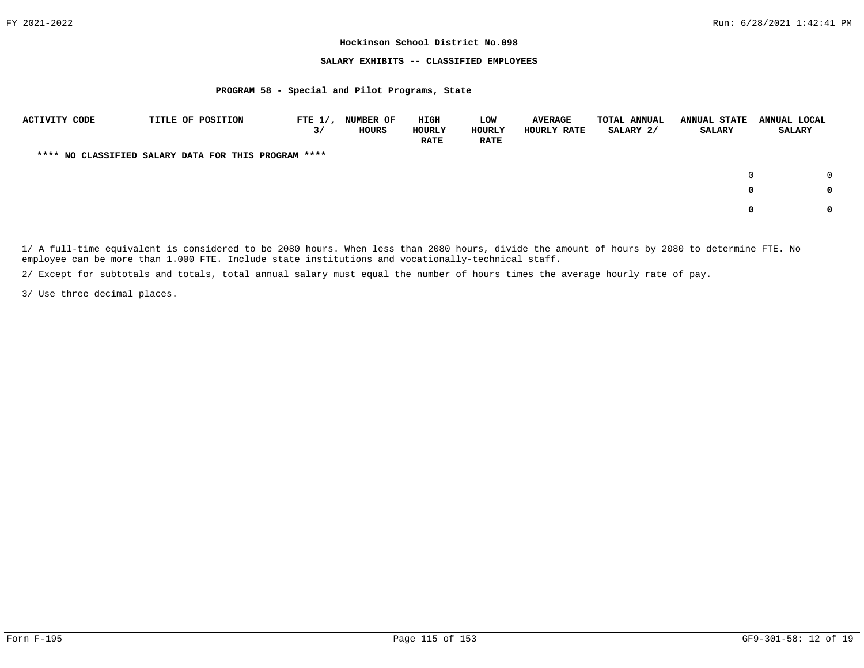## **SALARY EXHIBITS -- CLASSIFIED EMPLOYEES**

#### **PROGRAM 58 - Special and Pilot Programs, State**

| ACTIVITY CODE | TITLE OF POSITION                                    | FTE $1/$ ,<br>3/ | <b>NUMBER OF</b><br><b>HOURS</b> | HIGH<br>HOURLY<br><b>RATE</b> | <b>LOW</b><br>HOURLY<br><b>RATE</b> | <b>AVERAGE</b><br>HOURLY RATE | <b>TOTAL ANNUAL</b><br>SALARY 2/ | <b>ANNUAL STATE</b><br><b>SALARY</b> | ANNUAL LOCAL<br><b>SALARY</b> |   |
|---------------|------------------------------------------------------|------------------|----------------------------------|-------------------------------|-------------------------------------|-------------------------------|----------------------------------|--------------------------------------|-------------------------------|---|
|               | **** NO CLASSIFIED SALARY DATA FOR THIS PROGRAM **** |                  |                                  |                               |                                     |                               |                                  |                                      |                               |   |
|               |                                                      |                  |                                  |                               |                                     |                               |                                  |                                      | $\cap$                        |   |
|               |                                                      |                  |                                  |                               |                                     |                               |                                  | $^{\circ}$                           | 0                             |   |
|               |                                                      |                  |                                  |                               |                                     |                               |                                  | $\Omega$                             |                               | 0 |

1/ A full-time equivalent is considered to be 2080 hours. When less than 2080 hours, divide the amount of hours by 2080 to determine FTE. No employee can be more than 1.000 FTE. Include state institutions and vocationally-technical staff.

2/ Except for subtotals and totals, total annual salary must equal the number of hours times the average hourly rate of pay.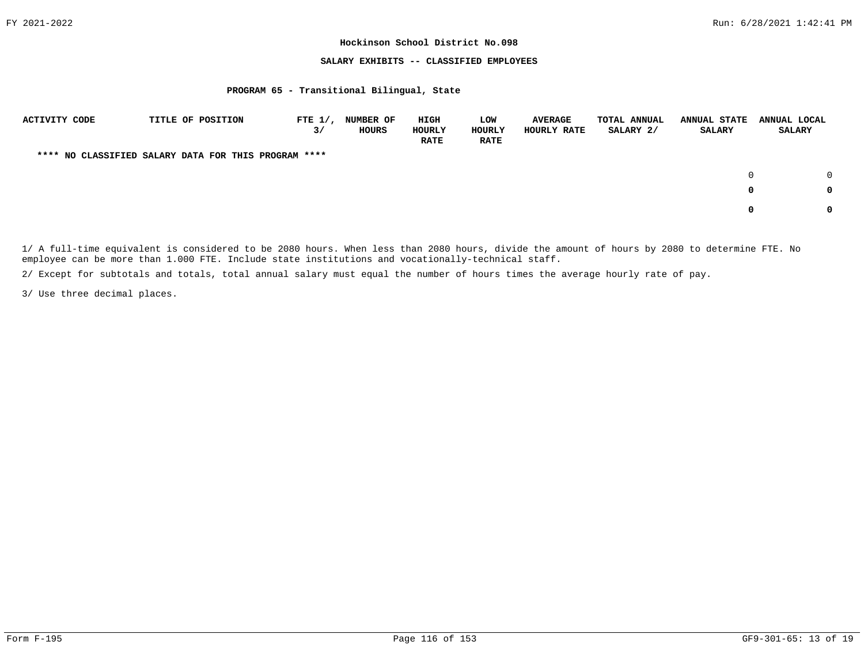## **SALARY EXHIBITS -- CLASSIFIED EMPLOYEES**

#### **PROGRAM 65 - Transitional Bilingual, State**

| <b>ACTIVITY CODE</b> | TITLE OF POSITION                                    | FTE $1/$ ,<br>3/ | <b>NUMBER OF</b><br>HOURS | HIGH<br>HOURLY<br><b>RATE</b> | LOW<br>HOURLY<br><b>RATE</b> | <b>AVERAGE</b><br>HOURLY RATE | TOTAL ANNUAL<br>SALARY 2/ | <b>ANNUAL STATE</b><br><b>SALARY</b> | ANNUAL LOCAL<br><b>SALARY</b> |        |
|----------------------|------------------------------------------------------|------------------|---------------------------|-------------------------------|------------------------------|-------------------------------|---------------------------|--------------------------------------|-------------------------------|--------|
|                      | **** NO CLASSIFIED SALARY DATA FOR THIS PROGRAM **** |                  |                           |                               |                              |                               |                           |                                      |                               |        |
|                      |                                                      |                  |                           |                               |                              |                               |                           |                                      |                               | $\cap$ |
|                      |                                                      |                  |                           |                               |                              |                               |                           | 0                                    |                               | 0      |
|                      |                                                      |                  |                           |                               |                              |                               |                           | 0                                    |                               | 0      |

1/ A full-time equivalent is considered to be 2080 hours. When less than 2080 hours, divide the amount of hours by 2080 to determine FTE. No employee can be more than 1.000 FTE. Include state institutions and vocationally-technical staff.

2/ Except for subtotals and totals, total annual salary must equal the number of hours times the average hourly rate of pay.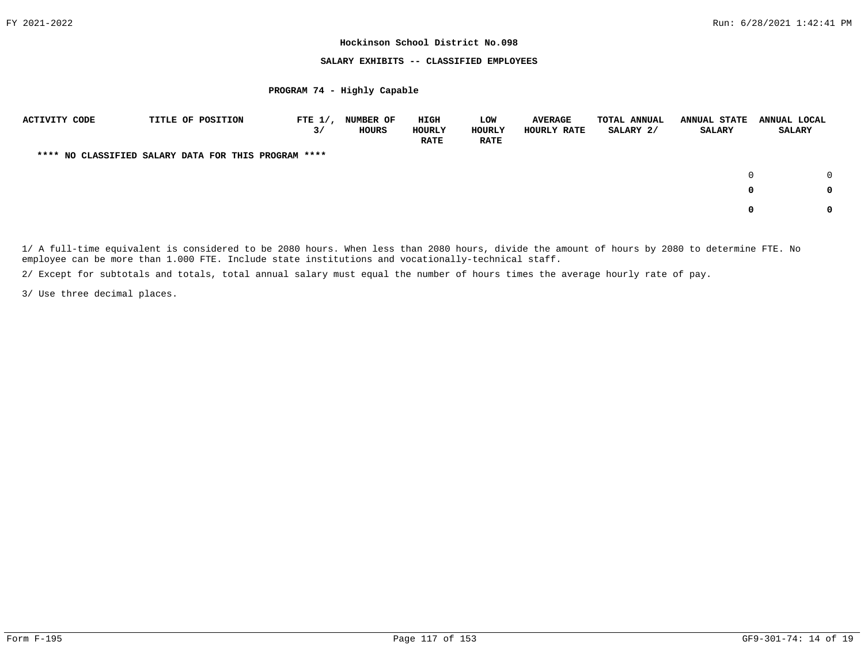## **SALARY EXHIBITS -- CLASSIFIED EMPLOYEES**

#### **PROGRAM 74 - Highly Capable**

| <b>ACTIVITY CODE</b> | TITLE OF POSITION                                    | FTE $1/$ ,<br>3/ | <b>NUMBER OF</b><br>HOURS | HIGH<br>HOURLY<br><b>RATE</b> | LOW<br>HOURLY<br><b>RATE</b> | <b>AVERAGE</b><br>HOURLY RATE | TOTAL ANNUAL<br>SALARY 2/ | <b>ANNUAL STATE</b><br><b>SALARY</b> | ANNUAL LOCAL<br><b>SALARY</b> |
|----------------------|------------------------------------------------------|------------------|---------------------------|-------------------------------|------------------------------|-------------------------------|---------------------------|--------------------------------------|-------------------------------|
|                      | **** NO CLASSIFIED SALARY DATA FOR THIS PROGRAM **** |                  |                           |                               |                              |                               |                           |                                      |                               |
|                      |                                                      |                  |                           |                               |                              |                               |                           | $\Omega$                             |                               |
|                      |                                                      |                  |                           |                               |                              |                               |                           | 0                                    | 0                             |
|                      |                                                      |                  |                           |                               |                              |                               |                           | n.                                   | 0                             |

1/ A full-time equivalent is considered to be 2080 hours. When less than 2080 hours, divide the amount of hours by 2080 to determine FTE. No employee can be more than 1.000 FTE. Include state institutions and vocationally-technical staff.

2/ Except for subtotals and totals, total annual salary must equal the number of hours times the average hourly rate of pay.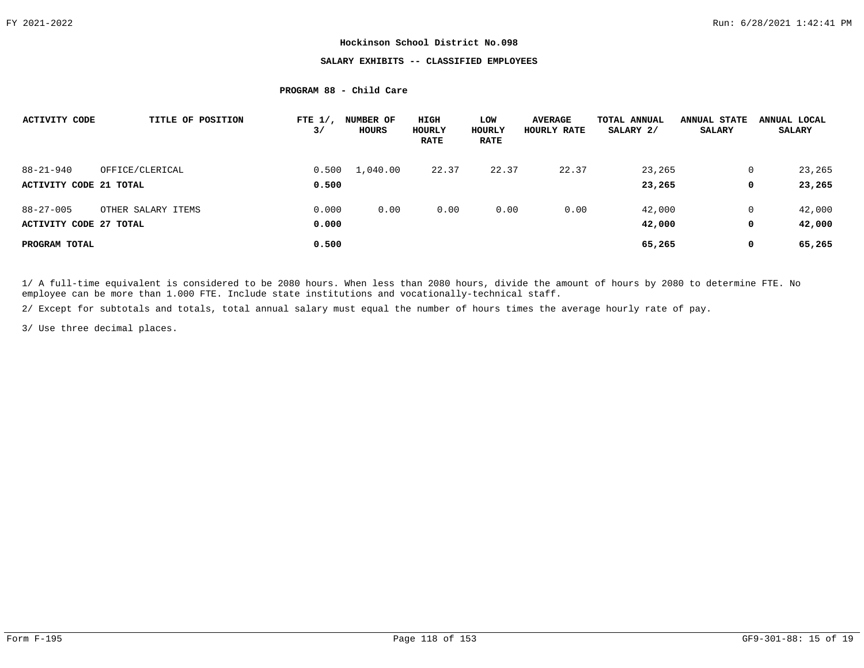# **SALARY EXHIBITS -- CLASSIFIED EMPLOYEES**

# **PROGRAM 88 - Child Care**

| <b>ACTIVITY CODE</b>   | TITLE OF POSITION  | FTE $1/$ ,<br>3/ | NUMBER OF<br>HOURS | HIGH<br>HOURLY<br><b>RATE</b> | LOW<br>HOURLY<br><b>RATE</b> | <b>AVERAGE</b><br>HOURLY RATE | TOTAL ANNUAL<br>SALARY 2/ | <b>ANNUAL STATE</b><br><b>SALARY</b> | ANNUAL LOCAL<br><b>SALARY</b> |
|------------------------|--------------------|------------------|--------------------|-------------------------------|------------------------------|-------------------------------|---------------------------|--------------------------------------|-------------------------------|
| $88 - 21 - 940$        | OFFICE/CLERICAL    | 0.500            | 1,040.00           | 22.37                         | 22.37                        | 22.37                         | 23,265                    | 0                                    | 23,265                        |
| ACTIVITY CODE 21 TOTAL |                    | 0.500            |                    |                               |                              |                               | 23,265                    | 0                                    | 23,265                        |
| $88 - 27 - 005$        | OTHER SALARY ITEMS | 0.000            | 0.00               | 0.00                          | 0.00                         | 0.00                          | 42,000                    | 0                                    | 42,000                        |
| ACTIVITY CODE 27 TOTAL |                    | 0.000            |                    |                               |                              |                               | 42,000                    | 0                                    | 42,000                        |
| PROGRAM TOTAL          |                    | 0.500            |                    |                               |                              |                               | 65,265                    | $\mathbf 0$                          | 65,265                        |

1/ A full-time equivalent is considered to be 2080 hours. When less than 2080 hours, divide the amount of hours by 2080 to determine FTE. No employee can be more than 1.000 FTE. Include state institutions and vocationally-technical staff.

2/ Except for subtotals and totals, total annual salary must equal the number of hours times the average hourly rate of pay.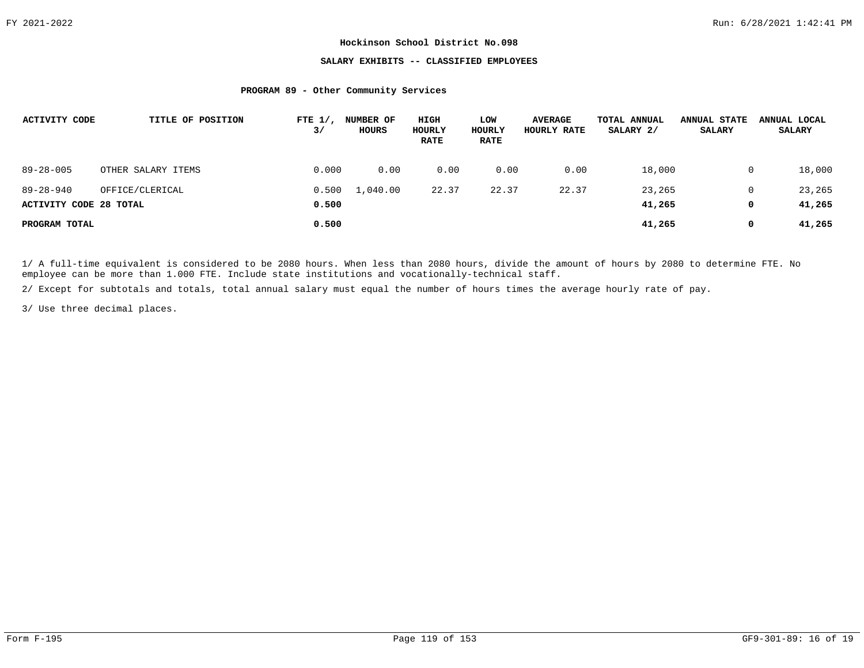# **SALARY EXHIBITS -- CLASSIFIED EMPLOYEES**

## **PROGRAM 89 - Other Community Services**

| <b>ACTIVITY CODE</b>   | TITLE OF POSITION  | FTE $1/$ ,<br>3/ | <b>NUMBER OF</b><br>HOURS | HIGH<br>HOURLY<br><b>RATE</b> | LOW<br>HOURLY<br><b>RATE</b> | <b>AVERAGE</b><br>HOURLY RATE | TOTAL ANNUAL<br>SALARY 2/ | <b>ANNUAL STATE</b><br><b>SALARY</b> | ANNUAL LOCAL<br><b>SALARY</b> |
|------------------------|--------------------|------------------|---------------------------|-------------------------------|------------------------------|-------------------------------|---------------------------|--------------------------------------|-------------------------------|
| $89 - 28 - 005$        | OTHER SALARY ITEMS | 0.000            | 0.00                      | 0.00                          | 0.00                         | 0.00                          | 18,000                    | 0                                    | 18,000                        |
| $89 - 28 - 940$        | OFFICE/CLERICAL    | 0.500            | 1,040.00                  | 22.37                         | 22.37                        | 22.37                         | 23,265                    | 0                                    | 23,265                        |
| ACTIVITY CODE 28 TOTAL |                    | 0.500            |                           |                               |                              |                               | 41,265                    | 0                                    | 41,265                        |
| PROGRAM TOTAL          |                    | 0.500            |                           |                               |                              |                               | 41,265                    | 0                                    | 41,265                        |

1/ A full-time equivalent is considered to be 2080 hours. When less than 2080 hours, divide the amount of hours by 2080 to determine FTE. No employee can be more than 1.000 FTE. Include state institutions and vocationally-technical staff.

2/ Except for subtotals and totals, total annual salary must equal the number of hours times the average hourly rate of pay.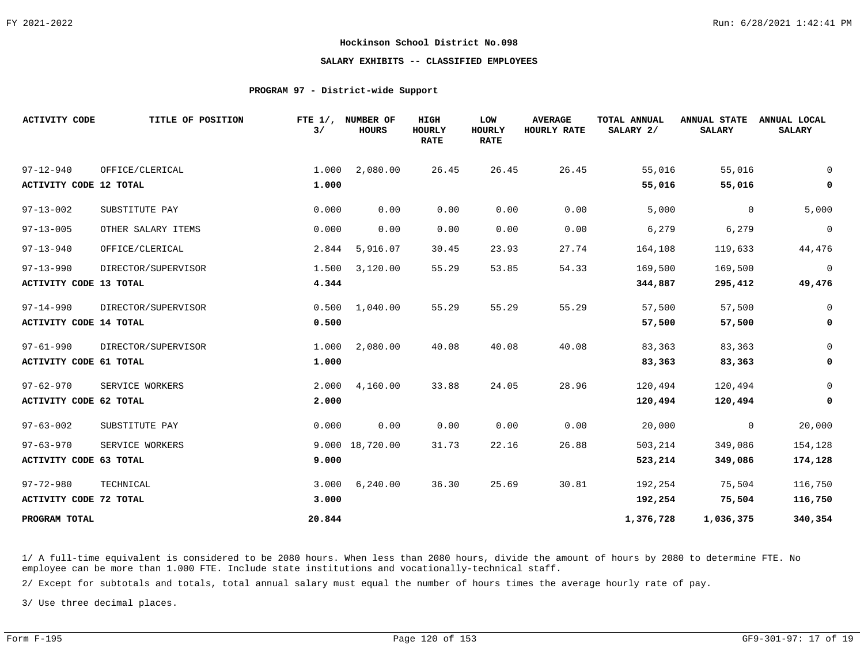# **SALARY EXHIBITS -- CLASSIFIED EMPLOYEES**

## **PROGRAM 97 - District-wide Support**

| <b>ACTIVITY CODE</b>          | TITLE OF POSITION   | 3/     | FTE 1/, NUMBER OF<br><b>HOURS</b> | HIGH<br>HOURLY<br><b>RATE</b> | LOW<br><b>HOURLY</b><br><b>RATE</b> | <b>AVERAGE</b><br>HOURLY RATE | TOTAL ANNUAL<br>SALARY 2/ | <b>ANNUAL STATE</b><br><b>SALARY</b> | ANNUAL LOCAL<br><b>SALARY</b> |
|-------------------------------|---------------------|--------|-----------------------------------|-------------------------------|-------------------------------------|-------------------------------|---------------------------|--------------------------------------|-------------------------------|
| $97 - 12 - 940$               | OFFICE/CLERICAL     | 1.000  | 2,080.00                          | 26.45                         | 26.45                               | 26.45                         | 55,016                    | 55,016                               | 0                             |
| <b>ACTIVITY CODE 12 TOTAL</b> |                     | 1.000  |                                   |                               |                                     |                               | 55,016                    | 55,016                               | 0                             |
| $97 - 13 - 002$               | SUBSTITUTE PAY      | 0.000  | 0.00                              | 0.00                          | 0.00                                | 0.00                          | 5,000                     | $\overline{0}$                       | 5,000                         |
| $97 - 13 - 005$               | OTHER SALARY ITEMS  | 0.000  | 0.00                              | 0.00                          | 0.00                                | 0.00                          | 6,279                     | 6,279                                | $\mathbf 0$                   |
| $97 - 13 - 940$               | OFFICE/CLERICAL     | 2.844  | 5,916.07                          | 30.45                         | 23.93                               | 27.74                         | 164,108                   | 119,633                              | 44,476                        |
| $97 - 13 - 990$               | DIRECTOR/SUPERVISOR | 1.500  | 3,120.00                          | 55.29                         | 53.85                               | 54.33                         | 169,500                   | 169,500                              | $\mathbf 0$                   |
| <b>ACTIVITY CODE 13 TOTAL</b> |                     | 4.344  |                                   |                               |                                     |                               | 344,887                   | 295,412                              | 49,476                        |
| $97 - 14 - 990$               | DIRECTOR/SUPERVISOR | 0.500  | 1,040.00                          | 55.29                         | 55.29                               | 55.29                         | 57,500                    | 57,500                               | 0                             |
| <b>ACTIVITY CODE 14 TOTAL</b> |                     | 0.500  |                                   |                               |                                     |                               | 57,500                    | 57,500                               | 0                             |
| $97 - 61 - 990$               | DIRECTOR/SUPERVISOR | 1.000  | 2,080.00                          | 40.08                         | 40.08                               | 40.08                         | 83,363                    | 83,363                               | 0                             |
| ACTIVITY CODE 61 TOTAL        |                     | 1.000  |                                   |                               |                                     |                               | 83,363                    | 83,363                               | 0                             |
| $97 - 62 - 970$               | SERVICE WORKERS     | 2,000  | 4,160.00                          | 33.88                         | 24.05                               | 28.96                         | 120,494                   | 120,494                              | 0                             |
| ACTIVITY CODE 62 TOTAL        |                     | 2.000  |                                   |                               |                                     |                               | 120,494                   | 120,494                              | 0                             |
| $97 - 63 - 002$               | SUBSTITUTE PAY      | 0.000  | 0.00                              | 0.00                          | 0.00                                | 0.00                          | 20,000                    | $\mathsf{O}$                         | 20,000                        |
| $97 - 63 - 970$               | SERVICE WORKERS     |        | 9.000 18,720.00                   | 31.73                         | 22.16                               | 26.88                         | 503,214                   | 349,086                              | 154,128                       |
| ACTIVITY CODE 63 TOTAL        |                     | 9.000  |                                   |                               |                                     |                               | 523,214                   | 349,086                              | 174,128                       |
| $97 - 72 - 980$               | TECHNICAL           | 3.000  | 6,240.00                          | 36.30                         | 25.69                               | 30.81                         | 192,254                   | 75,504                               | 116,750                       |
| ACTIVITY CODE 72 TOTAL        |                     | 3.000  |                                   |                               |                                     |                               | 192,254                   | 75,504                               | 116,750                       |
| PROGRAM TOTAL                 |                     | 20.844 |                                   |                               |                                     |                               | 1,376,728                 | 1,036,375                            | 340,354                       |

1/ A full-time equivalent is considered to be 2080 hours. When less than 2080 hours, divide the amount of hours by 2080 to determine FTE. No employee can be more than 1.000 FTE. Include state institutions and vocationally-technical staff.

2/ Except for subtotals and totals, total annual salary must equal the number of hours times the average hourly rate of pay.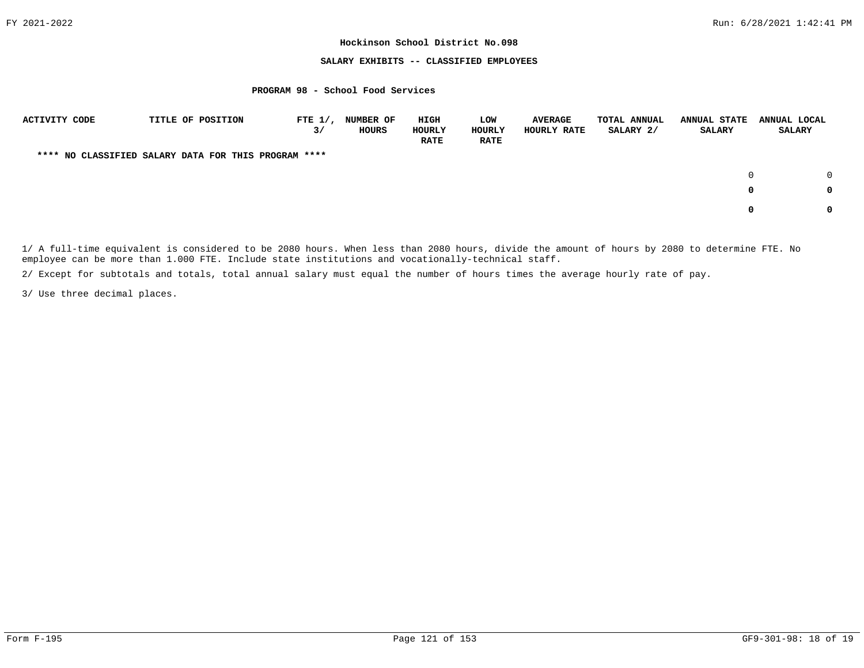## **SALARY EXHIBITS -- CLASSIFIED EMPLOYEES**

#### **PROGRAM 98 - School Food Services**

| ACTIVITY CODE | TITLE OF POSITION                                    | FTE $1/$ ,<br>3/ | <b>NUMBER OF</b><br><b>HOURS</b> | HIGH<br>HOURLY<br><b>RATE</b> | LOW<br>HOURLY<br><b>RATE</b> | <b>AVERAGE</b><br>HOURLY RATE | <b>TOTAL ANNUAL</b><br>SALARY 2/ | <b>ANNUAL STATE</b><br><b>SALARY</b> | ANNUAL LOCAL<br><b>SALARY</b> |
|---------------|------------------------------------------------------|------------------|----------------------------------|-------------------------------|------------------------------|-------------------------------|----------------------------------|--------------------------------------|-------------------------------|
|               | **** NO CLASSIFIED SALARY DATA FOR THIS PROGRAM **** |                  |                                  |                               |                              |                               |                                  |                                      |                               |
|               |                                                      |                  |                                  |                               |                              |                               |                                  | $\Omega$                             |                               |
|               |                                                      |                  |                                  |                               |                              |                               |                                  | 0                                    | 0                             |
|               |                                                      |                  |                                  |                               |                              |                               |                                  | 0                                    | 0                             |

1/ A full-time equivalent is considered to be 2080 hours. When less than 2080 hours, divide the amount of hours by 2080 to determine FTE. No employee can be more than 1.000 FTE. Include state institutions and vocationally-technical staff.

2/ Except for subtotals and totals, total annual salary must equal the number of hours times the average hourly rate of pay.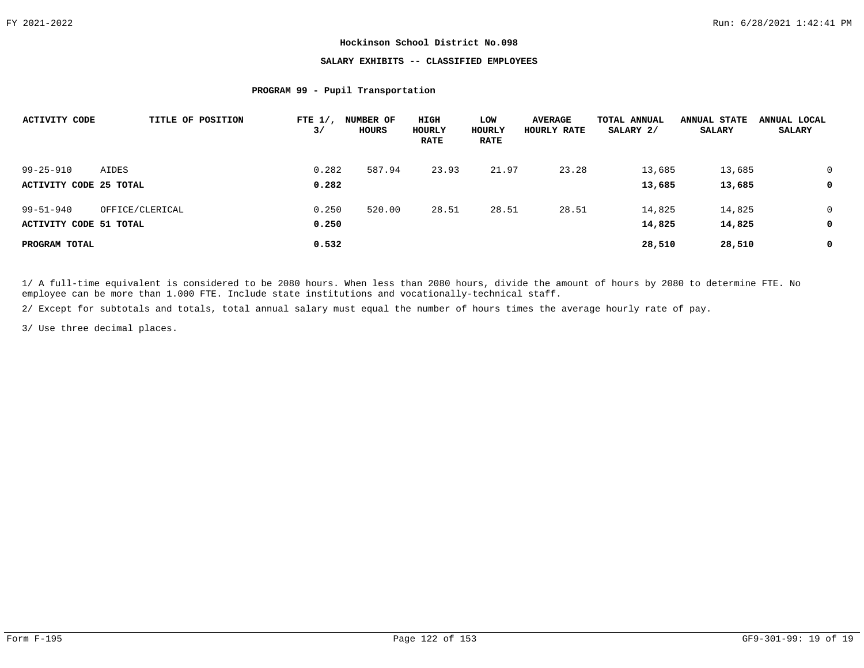# **SALARY EXHIBITS -- CLASSIFIED EMPLOYEES**

## **PROGRAM 99 - Pupil Transportation**

| <b>ACTIVITY CODE</b>          | TITLE OF POSITION | FTE $1/$ ,<br>3/ | <b>NUMBER OF</b><br>HOURS | HIGH<br>HOURLY<br><b>RATE</b> | LOW<br>HOURLY<br><b>RATE</b> | <b>AVERAGE</b><br>HOURLY RATE | TOTAL ANNUAL<br>SALARY 2/ | <b>ANNUAL STATE</b><br><b>SALARY</b> | ANNUAL LOCAL<br><b>SALARY</b> |
|-------------------------------|-------------------|------------------|---------------------------|-------------------------------|------------------------------|-------------------------------|---------------------------|--------------------------------------|-------------------------------|
| $99 - 25 - 910$               | AIDES             | 0.282            | 587.94                    | 23.93                         | 21.97                        | 23.28                         | 13,685                    | 13,685                               |                               |
| ACTIVITY CODE 25 TOTAL        |                   | 0.282            |                           |                               |                              |                               | 13,685                    | 13,685                               | 0                             |
| $99 - 51 - 940$               | OFFICE/CLERICAL   | 0.250            | 520.00                    | 28.51                         | 28.51                        | 28.51                         | 14,825                    | 14,825                               | 0                             |
| <b>ACTIVITY CODE 51 TOTAL</b> |                   | 0.250            |                           |                               |                              |                               | 14,825                    | 14,825                               | 0                             |
| PROGRAM TOTAL                 |                   | 0.532            |                           |                               |                              |                               | 28,510                    | 28,510                               | 0                             |

1/ A full-time equivalent is considered to be 2080 hours. When less than 2080 hours, divide the amount of hours by 2080 to determine FTE. No employee can be more than 1.000 FTE. Include state institutions and vocationally-technical staff.

2/ Except for subtotals and totals, total annual salary must equal the number of hours times the average hourly rate of pay.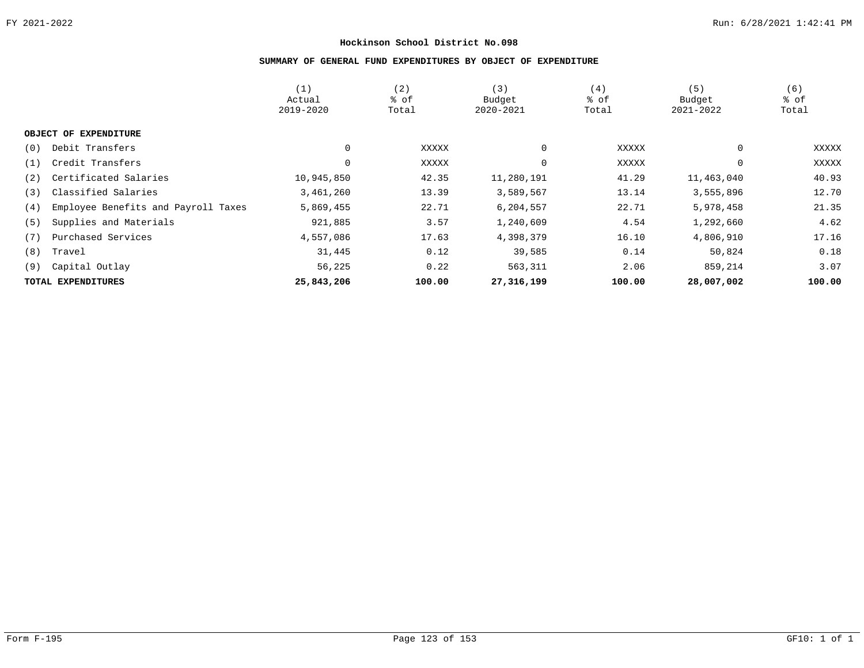# **SUMMARY OF GENERAL FUND EXPENDITURES BY OBJECT OF EXPENDITURE**

|                                            | (1)         | (2)    | (3)          | (4)    | (5)        | (6)    |
|--------------------------------------------|-------------|--------|--------------|--------|------------|--------|
|                                            | Actual      | % of   | Budget       | % of   | Budget     | % of   |
|                                            | 2019-2020   | Total  | 2020-2021    | Total  | 2021-2022  | Total  |
|                                            |             |        |              |        |            |        |
| OBJECT OF EXPENDITURE                      |             |        |              |        |            |        |
| Debit Transfers<br>(0)                     | $\mathbf 0$ | XXXXX  | 0            | XXXXX  | 0          | XXXXX  |
| Credit Transfers<br>(1)                    | $\mathbf 0$ | XXXXX  | 0            | XXXXX  | 0          | XXXXX  |
| Certificated Salaries<br>(2)               | 10,945,850  | 42.35  | 11,280,191   | 41.29  | 11,463,040 | 40.93  |
| Classified Salaries<br>(3)                 | 3,461,260   | 13.39  | 3,589,567    | 13.14  | 3,555,896  | 12.70  |
| Employee Benefits and Payroll Taxes<br>(4) | 5,869,455   | 22.71  | 6,204,557    | 22.71  | 5,978,458  | 21.35  |
| Supplies and Materials<br>(5)              | 921,885     | 3.57   | 1,240,609    | 4.54   | 1,292,660  | 4.62   |
| Purchased Services<br>(7)                  | 4,557,086   | 17.63  | 4,398,379    | 16.10  | 4,806,910  | 17.16  |
| (8)<br>Travel                              | 31,445      | 0.12   | 39,585       | 0.14   | 50,824     | 0.18   |
| Capital Outlay<br>(9)                      | 56,225      | 0.22   | 563,311      | 2.06   | 859,214    | 3.07   |
| TOTAL EXPENDITURES                         | 25,843,206  | 100.00 | 27, 316, 199 | 100.00 | 28,007,002 | 100.00 |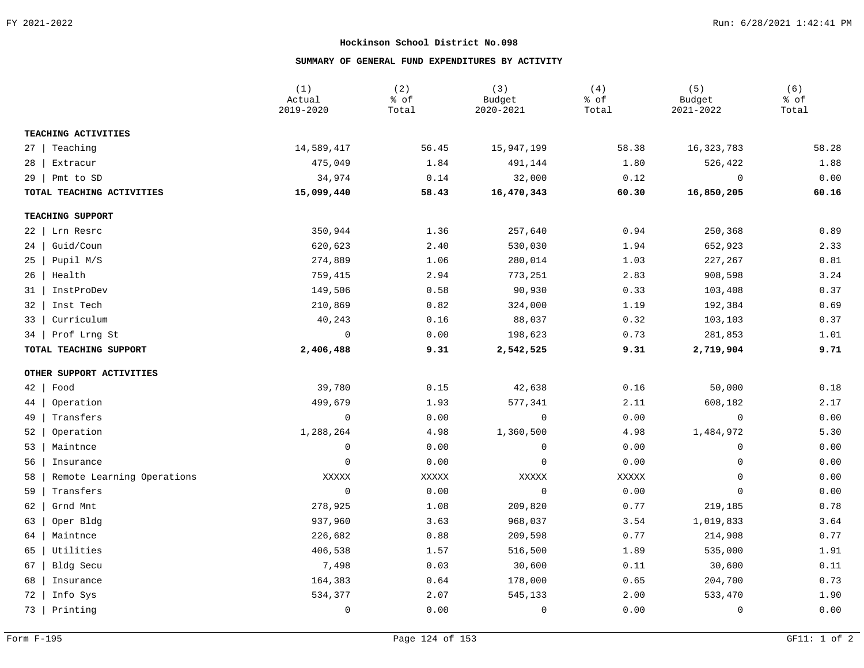# **SUMMARY OF GENERAL FUND EXPENDITURES BY ACTIVITY**

|           |                            | (1)<br>Actual<br>2019-2020 | (2)<br>% of<br>Total | (3)<br>Budget<br>2020-2021 | (4)<br>% of<br>Total | (5)<br>Budget<br>2021-2022 | (6)<br>% of<br>Total |
|-----------|----------------------------|----------------------------|----------------------|----------------------------|----------------------|----------------------------|----------------------|
|           | TEACHING ACTIVITIES        |                            |                      |                            |                      |                            |                      |
| $27 \mid$ | Teaching                   | 14,589,417                 | 56.45                | 15,947,199                 | 58.38                | 16, 323, 783               | 58.28                |
| 28        | Extracur                   | 475,049                    | 1.84                 | 491,144                    | 1.80                 | 526,422                    | 1.88                 |
|           | $29$   Pmt to SD           | 34,974                     | 0.14                 | 32,000                     | 0.12                 | $\mathbf 0$                | 0.00                 |
|           | TOTAL TEACHING ACTIVITIES  | 15,099,440                 | 58.43                | 16,470,343                 | 60.30                | 16,850,205                 | 60.16                |
|           | TEACHING SUPPORT           |                            |                      |                            |                      |                            |                      |
| $22 \mid$ | Lrn Resrc                  | 350,944                    | 1.36                 | 257,640                    | 0.94                 | 250,368                    | 0.89                 |
| 24        | Guid/Coun                  | 620,623                    | 2.40                 | 530,030                    | 1.94                 | 652,923                    | 2.33                 |
| $25 \mid$ | Pupil M/S                  | 274,889                    | 1.06                 | 280,014                    | 1.03                 | 227,267                    | 0.81                 |
|           | 26   Health                | 759,415                    | 2.94                 | 773,251                    | 2.83                 | 908,598                    | 3.24                 |
|           | 31   InstProDev            | 149,506                    | 0.58                 | 90,930                     | 0.33                 | 103,408                    | 0.37                 |
| $32 \mid$ | Inst Tech                  | 210,869                    | 0.82                 | 324,000                    | 1.19                 | 192,384                    | 0.69                 |
| $33 \mid$ | Curriculum                 | 40,243                     | 0.16                 | 88,037                     | 0.32                 | 103,103                    | 0.37                 |
| 34        | Prof Lrng St               | $\overline{0}$             | 0.00                 | 198,623                    | 0.73                 | 281,853                    | 1.01                 |
|           | TOTAL TEACHING SUPPORT     | 2,406,488                  | 9.31                 | 2,542,525                  | 9.31                 | 2,719,904                  | 9.71                 |
|           | OTHER SUPPORT ACTIVITIES   |                            |                      |                            |                      |                            |                      |
| $42 \mid$ | Food                       | 39,780                     | 0.15                 | 42,638                     | 0.16                 | 50,000                     | 0.18                 |
| 44        | Operation                  | 499,679                    | 1.93                 | 577,341                    | 2.11                 | 608,182                    | 2.17                 |
| 49        | Transfers                  | $\mathbf 0$                | 0.00                 | $\mathbf 0$                | 0.00                 | $\mathbf 0$                | 0.00                 |
| $52 \mid$ | Operation                  | 1,288,264                  | 4.98                 | 1,360,500                  | 4.98                 | 1,484,972                  | 5.30                 |
| 53        | Maintnce                   | 0                          | 0.00                 | 0                          | 0.00                 | 0                          | 0.00                 |
| 56        | Insurance                  | 0                          | 0.00                 | $\mathsf 0$                | 0.00                 | 0                          | 0.00                 |
| 58        | Remote Learning Operations | XXXXX                      | XXXXX                | XXXXX                      | XXXXX                | 0                          | 0.00                 |
| 59        | Transfers                  | $\mathbf 0$                | 0.00                 | $\overline{0}$             | 0.00                 | 0                          | 0.00                 |
| 62        | Grnd Mnt                   | 278,925                    | 1.08                 | 209,820                    | 0.77                 | 219,185                    | 0.78                 |
| 63        | Oper Bldg                  | 937,960                    | 3.63                 | 968,037                    | 3.54                 | 1,019,833                  | 3.64                 |
| 64        | Maintnce                   | 226,682                    | 0.88                 | 209,598                    | 0.77                 | 214,908                    | 0.77                 |
| 65        | Utilities                  | 406,538                    | 1.57                 | 516,500                    | 1.89                 | 535,000                    | 1.91                 |
| 67        | Bldg Secu                  | 7,498                      | 0.03                 | 30,600                     | 0.11                 | 30,600                     | 0.11                 |
| 68        | Insurance                  | 164,383                    | 0.64                 | 178,000                    | 0.65                 | 204,700                    | 0.73                 |
| 72        | Info Sys                   | 534,377                    | 2.07                 | 545,133                    | 2.00                 | 533,470                    | 1.90                 |
|           | 73   Printing              | 0                          | 0.00                 | 0                          | 0.00                 | $\mathbf 0$                | 0.00                 |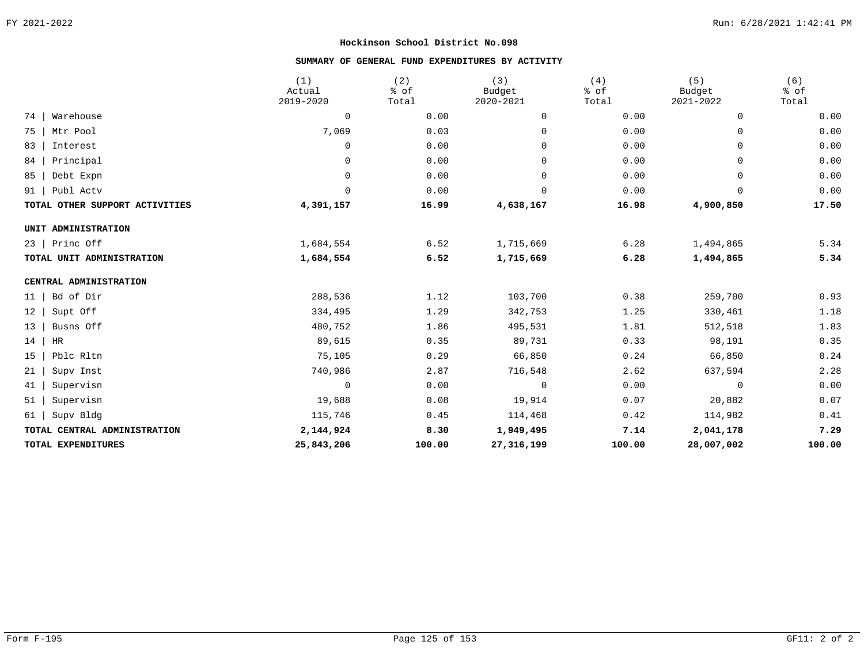# **SUMMARY OF GENERAL FUND EXPENDITURES BY ACTIVITY**

|                                | (1)<br>Actual<br>2019-2020 | (2)<br>% of<br>Total | (3)<br>Budget<br>2020-2021 | (4)<br>% of<br>Total | (5)<br>Budget<br>2021-2022 | (6)<br>% of<br>Total |
|--------------------------------|----------------------------|----------------------|----------------------------|----------------------|----------------------------|----------------------|
| 74<br>Warehouse                | 0                          | 0.00                 | 0                          | 0.00                 | 0                          | 0.00                 |
| 75<br>Mtr Pool                 | 7,069                      | 0.03                 | $\mathbf 0$                | 0.00                 | 0                          | 0.00                 |
| 83<br>Interest                 | 0                          | 0.00                 | $\mathbf 0$                | 0.00                 | 0                          | 0.00                 |
| 84<br>Principal                | 0                          | 0.00                 | $\mathbf{0}$               | 0.00                 | 0                          | 0.00                 |
| 85<br>Debt Expn                | 0                          | 0.00                 | $\mathbf 0$                | 0.00                 | 0                          | 0.00                 |
| 91<br>Publ Actv                | 0                          | 0.00                 | 0                          | 0.00                 | 0                          | 0.00                 |
| TOTAL OTHER SUPPORT ACTIVITIES | 4,391,157                  | 16.99                | 4,638,167                  | 16.98                | 4,900,850                  | 17.50                |
| UNIT ADMINISTRATION            |                            |                      |                            |                      |                            |                      |
| $23$   Princ Off               | 1,684,554                  | 6.52                 | 1,715,669                  | 6.28                 | 1,494,865                  | 5.34                 |
| TOTAL UNIT ADMINISTRATION      | 1,684,554                  | 6.52                 | 1,715,669                  | 6.28                 | 1,494,865                  | 5.34                 |
| CENTRAL ADMINISTRATION         |                            |                      |                            |                      |                            |                      |
| Bd of Dir<br>11                | 288,536                    | 1.12                 | 103,700                    | 0.38                 | 259,700                    | 0.93                 |
| 12<br>Supt Off                 | 334,495                    | 1.29                 | 342,753                    | 1.25                 | 330,461                    | 1.18                 |
| 13<br>Busns Off                | 480,752                    | 1.86                 | 495,531                    | 1.81                 | 512,518                    | 1.83                 |
| 14<br>HR                       | 89,615                     | 0.35                 | 89,731                     | 0.33                 | 98,191                     | 0.35                 |
| 15<br>Pblc Rltn                | 75,105                     | 0.29                 | 66,850                     | 0.24                 | 66,850                     | 0.24                 |
| 21<br>Supv Inst                | 740,986                    | 2.87                 | 716,548                    | 2.62                 | 637,594                    | 2.28                 |
| 41<br>Supervisn                | 0                          | 0.00                 | $\overline{0}$             | 0.00                 | $\overline{0}$             | 0.00                 |
| 51<br>Supervisn                | 19,688                     | 0.08                 | 19,914                     | 0.07                 | 20,882                     | 0.07                 |
| 61<br>Supv Bldg                | 115,746                    | 0.45                 | 114,468                    | 0.42                 | 114,982                    | 0.41                 |
| TOTAL CENTRAL ADMINISTRATION   | 2,144,924                  | 8.30                 | 1,949,495                  | 7.14                 | 2,041,178                  | 7.29                 |
| TOTAL EXPENDITURES             | 25,843,206                 | 100.00               | 27, 316, 199               | 100.00               | 28,007,002                 | 100.00               |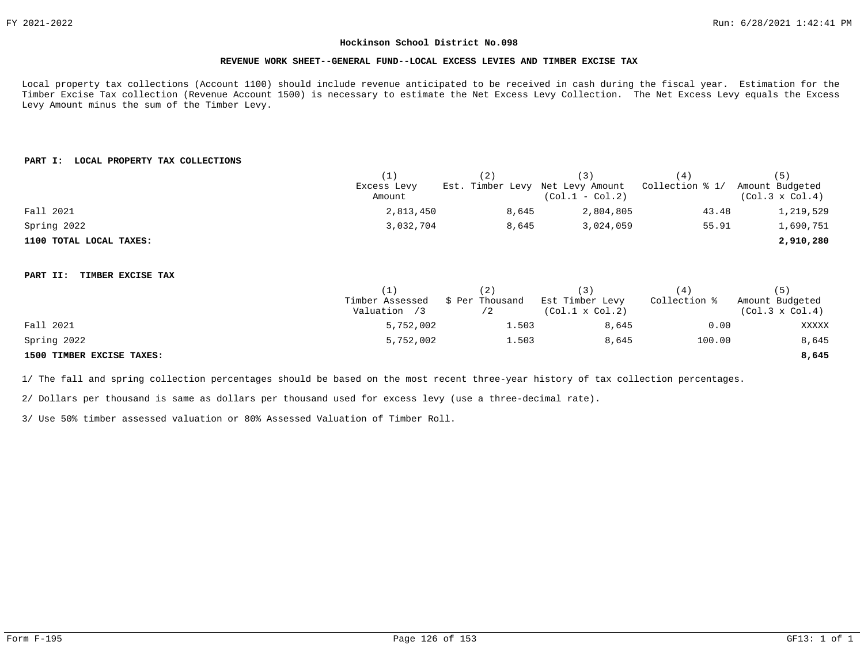#### **REVENUE WORK SHEET--GENERAL FUND--LOCAL EXCESS LEVIES AND TIMBER EXCISE TAX**

Local property tax collections (Account 1100) should include revenue anticipated to be received in cash during the fiscal year. Estimation for the Timber Excise Tax collection (Revenue Account 1500) is necessary to estimate the Net Excess Levy Collection. The Net Excess Levy equals the Excess Levy Amount minus the sum of the Timber Levy.

# **PART I: LOCAL PROPERTY TAX COLLECTIONS**

|                               | (1)             | (2)                              | (3)                    | (4)             | (5)                    |
|-------------------------------|-----------------|----------------------------------|------------------------|-----------------|------------------------|
|                               | Excess Levy     | Est. Timber Levy Net Levy Amount |                        | Collection % 1/ | Amount Budgeted        |
|                               | Amount          |                                  | $(Col.1 - Col.2)$      |                 | $(Col.3 \times Col.4)$ |
| Fall 2021                     | 2,813,450       | 8,645                            | 2,804,805              | 43.48           | 1,219,529              |
| Spring 2022                   | 3,032,704       | 8,645                            | 3,024,059              | 55.91           | 1,690,751              |
| 1100 TOTAL LOCAL TAXES:       |                 |                                  |                        |                 | 2,910,280              |
| TIMBER EXCISE TAX<br>PART II: |                 |                                  |                        |                 |                        |
|                               | (1)             | (2)                              | (3)                    | (4)             | (5)                    |
|                               | Timber Assessed | \$ Per Thousand                  | Est Timber Levy        | Collection %    | Amount Budgeted        |
|                               | Valuation /3    | /2                               | $(Col.1 \times Col.2)$ |                 | $(Col.3 \times Col.4)$ |
| Fall 2021                     | 5,752,002       | 1.503                            | 8,645                  | 0.00            | XXXXX                  |
| Spring 2022                   | 5,752,002       | 1.503                            | 8,645                  | 100.00          | 8,645                  |
| 1500 TIMBER EXCISE TAXES:     |                 |                                  |                        |                 | 8,645                  |

1/ The fall and spring collection percentages should be based on the most recent three-year history of tax collection percentages.

2/ Dollars per thousand is same as dollars per thousand used for excess levy (use a three-decimal rate).

3/ Use 50% timber assessed valuation or 80% Assessed Valuation of Timber Roll.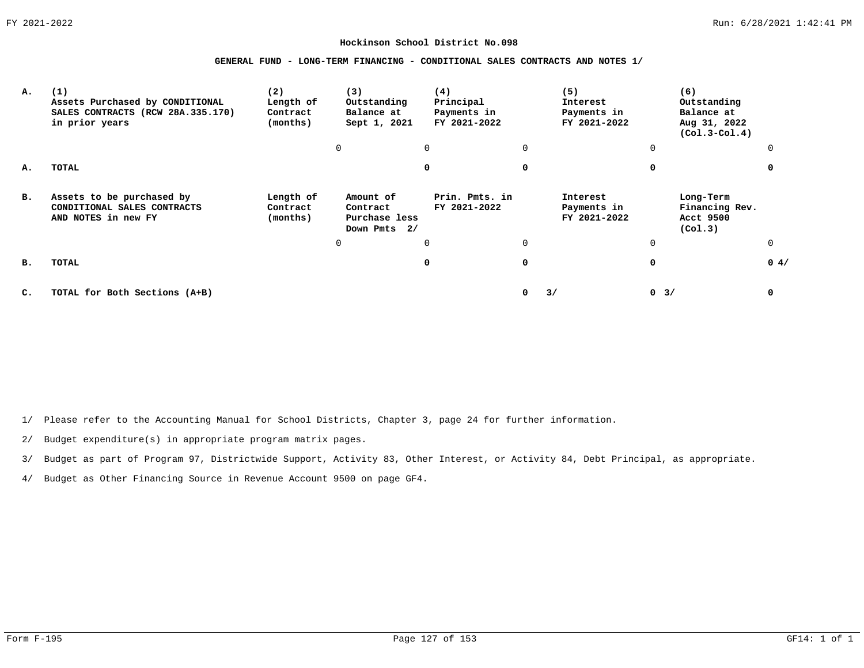#### **GENERAL FUND - LONG-TERM FINANCING - CONDITIONAL SALES CONTRACTS AND NOTES 1/**

| А. | (1)<br>Assets Purchased by CONDITIONAL<br>SALES CONTRACTS (RCW 28A.335.170)<br>in prior years | (2)<br>Length of<br>Contract<br>(months) | (3)<br>Outstanding<br>Balance at<br>Sept 1, 2021       | (4)<br>Principal<br>Payments in<br>FY 2021-2022 |   | (5)<br>Interest<br>Payments in<br>FY 2021-2022 | (6)<br>Outstanding<br>Balance at<br>Aug 31, 2022<br>$(Col.3-Col.4)$ |          |
|----|-----------------------------------------------------------------------------------------------|------------------------------------------|--------------------------------------------------------|-------------------------------------------------|---|------------------------------------------------|---------------------------------------------------------------------|----------|
|    |                                                                                               |                                          | 0                                                      | 0                                               | 0 |                                                | $\mathbf 0$                                                         |          |
| А. | TOTAL                                                                                         |                                          |                                                        | 0                                               | 0 |                                                | <sup>0</sup>                                                        |          |
| в. | Assets to be purchased by<br>CONDITIONAL SALES CONTRACTS<br>AND NOTES in new FY               | Length of<br>Contract<br>(months)        | Amount of<br>Contract<br>Purchase less<br>Down Pmts 2/ | Prin. Pmts. in<br>FY 2021-2022                  |   | Interest<br>Payments in<br>FY 2021-2022        | Long-Term<br>Financing Rev.<br>Acct 9500<br>(Co1.3)                 |          |
|    |                                                                                               |                                          | 0                                                      | 0                                               | 0 |                                                | 0                                                                   | $\Omega$ |
| в. | TOTAL                                                                                         |                                          |                                                        | 0                                               | 0 |                                                | 0                                                                   | 0.4/     |
| C. | TOTAL for Both Sections (A+B)                                                                 |                                          |                                                        |                                                 | 0 | 3/                                             | 0<br>3/                                                             | 0        |

1/ Please refer to the Accounting Manual for School Districts, Chapter 3, page 24 for further information.

2/ Budget expenditure(s) in appropriate program matrix pages.

3/ Budget as part of Program 97, Districtwide Support, Activity 83, Other Interest, or Activity 84, Debt Principal, as appropriate.

4/ Budget as Other Financing Source in Revenue Account 9500 on page GF4.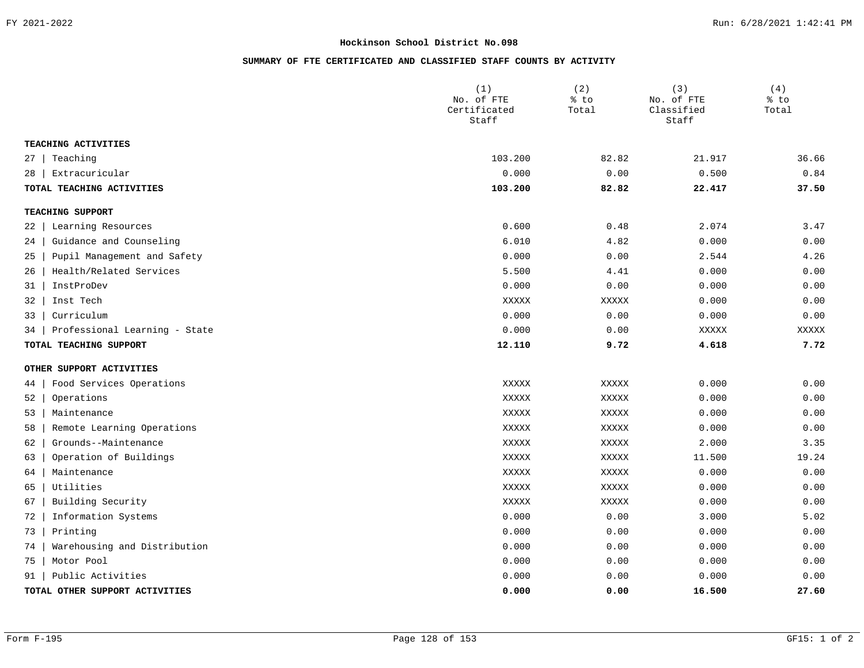# **SUMMARY OF FTE CERTIFICATED AND CLASSIFIED STAFF COUNTS BY ACTIVITY**

|           |                                | (1)<br>No. of FTE<br>Certificated<br>Staff | (2)<br>% to<br>Total | (3)<br>No. of FTE<br>Classified<br>Staff | (4)<br>% to<br>Total |
|-----------|--------------------------------|--------------------------------------------|----------------------|------------------------------------------|----------------------|
|           | TEACHING ACTIVITIES            |                                            |                      |                                          |                      |
| $27 \mid$ | Teaching                       | 103.200                                    | 82.82                | 21.917                                   | 36.66                |
| 28        | Extracuricular                 | 0.000                                      | 0.00                 | 0.500                                    | 0.84                 |
|           | TOTAL TEACHING ACTIVITIES      | 103.200                                    | 82.82                | 22.417                                   | 37.50                |
|           | TEACHING SUPPORT               |                                            |                      |                                          |                      |
| 22        | Learning Resources             | 0.600                                      | 0.48                 | 2.074                                    | 3.47                 |
| 24        | Guidance and Counseling        | 6.010                                      | 4.82                 | 0.000                                    | 0.00                 |
| 25        | Pupil Management and Safety    | 0.000                                      | 0.00                 | 2.544                                    | 4.26                 |
| 26        | Health/Related Services        | 5.500                                      | 4.41                 | 0.000                                    | 0.00                 |
| 31        | InstProDev                     | 0.000                                      | 0.00                 | 0.000                                    | 0.00                 |
| 32        | Inst Tech                      | XXXXX                                      | XXXXX                | 0.000                                    | 0.00                 |
| 33        | Curriculum                     | 0.000                                      | 0.00                 | 0.000                                    | 0.00                 |
| 34        | Professional Learning - State  | 0.000                                      | 0.00                 | XXXXX                                    | XXXXX                |
|           | TOTAL TEACHING SUPPORT         | 12.110                                     | 9.72                 | 4.618                                    | 7.72                 |
|           | OTHER SUPPORT ACTIVITIES       |                                            |                      |                                          |                      |
| 44        | Food Services Operations       | XXXXX                                      | XXXXX                | 0.000                                    | 0.00                 |
| 52        | Operations                     | XXXXX                                      | XXXXX                | 0.000                                    | 0.00                 |
| 53        | Maintenance                    | XXXXX                                      | XXXXX                | 0.000                                    | 0.00                 |
| 58        | Remote Learning Operations     | XXXXX                                      | XXXXX                | 0.000                                    | 0.00                 |
| 62        | Grounds--Maintenance           | XXXXX                                      | XXXXX                | 2.000                                    | 3.35                 |
| 63        | Operation of Buildings         | XXXXX                                      | XXXXX                | 11.500                                   | 19.24                |
| 64        | Maintenance                    | XXXXX                                      | XXXXX                | 0.000                                    | 0.00                 |
| 65        | Utilities                      | XXXXX                                      | XXXXX                | 0.000                                    | 0.00                 |
| 67        | Building Security              | XXXXX                                      | XXXXX                | 0.000                                    | 0.00                 |
| 72        | Information Systems            | 0.000                                      | 0.00                 | 3.000                                    | 5.02                 |
| 73        | Printing                       | 0.000                                      | 0.00                 | 0.000                                    | 0.00                 |
| 74        | Warehousing and Distribution   | 0.000                                      | 0.00                 | 0.000                                    | 0.00                 |
| 75        | Motor Pool                     | 0.000                                      | 0.00                 | 0.000                                    | 0.00                 |
| 91        | Public Activities              | 0.000                                      | 0.00                 | 0.000                                    | 0.00                 |
|           | TOTAL OTHER SUPPORT ACTIVITIES | 0.000                                      | 0.00                 | 16.500                                   | 27.60                |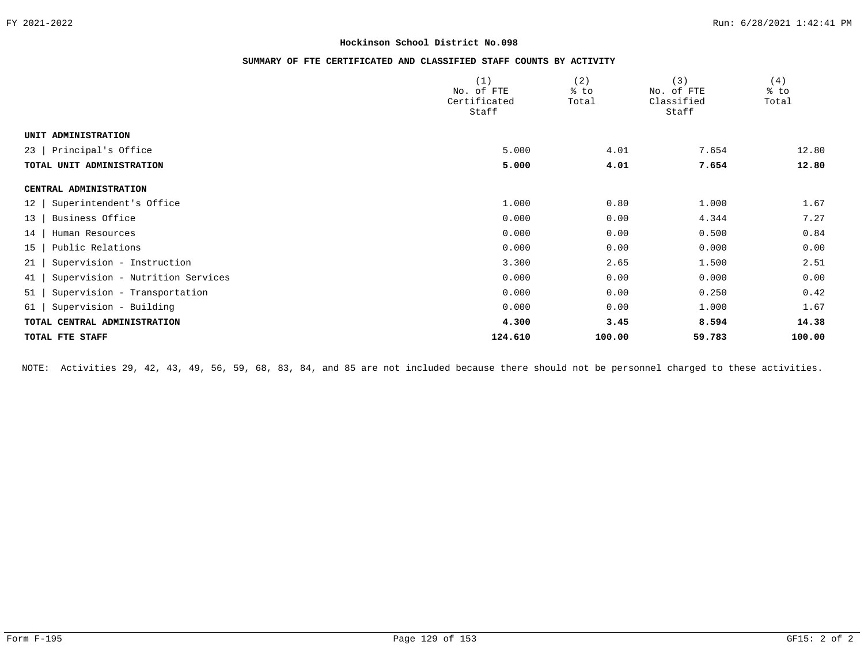# **SUMMARY OF FTE CERTIFICATED AND CLASSIFIED STAFF COUNTS BY ACTIVITY**

|                                        | (1)                        | (2)    | (3)                      | (4)    |
|----------------------------------------|----------------------------|--------|--------------------------|--------|
|                                        | No. of FTE<br>Certificated | % to   | No. of FTE<br>Classified | % to   |
|                                        | Staff                      | Total  | Staff                    | Total  |
|                                        |                            |        |                          |        |
| UNIT ADMINISTRATION                    |                            |        |                          |        |
| Principal's Office<br>23               | 5.000                      | 4.01   | 7.654                    | 12.80  |
| TOTAL UNIT ADMINISTRATION              | 5.000                      | 4.01   | 7.654                    | 12.80  |
| CENTRAL ADMINISTRATION                 |                            |        |                          |        |
| Superintendent's Office<br>12          | 1.000                      | 0.80   | 1.000                    | 1.67   |
| Business Office<br>13                  | 0.000                      | 0.00   | 4.344                    | 7.27   |
| Human Resources<br>14                  | 0.000                      | 0.00   | 0.500                    | 0.84   |
| Public Relations<br>15                 | 0.000                      | 0.00   | 0.000                    | 0.00   |
| Supervision - Instruction<br>21        | 3.300                      | 2.65   | 1.500                    | 2.51   |
| Supervision - Nutrition Services<br>41 | 0.000                      | 0.00   | 0.000                    | 0.00   |
| 51<br>Supervision - Transportation     | 0.000                      | 0.00   | 0.250                    | 0.42   |
| Supervision - Building<br>61           | 0.000                      | 0.00   | 1.000                    | 1.67   |
| TOTAL CENTRAL ADMINISTRATION           | 4.300                      | 3.45   | 8.594                    | 14.38  |
| TOTAL FTE STAFF                        | 124.610                    | 100.00 | 59.783                   | 100.00 |

NOTE: Activities 29, 42, 43, 49, 56, 59, 68, 83, 84, and 85 are not included because there should not be personnel charged to these activities.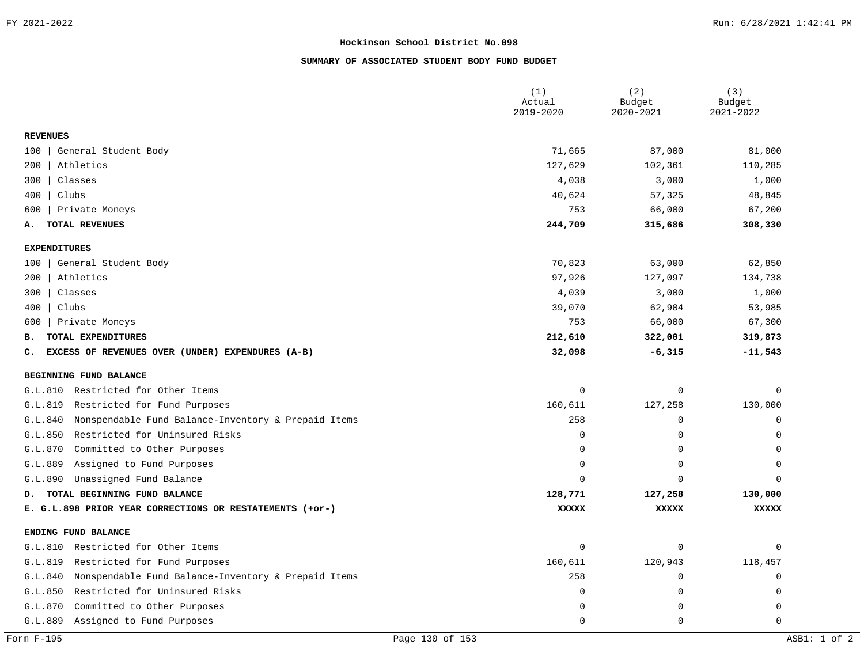# **SUMMARY OF ASSOCIATED STUDENT BODY FUND BUDGET**

|                                                                | (1)<br>Actual<br>2019-2020 | (2)<br>Budget<br>2020-2021 | (3)<br>Budget<br>2021-2022 |
|----------------------------------------------------------------|----------------------------|----------------------------|----------------------------|
| <b>REVENUES</b>                                                |                            |                            |                            |
| General Student Body<br>100                                    | 71,665                     | 87,000                     | 81,000                     |
| Athletics<br>200                                               | 127,629                    | 102,361                    | 110,285                    |
| Classes<br>300                                                 | 4,038                      | 3,000                      | 1,000                      |
| Clubs<br>400                                                   | 40,624                     | 57,325                     | 48,845                     |
| Private Moneys<br>600                                          | 753                        | 66,000                     | 67,200                     |
| TOTAL REVENUES<br>А.                                           | 244,709                    | 315,686                    | 308,330                    |
| <b>EXPENDITURES</b>                                            |                            |                            |                            |
| General Student Body<br>100                                    | 70,823                     | 63,000                     | 62,850                     |
| Athletics<br>200                                               | 97,926                     | 127,097                    | 134,738                    |
| Classes<br>300                                                 | 4,039                      | 3,000                      | 1,000                      |
| Clubs<br>400                                                   | 39,070                     | 62,904                     | 53,985                     |
| Private Moneys<br>600                                          | 753                        | 66,000                     | 67,300                     |
| TOTAL EXPENDITURES<br>в.                                       | 212,610                    | 322,001                    | 319,873                    |
| EXCESS OF REVENUES OVER (UNDER) EXPENDURES (A-B)<br>c.         | 32,098                     | $-6,315$                   | $-11,543$                  |
| BEGINNING FUND BALANCE                                         |                            |                            |                            |
| Restricted for Other Items<br>G.L.810                          | $\mathbf 0$                | 0                          | $\Omega$                   |
| Restricted for Fund Purposes<br>G.L.819                        | 160,611                    | 127,258                    | 130,000                    |
| Nonspendable Fund Balance-Inventory & Prepaid Items<br>G.L.840 | 258                        | 0                          | $\mathbf 0$                |
| G.L.850<br>Restricted for Uninsured Risks                      | $\mathbf 0$                | 0                          | $\Omega$                   |
| Committed to Other Purposes<br>G.L.870                         | $\mathbf 0$                | $\mathbf 0$                | $\Omega$                   |
| G.L.889<br>Assigned to Fund Purposes                           | $\Omega$                   | 0                          | $\Omega$                   |
| G.L.890<br>Unassigned Fund Balance                             | $\Omega$                   | $\Omega$                   | $\cap$                     |
| D. TOTAL BEGINNING FUND BALANCE                                | 128,771                    | 127,258                    | 130,000                    |
| E. G.L.898 PRIOR YEAR CORRECTIONS OR RESTATEMENTS (+or-)       | <b>XXXXX</b>               | <b>XXXXX</b>               | <b>XXXXX</b>               |
| ENDING FUND BALANCE                                            |                            |                            |                            |
| Restricted for Other Items<br>G.L.810                          | $\mathbf 0$                | 0                          | $\Omega$                   |
| Restricted for Fund Purposes<br>G.L.819                        | 160,611                    | 120,943                    | 118,457                    |
| Nonspendable Fund Balance-Inventory & Prepaid Items<br>G.L.840 | 258                        | $\mathsf 0$                | $\mathbf 0$                |
| G.L.850<br>Restricted for Uninsured Risks                      | $\mathbf 0$                | $\mathbf 0$                | 0                          |
| G.L.870<br>Committed to Other Purposes                         | $\mathbf 0$                | 0                          | $\mathbf 0$                |
| G.L.889<br>Assigned to Fund Purposes                           | $\Omega$                   | $\Omega$                   | $\Omega$                   |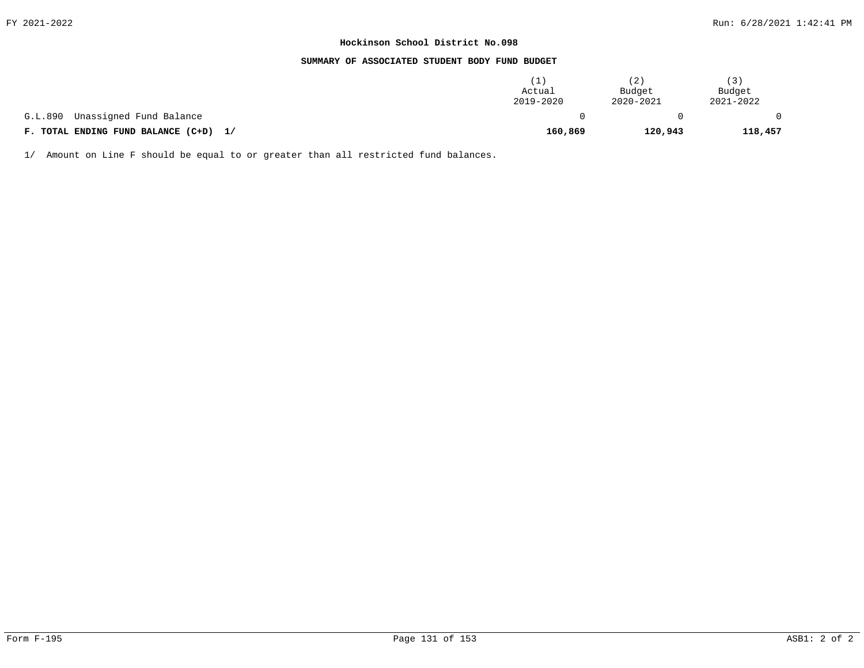#### **SUMMARY OF ASSOCIATED STUDENT BODY FUND BUDGET**

|                                       | Actual<br>2019-2020 | 2)<br>Budget<br>2020-2021 | (3)<br>Budget<br>2021-2022 |
|---------------------------------------|---------------------|---------------------------|----------------------------|
| G.L.890<br>Unassigned Fund Balance    |                     |                           |                            |
| F. TOTAL ENDING FUND BALANCE (C+D) 1/ | 160,869             | 120,943                   | 118,457                    |

1/ Amount on Line F should be equal to or greater than all restricted fund balances.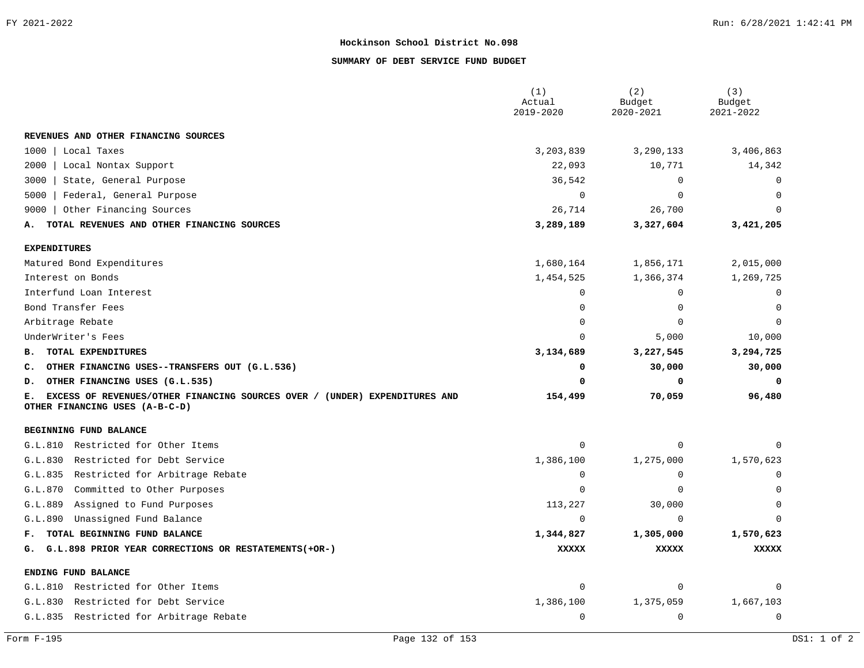# **SUMMARY OF DEBT SERVICE FUND BUDGET**

|                                                                                                                    | (1)<br>Actual  | (2)<br>Budget | (3)<br>Budget |
|--------------------------------------------------------------------------------------------------------------------|----------------|---------------|---------------|
|                                                                                                                    | 2019-2020      | 2020-2021     | 2021-2022     |
| REVENUES AND OTHER FINANCING SOURCES                                                                               |                |               |               |
| 1000<br>Local Taxes                                                                                                | 3,203,839      | 3,290,133     | 3,406,863     |
| 2000<br>Local Nontax Support                                                                                       | 22,093         | 10,771        | 14,342        |
| 3000<br>State, General Purpose                                                                                     | 36,542         | 0             | $\Omega$      |
| Federal, General Purpose<br>5000                                                                                   | $\Omega$       | $\Omega$      | $\Omega$      |
| 9000<br>Other Financing Sources                                                                                    | 26,714         | 26,700        | $\Omega$      |
| TOTAL REVENUES AND OTHER FINANCING SOURCES<br>А.                                                                   | 3,289,189      | 3,327,604     | 3,421,205     |
| <b>EXPENDITURES</b>                                                                                                |                |               |               |
| Matured Bond Expenditures                                                                                          | 1,680,164      | 1,856,171     | 2,015,000     |
| Interest on Bonds                                                                                                  | 1,454,525      | 1,366,374     | 1,269,725     |
| Interfund Loan Interest                                                                                            | $\Omega$       | 0             | $\Omega$      |
| Bond Transfer Fees                                                                                                 | $\Omega$       | $\Omega$      | O             |
| Arbitrage Rebate                                                                                                   | $\Omega$       | $\Omega$      | $\Omega$      |
| UnderWriter's Fees                                                                                                 | $\Omega$       | 5,000         | 10,000        |
| TOTAL EXPENDITURES<br>в.                                                                                           | 3,134,689      | 3,227,545     | 3,294,725     |
| OTHER FINANCING USES--TRANSFERS OUT (G.L.536)<br>c.                                                                | 0              | 30,000        | 30,000        |
| OTHER FINANCING USES (G.L.535)<br>D.                                                                               | 0              | 0             | 0             |
| EXCESS OF REVENUES/OTHER FINANCING SOURCES OVER / (UNDER) EXPENDITURES AND<br>Е.<br>OTHER FINANCING USES (A-B-C-D) | 154,499        | 70,059        | 96,480        |
| BEGINNING FUND BALANCE                                                                                             |                |               |               |
| Restricted for Other Items<br>G.L.810                                                                              | $\mathbf 0$    | 0             | U             |
| G.L.830<br>Restricted for Debt Service                                                                             | 1,386,100      | 1,275,000     | 1,570,623     |
| Restricted for Arbitrage Rebate<br>G.L.835                                                                         | $\mathbf 0$    | $\mathbf 0$   | 0             |
| G.L.870<br>Committed to Other Purposes                                                                             | $\mathbf 0$    | $\mathbf 0$   | $\Omega$      |
| G.L.889<br>Assigned to Fund Purposes                                                                               | 113,227        | 30,000        | 0             |
| G.L.890<br>Unassigned Fund Balance                                                                                 | $\overline{0}$ | 0             | $\Omega$      |
| TOTAL BEGINNING FUND BALANCE<br>F.,                                                                                | 1,344,827      | 1,305,000     | 1,570,623     |
| G. G.L.898 PRIOR YEAR CORRECTIONS OR RESTATEMENTS (+OR-)                                                           | <b>XXXXX</b>   | <b>XXXXX</b>  | <b>XXXXX</b>  |
| ENDING FUND BALANCE                                                                                                |                |               |               |
| G.L.810 Restricted for Other Items                                                                                 | $\mathbf 0$    | $\mathbf 0$   | 0             |
| Restricted for Debt Service<br>G.L.830                                                                             | 1,386,100      | 1,375,059     | 1,667,103     |
| G.L.835 Restricted for Arbitrage Rebate                                                                            | $\mathbf 0$    | $\mathbf 0$   | $\mathbf 0$   |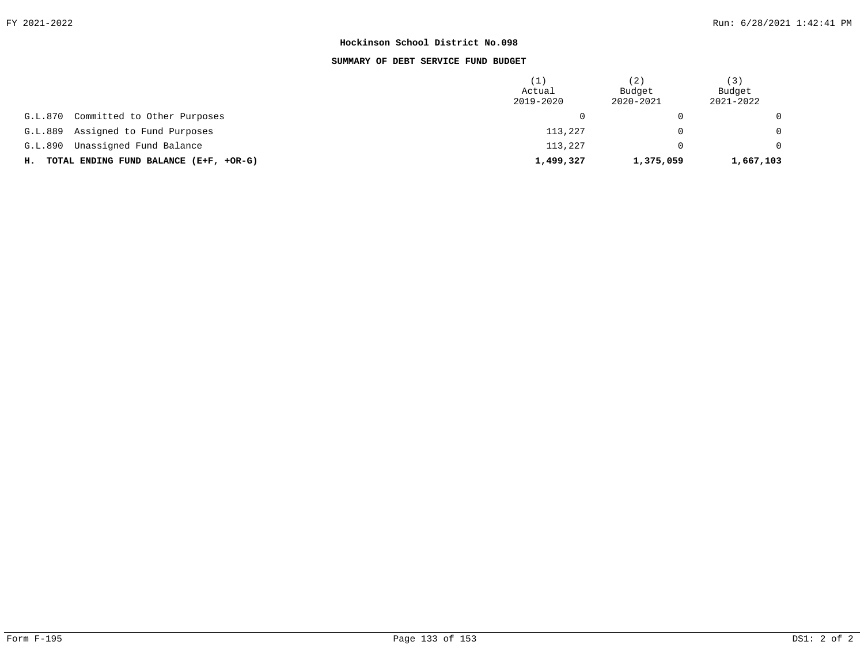# **SUMMARY OF DEBT SERVICE FUND BUDGET**

|                                           | 1<br>Actual<br>2019-2020 | (2)<br>Budget<br>2020-2021 | (3)<br>Budget<br>2021-2022 |
|-------------------------------------------|--------------------------|----------------------------|----------------------------|
| Committed to Other Purposes<br>G.L.870    |                          |                            | $\Omega$                   |
| Assigned to Fund Purposes<br>G.L.889      | 113,227                  |                            | $\Omega$                   |
| Unassigned Fund Balance<br>G.L.890        | 113,227                  |                            | $\Omega$                   |
| H. TOTAL ENDING FUND BALANCE (E+F, +OR-G) | 1,499,327                | 1,375,059                  | 1,667,103                  |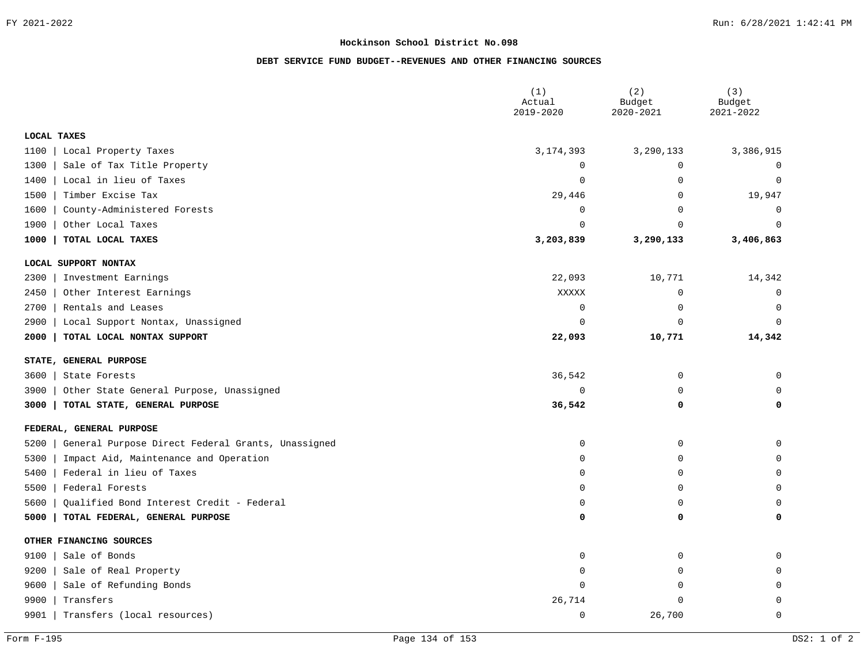# **DEBT SERVICE FUND BUDGET--REVENUES AND OTHER FINANCING SOURCES**

|                                                           | (1)<br>Actual<br>2019-2020 | (2)<br>Budget<br>2020-2021 | (3)<br>Budget<br>2021-2022 |
|-----------------------------------------------------------|----------------------------|----------------------------|----------------------------|
| <b>LOCAL TAXES</b>                                        |                            |                            |                            |
| 1100<br>Local Property Taxes                              | 3, 174, 393                | 3,290,133                  | 3,386,915                  |
| Sale of Tax Title Property<br>1300                        | $\Omega$                   | $\Omega$                   | $\Omega$                   |
| Local in lieu of Taxes<br>1400                            | $\Omega$                   | $\Omega$                   | $\Omega$                   |
| 1500<br>Timber Excise Tax                                 | 29,446                     | $\mathbf 0$                | 19,947                     |
| County-Administered Forests<br>1600                       | $\Omega$                   | $\mathbf 0$                | 0                          |
| 1900<br>Other Local Taxes                                 | $\Omega$                   | $\Omega$                   | $\Omega$                   |
| 1000<br>TOTAL LOCAL TAXES                                 | 3,203,839                  | 3,290,133                  | 3,406,863                  |
| LOCAL SUPPORT NONTAX                                      |                            |                            |                            |
| 2300<br>Investment Earnings                               | 22,093                     | 10,771                     | 14,342                     |
| Other Interest Earnings<br>2450                           | XXXXX                      | $\mathbf 0$                | $\Omega$                   |
| 2700<br>Rentals and Leases                                | $\mathbf 0$                | $\mathbf 0$                | $\Omega$                   |
| 2900<br>Local Support Nontax, Unassigned                  | $\Omega$                   | $\Omega$                   | $\Omega$                   |
| 2000<br>TOTAL LOCAL NONTAX SUPPORT                        | 22,093                     | 10,771                     | 14,342                     |
| STATE, GENERAL PURPOSE                                    |                            |                            |                            |
| 3600<br>State Forests                                     | 36,542                     | $\mathbf 0$                | 0                          |
| 3900<br>Other State General Purpose, Unassigned           | 0                          | $\Omega$                   | $\Omega$                   |
| 3000<br>TOTAL STATE, GENERAL PURPOSE                      | 36,542                     | 0                          | 0                          |
| FEDERAL, GENERAL PURPOSE                                  |                            |                            |                            |
| 5200<br>General Purpose Direct Federal Grants, Unassigned | 0                          | $\mathbf 0$                | 0                          |
| Impact Aid, Maintenance and Operation<br>5300             | $\Omega$                   | $\Omega$                   | $\Omega$                   |
| Federal in lieu of Taxes<br>5400                          | $\Omega$                   | $\Omega$                   | 0                          |
| Federal Forests<br>5500                                   | $\Omega$                   | $\Omega$                   | $\overline{0}$             |
| Qualified Bond Interest Credit - Federal<br>5600          | $\Omega$                   | $\Omega$                   | $\Omega$                   |
| 5000<br>TOTAL FEDERAL, GENERAL PURPOSE                    | O                          | 0                          | 0                          |
| OTHER FINANCING SOURCES                                   |                            |                            |                            |
| 9100<br>Sale of Bonds                                     | $\Omega$                   | $\mathbf 0$                | 0                          |
| 9200<br>Sale of Real Property                             | $\Omega$                   | $\mathbf 0$                | 0                          |
| 9600<br>Sale of Refunding Bonds                           | $\Omega$                   | O                          | 0                          |
| 9900<br>Transfers                                         | 26,714                     |                            | 0                          |
| 9901<br>Transfers (local resources)                       | $\Omega$                   | 26,700                     | $\Omega$                   |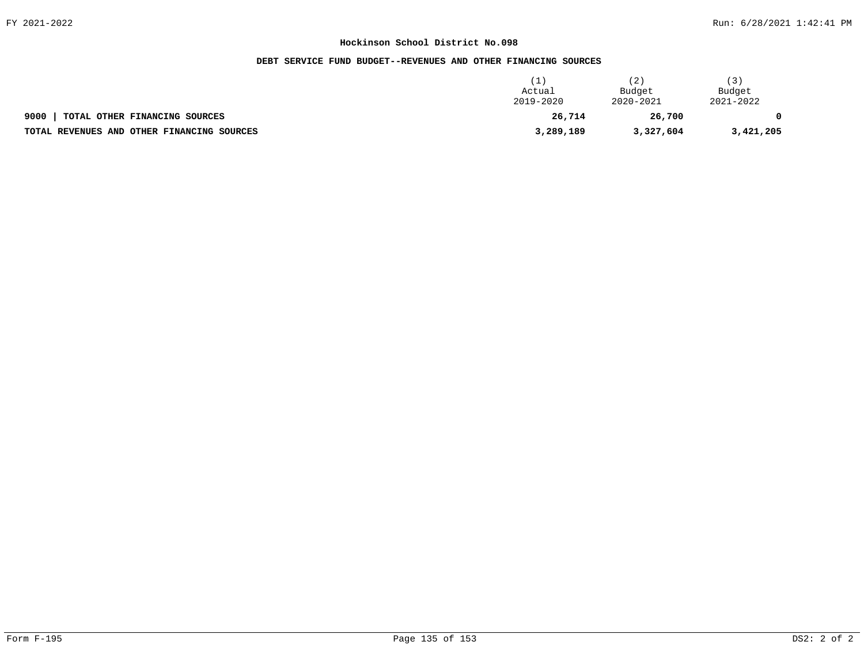# **DEBT SERVICE FUND BUDGET--REVENUES AND OTHER FINANCING SOURCES**

|                                            | Actual<br>2019-2020 | 2)<br>Budget<br>2020-2021 | 3)<br>Budget<br>2021-2022 |
|--------------------------------------------|---------------------|---------------------------|---------------------------|
| 9000<br>TOTAL OTHER FINANCING SOURCES      | 26,714              | 26,700                    |                           |
| TOTAL REVENUES AND OTHER FINANCING SOURCES | 3,289,189           | 3,327,604                 | 3,421,205                 |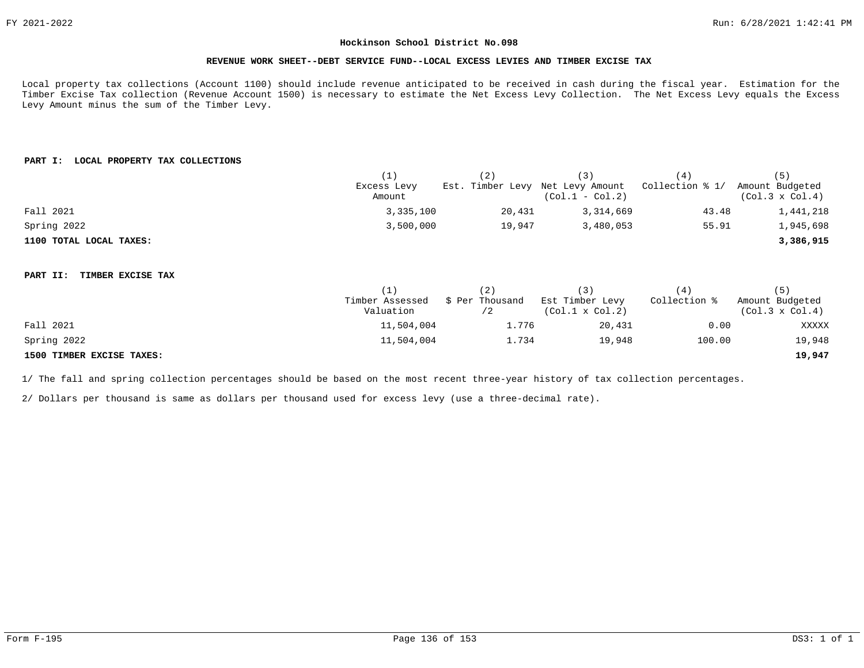## **REVENUE WORK SHEET--DEBT SERVICE FUND--LOCAL EXCESS LEVIES AND TIMBER EXCISE TAX**

Local property tax collections (Account 1100) should include revenue anticipated to be received in cash during the fiscal year. Estimation for the Timber Excise Tax collection (Revenue Account 1500) is necessary to estimate the Net Excess Levy Collection. The Net Excess Levy equals the Excess Levy Amount minus the sum of the Timber Levy.

# **PART I: LOCAL PROPERTY TAX COLLECTIONS**

|                               | (1)             | (2)                              | (3)                    | (4)             | (5)                    |
|-------------------------------|-----------------|----------------------------------|------------------------|-----------------|------------------------|
|                               | Excess Levy     | Est. Timber Levy Net Levy Amount |                        | Collection % 1/ | Amount Budgeted        |
|                               | Amount          |                                  | $(Col.1 - Col.2)$      |                 | $(Col.3 \times Col.4)$ |
| Fall 2021                     | 3,335,100       | 20,431                           | 3,314,669              | 43.48           | 1,441,218              |
| Spring 2022                   | 3,500,000       | 19,947                           | 3,480,053              | 55.91           | 1,945,698              |
| 1100 TOTAL LOCAL TAXES:       |                 |                                  |                        |                 | 3,386,915              |
|                               |                 |                                  |                        |                 |                        |
| TIMBER EXCISE TAX<br>PART II: |                 |                                  |                        |                 |                        |
|                               | (1)             | (2)                              | (3)                    | (4)             | (5)                    |
|                               | Timber Assessed | \$ Per Thousand                  | Est Timber Levy        | Collection %    | Amount Budgeted        |
|                               | Valuation       | /2                               | $(Col.1 \times Col.2)$ |                 | $(Col.3 \times Col.4)$ |
| Fall 2021                     | 11,504,004      | 1.776                            | 20,431                 | 0.00            | XXXXX                  |
| Spring 2022                   | 11,504,004      | 1.734                            | 19,948                 | 100.00          | 19,948                 |
| 1500 TIMBER EXCISE TAXES:     |                 |                                  |                        |                 | 19,947                 |

1/ The fall and spring collection percentages should be based on the most recent three-year history of tax collection percentages.

2/ Dollars per thousand is same as dollars per thousand used for excess levy (use a three-decimal rate).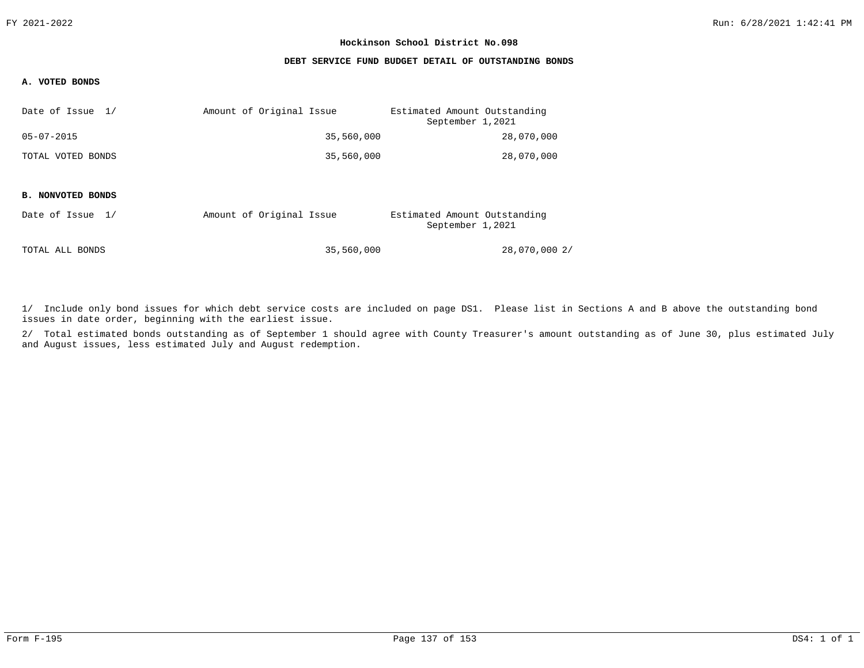## **DEBT SERVICE FUND BUDGET DETAIL OF OUTSTANDING BONDS**

# **A. VOTED BONDS**

| Date of Issue 1/  | Amount of Original Issue | Estimated Amount Outstanding<br>September 1,2021 |
|-------------------|--------------------------|--------------------------------------------------|
| $05 - 07 - 2015$  | 35,560,000               | 28,070,000                                       |
| TOTAL VOTED BONDS | 35,560,000               | 28,070,000                                       |

#### **B. NONVOTED BONDS**

| Date of Issue 1/ |  | Amount of Original Issue |            | Estimated Amount Outstanding<br>September 1,2021 |               |
|------------------|--|--------------------------|------------|--------------------------------------------------|---------------|
| TOTAL ALL BONDS  |  |                          | 35,560,000 |                                                  | 28,070,000 2/ |

1/ Include only bond issues for which debt service costs are included on page DS1. Please list in Sections A and B above the outstanding bond issues in date order, beginning with the earliest issue.

2/ Total estimated bonds outstanding as of September 1 should agree with County Treasurer's amount outstanding as of June 30, plus estimated July and August issues, less estimated July and August redemption.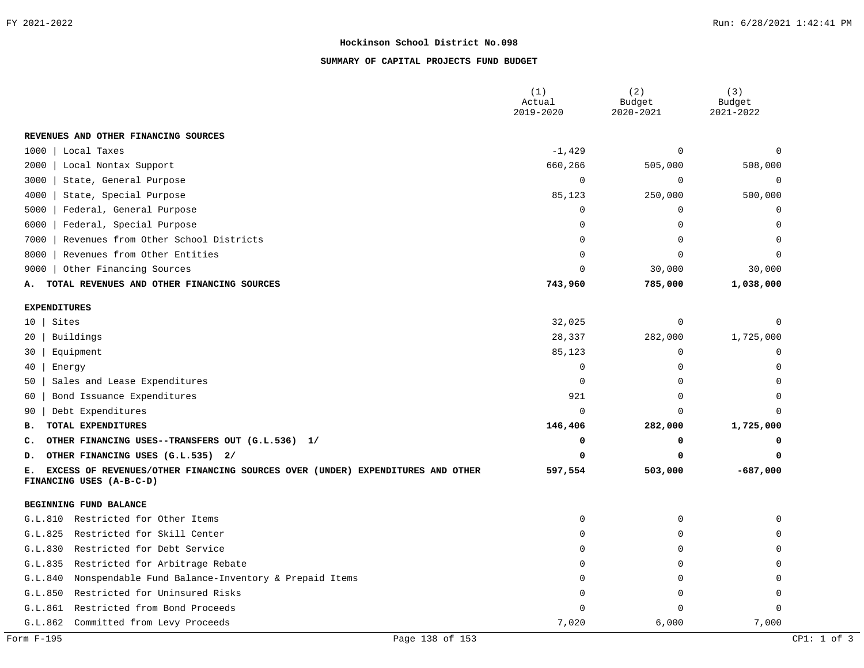# **SUMMARY OF CAPITAL PROJECTS FUND BUDGET**

|                                                                                                                  | (1)<br>Actual<br>2019-2020 | (2)<br>Budget<br>2020-2021 | (3)<br>Budget<br>2021-2022 |
|------------------------------------------------------------------------------------------------------------------|----------------------------|----------------------------|----------------------------|
| REVENUES AND OTHER FINANCING SOURCES                                                                             |                            |                            |                            |
| 1000<br>Local Taxes                                                                                              | $-1,429$                   | $\Omega$                   |                            |
| Local Nontax Support<br>2000                                                                                     | 660,266                    | 505,000                    | 508,000                    |
| 3000<br>State, General Purpose                                                                                   | $\mathbf 0$                | 0                          | 0                          |
| 4000<br>State, Special Purpose                                                                                   | 85,123                     | 250,000                    | 500,000                    |
| Federal, General Purpose<br>5000                                                                                 | $\mathbf 0$                | $\Omega$                   | $\Omega$                   |
| 6000<br>Federal, Special Purpose                                                                                 | $\Omega$                   | $\Omega$                   |                            |
| Revenues from Other School Districts<br>7000                                                                     | $\Omega$                   | $\Omega$                   |                            |
| 8000<br>Revenues from Other Entities                                                                             | 0                          | $\Omega$                   |                            |
| Other Financing Sources<br>9000                                                                                  | $\Omega$                   | 30,000                     | 30,000                     |
| TOTAL REVENUES AND OTHER FINANCING SOURCES<br>А.                                                                 | 743,960                    | 785,000                    | 1,038,000                  |
| <b>EXPENDITURES</b>                                                                                              |                            |                            |                            |
| Sites<br>10                                                                                                      | 32,025                     | $\Omega$                   | $\cap$                     |
| Buildings<br>20                                                                                                  | 28,337                     | 282,000                    | 1,725,000                  |
| Equipment<br>30                                                                                                  | 85,123                     | $\mathbf 0$                | $\Omega$                   |
| 40<br>Energy                                                                                                     | $\mathbf 0$                | $\Omega$                   |                            |
| Sales and Lease Expenditures<br>50                                                                               | $\Omega$                   | $\Omega$                   | $\cap$                     |
| Bond Issuance Expenditures<br>60                                                                                 | 921                        | $\Omega$                   | $\cap$                     |
| Debt Expenditures<br>90                                                                                          | $\mathbf 0$                | $\Omega$                   |                            |
| TOTAL EXPENDITURES<br>в.                                                                                         | 146,406                    | 282,000                    | 1,725,000                  |
| OTHER FINANCING USES--TRANSFERS OUT (G.L.536) 1/<br>c.                                                           | 0                          | 0                          | 0                          |
| OTHER FINANCING USES (G.L.535) 2/<br>D.                                                                          | O                          | $\Omega$                   |                            |
| EXCESS OF REVENUES/OTHER FINANCING SOURCES OVER (UNDER) EXPENDITURES AND OTHER<br>Е.<br>FINANCING USES (A-B-C-D) | 597,554                    | 503,000                    | $-687,000$                 |
| BEGINNING FUND BALANCE                                                                                           |                            |                            |                            |
| Restricted for Other Items<br>G.L.810                                                                            | 0                          | $\mathbf 0$                |                            |
| Restricted for Skill Center<br>G.L.825                                                                           | $\Omega$                   | 0                          |                            |
| Restricted for Debt Service<br>G.L.830                                                                           | $\Omega$                   | $\Omega$                   |                            |
| G.L.835<br>Restricted for Arbitrage Rebate                                                                       | $\Omega$                   | $\mathbf 0$                | $\cap$                     |
| Nonspendable Fund Balance-Inventory & Prepaid Items<br>G.L.840                                                   | <sup>0</sup>               | 0                          |                            |
| G.L.850<br>Restricted for Uninsured Risks                                                                        |                            | $\Omega$                   |                            |
| G.L.861<br>Restricted from Bond Proceeds                                                                         |                            | ∩                          |                            |
| G.L.862<br>Committed from Levy Proceeds                                                                          | 7,020                      | 6,000                      | 7,000                      |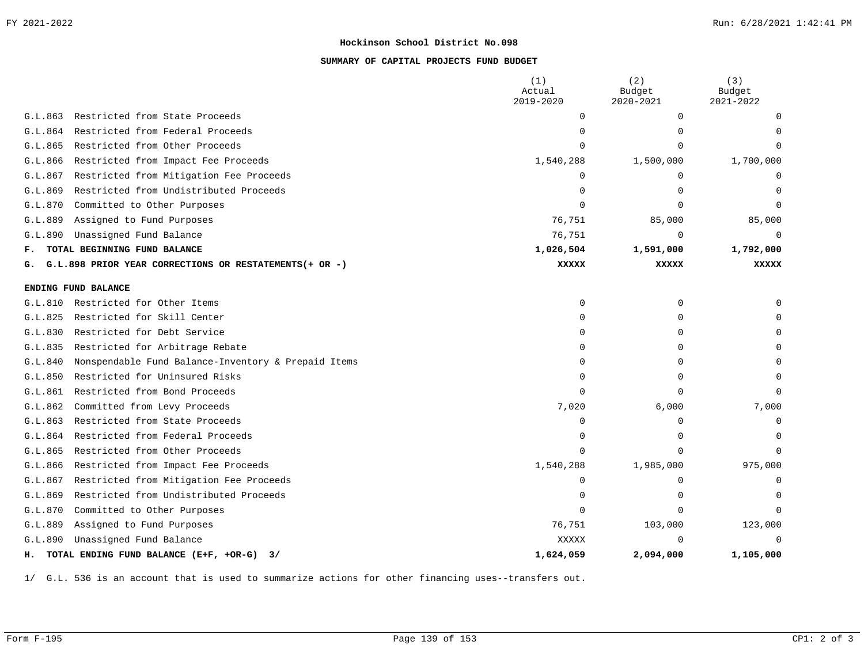# **SUMMARY OF CAPITAL PROJECTS FUND BUDGET**

|                                                                | (1)<br>Actual<br>2019-2020 | (2)<br>Budget<br>$2020 - 2021$ | (3)<br>Budget<br>2021-2022 |
|----------------------------------------------------------------|----------------------------|--------------------------------|----------------------------|
| Restricted from State Proceeds<br>G.L.863                      | $\Omega$                   | $\mathbf 0$                    |                            |
| Restricted from Federal Proceeds<br>G.L.864                    | ∩                          | $\Omega$                       |                            |
| G.L.865<br>Restricted from Other Proceeds                      |                            | $\Omega$                       |                            |
| Restricted from Impact Fee Proceeds<br>G.L.866                 | 1,540,288                  | 1,500,000                      | 1,700,000                  |
| Restricted from Mitigation Fee Proceeds<br>G.L.867             | <sup>0</sup>               | 0                              |                            |
| Restricted from Undistributed Proceeds<br>G.L.869              | $\Omega$                   | $\Omega$                       |                            |
| G.L.870<br>Committed to Other Purposes                         | $\Omega$                   | $\Omega$                       |                            |
| Assigned to Fund Purposes<br>G.L.889                           | 76,751                     | 85,000                         | 85,000                     |
| Unassigned Fund Balance<br>G.L.890                             | 76,751                     | $\mathbf 0$                    | 0                          |
| TOTAL BEGINNING FUND BALANCE<br>F.                             | 1,026,504                  | 1,591,000                      | 1,792,000                  |
| G.L.898 PRIOR YEAR CORRECTIONS OR RESTATEMENTS (+ OR -)<br>G.  | <b>XXXXX</b>               | <b>XXXXX</b>                   | <b>XXXXX</b>               |
| ENDING FUND BALANCE                                            |                            |                                |                            |
| Restricted for Other Items<br>G.L.810                          | $\mathbf 0$                | $\mathbf 0$                    |                            |
| Restricted for Skill Center<br>G.L.825                         | $\Omega$                   | $\Omega$                       |                            |
| G.L.830<br>Restricted for Debt Service                         | $\Omega$                   | $\Omega$                       |                            |
| G.L.835<br>Restricted for Arbitrage Rebate                     | $\Omega$                   | 0                              |                            |
| Nonspendable Fund Balance-Inventory & Prepaid Items<br>G.L.840 | $\Omega$                   | $\Omega$                       |                            |
| Restricted for Uninsured Risks<br>G.L.850                      | $\Omega$                   | $\Omega$                       |                            |
| G.L.861<br>Restricted from Bond Proceeds                       | $\cap$                     | $\Omega$                       | $\Omega$                   |
| Committed from Levy Proceeds<br>G.L.862                        | 7,020                      | 6,000                          | 7,000                      |
| G.L.863<br>Restricted from State Proceeds                      | ∩                          | $\Omega$                       |                            |
| Restricted from Federal Proceeds<br>G.L.864                    | $\Omega$                   | $\mathbf 0$                    |                            |
| Restricted from Other Proceeds<br>G.L.865                      |                            | $\Omega$                       |                            |
| Restricted from Impact Fee Proceeds<br>G.L.866                 | 1,540,288                  | 1,985,000                      | 975,000                    |
| Restricted from Mitigation Fee Proceeds<br>G.L.867             | $\Omega$                   | $\mathbf 0$                    | O                          |
| G.L.869<br>Restricted from Undistributed Proceeds              | $\Omega$                   | $\Omega$                       | U                          |
| Committed to Other Purposes<br>G.L.870                         | $\Omega$                   | $\Omega$                       | $\Omega$                   |
| Assigned to Fund Purposes<br>G.L.889                           | 76,751                     | 103,000                        | 123,000                    |
| Unassigned Fund Balance<br>G.L.890                             | <b>XXXXX</b>               | $\Omega$                       | $\Omega$                   |
| H. TOTAL ENDING FUND BALANCE (E+F, +OR-G) 3/                   | 1,624,059                  | 2,094,000                      | 1,105,000                  |

1/ G.L. 536 is an account that is used to summarize actions for other financing uses--transfers out.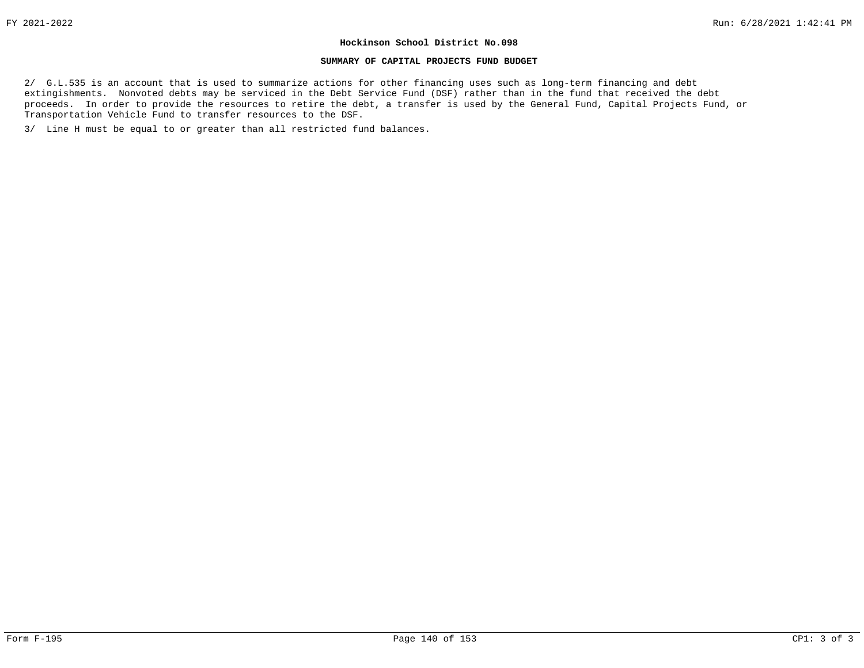#### **SUMMARY OF CAPITAL PROJECTS FUND BUDGET**

2/ G.L.535 is an account that is used to summarize actions for other financing uses such as long-term financing and debt extingishments. Nonvoted debts may be serviced in the Debt Service Fund (DSF) rather than in the fund that received the debt proceeds. In order to provide the resources to retire the debt, a transfer is used by the General Fund, Capital Projects Fund, or Transportation Vehicle Fund to transfer resources to the DSF.

3/ Line H must be equal to or greater than all restricted fund balances.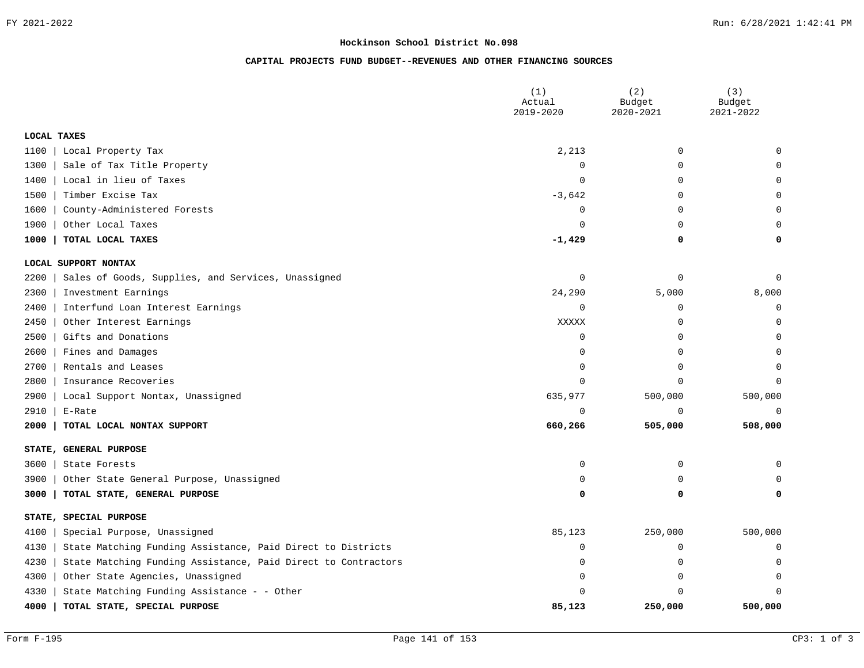# **CAPITAL PROJECTS FUND BUDGET--REVENUES AND OTHER FINANCING SOURCES**

|             |                                                               | (1)<br>Actual<br>2019-2020 | (2)<br>Budget<br>2020-2021 | (3)<br>Budget<br>2021-2022 |
|-------------|---------------------------------------------------------------|----------------------------|----------------------------|----------------------------|
| LOCAL TAXES |                                                               |                            |                            |                            |
| 1100        | Local Property Tax                                            | 2,213                      | $\mathbf 0$                | $\Omega$                   |
| 1300        | Sale of Tax Title Property                                    | $\Omega$                   | 0                          | $\Omega$                   |
| 1400        | Local in lieu of Taxes                                        | 0                          | 0                          | 0                          |
| 1500        | Timber Excise Tax                                             | $-3,642$                   | 0                          | U                          |
| 1600        | County-Administered Forests                                   | 0                          | 0                          | 0                          |
| 1900        | Other Local Taxes                                             | $\Omega$                   | $\Omega$                   | $\Omega$                   |
| 1000        | TOTAL LOCAL TAXES                                             | $-1,429$                   | 0                          | 0                          |
|             | LOCAL SUPPORT NONTAX                                          |                            |                            |                            |
| 2200        | Sales of Goods, Supplies, and Services, Unassigned            | 0                          | 0                          | 0                          |
| 2300        | Investment Earnings                                           | 24,290                     | 5,000                      | 8,000                      |
| 2400        | Interfund Loan Interest Earnings                              | $\Omega$                   | 0                          | 0                          |
| 2450        | Other Interest Earnings                                       | XXXXX                      | 0                          | 0                          |
| 2500        | Gifts and Donations                                           | 0                          | 0                          | 0                          |
| 2600        | Fines and Damages                                             | 0                          | 0                          | $\Omega$                   |
| 2700        | Rentals and Leases                                            | $\Omega$                   | $\Omega$                   | 0                          |
| 2800        | Insurance Recoveries                                          | $\Omega$                   | $\Omega$                   | $\Omega$                   |
| 2900        | Local Support Nontax, Unassigned                              | 635,977                    | 500,000                    | 500,000                    |
| 2910        | E-Rate                                                        | $\mathbf 0$                | $\Omega$                   | $\mathbf 0$                |
| 2000        | TOTAL LOCAL NONTAX SUPPORT                                    | 660,266                    | 505,000                    | 508,000                    |
| STATE,      | <b>GENERAL PURPOSE</b>                                        |                            |                            |                            |
| 3600        | State Forests                                                 | 0                          | 0                          | 0                          |
| 3900        | Other State General Purpose, Unassigned                       | $\Omega$                   | $\Omega$                   | O                          |
| 3000        | TOTAL STATE, GENERAL PURPOSE                                  | 0                          | 0                          | 0                          |
|             | STATE, SPECIAL PURPOSE                                        |                            |                            |                            |
| 4100        | Special Purpose, Unassigned                                   | 85,123                     | 250,000                    | 500,000                    |
| 4130        | State Matching Funding Assistance, Paid Direct to Districts   | 0                          | $\mathbf 0$                | 0                          |
| 4230        | State Matching Funding Assistance, Paid Direct to Contractors | 0                          | 0                          | 0                          |
| 4300        | Other State Agencies, Unassigned                              | $\Omega$                   | $\Omega$                   | $\Omega$                   |
| 4330        | State Matching Funding Assistance - - Other                   |                            | 0                          | 0                          |
| 4000        | TOTAL STATE, SPECIAL PURPOSE                                  | 85,123                     | 250,000                    | 500,000                    |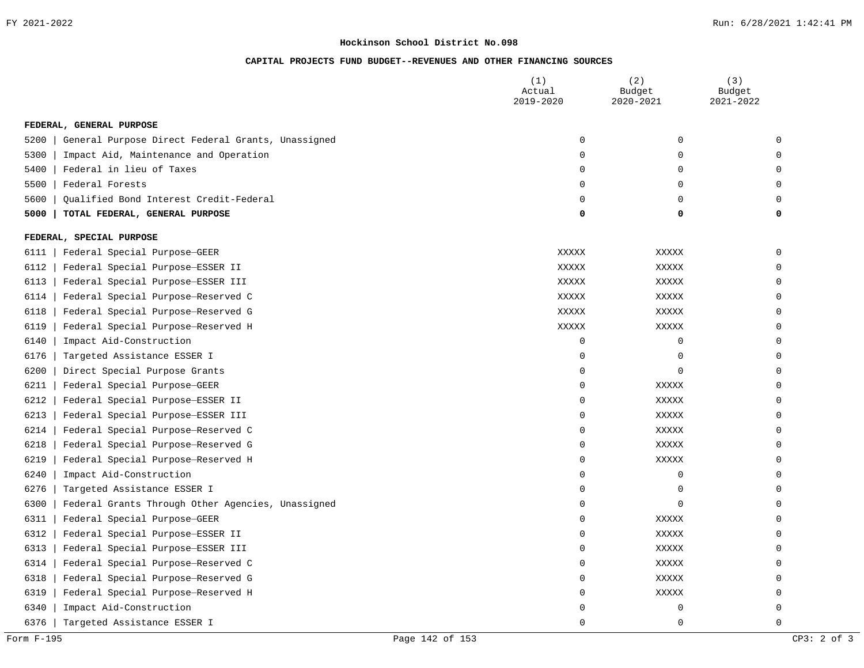# **CAPITAL PROJECTS FUND BUDGET--REVENUES AND OTHER FINANCING SOURCES**

|      |                                                   | (1)<br>Actual<br>2019-2020 | (2)<br>Budget<br>2020-2021 | (3)<br>Budget<br>2021-2022 |
|------|---------------------------------------------------|----------------------------|----------------------------|----------------------------|
|      | FEDERAL, GENERAL PURPOSE                          |                            |                            |                            |
| 5200 | General Purpose Direct Federal Grants, Unassigned | 0                          | $\mathbf 0$                | $\mathbf 0$                |
| 5300 | Impact Aid, Maintenance and Operation             | 0                          | 0                          | $\mathbf 0$                |
| 5400 | Federal in lieu of Taxes                          | 0                          | 0                          | $\mathbf 0$                |
| 5500 | Federal Forests                                   | 0                          | 0                          | $\mathbf 0$                |
| 5600 | Qualified Bond Interest Credit-Federal            | $\mathbf 0$                | 0                          | $\mathbf 0$                |
| 5000 | TOTAL FEDERAL, GENERAL PURPOSE                    | 0                          | 0                          | 0                          |
|      | FEDERAL, SPECIAL PURPOSE                          |                            |                            |                            |
| 6111 | Federal Special Purpose-GEER                      | XXXXX                      | XXXXX                      | $\Omega$                   |
| 6112 | Federal Special Purpose-ESSER II                  | <b>XXXXX</b>               | XXXXX                      | $\mathbf 0$                |
| 6113 | Federal Special Purpose-ESSER III                 | <b>XXXXX</b>               | XXXXX                      | $\mathbf 0$                |
| 6114 | Federal Special Purpose-Reserved C                | <b>XXXXX</b>               | XXXXX                      | $\mathbf 0$                |
| 6118 | Federal Special Purpose-Reserved G                | XXXXX                      | XXXXX                      | $\mathbf 0$                |
| 6119 | Federal Special Purpose-Reserved H                | XXXXX                      | XXXXX                      | $\mathbf 0$                |
| 6140 | Impact Aid-Construction                           | $\overline{0}$             | $\overline{0}$             | $\mathbf 0$                |
| 6176 | Targeted Assistance ESSER I                       | 0                          | $\mathbf 0$                | $\mathbf 0$                |
| 6200 | Direct Special Purpose Grants                     | 0                          | $\overline{0}$             | $\mathbf 0$                |
| 6211 | Federal Special Purpose-GEER                      | 0                          | XXXXX                      | $\mathbf 0$                |
| 6212 | Federal Special Purpose-ESSER II                  | 0                          | <b>XXXXX</b>               | $\mathbf 0$                |
| 6213 | Federal Special Purpose-ESSER III                 | 0                          | <b>XXXXX</b>               | $\mathbf 0$                |
| 6214 | Federal Special Purpose-Reserved C                | 0                          | XXXXX                      | $\mathbf 0$                |
| 6218 | Federal Special Purpose-Reserved G                | $\mathbf 0$                | XXXXX                      | $\mathbf 0$                |
| 6219 | Federal Special Purpose-Reserved H                | $\mathbf 0$                | XXXXX                      | $\mathbf 0$                |
| 6240 | Impact Aid-Construction                           | $\mathbf 0$                | $\mathbf 0$                | $\mathbf 0$                |
| 6276 | Targeted Assistance ESSER I                       | $\mathbf 0$                | 0                          | $\mathbf 0$                |
| 6300 | Federal Grants Through Other Agencies, Unassigned | $\mathbf 0$                | $\mathbf 0$                | $\mathbf 0$                |
| 6311 | Federal Special Purpose-GEER                      | 0                          | XXXXX                      | $\mathbf 0$                |
| 6312 | Federal Special Purpose-ESSER II                  | 0                          | XXXXX                      | $\Omega$                   |
| 6313 | Federal Special Purpose-ESSER III                 | 0                          | XXXXX                      | $\Omega$                   |
| 6314 | Federal Special Purpose-Reserved C                | 0                          | XXXXX                      | 0                          |
| 6318 | Federal Special Purpose-Reserved G                | 0                          | XXXXX                      | 0                          |
| 6319 | Federal Special Purpose-Reserved H                | 0                          | XXXXX                      | 0                          |
| 6340 | Impact Aid-Construction                           | $\Omega$                   | $\mathbf 0$                | $\mathbf 0$                |
| 6376 | Targeted Assistance ESSER I                       | $\Omega$                   | $\Omega$                   | $\Omega$                   |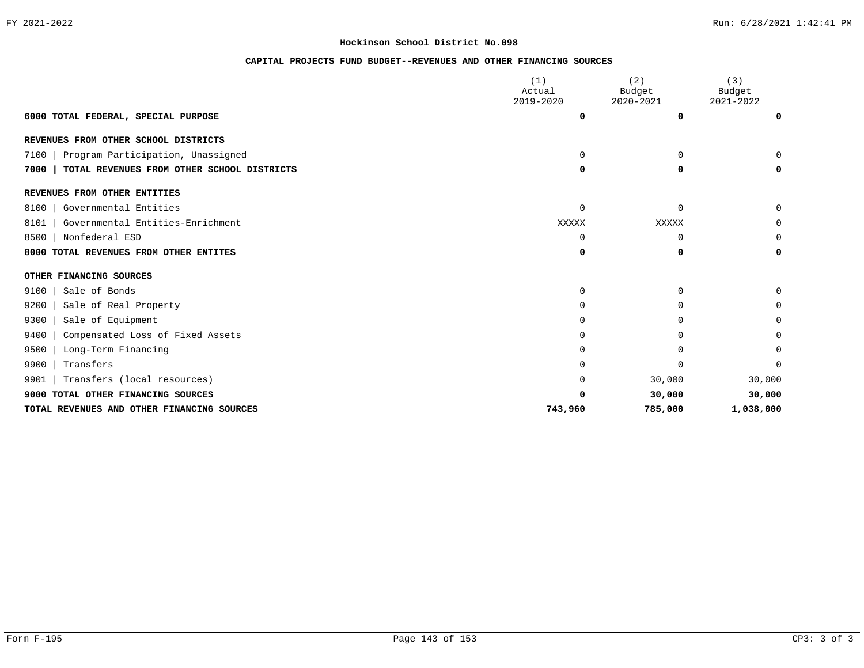# **CAPITAL PROJECTS FUND BUDGET--REVENUES AND OTHER FINANCING SOURCES**

|                                                    | (1)<br>Actual  | (2)<br>Budget  | (3)<br>Budget  |
|----------------------------------------------------|----------------|----------------|----------------|
| 6000 TOTAL FEDERAL, SPECIAL PURPOSE                | 2019-2020<br>0 | 2020-2021<br>0 | 2021-2022<br>0 |
|                                                    |                |                |                |
| REVENUES FROM OTHER SCHOOL DISTRICTS               |                |                |                |
| Program Participation, Unassigned<br>7100          | $\Omega$       | $\Omega$       | $\Omega$       |
| TOTAL REVENUES FROM OTHER SCHOOL DISTRICTS<br>7000 | 0              | 0              | 0              |
| REVENUES FROM OTHER ENTITIES                       |                |                |                |
| Governmental Entities<br>8100                      | $\Omega$       | $\Omega$       | $\Omega$       |
| Governmental Entities-Enrichment<br>8101           | XXXXX          | XXXXX          | 0              |
| Nonfederal ESD<br>8500                             | $\Omega$       | $\mathbf 0$    | 0              |
| 8000 TOTAL REVENUES FROM OTHER ENTITES             | 0              | 0              | 0              |
| OTHER FINANCING SOURCES                            |                |                |                |
| Sale of Bonds<br>9100                              | $\Omega$       | 0              | $\Omega$       |
| Sale of Real Property<br>9200                      | $\Omega$       | $\Omega$       | 0              |
| 9300<br>Sale of Equipment                          | $\Omega$       | $\Omega$       | 0              |
| 9400<br>Compensated Loss of Fixed Assets           | $\Omega$       | $\Omega$       | 0              |
| Long-Term Financing<br>9500                        | $\Omega$       | U              | $\Omega$       |
| Transfers<br>9900                                  | $\Omega$       | O              | 0              |
| Transfers (local resources)<br>9901                | $\Omega$       | 30,000         | 30,000         |
| TOTAL OTHER FINANCING SOURCES<br>9000              | $\Omega$       | 30,000         | 30,000         |
| TOTAL REVENUES AND OTHER FINANCING SOURCES         | 743,960        | 785,000        | 1,038,000      |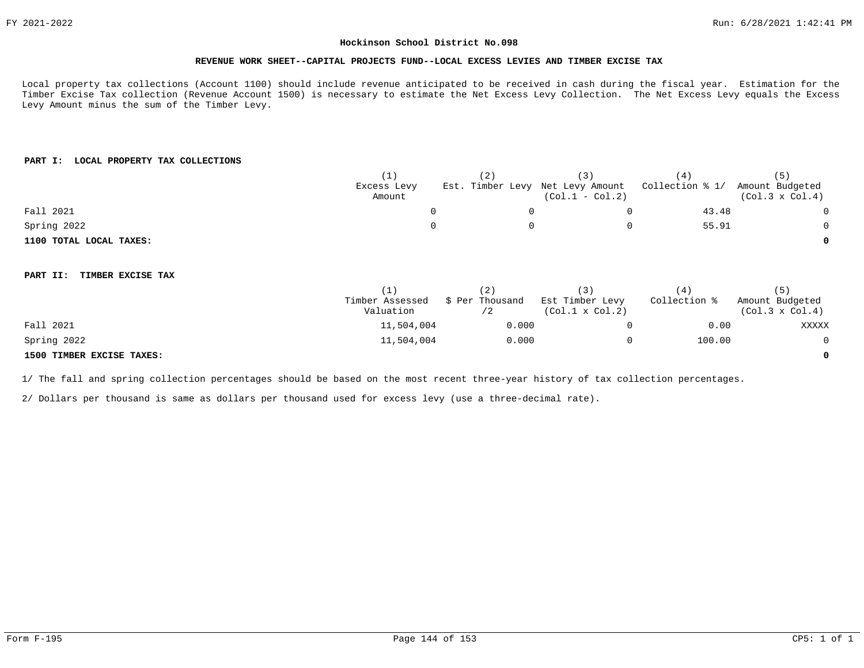#### **REVENUE WORK SHEET--CAPITAL PROJECTS FUND--LOCAL EXCESS LEVIES AND TIMBER EXCISE TAX**

Local property tax collections (Account 1100) should include revenue anticipated to be received in cash during the fiscal year. Estimation for the Timber Excise Tax collection (Revenue Account 1500) is necessary to estimate the Net Excess Levy Collection. The Net Excess Levy equals the Excess Levy Amount minus the sum of the Timber Levy.

# **PART I: LOCAL PROPERTY TAX COLLECTIONS**

|                               | (1)             | (2)                              | (3)                    | (4)             | (5)                    |
|-------------------------------|-----------------|----------------------------------|------------------------|-----------------|------------------------|
|                               | Excess Levy     | Est. Timber Levy Net Levy Amount |                        | Collection % 1/ | Amount Budgeted        |
|                               | Amount          |                                  | $(Col.1 - Col.2)$      |                 | $(Col.3 \times Col.4)$ |
| Fall 2021                     | 0               |                                  | 0                      | 43.48           | $\overline{0}$         |
| Spring 2022                   | 0               |                                  | 0                      | 55.91           | 0                      |
| 1100 TOTAL LOCAL TAXES:       |                 |                                  |                        |                 | 0                      |
|                               |                 |                                  |                        |                 |                        |
| TIMBER EXCISE TAX<br>PART II: |                 |                                  |                        |                 |                        |
|                               | (1)             | (2)                              | (3)                    | (4)             | (5)                    |
|                               | Timber Assessed | \$ Per Thousand                  | Est Timber Levy        | Collection %    | Amount Budgeted        |
|                               | Valuation       | /2                               | $(Col.1 \times Col.2)$ |                 | $(Col.3 \times Col.4)$ |
| Fall 2021                     | 11,504,004      | 0.000                            | 0                      | 0.00            | XXXXX                  |
| Spring 2022                   | 11,504,004      | 0.000                            | $\mathbf 0$            | 100.00          | $\overline{0}$         |
| 1500 TIMBER EXCISE TAXES:     |                 |                                  |                        |                 | 0                      |

1/ The fall and spring collection percentages should be based on the most recent three-year history of tax collection percentages.

2/ Dollars per thousand is same as dollars per thousand used for excess levy (use a three-decimal rate).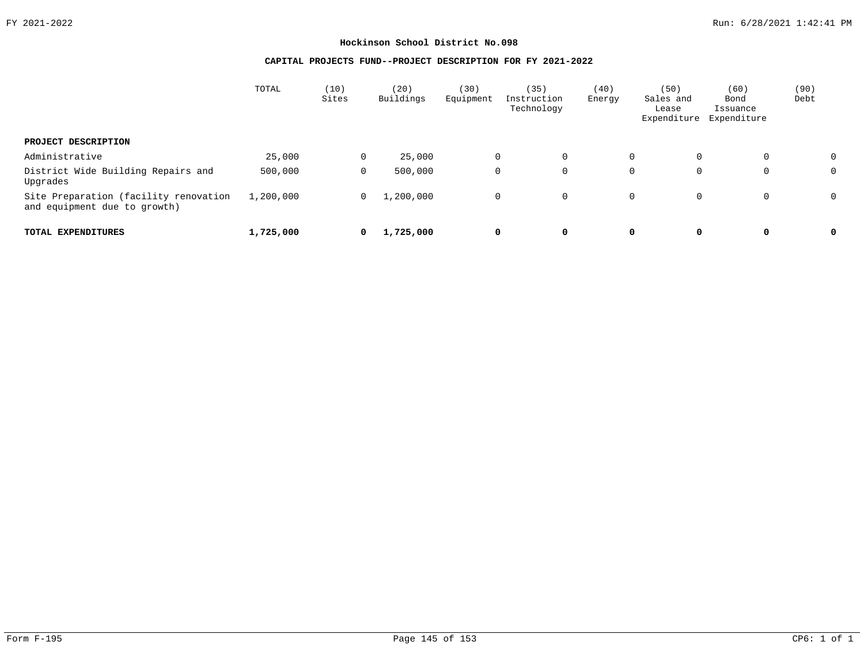# **CAPITAL PROJECTS FUND--PROJECT DESCRIPTION FOR FY 2021-2022**

|                                                                       | TOTAL     | (10)<br>Sites  | (20)<br>Buildings | 30)<br>Equipment | (35)<br>Instruction<br>Technology | (40)<br>Energy | (50)<br>Sales and<br>Lease<br>Expenditure | (60)<br>Bond<br>Issuance<br>Expenditure | (90)<br>Debt |  |
|-----------------------------------------------------------------------|-----------|----------------|-------------------|------------------|-----------------------------------|----------------|-------------------------------------------|-----------------------------------------|--------------|--|
| PROJECT DESCRIPTION                                                   |           |                |                   |                  |                                   |                |                                           |                                         |              |  |
| Administrative                                                        | 25,000    | $\mathbf 0$    | 25,000            |                  | $\mathbf 0$<br>$\mathbf 0$        |                | $\mathbf 0$<br>0                          | 0                                       |              |  |
| District Wide Building Repairs and<br>Upgrades                        | 500,000   | $\mathbf 0$    | 500,000           |                  | $\mathbf{0}$<br>$\mathbf 0$       |                | 0<br>$\mathbf 0$                          | 0                                       | 0            |  |
| Site Preparation (facility renovation<br>and equipment due to growth) | 1,200,000 | $\overline{0}$ | 1,200,000         |                  | $\mathbf{0}$<br>$\overline{0}$    |                | $\mathbf 0$<br>0                          | $\mathbf 0$                             |              |  |
| TOTAL EXPENDITURES                                                    | 1,725,000 | 0              | 1,725,000         |                  | 0<br>0                            |                | 0<br>0                                    | 0                                       | 0            |  |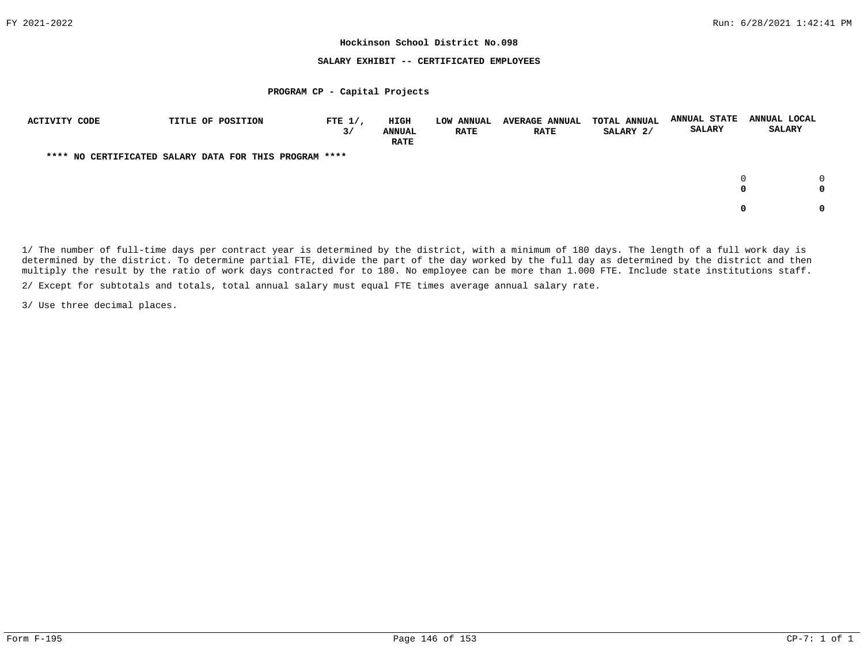#### **SALARY EXHIBIT -- CERTIFICATED EMPLOYEES**

#### **PROGRAM CP - Capital Projects**

| ACTIVITY CODE | TITLE OF POSITION                                      | FTE $1/$ ,<br>3/ | HIGH<br><b>ANNUAL</b><br><b>RATE</b> | <b>LOW ANNUAL</b><br><b>RATE</b> | <b>AVERAGE ANNUAL</b><br><b>RATE</b> | <b>TOTAL ANNUAL</b><br>SALARY 2/ | <b>ANNUAL STATE</b><br><b>SALARY</b> | ANNUAL LOCAL<br><b>SALARY</b> |
|---------------|--------------------------------------------------------|------------------|--------------------------------------|----------------------------------|--------------------------------------|----------------------------------|--------------------------------------|-------------------------------|
|               | **** NO CERTIFICATED SALARY DATA FOR THIS PROGRAM **** |                  |                                      |                                  |                                      |                                  |                                      |                               |
|               |                                                        |                  |                                      |                                  |                                      |                                  |                                      | 0                             |
|               |                                                        |                  |                                      |                                  |                                      |                                  |                                      | <sup>0</sup>                  |

1/ The number of full-time days per contract year is determined by the district, with a minimum of 180 days. The length of a full work day is determined by the district. To determine partial FTE, divide the part of the day worked by the full day as determined by the district and then multiply the result by the ratio of work days contracted for to 180. No employee can be more than 1.000 FTE. Include state institutions staff.

2/ Except for subtotals and totals, total annual salary must equal FTE times average annual salary rate.

3/ Use three decimal places.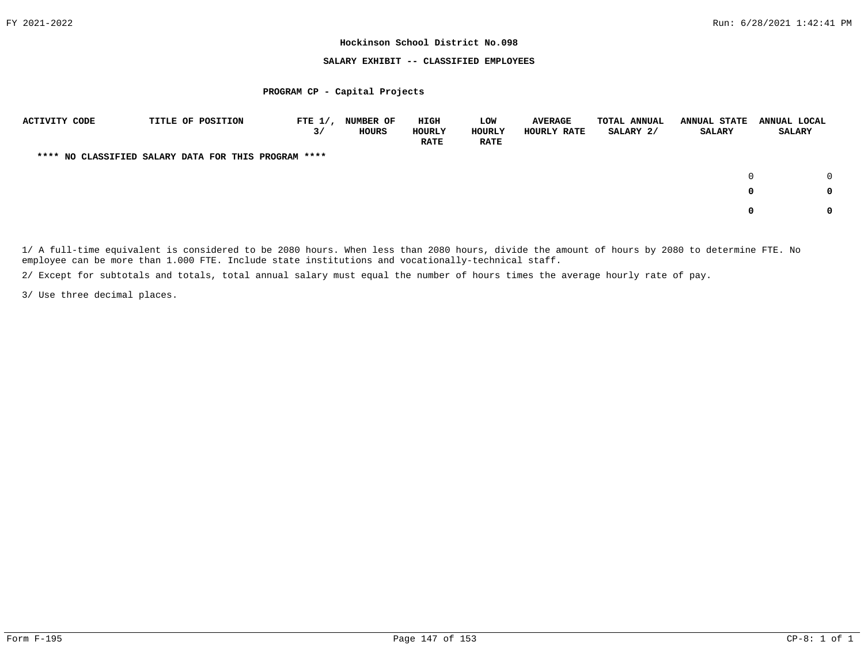#### **SALARY EXHIBIT -- CLASSIFIED EMPLOYEES**

#### **PROGRAM CP - Capital Projects**

| <b>ACTIVITY CODE</b> | TITLE OF POSITION                                    | FTE $1/$ , | <b>NUMBER OF</b> | HIGH          | <b>LOW</b>  | <b>AVERAGE</b>     | TOTAL ANNUAL | <b>ANNUAL STATE</b> | ANNUAL LOCAL  |
|----------------------|------------------------------------------------------|------------|------------------|---------------|-------------|--------------------|--------------|---------------------|---------------|
|                      |                                                      | 3/         | HOURS            | <b>HOURLY</b> | HOURLY      | <b>HOURLY RATE</b> | SALARY 2/    | SALARY              | <b>SALARY</b> |
|                      |                                                      |            |                  | <b>RATE</b>   | <b>RATE</b> |                    |              |                     |               |
|                      | **** NO CLASSIFIED SALARY DATA FOR THIS PROGRAM **** |            |                  |               |             |                    |              |                     |               |
|                      |                                                      |            |                  |               |             |                    |              | $\Omega$            |               |
|                      |                                                      |            |                  |               |             |                    |              | 0                   |               |
|                      |                                                      |            |                  |               |             |                    |              | 0                   |               |

1/ A full-time equivalent is considered to be 2080 hours. When less than 2080 hours, divide the amount of hours by 2080 to determine FTE. No employee can be more than 1.000 FTE. Include state institutions and vocationally-technical staff.

2/ Except for subtotals and totals, total annual salary must equal the number of hours times the average hourly rate of pay.

3/ Use three decimal places.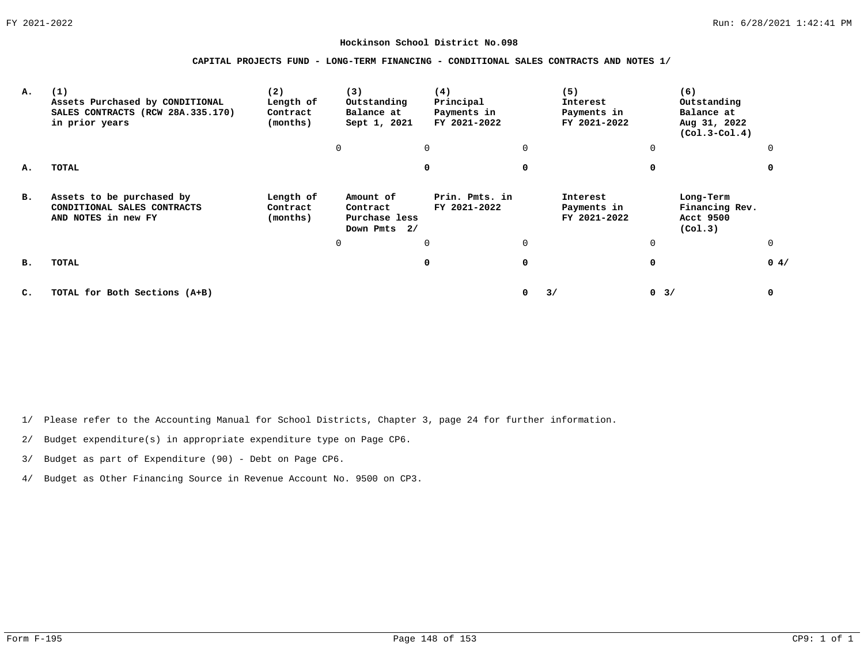**CAPITAL PROJECTS FUND - LONG-TERM FINANCING - CONDITIONAL SALES CONTRACTS AND NOTES 1/**

| А.             | (1)<br>Assets Purchased by CONDITIONAL<br>SALES CONTRACTS (RCW 28A.335.170)<br>in prior years | (2)<br>Length of<br>Contract<br>(months) | (3)<br>Outstanding<br>Balance at<br>Sept 1, 2021       | (4)<br>Principal<br>Payments in<br>FY 2021-2022 |          | (5)<br>Interest<br>Payments in<br>FY 2021-2022 | (6)<br>Outstanding<br>Balance at<br>Aug 31, 2022<br>$(Col.3-Col.4)$ |      |
|----------------|-----------------------------------------------------------------------------------------------|------------------------------------------|--------------------------------------------------------|-------------------------------------------------|----------|------------------------------------------------|---------------------------------------------------------------------|------|
|                |                                                                                               |                                          | 0                                                      | $\Omega$                                        | $\Omega$ |                                                | 0                                                                   |      |
| А.             | <b>TOTAL</b>                                                                                  |                                          |                                                        | 0                                               | 0        |                                                | $\Omega$                                                            |      |
| в.             | Assets to be purchased by<br>CONDITIONAL SALES CONTRACTS<br>AND NOTES in new FY               | Length of<br>Contract<br>(months)        | Amount of<br>Contract<br>Purchase less<br>Down Pmts 2/ | Prin. Pmts. in<br>FY 2021-2022                  |          | Interest<br>Payments in<br>FY 2021-2022        | Long-Term<br>Financing Rev.<br>Acct 9500<br>(Co1.3)                 |      |
|                |                                                                                               |                                          |                                                        | $\Omega$                                        | $\Omega$ |                                                | 0                                                                   |      |
| в.             | TOTAL                                                                                         |                                          |                                                        | $\mathbf 0$                                     | 0        |                                                | 0                                                                   | 0.4/ |
| $\mathbf{C}$ . | TOTAL for Both Sections (A+B)                                                                 |                                          |                                                        |                                                 | 0        | 3/                                             | $0 \t3/$                                                            | 0    |

1/ Please refer to the Accounting Manual for School Districts, Chapter 3, page 24 for further information.

2/ Budget expenditure(s) in appropriate expenditure type on Page CP6.

3/ Budget as part of Expenditure (90) - Debt on Page CP6.

4/ Budget as Other Financing Source in Revenue Account No. 9500 on CP3.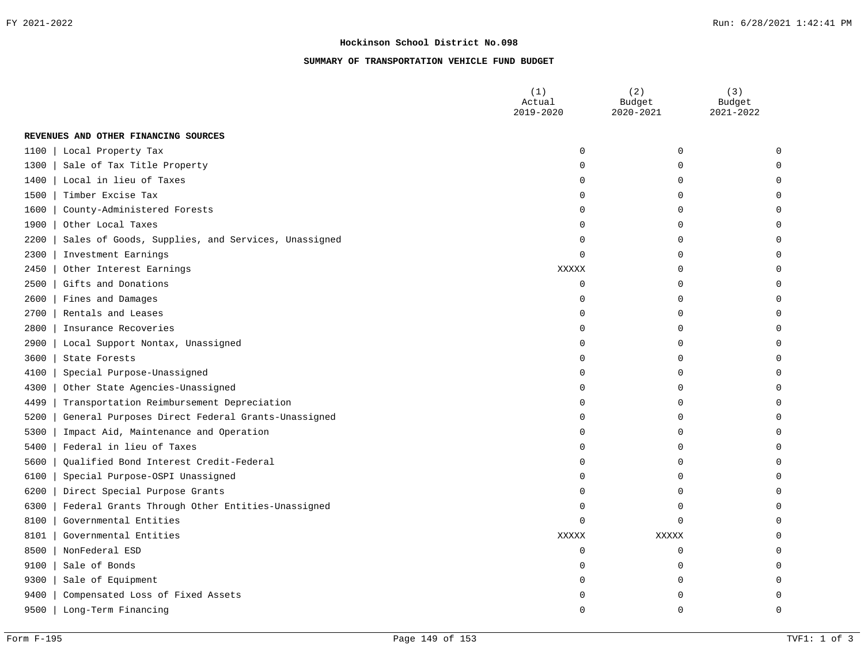# **SUMMARY OF TRANSPORTATION VEHICLE FUND BUDGET**

|        |                                                    | (1)<br>Actual<br>2019-2020 | (2)<br>Budget<br>2020-2021 | (3)<br>Budget<br>2021-2022 |
|--------|----------------------------------------------------|----------------------------|----------------------------|----------------------------|
|        | REVENUES AND OTHER FINANCING SOURCES               |                            |                            |                            |
| $1100$ | Local Property Tax                                 | $\mathbf 0$                | 0                          | $\Omega$                   |
| 1300   | Sale of Tax Title Property                         | $\Omega$                   | $\Omega$                   | 0                          |
| 1400   | Local in lieu of Taxes                             | O                          | U                          | $\Omega$                   |
| 1500   | Timber Excise Tax                                  | O                          | O                          | $\Omega$                   |
| 1600   | County-Administered Forests                        | O                          | U                          | 0                          |
| 1900   | Other Local Taxes                                  | $\Omega$                   | $\Omega$                   | 0                          |
| 2200   | Sales of Goods, Supplies, and Services, Unassigned | $\Omega$                   | 0                          | 0                          |
| 2300   | Investment Earnings                                | $\Omega$                   | $\Omega$                   | 0                          |
| 2450   | Other Interest Earnings                            | XXXXX                      | $\Omega$                   | $\Omega$                   |
| 2500   | Gifts and Donations                                | $\Omega$                   | $\Omega$                   | 0                          |
| 2600   | Fines and Damages                                  | $\Omega$                   | O                          | $\Omega$                   |
| 2700   | Rentals and Leases                                 | O                          | O                          | 0                          |
| 2800   | Insurance Recoveries                               | $\Omega$                   | O                          | $\Omega$                   |
| 2900   | Local Support Nontax, Unassigned                   | $\Omega$                   | O                          | $\Omega$                   |
| 3600   | State Forests                                      | $\Omega$                   | U                          | U                          |
| 4100   | Special Purpose-Unassigned                         | $\Omega$                   | O                          | O                          |
| 4300   | Other State Agencies-Unassigned                    | $\Omega$                   | $\Omega$                   | 0                          |
| 4499   | Transportation Reimbursement Depreciation          | $\Omega$                   | 0                          | 0                          |
| 5200   | General Purposes Direct Federal Grants-Unassigned  | $\Omega$                   | 0                          | 0                          |
| 5300   | Impact Aid, Maintenance and Operation              | O                          | $\Omega$                   | $\Omega$                   |
| 5400   | Federal in lieu of Taxes                           | $\Omega$                   | 0                          | 0                          |
| 5600   | Qualified Bond Interest Credit-Federal             | O                          | O                          | $\Omega$                   |
| 6100   | Special Purpose-OSPI Unassigned                    | $\Omega$                   | O                          | 0                          |
| 6200   | Direct Special Purpose Grants                      | $\Omega$                   | $\Omega$                   | $\Omega$                   |
| 6300   | Federal Grants Through Other Entities-Unassigned   | O                          | $\Omega$                   | 0                          |
| 8100   | Governmental Entities                              | $\Omega$                   | 0                          | U                          |
| 8101   | Governmental Entities                              | <b>XXXXX</b>               | <b>XXXXX</b>               | O                          |
| 8500   | NonFederal ESD                                     | 0                          | 0                          | 0                          |
| 9100   | Sale of Bonds                                      | $\Omega$                   | $\Omega$                   | U                          |
| 9300   | Sale of Equipment                                  | O                          | U                          | $\Omega$                   |
| 9400   | Compensated Loss of Fixed Assets                   |                            |                            | 0                          |
| 9500   | Long-Term Financing                                | U                          | U                          | $\Omega$                   |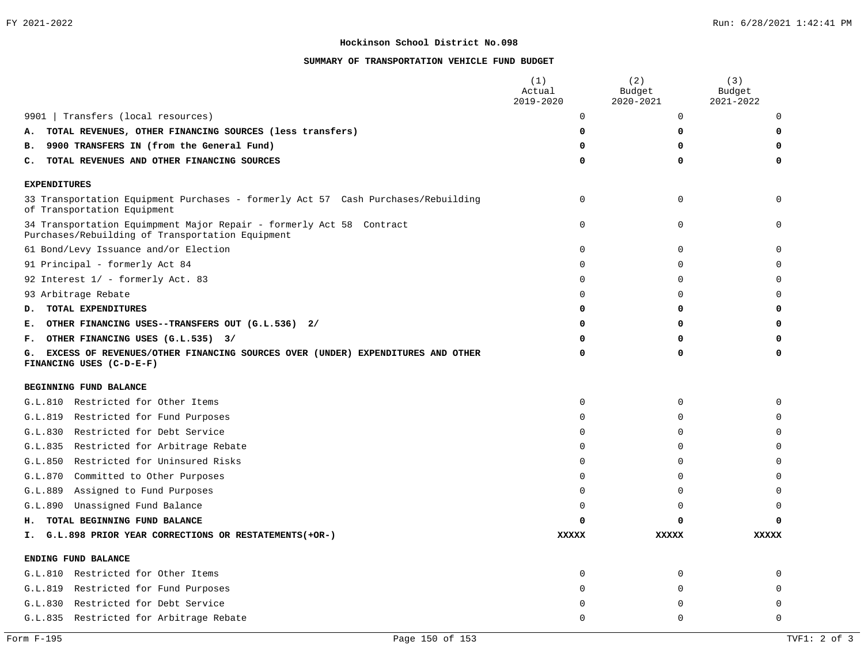# **SUMMARY OF TRANSPORTATION VEHICLE FUND BUDGET**

|                                                                                                                          | (1)<br>Actual<br>2019-2020 | (2)<br>Budget<br>2020-2021 | (3)<br>Budget<br>2021-2022 |
|--------------------------------------------------------------------------------------------------------------------------|----------------------------|----------------------------|----------------------------|
| Transfers (local resources)<br>9901                                                                                      | 0                          | 0                          | 0                          |
| TOTAL REVENUES, OTHER FINANCING SOURCES (less transfers)<br>Α.                                                           | 0                          | 0                          | 0                          |
| 9900 TRANSFERS IN (from the General Fund)<br>в.                                                                          | 0                          | 0                          | $\Omega$                   |
| TOTAL REVENUES AND OTHER FINANCING SOURCES<br>c.                                                                         | 0                          | 0                          | 0                          |
| <b>EXPENDITURES</b>                                                                                                      |                            |                            |                            |
| 33 Transportation Equipment Purchases - formerly Act 57 Cash Purchases/Rebuilding<br>of Transportation Equipment         | $\Omega$                   | 0                          | $\Omega$                   |
| 34 Transportation Equimpment Major Repair - formerly Act 58 Contract<br>Purchases/Rebuilding of Transportation Equipment | $\Omega$                   | $\mathbf 0$                | U                          |
| 61 Bond/Levy Issuance and/or Election                                                                                    | 0                          | 0                          | $\Omega$                   |
| 91 Principal - formerly Act 84                                                                                           | 0                          | 0                          | $\Omega$                   |
| 92 Interest 1/ - formerly Act. 83                                                                                        | $\Omega$                   | $\Omega$                   | 0                          |
| 93 Arbitrage Rebate                                                                                                      | $\Omega$                   | $\Omega$                   | 0                          |
| TOTAL EXPENDITURES<br>D.                                                                                                 | 0                          | 0                          | O                          |
| OTHER FINANCING USES--TRANSFERS OUT (G.L.536) 2/<br>Е.                                                                   | 0                          | 0                          | O                          |
| OTHER FINANCING USES (G.L.535) 3/<br>г.                                                                                  | 0                          | ŋ                          | O                          |
| EXCESS OF REVENUES/OTHER FINANCING SOURCES OVER (UNDER) EXPENDITURES AND OTHER<br>G.<br>FINANCING USES (C-D-E-F)         | 0                          | $\Omega$                   | 0                          |
| BEGINNING FUND BALANCE                                                                                                   |                            |                            |                            |
| G.L.810 Restricted for Other Items                                                                                       | 0                          | 0                          | $\Omega$                   |
| G.L.819 Restricted for Fund Purposes                                                                                     | 0                          | 0                          | $\Omega$                   |
| G.L.830 Restricted for Debt Service                                                                                      | 0                          | 0                          | 0                          |
| G.L.835 Restricted for Arbitrage Rebate                                                                                  | 0                          | 0                          | 0                          |
| G.L.850 Restricted for Uninsured Risks                                                                                   | 0                          | 0                          | 0                          |
| G.L.870 Committed to Other Purposes                                                                                      | $\Omega$                   | $\Omega$                   | $\Omega$                   |
| G.L.889 Assigned to Fund Purposes                                                                                        | $\Omega$                   | $\Omega$                   | $\Omega$                   |
| Unassigned Fund Balance<br>G.L.890                                                                                       | $\Omega$                   | $\Omega$                   | $\Omega$                   |
| TOTAL BEGINNING FUND BALANCE<br>н.                                                                                       | O                          | O                          | 0                          |
| G.L.898 PRIOR YEAR CORRECTIONS OR RESTATEMENTS (+OR-)<br>Ι.                                                              | <b>XXXXX</b>               | <b>XXXXX</b>               | <b>XXXXX</b>               |
| ENDING FUND BALANCE                                                                                                      |                            |                            |                            |
| G.L.810 Restricted for Other Items                                                                                       | $\mathbf 0$                | $\mathbf 0$                | $\Omega$                   |
| G.L.819 Restricted for Fund Purposes                                                                                     | $\Omega$                   | 0                          | $\Omega$                   |
| G.L.830 Restricted for Debt Service                                                                                      | U                          | <sup>0</sup>               | $\Omega$                   |
| G.L.835 Restricted for Arbitrage Rebate                                                                                  | $\Omega$                   | $\Omega$                   | $\Omega$                   |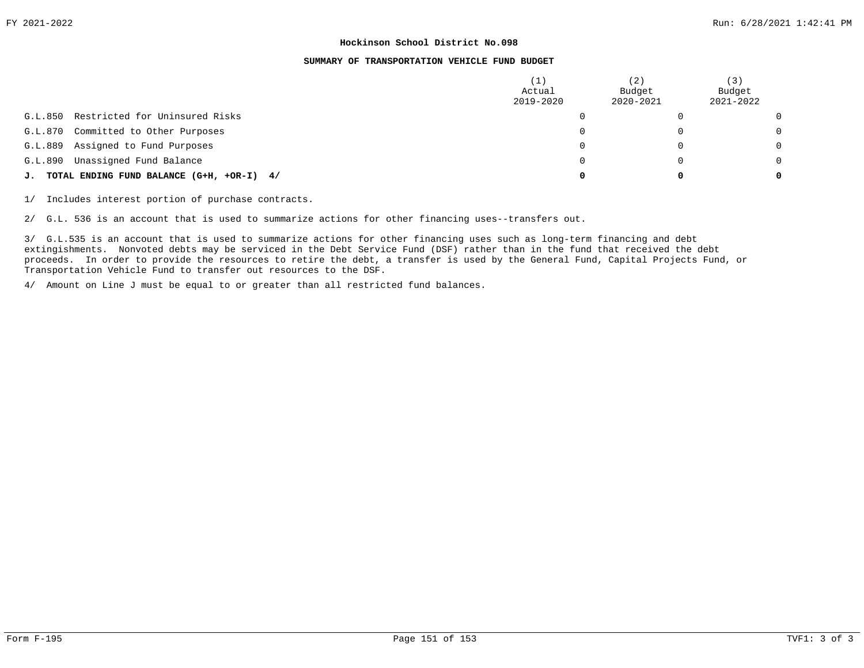#### **SUMMARY OF TRANSPORTATION VEHICLE FUND BUDGET**

|         |                                              | ' 1<br>Actual<br>2019-2020 | (2)<br>Budget<br>2020-2021 | (3)<br>Budget<br>2021-2022 |
|---------|----------------------------------------------|----------------------------|----------------------------|----------------------------|
| G.L.850 | Restricted for Uninsured Risks               |                            |                            | $\Omega$                   |
| G.L.870 | Committed to Other Purposes                  |                            | $\Omega$                   | $\Omega$                   |
| G.L.889 | Assigned to Fund Purposes                    |                            | $\Omega$                   | $\Omega$                   |
| G.L.890 | Unassigned Fund Balance                      |                            | $\Omega$                   | $\Omega$                   |
|         | J. TOTAL ENDING FUND BALANCE (G+H, +OR-I) 4/ |                            | 0                          | 0                          |

1/ Includes interest portion of purchase contracts.

2/ G.L. 536 is an account that is used to summarize actions for other financing uses--transfers out.

3/ G.L.535 is an account that is used to summarize actions for other financing uses such as long-term financing and debt extingishments. Nonvoted debts may be serviced in the Debt Service Fund (DSF) rather than in the fund that received the debt proceeds. In order to provide the resources to retire the debt, a transfer is used by the General Fund, Capital Projects Fund, or Transportation Vehicle Fund to transfer out resources to the DSF.

4/ Amount on Line J must be equal to or greater than all restricted fund balances.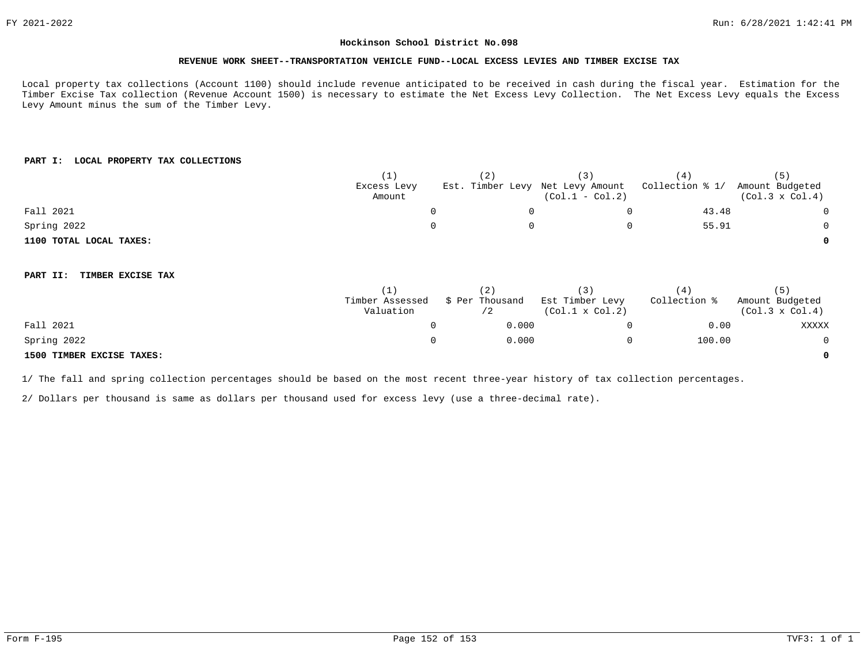#### **REVENUE WORK SHEET--TRANSPORTATION VEHICLE FUND--LOCAL EXCESS LEVIES AND TIMBER EXCISE TAX**

Local property tax collections (Account 1100) should include revenue anticipated to be received in cash during the fiscal year. Estimation for the Timber Excise Tax collection (Revenue Account 1500) is necessary to estimate the Net Excess Levy Collection. The Net Excess Levy equals the Excess Levy Amount minus the sum of the Timber Levy.

## **PART I: LOCAL PROPERTY TAX COLLECTIONS**

|                               | (1)             | (2)             | (3)                              | (4)             | (5)                    |
|-------------------------------|-----------------|-----------------|----------------------------------|-----------------|------------------------|
|                               | Excess Levy     |                 | Est. Timber Levy Net Levy Amount | Collection % 1/ | Amount Budgeted        |
|                               | Amount          |                 | $(Col.1 - Col.2)$                |                 | $(Col.3 \times Col.4)$ |
| Fall 2021                     | 0               |                 | $\Omega$                         | 43.48           | $\overline{0}$         |
| Spring 2022                   |                 |                 | 0                                | 55.91           | 0                      |
| 1100 TOTAL LOCAL TAXES:       |                 |                 |                                  |                 | 0                      |
|                               |                 |                 |                                  |                 |                        |
| TIMBER EXCISE TAX<br>PART II: |                 |                 |                                  |                 |                        |
|                               | (1)             | (2)             | (3)                              | (4)             | (5)                    |
|                               | Timber Assessed | \$ Per Thousand | Est Timber Levy                  | Collection %    | Amount Budgeted        |
|                               | Valuation       | /2              | $(Col.1 \times Col.2)$           |                 | $(Col.3 \times Col.4)$ |
| Fall 2021                     | 0               | 0.000           | 0                                | 0.00            | XXXXX                  |
| Spring 2022                   | 0               | 0.000           | 0                                | 100.00          | $\overline{0}$         |
| 1500 TIMBER EXCISE TAXES:     |                 |                 |                                  |                 | 0                      |

1/ The fall and spring collection percentages should be based on the most recent three-year history of tax collection percentages.

2/ Dollars per thousand is same as dollars per thousand used for excess levy (use a three-decimal rate).